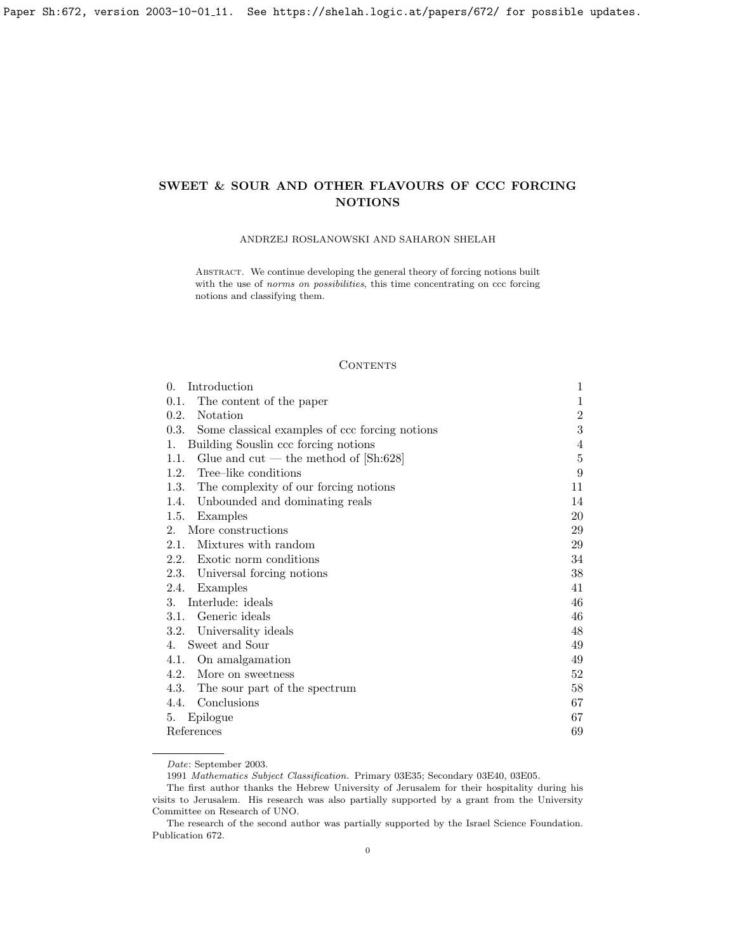# <span id="page-0-0"></span>SWEET & SOUR AND OTHER FLAVOURS OF CCC FORCING NOTIONS

# ANDRZEJ ROSŁANOWSKI AND SAHARON SHELAH

Abstract. We continue developing the general theory of forcing notions built with the use of norms on possibilities, this time concentrating on ccc forcing notions and classifying them.

## **CONTENTS**

| Introduction<br>$\Omega$ .                             | $\mathbf{1}$     |
|--------------------------------------------------------|------------------|
| The content of the paper<br>0.1.                       | $\mathbf 1$      |
| Notation<br>0.2.                                       | $\overline{2}$   |
| 0.3.<br>Some classical examples of ccc forcing notions | 3                |
| Building Souslin ccc forcing notions<br>1.             | $\overline{4}$   |
| 1.1.<br>Glue and $cut$ — the method of [Sh:628]        | $\bf 5$          |
| Tree-like conditions<br>1.2.                           | $\boldsymbol{9}$ |
| 1.3.<br>The complexity of our forcing notions          | 11               |
| Unbounded and dominating reals<br>1.4.                 | 14               |
| 1.5.<br>Examples                                       | 20               |
| More constructions<br>$2^{\circ}$                      | 29               |
| 2.1.<br>Mixtures with random                           | 29               |
| 2.2.<br>Exotic norm conditions                         | 34               |
| 2.3.<br>Universal forcing notions                      | 38               |
| Examples<br>2.4.                                       | 41               |
| Interlude: ideals<br>3.                                | 46               |
| Generic ideals<br>3.1.                                 | 46               |
| Universality ideals<br>3.2.                            | 48               |
| Sweet and Sour<br>4.                                   | 49               |
| 4.1.<br>On amalgamation                                | 49               |
| 4.2.<br>More on sweetness                              | 52               |
| 4.3.<br>The sour part of the spectrum                  | 58               |
| Conclusions<br>4.4.                                    | 67               |
| Epilogue<br>5.                                         | 67               |
| References                                             | 69               |

Date: September 2003.

1991 Mathematics Subject Classification. Primary 03E35; Secondary 03E40, 03E05.

The first author thanks the Hebrew University of Jerusalem for their hospitality during his visits to Jerusalem. His research was also partially supported by a grant from the University Committee on Research of UNO.

The research of the second author was partially supported by the Israel Science Foundation. Publication 672.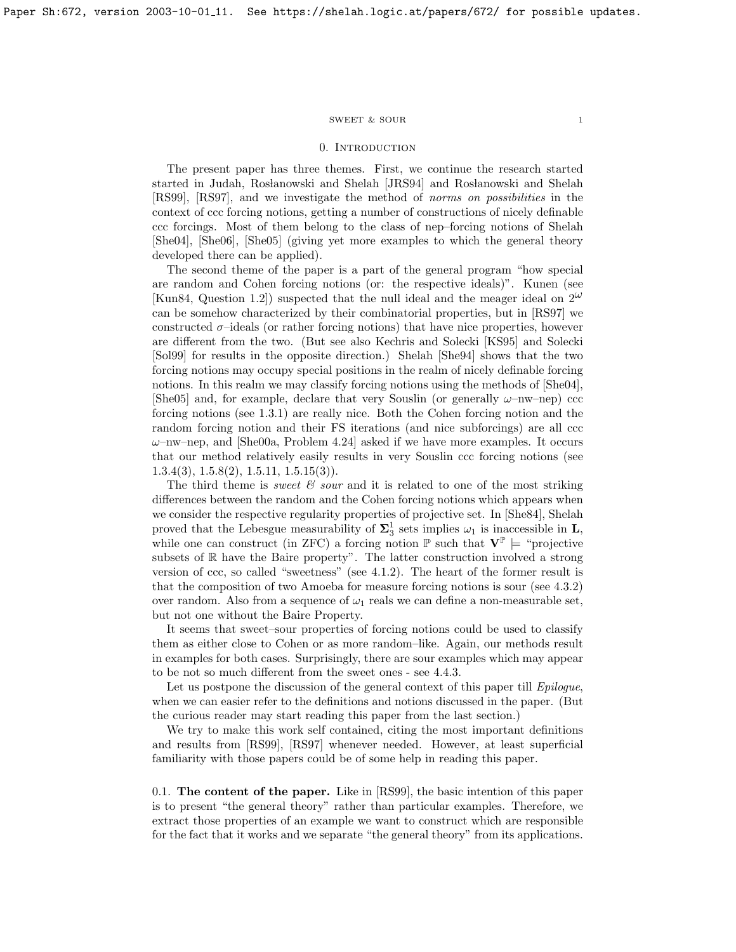#### ${\tt SWEET\ \&\ SOUR} \qquad \qquad {\tt 1}$

#### 0. INTRODUCTION

<span id="page-1-0"></span>The present paper has three themes. First, we continue the research started started in Judah, Rosłanowski and Shelah [\[JRS94\]](#page-70-0) and Rosłanowski and Shelah [\[RS99\]](#page-70-1), [\[RS97\]](#page-70-2), and we investigate the method of norms on possibilities in the context of ccc forcing notions, getting a number of constructions of nicely definable ccc forcings. Most of them belong to the class of nep–forcing notions of Shelah [\[She04\]](#page-70-3), [\[She06\]](#page-70-4), [\[She05\]](#page-70-5) (giving yet more examples to which the general theory developed there can be applied).

The second theme of the paper is a part of the general program "how special are random and Cohen forcing notions (or: the respective ideals)". Kunen (see [\[Kun84,](#page-70-6) Question 1.2]) suspected that the null ideal and the meager ideal on  $2^{\omega}$ can be somehow characterized by their combinatorial properties, but in [\[RS97\]](#page-70-2) we constructed  $\sigma$ -ideals (or rather forcing notions) that have nice properties, however are different from the two. (But see also Kechris and Solecki [\[KS95\]](#page-70-7) and Solecki [\[Sol99\]](#page-70-8) for results in the opposite direction.) Shelah [\[She94\]](#page-70-9) shows that the two forcing notions may occupy special positions in the realm of nicely definable forcing notions. In this realm we may classify forcing notions using the methods of  $[She04]$ , [\[She05\]](#page-70-5) and, for example, declare that very Souslin (or generally  $\omega$ -nw-nep) ccc forcing notions (see [1.3.1\)](#page-5-1) are really nice. Both the Cohen forcing notion and the random forcing notion and their FS iterations (and nice subforcings) are all ccc  $\omega$ –nw–nep, and [\[She00a,](#page-70-10) Problem 4.24] asked if we have more examples. It occurs that our method relatively easily results in very Souslin ccc forcing notions (see  $1.3.4(3), 1.5.8(2), 1.5.11, 1.5.15(3)$  $1.3.4(3), 1.5.8(2), 1.5.11, 1.5.15(3)$  $1.3.4(3), 1.5.8(2), 1.5.11, 1.5.15(3)$  $1.3.4(3), 1.5.8(2), 1.5.11, 1.5.15(3)$  $1.3.4(3), 1.5.8(2), 1.5.11, 1.5.15(3)$  $1.3.4(3), 1.5.8(2), 1.5.11, 1.5.15(3)$  $1.3.4(3), 1.5.8(2), 1.5.11, 1.5.15(3)$ .

The third theme is *sweet*  $\mathcal{C}$  sour and it is related to one of the most striking differences between the random and the Cohen forcing notions which appears when we consider the respective regularity properties of projective set. In [\[She84\]](#page-70-11), Shelah proved that the Lebesgue measurability of  $\Sigma_3^1$  sets implies  $\omega_1$  is inaccessible in **L**, while one can construct (in ZFC) a forcing notion  $\mathbb P$  such that  $V^{\mathbb P} \models$  "projective" subsets of  $\mathbb R$  have the Baire property". The latter construction involved a strong version of ccc, so called "sweetness" (see [4.1.2\)](#page-50-0). The heart of the former result is that the composition of two Amoeba for measure forcing notions is sour (see [4.3.2\)](#page-50-0) over random. Also from a sequence of  $\omega_1$  reals we can define a non-measurable set, but not one without the Baire Property.

It seems that sweet–sour properties of forcing notions could be used to classify them as either close to Cohen or as more random–like. Again, our methods result in examples for both cases. Surprisingly, there are sour examples which may appear to be not so much different from the sweet ones - see [4.4.3.](#page-51-0)

Let us postpone the discussion of the general context of this paper till *Epiloque*, when we can easier refer to the definitions and notions discussed in the paper. (But the curious reader may start reading this paper from the last section.)

We try to make this work self contained, citing the most important definitions and results from [\[RS99\]](#page-70-1), [\[RS97\]](#page-70-2) whenever needed. However, at least superficial familiarity with those papers could be of some help in reading this paper.

<span id="page-1-1"></span>0.1. The content of the paper. Like in [\[RS99\]](#page-70-1), the basic intention of this paper is to present "the general theory" rather than particular examples. Therefore, we extract those properties of an example we want to construct which are responsible for the fact that it works and we separate "the general theory" from its applications.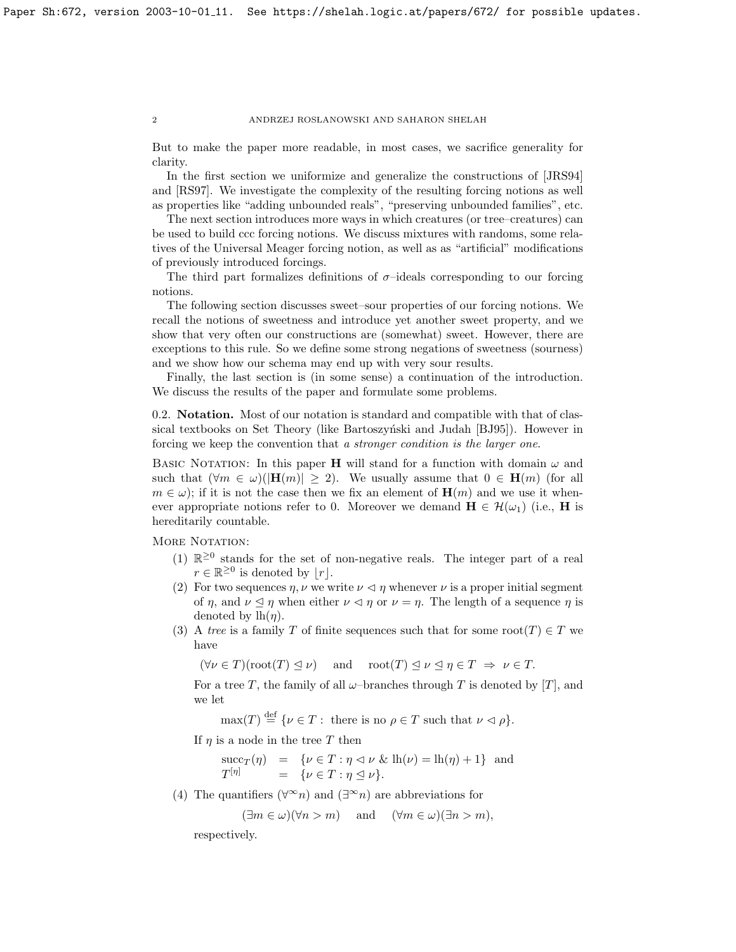But to make the paper more readable, in most cases, we sacrifice generality for clarity.

In the first section we uniformize and generalize the constructions of [\[JRS94\]](#page-70-0) and [\[RS97\]](#page-70-2). We investigate the complexity of the resulting forcing notions as well as properties like "adding unbounded reals", "preserving unbounded families", etc.

The next section introduces more ways in which creatures (or tree–creatures) can be used to build ccc forcing notions. We discuss mixtures with randoms, some relatives of the Universal Meager forcing notion, as well as as "artificial" modifications of previously introduced forcings.

The third part formalizes definitions of  $\sigma$ -ideals corresponding to our forcing notions.

The following section discusses sweet–sour properties of our forcing notions. We recall the notions of sweetness and introduce yet another sweet property, and we show that very often our constructions are (somewhat) sweet. However, there are exceptions to this rule. So we define some strong negations of sweetness (sourness) and we show how our schema may end up with very sour results.

Finally, the last section is (in some sense) a continuation of the introduction. We discuss the results of the paper and formulate some problems.

<span id="page-2-0"></span>0.2. Notation. Most of our notation is standard and compatible with that of clas-sical textbooks on Set Theory (like Bartoszyński and Judah [\[BJ95\]](#page-69-1)). However in forcing we keep the convention that a stronger condition is the larger one.

BASIC NOTATION: In this paper **H** will stand for a function with domain  $\omega$  and such that  $(\forall m \in \omega)(|\mathbf{H}(m)| \geq 2)$ . We usually assume that  $0 \in \mathbf{H}(m)$  (for all  $m \in \omega$ ; if it is not the case then we fix an element of  $\mathbf{H}(m)$  and we use it whenever appropriate notions refer to 0. Moreover we demand  $\mathbf{H} \in \mathcal{H}(\omega_1)$  (i.e.,  $\mathbf{H}$  is hereditarily countable.

MORE NOTATION:

- (1)  $\mathbb{R}^{\geq 0}$  stands for the set of non-negative reals. The integer part of a real  $r \in \mathbb{R}^{\geq 0}$  is denoted by  $|r|$ .
- (2) For two sequences  $\eta$ ,  $\nu$  we write  $\nu \leq \eta$  whenever  $\nu$  is a proper initial segment of  $\eta$ , and  $\nu \leq \eta$  when either  $\nu \leq \eta$  or  $\nu = \eta$ . The length of a sequence  $\eta$  is denoted by  $lh(\eta)$ .
- (3) A tree is a family T of finite sequences such that for some root $(T) \in T$  we have

 $(\forall \nu \in T)(\text{root}(T) \leq \nu)$  and  $\text{root}(T) \leq \nu \leq \eta \in T \Rightarrow \nu \in T$ .

For a tree T, the family of all  $\omega$ -branches through T is denoted by [T], and we let

 $\max(T) \stackrel{\text{def}}{=} {\{\nu \in T : \text{ there is no } \rho \in T \text{ such that } \nu \vartriangleleft \rho\}}.$ 

If  $\eta$  is a node in the tree T then

 $succ_T(\eta) = \{ \nu \in T : \eta \vartriangleleft \nu \& \mathrm{lh}(\nu) = \mathrm{lh}(\eta) + 1 \}$  and  $T^{[\eta]}$  $= \{\nu \in T : \eta \leq \nu\}.$ 

(4) The quantifiers  $(\forall^{\infty} n)$  and  $(\exists^{\infty} n)$  are abbreviations for

$$
(\exists m \in \omega)(\forall n > m)
$$
 and  $(\forall m \in \omega)(\exists n > m),$ 

respectively.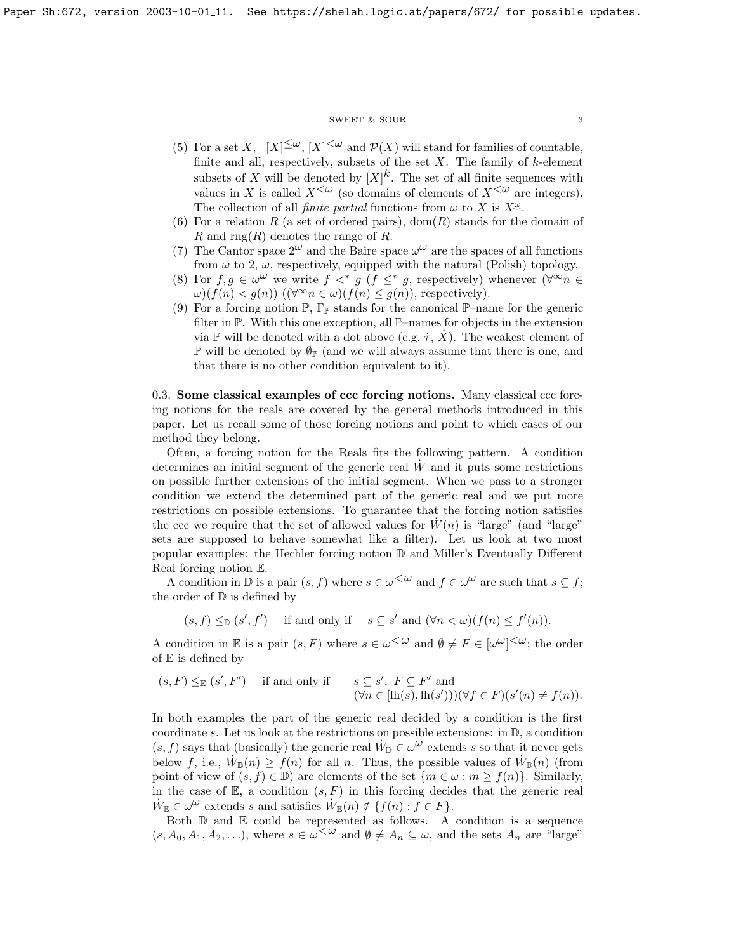## $\begin{tabular}{ll} \multicolumn{2}{c}{\text{SWEET}} & $\&$ \text{SOUR} \end{tabular} \label{eq:swEFT}$

- (5) For a set X,  $[X]^{\leq \omega}$ ,  $[X]^{\leq \omega}$  and  $\mathcal{P}(X)$  will stand for families of countable, finite and all, respectively, subsets of the set  $X$ . The family of  $k$ -element subsets of X will be denoted by  $[X]^k$ . The set of all finite sequences with values in X is called  $X^{\leq \omega}$  (so domains of elements of  $X^{\leq \omega}$  are integers). The collection of all *finite partial* functions from  $\omega$  to X is  $X^{\omega}$ .
- (6) For a relation R (a set of ordered pairs), dom(R) stands for the domain of R and rng(R) denotes the range of R.
- (7) The Cantor space  $2^{\omega}$  and the Baire space  $\omega^{\omega}$  are the spaces of all functions from  $\omega$  to 2,  $\omega$ , respectively, equipped with the natural (Polish) topology.
- (8) For  $f, g \in \omega^{\omega}$  we write  $f \lt^* g$  ( $f \leq^* g$ , respectively) whenever  $(\forall^{\infty} n \in$  $\omega$ )(f(n) < g(n)) ( $(\forall^{\infty} n \in \omega)$ (f(n)  $\leq g(n)$ ), respectively).
- (9) For a forcing notion  $\mathbb{P}, \Gamma_{\mathbb{P}}$  stands for the canonical  $\mathbb{P}-$ name for the generic filter in P. With this one exception, all P–names for objects in the extension via P will be denoted with a dot above (e.g.  $\dot{\tau}$ ,  $\dot{X}$ ). The weakest element of  $\mathbb P$  will be denoted by  $\mathbb{Q}_\mathbb P$  (and we will always assume that there is one, and that there is no other condition equivalent to it).

<span id="page-3-0"></span>0.3. Some classical examples of ccc forcing notions. Many classical ccc forcing notions for the reals are covered by the general methods introduced in this paper. Let us recall some of those forcing notions and point to which cases of our method they belong.

Often, a forcing notion for the Reals fits the following pattern. A condition determines an initial segment of the generic real  $\dot{W}$  and it puts some restrictions on possible further extensions of the initial segment. When we pass to a stronger condition we extend the determined part of the generic real and we put more restrictions on possible extensions. To guarantee that the forcing notion satisfies the ccc we require that the set of allowed values for  $W(n)$  is "large" (and "large" sets are supposed to behave somewhat like a filter). Let us look at two most popular examples: the Hechler forcing notion D and Miller's Eventually Different Real forcing notion E.

A condition in  $\mathbb D$  is a pair  $(s, f)$  where  $s \in \omega^{\text{&} \omega}$  and  $f \in \omega^\omega$  are such that  $s \subseteq f$ ; the order of  $D$  is defined by

 $(s, f) \leq_{\mathbb{D}} (s', f')$  if and only if  $s \subseteq s'$  and  $(\forall n < \omega)(f(n) \leq f'(n)).$ 

A condition in E is a pair  $(s, F)$  where  $s \in \omega^{\text{&} \omega}$  and  $\emptyset \neq F \in [\omega^{\omega}]^{\text{&} \omega}$ ; the order of  $E$  is defined by

$$
(s, F) \leq_{\mathbb{E}} (s', F')
$$
 if and only if  $s \subseteq s', F \subseteq F'$  and  
 $(\forall n \in [\text{lh}(s), \text{lh}(s')))(\forall f \in F)(s'(n) \neq f(n)).$ 

In both examples the part of the generic real decided by a condition is the first coordinate s. Let us look at the restrictions on possible extensions: in  $\mathbb{D}$ , a condition  $(s, f)$  says that (basically) the generic real  $\overrightarrow{W}_{\mathbb{D}} \in \omega^{\omega}$  extends s so that it never gets below f, i.e.,  $\dot{W}_D(n) \ge f(n)$  for all n. Thus, the possible values of  $\dot{W}_D(n)$  (from point of view of  $(s, f) \in \mathbb{D}$ ) are elements of the set  $\{m \in \omega : m \ge f(n)\}\$ . Similarly, in the case of  $E$ , a condition  $(s, F)$  in this forcing decides that the generic real  $\dot{W}_{\mathbb{E}} \in \omega^{\omega}$  extends s and satisfies  $\dot{W}_{\mathbb{E}}(n) \notin \{f(n): f \in F\}.$ 

Both  $\mathbb D$  and  $\mathbb E$  could be represented as follows. A condition is a sequence  $(s, A_0, A_1, A_2, \ldots)$ , where  $s \in \omega^{\text{&} \omega}$  and  $\emptyset \neq A_n \subseteq \omega$ , and the sets  $A_n$  are "large"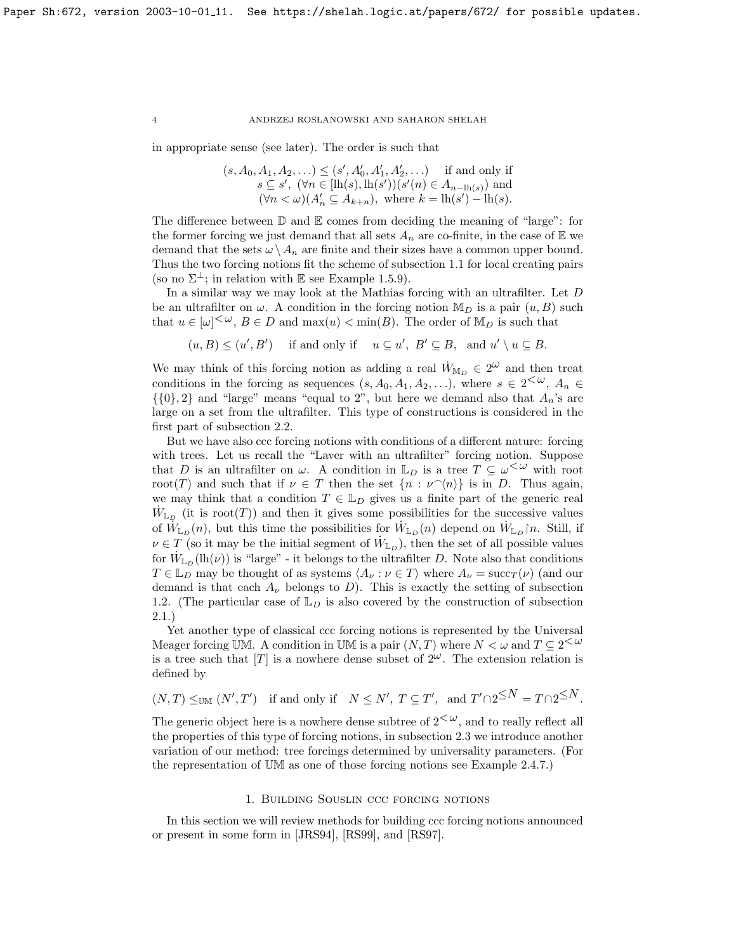in appropriate sense (see later). The order is such that

$$
(s, A_0, A_1, A_2, \ldots) \le (s', A'_0, A'_1, A'_2, \ldots) \text{ if and only if } s \subseteq s', \ (\forall n \in [\text{lh}(s), \text{lh}(s'))(s'(n) \in A_{n-\text{lh}(s)}) \text{ and } (\forall n < \omega)(A'_n \subseteq A_{k+n}), \text{ where } k = \text{lh}(s') - \text{lh}(s).
$$

The difference between  $\mathbb D$  and  $\mathbb E$  comes from deciding the meaning of "large": for the former forcing we just demand that all sets  $A_n$  are co-finite, in the case of  $\mathbb E$  we demand that the sets  $\omega \setminus A_n$  are finite and their sizes have a common upper bound. Thus the two forcing notions fit the scheme of subsection 1.1 for local creating pairs (so no  $\Sigma^{\perp}$ ; in relation with E see Example [1.5.9\)](#page-8-1).

In a similar way we may look at the Mathias forcing with an ultrafilter. Let D be an ultrafilter on  $\omega$ . A condition in the forcing notion  $M_D$  is a pair  $(u, B)$  such that  $u \in [\omega]^{<\omega}$ ,  $B \in D$  and  $\max(u) < \min(B)$ . The order of  $\mathbb{M}_D$  is such that

$$
(u, B) \le (u', B')
$$
 if and only if  $u \subseteq u', B' \subseteq B$ , and  $u' \setminus u \subseteq B$ .

We may think of this forcing notion as adding a real  $\dot{W}_{\mathbb{M}_D} \in 2^{\omega}$  and then treat conditions in the forcing as sequences  $(s, A_0, A_1, A_2, \ldots)$ , where  $s \in 2^{\langle \omega \rangle}$ ,  $A_n \in$  $\{\{0\},2\}$  and "large" means "equal to 2", but here we demand also that  $A_n$ 's are large on a set from the ultrafilter. This type of constructions is considered in the first part of subsection 2.2.

But we have also ccc forcing notions with conditions of a different nature: forcing with trees. Let us recall the "Laver with an ultrafilter" forcing notion. Suppose that D is an ultrafilter on  $\omega$ . A condition in  $\mathbb{L}_D$  is a tree  $T \subseteq \omega^{\langle\omega\rangle}$  with root root(T) and such that if  $\nu \in T$  then the set  $\{n : \nu^{\frown}\langle n \rangle\}$  is in D. Thus again, we may think that a condition  $T \in \mathbb{L}_D$  gives us a finite part of the generic real  $\dot{W}_{\mathbb{L}_D}$  (it is root(T)) and then it gives some possibilities for the successive values of  $\hat{W}_{\mathbb{L}_D}(n)$ , but this time the possibilities for  $\hat{W}_{\mathbb{L}_D}(n)$  depend on  $\hat{W}_{\mathbb{L}_D}(n)$ . Still, if  $\nu \in T$  (so it may be the initial segment of  $\dot{W}_{\mathbb{L}_D}$ ), then the set of all possible values for  $\hat{W}_{\mathbb{L}_D}(\mathrm{lh}(\nu))$  is "large" - it belongs to the ultrafilter D. Note also that conditions  $T \in \mathbb{L}_D$  may be thought of as systems  $\langle A_\nu : \nu \in T \rangle$  where  $A_\nu = \text{succ}_T(\nu)$  (and our demand is that each  $A_{\nu}$  belongs to D). This is exactly the setting of subsection 1.2. (The particular case of  $\mathbb{L}_D$  is also covered by the construction of subsection 2.1.)

Yet another type of classical ccc forcing notions is represented by the Universal Meager forcing UM. A condition in UM is a pair  $(N, T)$  where  $N < \omega$  and  $T \subseteq 2<sup>{\omega}</sup>$ is a tree such that  $[T]$  is a nowhere dense subset of  $2^{\omega}$ . The extension relation is defined by

$$
(N,T) \leq_{\text{UM}} (N',T')
$$
 if and only if  $N \leq N', T \subseteq T'$ , and  $T' \cap 2^{\leq N} = T \cap 2^{\leq N}$ .

The generic object here is a nowhere dense subtree of  $2<sup>{\omega}</sup>$ , and to really reflect all the properties of this type of forcing notions, in subsection 2.3 we introduce another variation of our method: tree forcings determined by universality parameters. (For the representation of UM as one of those forcing notions see Example [2.4.7.](#page-32-0))

## 1. Building Souslin ccc forcing notions

<span id="page-4-0"></span>In this section we will review methods for building ccc forcing notions announced or present in some form in [\[JRS94\]](#page-70-0), [\[RS99\]](#page-70-1), and [\[RS97\]](#page-70-2).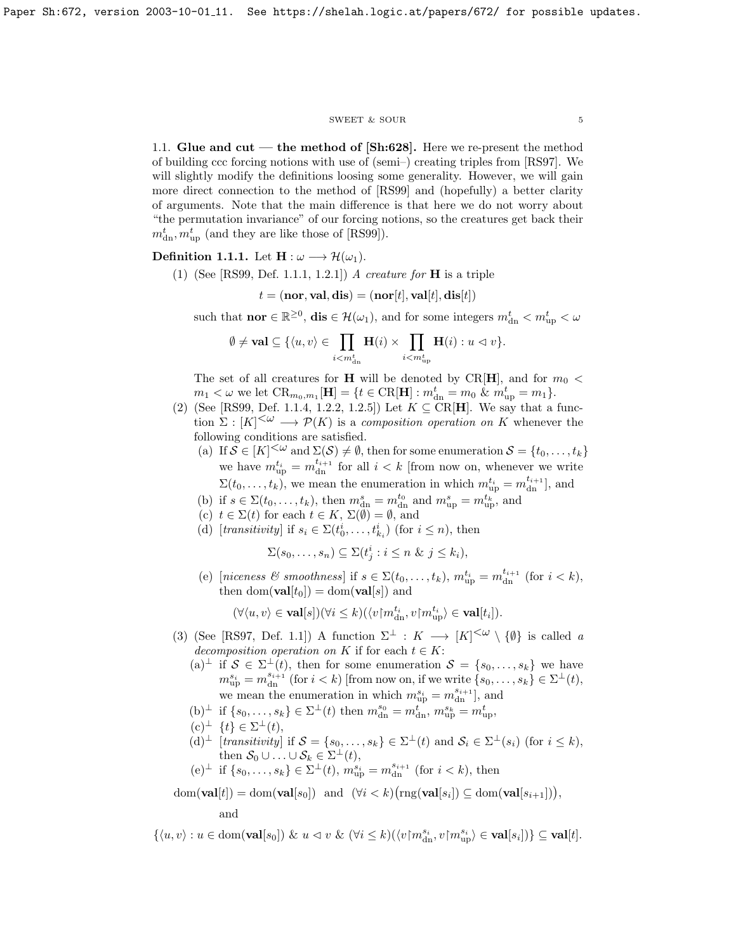#### ${\tt SWEET\ \&\ SOUR} \eqno{5}$

<span id="page-5-0"></span>1.1. Glue and cut — the method of  $\left[\text{Sh:628}\right]$ . Here we re-present the method of building ccc forcing notions with use of (semi–) creating triples from [\[RS97\]](#page-70-2). We will slightly modify the definitions loosing some generality. However, we will gain more direct connection to the method of [\[RS99\]](#page-70-1) and (hopefully) a better clarity of arguments. Note that the main difference is that here we do not worry about "the permutation invariance" of our forcing notions, so the creatures get back their  $m<sub>dn</sub><sup>t</sup>, m<sub>up</sub><sup>t</sup>$  (and they are like those of [\[RS99\]](#page-70-1)).

<span id="page-5-1"></span>Definition 1.1.1. Let  $H : \omega \longrightarrow \mathcal{H}(\omega_1)$ .

(1) (See [\[RS99,](#page-70-1) Def. 1.1.1, 1.2.1]) A creature for **H** is a triple

$$
t = (\mathbf{nor}, \mathbf{val}, \mathbf{dis}) = (\mathbf{nor}[t], \mathbf{val}[t], \mathbf{dis}[t])
$$

such that **nor**  $\in \mathbb{R}^{\geq 0}$ , **dis**  $\in \mathcal{H}(\omega_1)$ , and for some integers  $m_{dn}^t < m_{up}^t < \omega$ 

$$
\emptyset \neq \mathbf{val} \subseteq \{ \langle u, v \rangle \in \prod_{i < m_{\rm dn}^t} \mathbf{H}(i) \times \prod_{i < m_{\rm up}^t} \mathbf{H}(i) : u \vartriangleleft v \}.
$$

The set of all creatures for **H** will be denoted by CR[**H**], and for  $m_0$  <  $m_1 < \omega$  we let  $CR_{m_0,m_1}[\mathbf{H}] = \{t \in \text{CR}[\mathbf{H}] : m_{\text{dn}}^t = m_0 \& m_{\text{up}}^t = m_1\}.$ 

- (2) (See [\[RS99,](#page-70-1) Def. 1.1.4, 1.2.2, 1.2.5]) Let  $K \subseteq \text{CR}[\mathbf{H}]$ . We say that a function  $\Sigma : [K]^{<\omega} \longrightarrow \mathcal{P}(K)$  is a composition operation on K whenever the following conditions are satisfied.
	- (a) If  $S \in [K]^{<\omega}$  and  $\Sigma(S) \neq \emptyset$ , then for some enumeration  $S = \{t_0, \ldots, t_k\}$ we have  $m_{\text{up}}^{t_i} = m_{\text{dn}}^{t_{i+1}}$  for all  $i < k$  [from now on, whenever we write  $\Sigma(t_0,\ldots,t_k)$ , we mean the enumeration in which  $m_{\text{up}}^{t_i} = m_{\text{dn}}^{t_{i+1}}$ , and
	- (b) if  $s \in \Sigma(t_0,\ldots,t_k)$ , then  $m_{dn}^s = m_{dn}^{t_0}$  and  $m_{up}^s = m_{up}^{t_k}$ , and
	- (c)  $t \in \Sigma(t)$  for each  $t \in K$ ,  $\Sigma(\emptyset) = \emptyset$ , and
	- (d) [transitivity] if  $s_i \in \Sigma(t_0^i, \ldots, t_{k_i}^i)$  (for  $i \leq n$ ), then

$$
\Sigma(s_0,\ldots,s_n)\subseteq\Sigma(t_j^i : i\leq n \ \& \ j\leq k_i),
$$

(e) [niceness & smoothness] if  $s \in \Sigma(t_0,\ldots,t_k)$ ,  $m_{\text{up}}^{t_i} = m_{\text{dn}}^{t_{i+1}}$  (for  $i < k$ ), then  $\text{dom}(\textbf{val}[t_0]) = \text{dom}(\textbf{val}[s])$  and

$$
(\forall \langle u,v\rangle \in \mathbf{val}[s])(\forall i\leq k)(\langle v{\restriction} m^{t_i}_{{\rm dn}},v{\restriction} m^{t_i}_{{\rm up}}\rangle\in \mathbf{val}[t_i]).
$$

- (3) (See [\[RS97,](#page-70-2) Def. 1.1]) A function  $\Sigma^{\perp} : K \longrightarrow [K]^{<\omega} \setminus {\emptyset}$  is called a decomposition operation on K if for each  $t \in K$ :
	- $(a)^{\perp}$  if  $S \in \Sigma^{\perp}(t)$ , then for some enumeration  $S = \{s_0, \ldots, s_k\}$  we have  $m_{\rm up}^{s_i} = m_{\rm dn}^{s_{i+1}}$  (for  $i < k$ ) [from now on, if we write  $\{s_0, \ldots, s_k\} \in \Sigma^{\perp}(t)$ , we mean the enumeration in which  $m_{\text{up}}^{s_i} = m_{\text{dn}}^{s_{i+1}}$ , and
	- $(b)^{\perp}$  if  $\{s_0, \ldots, s_k\} \in \Sigma^{\perp}(t)$  then  $m_{dn}^{s_0} = m_{dn}^{t}$ ,  $m_{up}^{s_k} = m_{up}^{t}$ ,

$$
(c)^{\perp} \{t\} \in \Sigma^{\perp}(t),
$$

 $(d)^{\perp}$  [transitivity] if  $S = \{s_0, \ldots, s_k\} \in \Sigma^{\perp}(t)$  and  $S_i \in \Sigma^{\perp}(s_i)$  (for  $i \leq k$ ), then  $S_0 \cup \ldots \cup S_k \in \Sigma^{\perp}(t)$ ,

(e<sup>1</sup> if 
$$
\{s_0, ..., s_k\} \in \Sigma^{\perp}(t)
$$
,  $m_{\rm up}^{s_i} = m_{\rm dn}^{s_{i+1}}$  (for  $i < k$ ), then

 $dom(\textbf{val}[t]) = dom(\textbf{val}[s_0])$  and  $(\forall i < k)(\text{rng}(\textbf{val}[s_i]) \subseteq dom(\textbf{val}[s_{i+1}]))$ ,

and

 $\{\langle u, v \rangle : u \in \text{dom}(\textbf{val}[s_0]) \& u \prec v \& (\forall i \leq k)(\langle v \upharpoonright m_{\text{dn}}^{s_i}, v \upharpoonright m_{\text{up}}^{s_i}) \in \textbf{val}[s_i])\} \subseteq \textbf{val}[t].$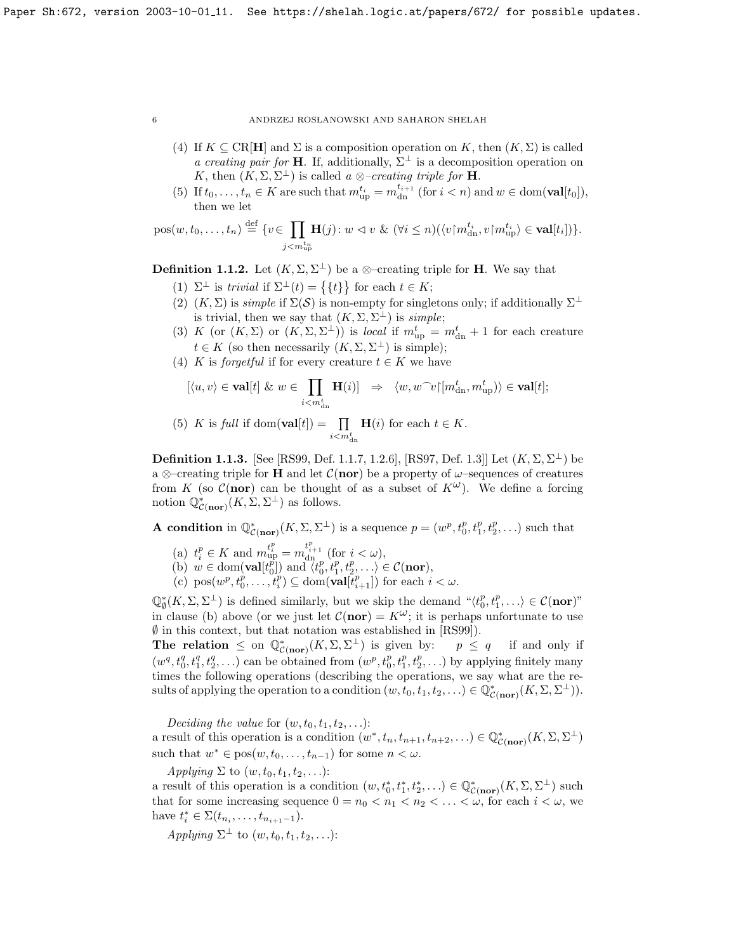- (4) If  $K \subseteq \text{CR}[\mathbf{H}]$  and  $\Sigma$  is a composition operation on K, then  $(K, \Sigma)$  is called a creating pair for **H**. If, additionally,  $\Sigma^{\perp}$  is a decomposition operation on K, then  $(K, \Sigma, \Sigma^{\perp})$  is called a ⊗-creating triple for **H**.
- (5) If  $t_0, \ldots, t_n \in K$  are such that  $m_{\text{up}}^{t_i} = m_{\text{dn}}^{t_{i+1}}$  (for  $i < n$ ) and  $w \in \text{dom}(\textbf{val}[t_0]),$ then we let

$$
pos(w, t_0, \ldots, t_n) \stackrel{\text{def}}{=} \{ v \in \prod_{j < m_{\text{up}}^{t_n}} \mathbf{H}(j) \colon w \vartriangleleft v \ \& (\forall i \leq n) (\langle v \rangle m_{\text{dn}}^{t_i}, v \rangle m_{\text{up}}^{t_i}) \in \mathbf{val}[t_i] ) \}.
$$

<span id="page-6-1"></span>**Definition 1.1.2.** Let  $(K, \Sigma, \Sigma^{\perp})$  be a ⊗-creating triple for **H**. We say that

- (1)  $\Sigma^{\perp}$  is trivial if  $\Sigma^{\perp}(t) = \{\{t\}\}\$ for each  $t \in K$ ;
- (2)  $(K, \Sigma)$  is *simple* if  $\Sigma(\mathcal{S})$  is non-empty for singletons only; if additionally  $\Sigma^{\perp}$ is trivial, then we say that  $(K, \Sigma, \Sigma^{\perp})$  is simple;
- (3) K (or  $(K, \Sigma)$  or  $(K, \Sigma, \Sigma^{\perp})$ ) is *local* if  $m_{\text{up}}^t = m_{\text{dn}}^t + 1$  for each creature  $t \in K$  (so then necessarily  $(K, \Sigma, \Sigma^{\perp})$  is simple);
- (4) K is forgetful if for every creature  $t \in K$  we have

$$
[\langle u, v \rangle \in \mathbf{val}[t] \& w \in \prod_{i < m_{dn}^t} \mathbf{H}(i)] \Rightarrow \langle w, w^\frown v | [m_{dn}^t, m_{up}^t] \rangle \in \mathbf{val}[t];
$$

(5) *K* is *full* if dom(
$$
\mathbf{val}[t]
$$
) =  $\prod_{i < m_{dn}^t} \mathbf{H}(i)$  for each  $t \in K$ .

<span id="page-6-0"></span>**Definition 1.1.3.** [See [\[RS99,](#page-70-1) Def. 1.1.7, 1.2.6], [\[RS97,](#page-70-2) Def. 1.3]] Let  $(K, \Sigma, \Sigma^{\perp})$  be a ⊗–creating triple for **H** and let  $C(nor)$  be a property of  $\omega$ –sequences of creatures from K (so  $\mathcal{C}$ (nor) can be thought of as a subset of  $K^{\omega}$ ). We define a forcing notion  $\mathbb{Q}^*_{\mathcal{C}(\textbf{nor})}(K,\Sigma,\Sigma^{\perp})$  as follows.

**A condition** in  $\mathbb{Q}^*_{\mathcal{C}(\text{nor})}(K,\Sigma,\Sigma^{\perp})$  is a sequence  $p=(w^p,t^p_0,t^p_1,t^p_2,\ldots)$  such that

- (a)  $t_i^p \in K$  and  $m_{\text{up}}^{t_i^p} = m_{\text{dn}}^{t_{i+1}^p}$  (for  $i < \omega$ ),
- (b)  $w \in \text{dom}(\textbf{val}[t_0^p]) \text{ and } \langle t_0^p, t_1^p, t_2^p, \ldots \rangle \in \mathcal{C}(\textbf{nor}),$
- (c)  $pos(w^p, t_0^p, \ldots, t_i^p) \subseteq dom(\textbf{val}[t_{i+1}^p])$  for each  $i < \omega$ .

 $\mathbb{Q}_{\emptyset}^{*}(K,\Sigma,\Sigma^{\perp})$  is defined similarly, but we skip the demand  $\ulcorner \langle t_0^p,t_1^p,\ldots \rangle \in \mathcal{C}(\mathbf{nor})$ " in clause (b) above (or we just let  $C(nor) = K^{\omega}$ ; it is perhaps unfortunate to use  $\emptyset$  in this context, but that notation was established in [\[RS99\]](#page-70-1)).

The relation  $\leq$  on  $\mathbb{Q}^*_{\mathcal{C}(nor)}(K,\Sigma,\Sigma^{\perp})$  is given by:  $p \leq q$  if and only if  $(w^q, t_0^q, t_1^q, t_2^q, \ldots)$  can be obtained from  $(w^p, t_0^p, t_1^p, t_2^p, \ldots)$  by applying finitely many times the following operations (describing the operations, we say what are the results of applying the operation to a condition  $(w, t_0, t_1, t_2, ...) \in \mathbb{Q}_{\mathcal{C}(\textbf{nor})}^*(K, \Sigma, \Sigma^{\perp})$ .

Deciding the value for  $(w, t_0, t_1, t_2, \ldots)$ : a result of this operation is a condition  $(w^*, t_n, t_{n+1}, t_{n+2}, ...) \in \mathbb{Q}_{\mathcal{C}(\textbf{nor})}^*(K, \Sigma, \Sigma^{\perp})$ such that  $w^* \in \text{pos}(w, t_0, \ldots, t_{n-1})$  for some  $n < \omega$ .

Applying  $\Sigma$  to  $(w, t_0, t_1, t_2, \ldots)$ :

a result of this operation is a condition  $(w, t_0^*, t_1^*, t_2^*, \ldots) \in \mathbb{Q}_{\mathcal{C}(\text{nor})}^*(K, \Sigma, \Sigma^{\perp})$  such that for some increasing sequence  $0 = n_0 < n_1 < n_2 < \ldots < \omega$ , for each  $i < \omega$ , we have  $t_i^* \in \Sigma(t_{n_i}, \ldots, t_{n_{i+1}-1}).$ 

Applying  $\Sigma^{\perp}$  to  $(w, t_0, t_1, t_2, \ldots)$ :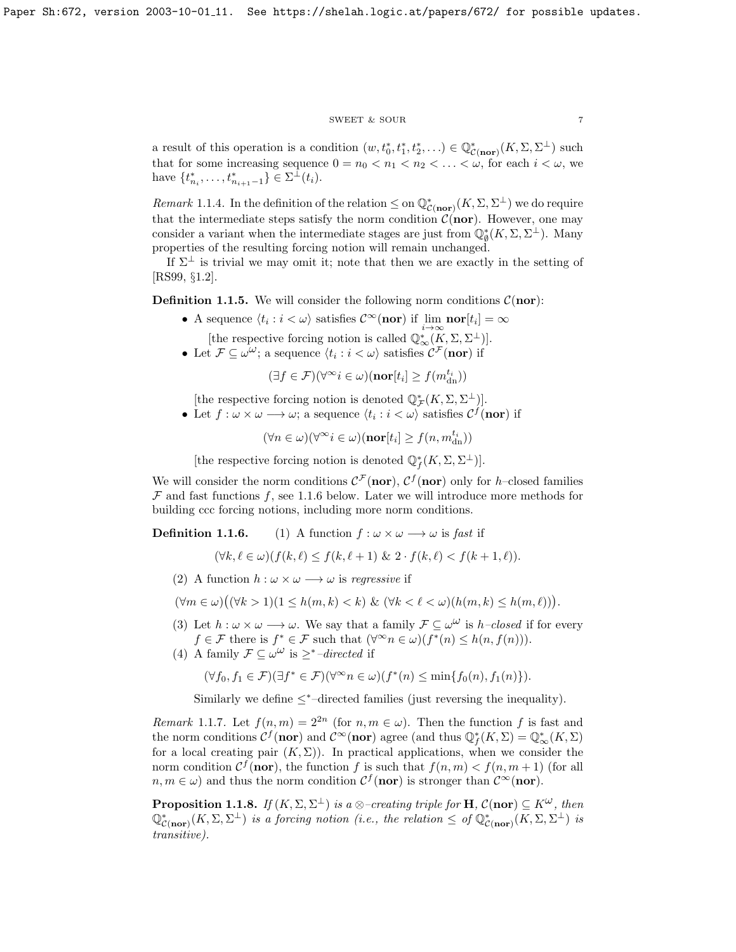## $\begin{tabular}{ll} \bf SWEET & & \bf SOUR \\ \bf 7 & & \bf 7 \\ \end{tabular}$

a result of this operation is a condition  $(w, t_0^*, t_1^*, t_2^*, \ldots) \in \mathbb{Q}_{\mathcal{C}(\text{nor})}^*(K, \Sigma, \Sigma^{\perp})$  such that for some increasing sequence  $0 = n_0 < n_1 < n_2 < \ldots < \omega$ , for each  $i < \omega$ , we have  $\{t_{n_i}^*, \ldots, t_{n_{i+1}-1}^*\} \in \Sigma^{\perp}(t_i)$ .

<span id="page-7-0"></span>Remark 1.1.4. In the definition of the relation  $\leq$  on  $\mathbb{Q}^*_{\mathcal{C}(\text{nor})}(K,\Sigma,\Sigma^{\perp})$  we do require that the intermediate steps satisfy the norm condition  $\mathcal{C}(nor)$ . However, one may consider a variant when the intermediate stages are just from  $\mathbb{Q}_{\emptyset}^{*}(K,\Sigma,\Sigma^{\perp})$ . Many properties of the resulting forcing notion will remain unchanged.

If  $\Sigma^{\perp}$  is trivial we may omit it; note that then we are exactly in the setting of [\[RS99,](#page-70-1) §1.2].

<span id="page-7-3"></span>**Definition 1.1.5.** We will consider the following norm conditions  $\mathcal{C}(\mathbf{nor})$ :

- A sequence  $\langle t_i : i < \omega \rangle$  satisfies  $\mathcal{C}^{\infty}(\text{nor})$  if  $\lim_{n \to \infty} \text{nor}[t_i] = \infty$ [the respective forcing notion is called  $\mathbb{Q}_{\infty}^{*}(\overline{K}, \Sigma, \Sigma^{\perp})$ ].
- Let  $\mathcal{F} \subseteq \omega^{\omega}$ ; a sequence  $\langle t_i : i \langle \omega \rangle$  satisfies  $\mathcal{C}^{\mathcal{F}}(\text{nor})$  if

 $(\exists f \in \mathcal{F})(\forall^\infty i \in \omega)(\textbf{nor}[t_i] \geq f(m^{t_i}_{{\rm dn}}))$ 

[the respective forcing notion is denoted  $\mathbb{Q}_{\mathcal{F}}^{*}(K,\Sigma,\Sigma^{\perp})]$ .

• Let  $f: \omega \times \omega \longrightarrow \omega$ ; a sequence  $\langle t_i : i < \omega \rangle$  satisfies  $C^f(\text{nor})$  if

 $(\forall n \in \omega)(\forall^\infty i \in \omega)(\textbf{nor}[t_i] \geq f(n, m^{t_i}_{{\rm dn}}))$ 

[the respective forcing notion is denoted  $\mathbb{Q}_f^*(K,\Sigma,\Sigma^{\perp})$ ].

We will consider the norm conditions  $\mathcal{C}^{\mathcal{F}}(\mathbf{nor}), \mathcal{C}^f(\mathbf{nor})$  only for h-closed families  $F$  and fast functions  $f$ , see [1.1.6](#page-17-0) below. Later we will introduce more methods for building ccc forcing notions, including more norm conditions.

**Definition 1.1.6.** (1) A function  $f : \omega \times \omega \longrightarrow \omega$  is fast if

$$
(\forall k, \ell \in \omega)(f(k,\ell) \le f(k,\ell+1) \& 2 \cdot f(k,\ell) < f(k+1,\ell)).
$$

(2) A function  $h : \omega \times \omega \longrightarrow \omega$  is regressive if

$$
(\forall m \in \omega) \big( (\forall k > 1)(1 \leq h(m, k) < k) \& (\forall k < \ell < \omega) (h(m, k) \leq h(m, \ell)) \big).
$$

- (3) Let  $h : \omega \times \omega \longrightarrow \omega$ . We say that a family  $\mathcal{F} \subseteq \omega^{\omega}$  is  $h$ -closed if for every  $f \in \mathcal{F}$  there is  $f^* \in \mathcal{F}$  such that  $(\forall^\infty n \in \omega)(f^*(n) \leq h(n, f(n))).$
- (4) A family  $\mathcal{F} \subseteq \mathcal{L}^{\omega}$  is  $\geq^*$ -directed if

$$
(\forall f_0, f_1 \in \mathcal{F})(\exists f^* \in \mathcal{F})(\forall^\infty n \in \omega)(f^*(n) \le \min\{f_0(n), f_1(n)\}).
$$

Similarly we define  $\leq^*$ -directed families (just reversing the inequality).

<span id="page-7-2"></span>Remark 1.1.7. Let  $f(n,m) = 2^{2n}$  (for  $n, m \in \omega$ ). Then the function f is fast and the norm conditions  $\mathcal{C}^f(\mathbf{nor})$  and  $\mathcal{C}^\infty(\mathbf{nor})$  agree (and thus  $\mathbb{Q}_f^*(K,\Sigma) = \mathbb{Q}_\infty^*(K,\Sigma)$ ) for a local creating pair  $(K, \Sigma)$ ). In practical applications, when we consider the norm condition  $\mathcal{C}^f(\text{nor})$ , the function f is such that  $f(n, m) < f(n, m + 1)$  (for all  $n, m \in \omega$ ) and thus the norm condition  $\mathcal{C}^f(\mathbf{nor})$  is stronger than  $\mathcal{C}^{\infty}(\mathbf{nor})$ .

<span id="page-7-1"></span>**Proposition 1.1.8.** If  $(K, \Sigma, \Sigma^{\perp})$  is a  $\otimes$ -creating triple for **H**,  $\mathcal{C}(\textbf{nor}) \subseteq K^{\omega}$ , then  $\mathbb{Q}^*_{\mathcal{C}(\textbf{nor})}(K,\Sigma,\Sigma^{\perp})$  is a forcing notion (i.e., the relation  $\leq$  of  $\mathbb{Q}^*_{\mathcal{C}(\textbf{nor})}(K,\Sigma,\Sigma^{\perp})$  is transitive).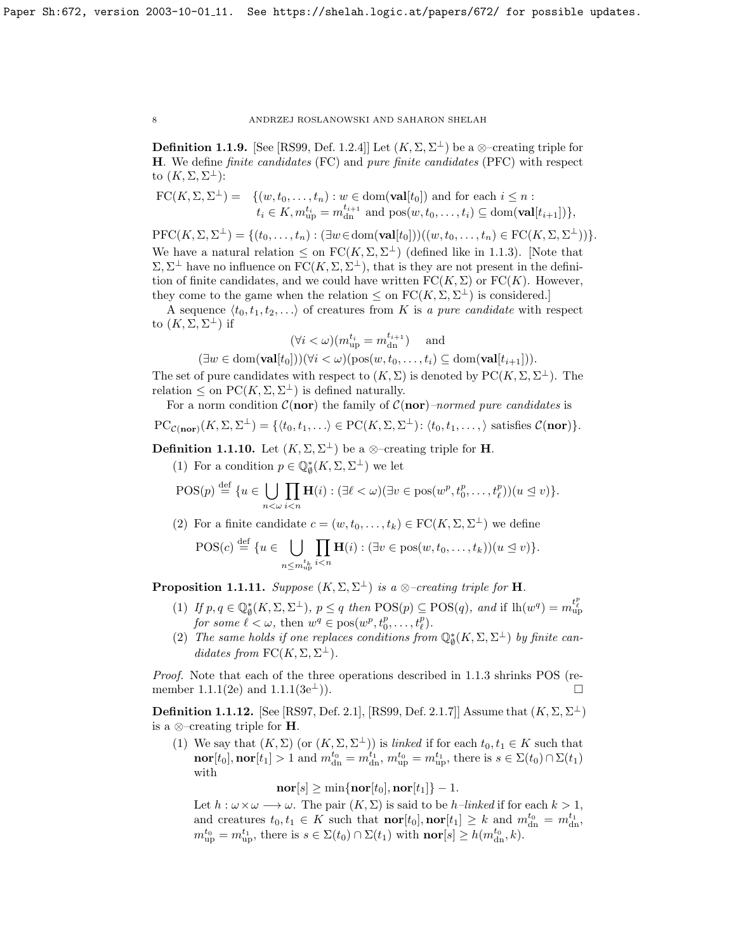<span id="page-8-1"></span>**Definition 1.1.9.** [See [\[RS99,](#page-70-1) Def. 1.2.4]] Let  $(K, \Sigma, \Sigma^{\perp})$  be a  $\otimes$ -creating triple for H. We define finite candidates (FC) and pure finite candidates (PFC) with respect to  $(K,\Sigma,\Sigma^{\perp})$ :

$$
\text{FC}(K,\Sigma,\Sigma^{\perp}) = \{ (w,t_0,\ldots,t_n) : w \in \text{dom}(\textbf{val}[t_0]) \text{ and for each } i \leq n : t_i \in K, m_{\text{up}}^{t_i} = m_{\text{dn}}^{t_{i+1}} \text{ and } \text{pos}(w,t_0,\ldots,t_i) \subseteq \text{dom}(\textbf{val}[t_{i+1}]) \},
$$

 $\mathrm{PFC}(K,\Sigma,\Sigma^{\perp}) = \{(t_0,\ldots,t_n): (\exists w \in \mathrm{dom}(\mathbf{val}[t_0]))((w,t_0,\ldots,t_n) \in \mathrm{FC}(K,\Sigma,\Sigma^{\perp}))\}.$ We have a natural relation  $\leq$  on  $FC(K, \Sigma, \Sigma^{\perp})$  (defined like in [1.1.3\)](#page-6-0). [Note that  $\Sigma, \Sigma^{\perp}$  have no influence on  $FC(K, \Sigma, \Sigma^{\perp})$ , that is they are not present in the definition of finite candidates, and we could have written  $FC(K, \Sigma)$  or  $FC(K)$ . However, they come to the game when the relation  $\leq$  on  $FC(K,\Sigma,\Sigma^{\perp})$  is considered.

A sequence  $\langle t_0, t_1, t_2, \ldots \rangle$  of creatures from K is a pure candidate with respect to  $(K, \Sigma, \Sigma^{\perp})$  if

$$
(\forall i < \omega)(m_{\rm up}^{t_i} = m_{\rm dn}^{t_{i+1}})
$$
 and

 $(\exists w \in \text{dom}(\textbf{val}[t_0]))(\forall i < \omega)(\text{pos}(w, t_0, \ldots, t_i) \subseteq \text{dom}(\textbf{val}[t_{i+1}])).$ 

The set of pure candidates with respect to  $(K, \Sigma)$  is denoted by  $PC(K, \Sigma, \Sigma^{\perp})$ . The relation  $\leq$  on  $\mathrm{PC}(K,\Sigma,\Sigma^{\perp})$  is defined naturally.

For a norm condition  $C(\text{nor})$  the family of  $C(\text{nor})$ –normed pure candidates is  $PC_{\mathcal{C}(nor)}(K, \Sigma, \Sigma^{\perp}) = \{ \langle t_0, t_1, \ldots \rangle \in PC(K, \Sigma, \Sigma^{\perp}) : \langle t_0, t_1, \ldots, \rangle \text{ satisfies } \mathcal{C}(nor) \}.$ 

<span id="page-8-3"></span>**Definition 1.1.10.** Let  $(K, \Sigma, \Sigma^{\perp})$  be a ⊗-creating triple for **H**.

(1) For a condition  $p\in \mathbb{Q}_{\emptyset}^*(K,\Sigma,\Sigma^{\perp})$  we let

$$
\mathrm{POS}(p) \stackrel{\text{def}}{=} \{u \in \bigcup_{n < \omega} \prod_{i < n} \mathbf{H}(i) : (\exists \ell < \omega) (\exists v \in \mathrm{pos}(w^p, t_0^p, \ldots, t_\ell^p))(u \leq v)\}.
$$

(2) For a finite candidate  $c = (w, t_0, \ldots, t_k) \in \text{FC}(K, \Sigma, \Sigma^{\perp})$  we define

$$
\mathrm{POS}(c) \stackrel{\text{def}}{=} \{u \in \bigcup_{n \le m_{\mathrm{up}}^{t_k}} \prod_{i < n} \mathbf{H}(i) : (\exists v \in \mathrm{pos}(w, t_0, \ldots, t_k))(u \le v)\}.
$$

<span id="page-8-0"></span>**Proposition 1.1.11.** Suppose  $(K, \Sigma, \Sigma^{\perp})$  is a ⊗-creating triple for **H**.

- (1) If  $p, q \in \mathbb{Q}_{\emptyset}^*(K, \Sigma, \Sigma^{\perp}), p \leq q$  then  $\mathrm{POS}(p) \subseteq \mathrm{POS}(q)$ , and if  $\mathrm{lh}(w^q) = m_{\mathrm{up}}^{t_p^p}$ for some  $\ell < \omega$ , then  $w^q \in \text{pos}(w^p, t^p_0, \ldots, t^p_\ell)$ .
- (2) The same holds if one replaces conditions from  $\mathbb{Q}_{\emptyset}^{*}(K,\Sigma,\Sigma^{\perp})$  by finite candidates from  $FC(K, \Sigma, \Sigma^{\perp}).$

Proof. Note that each of the three operations described in [1.1.3](#page-6-0) shrinks POS (re-member [1.1.1\(](#page-5-1)2e) and 1.1.1(3e $^{\perp}$ ).

<span id="page-8-2"></span>**Definition 1.1.12.** [See [\[RS97,](#page-70-2) Def. 2.1], [\[RS99,](#page-70-1) Def. 2.1.7]] Assume that  $(K, \Sigma, \Sigma^{\perp})$ is a ⊗–creating triple for H.

(1) We say that  $(K, \Sigma)$  (or  $(K, \Sigma, \Sigma^{\perp})$ ) is *linked* if for each  $t_0, t_1 \in K$  such that  $\textbf{nor}[t_0], \textbf{nor}[t_1] > 1$  and  $m_{dn}^{t_0} = m_{dn}^{t_1}, m_{up}^{t_0} = m_{up}^{t_1}$ , there is  $s \in \Sigma(t_0) \cap \Sigma(t_1)$ with

 $\mathbf{nor}[s] \geq \min\{\mathbf{nor}[t_0], \mathbf{nor}[t_1]\} - 1.$ 

Let  $h : \omega \times \omega \longrightarrow \omega$ . The pair  $(K, \Sigma)$  is said to be h–linked if for each  $k > 1$ , and creatures  $t_0, t_1 \in K$  such that  $\textbf{nor}[t_0], \textbf{nor}[t_1] \geq k$  and  $m_{dn}^{t_0} = m_{dn}^{t_1}$ ,  $m_{\text{up}}^{t_0} = m_{\text{up}}^{t_1}$ , there is  $s \in \Sigma(t_0) \cap \Sigma(t_1)$  with  $\text{nor}[s] \geq h(m_{\text{dn}}^{t_0}, k)$ .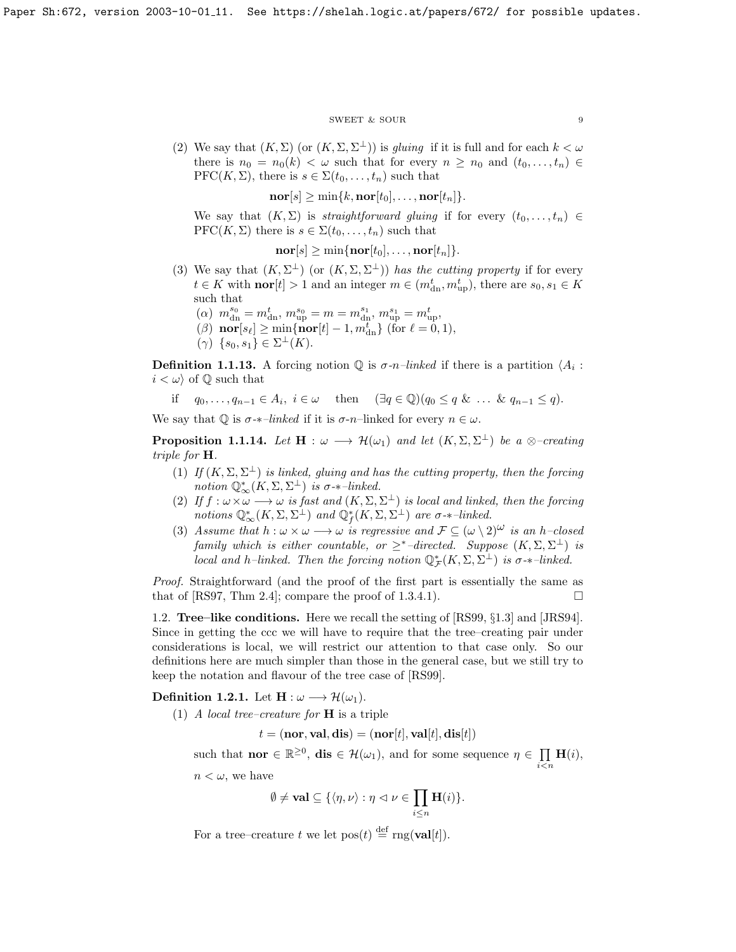## ${\tt SWEET\ \&\ SOUR} \eqno{9}$

(2) We say that  $(K, \Sigma)$  (or  $(K, \Sigma, \Sigma^{\perp})$ ) is *gluing* if it is full and for each  $k < \omega$ there is  $n_0 = n_0(k) < \omega$  such that for every  $n \geq n_0$  and  $(t_0, \ldots, t_n) \in$ PFC( $K, \Sigma$ ), there is  $s \in \Sigma(t_0, \ldots, t_n)$  such that

 $\mathbf{nor}[s] \geq \min\{k, \mathbf{nor}[t_0], \ldots, \mathbf{nor}[t_n]\}.$ 

We say that  $(K, \Sigma)$  is *straightforward gluing* if for every  $(t_0, \ldots, t_n) \in$ PFC( $K, \Sigma$ ) there is  $s \in \Sigma(t_0, \ldots, t_n)$  such that

 $\mathbf{nor}[s] \geq \min\{\mathbf{nor}[t_0],\ldots,\mathbf{nor}[t_n]\}.$ 

- (3) We say that  $(K, \Sigma^{\perp})$  (or  $(K, \Sigma, \Sigma^{\perp})$ ) has the cutting property if for every  $t \in K$  with **nor** $[t] > 1$  and an integer  $m \in (m_{\text{dn}}^t, m_{\text{up}}^t)$ , there are  $s_0, s_1 \in K$ such that
	- ( $\alpha$ )  $m_{\rm dn}^{s_0} = m_{\rm dn}^t$ ,  $m_{\rm up}^{s_0} = m = m_{\rm dn}^{s_1}$ ,  $m_{\rm up}^{s_1} = m_{\rm up}^t$ ,
	- ( $\beta$ ) nor[ $s_{\ell}$ ]  $\geq$  min{nor[t] 1,  $m_{dn}^{t}$ } (for  $\ell = 0, 1$ ),
	- $(\gamma) \ \{s_0, s_1\} \in \Sigma^{\perp}(K).$

**Definition 1.1.13.** A forcing notion  $\mathbb{Q}$  is  $\sigma$ -n-linked if there is a partition  $\langle A_i :$  $i < \omega$  of Q such that

if  $q_0, \ldots, q_{n-1} \in A_i, i \in \omega$  then  $(\exists q \in \mathbb{Q})(q_0 \leq q \& \ldots \& q_{n-1} \leq q).$ 

We say that  $\mathbb Q$  is  $\sigma$ -*\**-linked if it is  $\sigma$ -n-linked for every  $n \in \omega$ .

<span id="page-9-1"></span>**Proposition 1.1.14.** Let  $\mathbf{H} : \omega \longrightarrow \mathcal{H}(\omega_1)$  and let  $(K, \Sigma, \Sigma^{\perp})$  be a  $\otimes$ -creating triple for H.

- (1) If  $(K, \Sigma, \Sigma^{\perp})$  is linked, gluing and has the cutting property, then the forcing notion  $\mathbb{Q}_{\infty}^*(K, \Sigma, \Sigma^{\perp})$  is  $\sigma$ - $\ast$ -linked.
- (2) If  $f: \omega \times \omega \longrightarrow \omega$  is fast and  $(K, \Sigma, \Sigma^{\perp})$  is local and linked, then the forcing notions  $\mathbb{Q}^*_{\infty}(K,\Sigma,\Sigma^{\perp})$  and  $\mathbb{Q}_f^*(K,\Sigma,\Sigma^{\perp})$  are  $\sigma$ -\*-linked.
- (3) Assume that  $h : \omega \times \omega \longrightarrow \omega$  is regressive and  $\mathcal{F} \subseteq (\omega \setminus 2)^{\omega}$  is an h–closed family which is either countable, or  $\geq^*$ -directed. Suppose  $(K, \Sigma, \Sigma^{\perp})$  is local and h–linked. Then the forcing notion  $\mathbb{Q}_{\mathcal{F}}^*(K,\Sigma,\Sigma^{\perp})$  is  $\sigma$ - $*$ –linked.

Proof. Straightforward (and the proof of the first part is essentially the same as that of [\[RS97,](#page-70-2) Thm 2.4]; compare the proof of [1.3.4.1\)](#page-12-0).

<span id="page-9-0"></span>1.2. Tree–like conditions. Here we recall the setting of [\[RS99,](#page-70-1) §1.3] and [\[JRS94\]](#page-70-0). Since in getting the ccc we will have to require that the tree–creating pair under considerations is local, we will restrict our attention to that case only. So our definitions here are much simpler than those in the general case, but we still try to keep the notation and flavour of the tree case of [\[RS99\]](#page-70-1).

**Definition 1.2.1.** Let  $\mathbf{H} : \omega \longrightarrow \mathcal{H}(\omega_1)$ .

(1) A local tree–creature for **H** is a triple

 $t = (nor, val, dis) = (nor[t], val[t], dis[t])$ 

such that **nor**  $\in \mathbb{R}^{\geq 0}$ , **dis**  $\in \mathcal{H}(\omega_1)$ , and for some sequence  $\eta \in \prod \mathbf{H}(i)$ ,

 $i$  $\lt$ n

 $n < \omega$ , we have

$$
\emptyset \neq \mathbf{val} \subseteq \{ \langle \eta, \nu \rangle : \eta \vartriangleleft \nu \in \prod_{i \leq n} \mathbf{H}(i) \}.
$$

For a tree–creature t we let  $pos(t) \stackrel{\text{def}}{=} rng(\text{val}[t]).$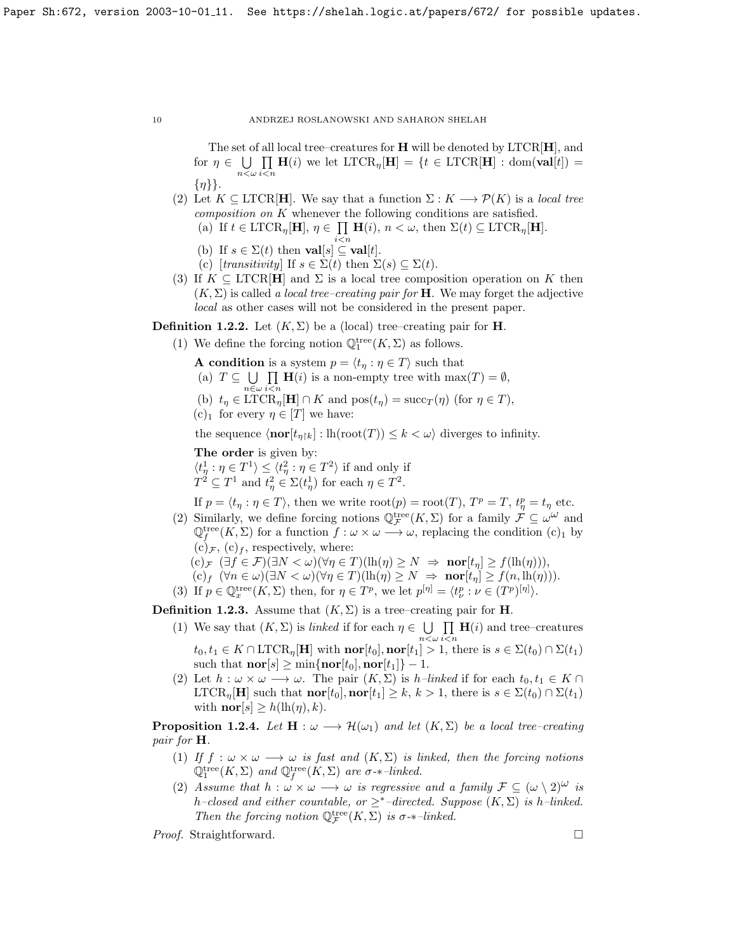The set of all local tree–creatures for  $H$  will be denoted by  $LTCR[H]$ , and for  $\eta \in \bigcup \prod \mathbf{H}(i)$  we let  $\text{LTCR}_{\eta}[\mathbf{H}] = \{t \in \text{LTCR}[\mathbf{H}] : \text{dom}(\mathbf{val}[t]) = \emptyset\}$  $n<\omega$   $i< n$  $\{\eta\}\}.$ 

- (2) Let  $K \subseteq \text{LTCR}[\mathbf{H}]$ . We say that a function  $\Sigma : K \longrightarrow \mathcal{P}(K)$  is a local tree composition on K whenever the following conditions are satisfied.
	- (a) If  $t \in \text{LTCR}_{\eta}[\mathbf{H}], \eta \in \prod$  $\prod_{i \leq n} \mathbf{H}(i), n \leq \omega$ , then  $\Sigma(t) \subseteq \text{LTCR}_{\eta}[\mathbf{H}].$
	- (b) If  $s \in \Sigma(t)$  then **val**[s]  $\subseteq$  **val**[t].
	- (c)  $[transitivity]$  If  $s \in \Sigma(t)$  then  $\Sigma(s) \subseteq \Sigma(t)$ .
- (3) If  $K \subseteq \text{LTCR}[\mathbf{H}]$  and  $\Sigma$  is a local tree composition operation on K then  $(K, \Sigma)$  is called a local tree-creating pair for **H**. We may forget the adjective local as other cases will not be considered in the present paper.

**Definition 1.2.2.** Let  $(K, \Sigma)$  be a (local) tree–creating pair for **H**.

- (1) We define the forcing notion  $\mathbb Q^{\rm tree}_1(K,\Sigma)$  as follows.
	- **A condition** is a system  $p = \langle t_{\eta} : \eta \in T \rangle$  such that
	- (a)  $T \subseteq \bigcup$  $n\in\omega$  $\Pi$  H(i) is a non-empty tree with max(T) =  $\emptyset$ , (b)  $t_{\eta} \in \text{LTCR}_{\eta}[\mathbf{H}] \cap K$  and  $\text{pos}(t_{\eta}) = \text{succ}_{T}(\eta)$  (for  $\eta \in T$ ),
	-
	- $(c)_1$  for every  $\eta \in [T]$  we have:

the sequence  $\langle \mathbf{nor}[t_{n\upharpoonright k}] : \mathrm{lh}(\mathrm{root}(T)) \leq k < \omega \rangle$  diverges to infinity.

The order is given by:

 $\langle t^1_\eta : \eta \in T^1 \rangle \leq \langle t^2_\eta : \eta \in T^2 \rangle$  if and only if  $T^2 \subseteq T^1$  and  $t^2_{\eta} \in \Sigma(t^1_{\eta})$  for each  $\eta \in T^2$ .

If  $p = \langle t_\eta : \eta \in T \rangle$ , then we write  $\text{root}(p) = \text{root}(T)$ ,  $T^p = T$ ,  $t_\eta^p = t_\eta$  etc.

(2) Similarly, we define forcing notions  $\mathbb{Q}_{\mathcal{F}}^{\text{tree}}(K,\Sigma)$  for a family  $\mathcal{F} \subseteq \omega^{\omega}$  and  $\mathbb{Q}_f^{\text{tree}}(K,\Sigma)$  for a function  $f:\omega\times\omega\longrightarrow\omega$ , replacing the condition  $(c)_1$  by  $(c)_{\mathcal{F}}$ ,  $(c)_{f}$ , respectively, where:

 $(c)_{\mathcal{F}} \quad (\exists f \in \mathcal{F})(\exists N < \omega)(\forall \eta \in T)(\mathrm{lh}(\eta) \geq N \Rightarrow \mathbf{nor}[t_{\eta}] \geq f(\mathrm{lh}(\eta))),$ 

$$
(c)_f \ (\forall n \in \omega)(\exists N < \omega)(\forall \eta \in T)(\mathrm{lh}(\eta) \ge N \implies \mathbf{nor}[t_\eta] \ge f(n, \mathrm{lh}(\eta))).
$$

(3) If  $p \in \mathbb{Q}_x^{\text{tree}}(K,\Sigma)$  then, for  $\eta \in T^p$ , we let  $p^{[\eta]} = \langle t^p_\nu : \nu \in (T^p)^{[\eta]} \rangle$ .

**Definition 1.2.3.** Assume that  $(K, \Sigma)$  is a tree–creating pair for **H**.

- (1) We say that  $(K, \Sigma)$  is linked if for each  $\eta \in \bigcup$  $n<\omega$  $\Pi$  $i$  $\lt$ n  $H(i)$  and tree–creatures  $t_0, t_1 \in K \cap \text{LTCR}_{\eta}[\mathbf{H}]$  with  $\textbf{nor}[t_0], \textbf{nor}[t_1] > 1$ , there is  $s \in \Sigma(t_0) \cap \Sigma(t_1)$ 
	- such that  $\mathbf{nor}[s] \geq \min\{\mathbf{nor}[t_0], \mathbf{nor}[t_1]\} 1.$
- (2) Let  $h : \omega \times \omega \longrightarrow \omega$ . The pair  $(K, \Sigma)$  is *h*-linked if for each  $t_0, t_1 \in K \cap$ LTCR<sub>n</sub>[H] such that **nor**[t<sub>0</sub>], **nor**[t<sub>1</sub>]  $\geq k, k > 1$ , there is  $s \in \Sigma(t_0) \cap \Sigma(t_1)$ with  $\mathbf{nor}[s] \geq h(\ln(\eta), k)$ .

**Proposition 1.2.4.** Let  $\mathbf{H} : \omega \longrightarrow \mathcal{H}(\omega_1)$  and let  $(K, \Sigma)$  be a local tree–creating pair for H.

- (1) If  $f : \omega \times \omega \longrightarrow \omega$  is fast and  $(K, \Sigma)$  is linked, then the forcing notions  $\mathbb{Q}_1^{\text{tree}}(K,\Sigma)$  and  $\mathbb{Q}_f^{\text{tree}}(K,\Sigma)$  are  $\sigma$ - $\ast$ -linked.
- (2) Assume that  $h : \omega \times \omega \longrightarrow \omega$  is regressive and a family  $\mathcal{F} \subseteq (\omega \setminus 2)^{\omega}$  is h–closed and either countable, or  $\geq^*$ –directed. Suppose  $(K, \Sigma)$  is h–linked. Then the forcing notion  $\mathbb{Q}^{\text{tree}}_{\mathcal{F}}(K,\Sigma)$  is  $\sigma$ - $*$ -linked.

*Proof.* Straightforward. □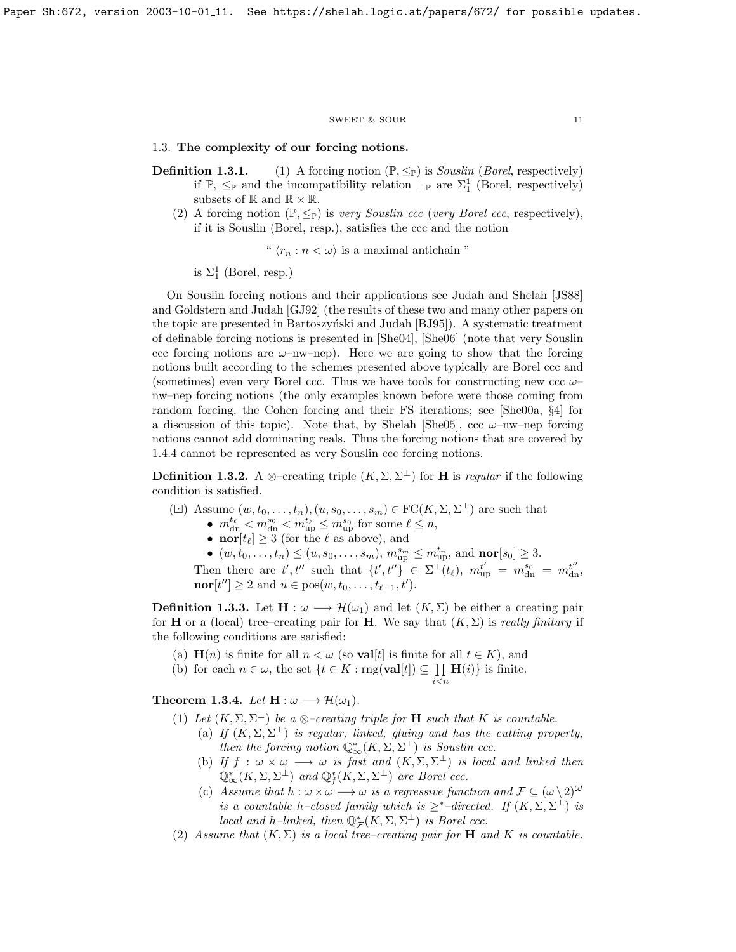#### $\begin{tabular}{ll} \multicolumn{2}{c}{\text{SWEET}} & $\&$ \text{SOUR} \end{tabular} \begin{tabular}{ll} \multicolumn{2}{c}{\text{1}} & \multicolumn{2}{c}{\text{1}} \\ \multicolumn{2}{c}{\text{SWEET}} & $\&$ \text{SOUR} \end{tabular}$

<span id="page-11-0"></span>1.3. The complexity of our forcing notions.

- **Definition 1.3.1.** (1) A forcing notion  $(\mathbb{P}, \leq_{\mathbb{P}})$  is *Souslin (Borel*, respectively) if  $\mathbb{P}, \leq_{\mathbb{P}}$  and the incompatibility relation  $\perp_{\mathbb{P}}$  are  $\Sigma_1^1$  (Borel, respectively) subsets of  $\mathbb{R}$  and  $\mathbb{R} \times \mathbb{R}$ .
	- (2) A forcing notion  $(\mathbb{P}, \leq_{\mathbb{P}})$  is very Souslin ccc (very Borel ccc, respectively), if it is Souslin (Borel, resp.), satisfies the ccc and the notion

"  $\langle r_n : n < \omega \rangle$  is a maximal antichain "

is  $\Sigma_1^1$  (Borel, resp.)

On Souslin forcing notions and their applications see Judah and Shelah [\[JS88\]](#page-70-12) and Goldstern and Judah [\[GJ92\]](#page-69-2) (the results of these two and many other papers on the topic are presented in Bartoszyński and Judah [\[BJ95\]](#page-69-1)). A systematic treatment of definable forcing notions is presented in [\[She04\]](#page-70-3), [\[She06\]](#page-70-4) (note that very Souslin ccc forcing notions are  $\omega$ –nw–nep). Here we are going to show that the forcing notions built according to the schemes presented above typically are Borel ccc and (sometimes) even very Borel ccc. Thus we have tools for constructing new ccc  $\omega$ nw–nep forcing notions (the only examples known before were those coming from random forcing, the Cohen forcing and their FS iterations; see [\[She00a,](#page-70-10) §4] for a discussion of this topic). Note that, by Shelah [\[She05\]](#page-70-5), ccc  $\omega$ –nw–nep forcing notions cannot add dominating reals. Thus the forcing notions that are covered by [1.4.4](#page-7-0) cannot be represented as very Souslin ccc forcing notions.

**Definition 1.3.2.** A ⊗–creating triple  $(K, \Sigma, \Sigma^{\perp})$  for **H** is *regular* if the following condition is satisfied.

( $\Box$ ) Assume  $(w, t_0, \ldots, t_n), (u, s_0, \ldots, s_m) \in \mathrm{FC}(K, \Sigma, \Sigma^{\perp})$  are such that

- $m_{\text{dn}}^{t_{\ell}} < m_{\text{dn}}^{s_0} < m_{\text{up}}^{t_{\ell}} \le m_{\text{up}}^{s_0}$  for some  $\ell \le n$ ,
- nor $[t_\ell] \geq 3$  (for the  $\ell$  as above), and

•  $(w, t_0, \ldots, t_n) \le (u, s_0, \ldots, s_m), m_{\text{up}}^{s_m} \le m_{\text{up}}^{t_n}$ , and  $\text{nor}[s_0] \ge 3$ . Then there are  $t', t''$  such that  $\{t', t''\} \in \Sigma^{\perp}(t_\ell), m_{\text{up}}^{t'} = m_{\text{dn}}^{s_0} = m_{\text{dn}}^{t''}$  $\mathbf{nor}[t''] \geq 2$  and  $u \in \text{pos}(w, t_0, \ldots, t_{\ell-1}, t').$ 

**Definition 1.3.3.** Let  $\mathbf{H} : \omega \longrightarrow \mathcal{H}(\omega_1)$  and let  $(K, \Sigma)$  be either a creating pair for **H** or a (local) tree–creating pair for **H**. We say that  $(K, \Sigma)$  is really finitary if the following conditions are satisfied:

- (a)  $\mathbf{H}(n)$  is finite for all  $n < \omega$  (so **val**[t] is finite for all  $t \in K$ ), and
- (b) for each  $n \in \omega$ , the set  $\{t \in K : \text{rng}(\textbf{val}[t]) \subseteq \prod$  $H(i)$  is finite.

Theorem 1.3.4. Let  $H : \omega \longrightarrow \mathcal{H}(\omega_1)$ .

- (1) Let  $(K, \Sigma, \Sigma^{\perp})$  be a  $\otimes$ -creating triple for **H** such that K is countable.
	- (a) If  $(K, \Sigma, \Sigma^{\perp})$  is regular, linked, gluing and has the cutting property, then the forcing notion  $\mathbb{Q}^*_{\infty}(K,\Sigma,\Sigma^{\perp})$  is Souslin ccc.

 $i$  $\lt$  $n$ 

- (b) If  $f : \omega \times \omega \longrightarrow \omega$  is fast and  $(K, \Sigma, \Sigma^{\perp})$  is local and linked then  $\mathbb{Q}^*_{\infty}(K,\Sigma,\Sigma^{\perp})$  and  $\mathbb{Q}_f^*(K,\Sigma,\Sigma^{\perp})$  are Borel ccc.
- (c) Assume that  $h : \omega \times \omega \longrightarrow \omega$  is a regressive function and  $\mathcal{F} \subseteq (\omega \setminus 2)^{\omega}$ is a countable h-closed family which is  $\geq^*$ -directed. If  $(K, \Sigma, \Sigma^{\perp})$  is local and h–linked, then  $\mathbb{Q}_{\mathcal{F}}^*(K,\Sigma,\Sigma^{\perp})$  is Borel ccc.
- (2) Assume that  $(K, \Sigma)$  is a local tree-creating pair for **H** and K is countable.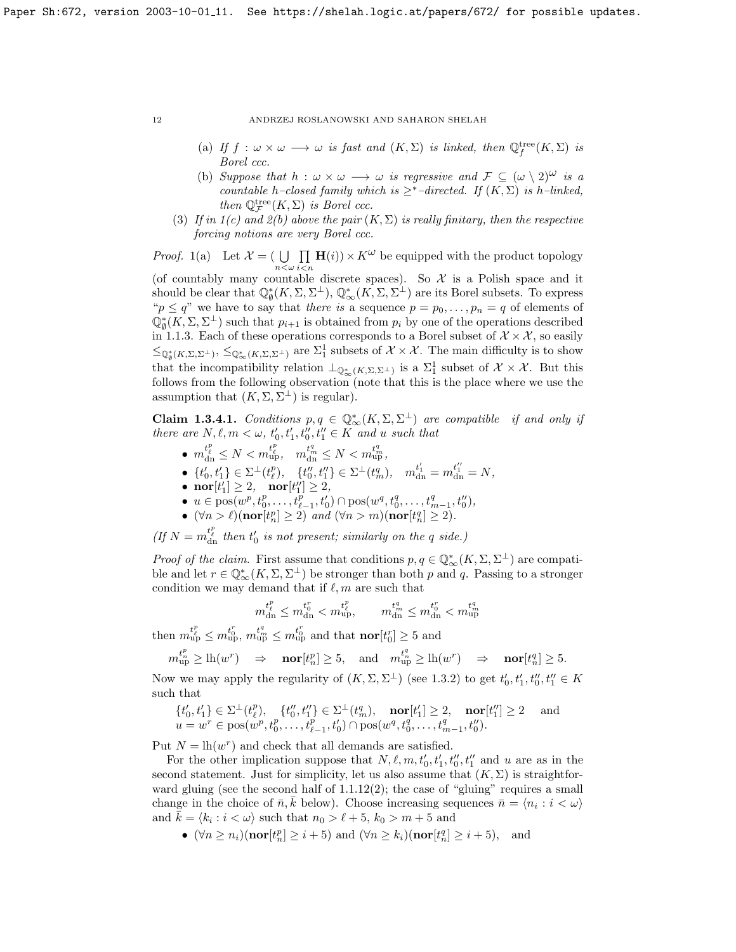- (a) If  $f: \omega \times \omega \longrightarrow \omega$  is fast and  $(K, \Sigma)$  is linked, then  $\mathbb{Q}_f^{\text{tree}}(K, \Sigma)$  is Borel ccc.
- (b) Suppose that  $h : \omega \times \omega \longrightarrow \omega$  is regressive and  $\mathcal{F} \subseteq (\omega \setminus 2)^{\omega}$  is a countable h–closed family which is  $\geq^*$ –directed. If  $(K, \Sigma)$  is h–linked, then  $\mathbb{Q}_{\mathcal{F}}^{\text{tree}}(K,\Sigma)$  is Borel ccc.
- (3) If in  $1(c)$  and  $2(b)$  above the pair  $(K, \Sigma)$  is really finitary, then the respective forcing notions are very Borel ccc.

*Proof.* 1(a) Let  $\mathcal{X} = (\bigcup_{n < \omega}$  $\Pi$  $i$  $\lt$ n  $\mathbf{H}(i) \times K^{\omega}$  be equipped with the product topology (of countably many countable discrete spaces). So  $\mathcal X$  is a Polish space and it should be clear that  $\mathbb{Q}_{\emptyset}^*(K,\Sigma,\Sigma^{\perp}), \mathbb{Q}_{\infty}^*(K,\Sigma,\Sigma^{\perp})$  are its Borel subsets. To express " $p \leq q$ " we have to say that *there is* a sequence  $p = p_0, \ldots, p_n = q$  of elements of  $\mathbb{Q}_{\emptyset}^*(K,\Sigma,\Sigma^{\perp})$  such that  $p_{i+1}$  is obtained from  $p_i$  by one of the operations described in [1.1.3.](#page-6-0) Each of these operations corresponds to a Borel subset of  $\mathcal{X} \times \mathcal{X}$ , so easily  $\leq_{\mathbb{Q}_{\phi}^{*}(K,\Sigma,\Sigma^{\perp})} \leq_{\mathbb{Q}_{\infty}^{*}(K,\Sigma,\Sigma^{\perp})}$  are  $\Sigma_{1}^{1}$  subsets of  $\mathcal{X}\times\mathcal{X}$ . The main difficulty is to show that the incompatibility relation  $\perp_{\mathbb{Q}^*_{\infty}(K,\Sigma,\Sigma^{\perp})}$  is a  $\Sigma^1_1$  subset of  $\mathcal{X}\times\mathcal{X}$ . But this follows from the following observation (note that this is the place where we use the assumption that  $(K, \Sigma, \Sigma^{\perp})$  is regular).

<span id="page-12-0"></span>Claim 1.3.4.1. Conditions  $p, q \in \mathbb{Q}_{\infty}^{*}(K, \Sigma, \Sigma^{\perp})$  are compatible if and only if there are  $N, \ell, m < \omega, t'_0, t'_1, t''_0, t''_1 \in K$  and u such that

- $m_{\rm dn}^{t_{\ell}^p} \leq N < m_{\rm up}^{t_{\ell}^p}, \quad m_{\rm dn}^{t_{\rm m}^q} \leq N < m_{\rm up}^{t_{\rm m}^q},$
- $\{t'_0,t'_1\}\in\Sigma^{\perp}(t^p_{\ell}),\quad \{t''_0,t''_1\}\in\Sigma^{\perp}(t^q_{m}),\quad m^{t'_1}_{\rm dn}=m^{t''_1}_{\rm dn}=N,$
- $\text{nor}[t'_1] \geq 2, \quad \text{nor}[t''_1] \geq 2,$
- $u \in \text{pos}(w^p, t^p_0, \ldots, t^p_{\ell-1}, t'_0) \cap \text{pos}(w^q, t^q_0, \ldots, t^q_{m-1}, t''_0),$
- $(\forall n > \ell)$ (nor $[t_n^p] \ge 2)$  and  $(\forall n > m)$ (nor $[t_n^q] \ge 2$ ).

(If  $N = m_{dn}^{t_{\ell}^p}$  then  $t_0'$  is not present; similarly on the q side.)

Proof of the claim. First assume that conditions  $p, q \in \mathbb{Q}_{\infty}^*(K, \Sigma, \Sigma^{\perp})$  are compatible and let  $r \in \mathbb{Q}_{\infty}^*(K, \Sigma, \Sigma^{\perp})$  be stronger than both p and q. Passing to a stronger condition we may demand that if  $\ell, m$  are such that

$$
m^{t^p_\ell}_{{\rm dn}}\leq m^{t^r_0}_{{\rm dn}}
$$

then  $m_{up}^{t_{\ell}^p} \leq m_{up}^{t_0^r}$ ,  $m_{up}^{t_m^q} \leq m_{up}^{t_0^r}$  and that  $\textbf{nor}[t_0^r] \geq 5$  and

 $m_{\textrm{up}}^{t_{n}^{p}} \geq \textrm{lh}(w^{r}) \quad \Rightarrow \quad \textrm{nor}[t_{n}^{p}] \geq 5, \quad \textrm{and} \quad m_{\textrm{up}}^{t_{n}^{q}} \geq \textrm{lh}(w^{r}) \quad \Rightarrow \quad \textrm{nor}[t_{n}^{q}] \geq 5.$ Now we may apply the regularity of  $(K, \Sigma, \Sigma^{\perp})$  (see [1.3.2\)](#page-6-1) to get  $t'_{0}, t'_{1}, t''_{0}, t''_{1} \in K$ 

such that p

$$
\{t'_0, t'_1\} \in \Sigma^{\perp}(t_\ell^p), \quad \{t''_0, t''_1\} \in \Sigma^{\perp}(t_m^q), \quad \textbf{nor}[t'_1] \ge 2, \quad \textbf{nor}[t''_1] \ge 2 \quad \text{and}
$$
\n
$$
u = w^r \in \text{pos}(w^p, t_0^p, \dots, t_{\ell-1}^p, t'_0) \cap \text{pos}(w^q, t_0^q, \dots, t_{m-1}^q, t''_0).
$$

Put  $N = \ln(w^r)$  and check that all demands are satisfied.

For the other implication suppose that  $N, \ell, m, t'_{0}, t'_{1}, t''_{0}, t''_{1}$  and u are as in the second statement. Just for simplicity, let us also assume that  $(K, \Sigma)$  is straightforward gluing (see the second half of  $1.1.12(2)$ ; the case of "gluing" requires a small change in the choice of  $\bar{n}, \bar{k}$  below). Choose increasing sequences  $\bar{n} = \langle n_i : i < \omega \rangle$ and  $\overline{\overline{k}} = \langle k_i : i < \omega \rangle$  such that  $n_0 > \ell + 5$ ,  $k_0 > m + 5$  and

•  $(\forall n \ge n_i)(\textbf{nor}[t_n^p] \ge i+5)$  and  $(\forall n \ge k_i)(\textbf{nor}[t_n^q] \ge i+5)$ , and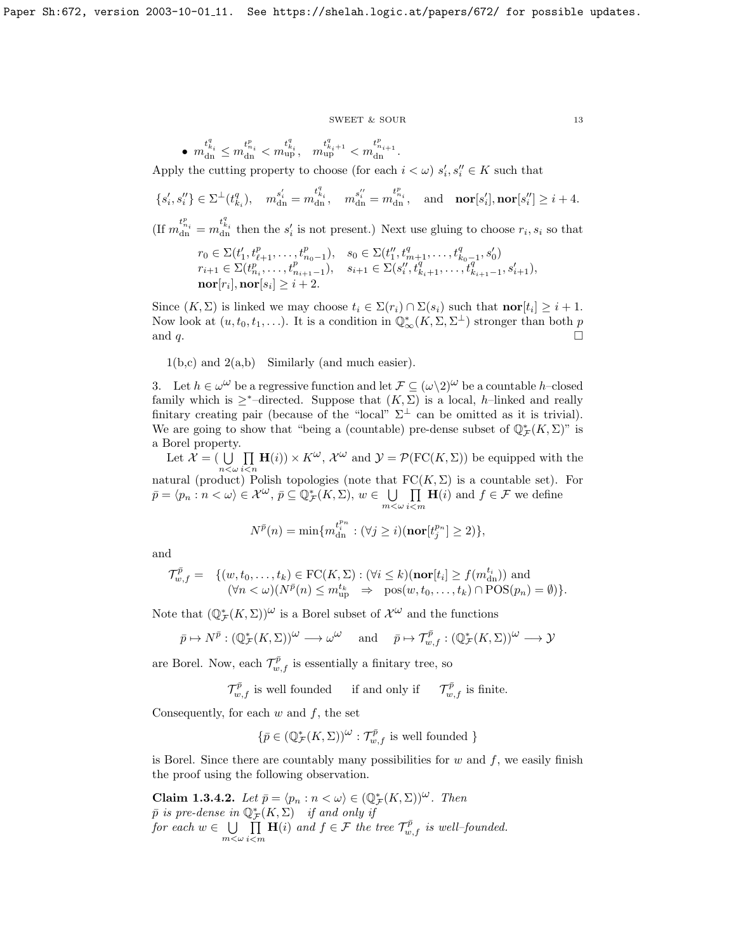$\begin{tabular}{ll} \multicolumn{2}{c}{\text{SWEET}} & $\&$ \text{SOUR} \end{tabular} \tag{13}$ 

$$
\bullet \hspace{0.2cm} m^{t^q_{k_i}}_{{\rm dn}}\leq m^{t^p_{n_i}}_{{\rm dn}}
$$

Apply the cutting property to choose (for each  $i < \omega$ )  $s'_i, s''_i \in K$  such that

$$
\{s_i',s_i''\}\in\Sigma^{\perp}(t_{k_i}^q),\quad m_{\mathrm{dn}}^{s_i'}=m_{\mathrm{dn}}^{t_{k_i}^q},\quad m_{\mathrm{dn}}^{s_i''}=m_{\mathrm{dn}}^{t_{n_i}^p},\quad\text{and}\quad\textbf{nor}[s_i'],\textbf{nor}[s_i'']\geq i+4.
$$

(If  $m_{\text{dn}}^{t_{n_i}^p} = m_{\text{dn}}^{t_{k_i}^q}$  then the  $s_i'$  is not present.) Next use gluing to choose  $r_i, s_i$  so that

$$
r_0 \in \Sigma(t'_1, t^p_{\ell+1}, \dots, t^p_{n_0-1}), \quad s_0 \in \Sigma(t''_1, t^q_{m+1}, \dots, t^q_{k_0-1}, s'_0)
$$
  
\n
$$
r_{i+1} \in \Sigma(t^n_{n_i}, \dots, t^n_{n_{i+1}-1}), \quad s_{i+1} \in \Sigma(s''_i, t^q_{k_i+1}, \dots, t^q_{k_{i+1}-1}, s'_{i+1}),
$$
  
\n
$$
\mathbf{nor}[r_i], \mathbf{nor}[s_i] \geq i+2.
$$

Since  $(K, \Sigma)$  is linked we may choose  $t_i \in \Sigma(r_i) \cap \Sigma(s_i)$  such that  $\textbf{nor}[t_i] \geq i+1$ . Now look at  $(u, t_0, t_1, \ldots)$ . It is a condition in  $\mathbb{Q}^*_{\infty}(K, \Sigma, \Sigma^{\perp})$  stronger than both p and q.

 $1(b,c)$  and  $2(a,b)$  Similarly (and much easier).

3. Let  $h \in \omega^{\omega}$  be a regressive function and let  $\mathcal{F} \subseteq (\omega \setminus 2)^{\omega}$  be a countable h–closed family which is  $\geq^*$ -directed. Suppose that  $(K, \Sigma)$  is a local, h–linked and really finitary creating pair (because of the "local"  $\Sigma^{\perp}$  can be omitted as it is trivial). We are going to show that "being a (countable) pre-dense subset of  $\mathbb{Q}_{\mathcal{F}}^*(K,\Sigma)$ " is a Borel property.

Let  $\mathcal{X} = (\bigcup_{n<\omega}$  $\Pi$  $i$  $\lt$ n  $\mathbf{H}(i) \times K^{\omega}, \mathcal{X}^{\omega}$  and  $\mathcal{Y} = \mathcal{P}(\text{FC}(K,\Sigma))$  be equipped with the natural (product) Polish topologies (note that  $FC(K,\Sigma)$  is a countable set). For

 $\bar{p} = \langle p_n : n < \omega \rangle \in \mathcal{X}^{\omega}, \, \bar{p} \subseteq \mathbb{Q}_{\mathcal{F}}^*(K, \Sigma), \, w \in \ \bigcup$  $m<\omega$  $\Pi$  $i$  $<$ m  $H(i)$  and  $f \in \mathcal{F}$  we define

$$
N^{\bar{p}}(n) = \min\{m_{\rm dn}^{t_i^{p_n}} : (\forall j \ge i)(\textbf{nor}[t_j^{p_n}] \ge 2)\},\
$$

and

$$
\mathcal{T}^{\bar{p}}_{w,f} = \{ (w, t_0, \dots, t_k) \in \mathrm{FC}(K, \Sigma) : (\forall i \leq k)(\mathrm{\bf nor}[t_i] \geq f(m_{\mathrm{dn}}^{t_i})) \text{ and } (\forall n < \omega)(N^{\bar{p}}(n) \leq m_{\mathrm{up}}^{t_k} \Rightarrow \mathrm{pos}(w, t_0, \dots, t_k) \cap \mathrm{POS}(p_n) = \emptyset) \}.
$$

Note that  $(\mathbb{Q}_{\mathcal{F}}^*(K,\Sigma))^{\omega}$  is a Borel subset of  $\mathcal{X}^{\omega}$  and the functions

$$
\bar{p}\mapsto N^{\bar{p}}:(\mathbb{Q}^*_{\mathcal{F}}(K,\Sigma))^{\omega}\longrightarrow\omega^{\omega}\quad \text{ and }\quad \bar{p}\mapsto \mathcal{T}^{\bar{p}}_{w,f}:(\mathbb{Q}^*_{\mathcal{F}}(K,\Sigma))^{\omega}\longrightarrow\mathcal{Y}
$$

are Borel. Now, each  $\mathcal{T}^{\bar{p}}_{w,f}$  is essentially a finitary tree, so

 $\mathcal{T}_{w,f}^{\bar{p}}$  is well founded if and only if  $\mathcal{T}_{w,f}^{\bar{p}}$  is finite.

Consequently, for each  $w$  and  $f$ , the set

$$
\{\bar{p}\in (\mathbb{Q}^*_{\mathcal{F}}(K,\Sigma))^{\omega}: \mathcal{T}^{\bar{p}}_{w,f}
$$
 is well founded  $\}$ 

is Borel. Since there are countably many possibilities for  $w$  and  $f$ , we easily finish the proof using the following observation.

**Claim 1.3.4.2.** Let  $\bar{p} = \langle p_n : n \langle \omega \rangle \in (\mathbb{Q}_{\mathcal{F}}^*(K, \Sigma))^{\omega}$ . Then  $\bar{p}$  is pre-dense in  $\mathbb{Q}_{\mathcal{F}}^{*}(K,\Sigma)$  if and only if for each  $w \in \bigcup$  $m<\omega$  $\Pi$ i<m  $\mathbf{H}(i)$  and  $f \in \mathcal{F}$  the tree  $\mathcal{T}_{w,f}^{\overline{p}}$  is well-founded.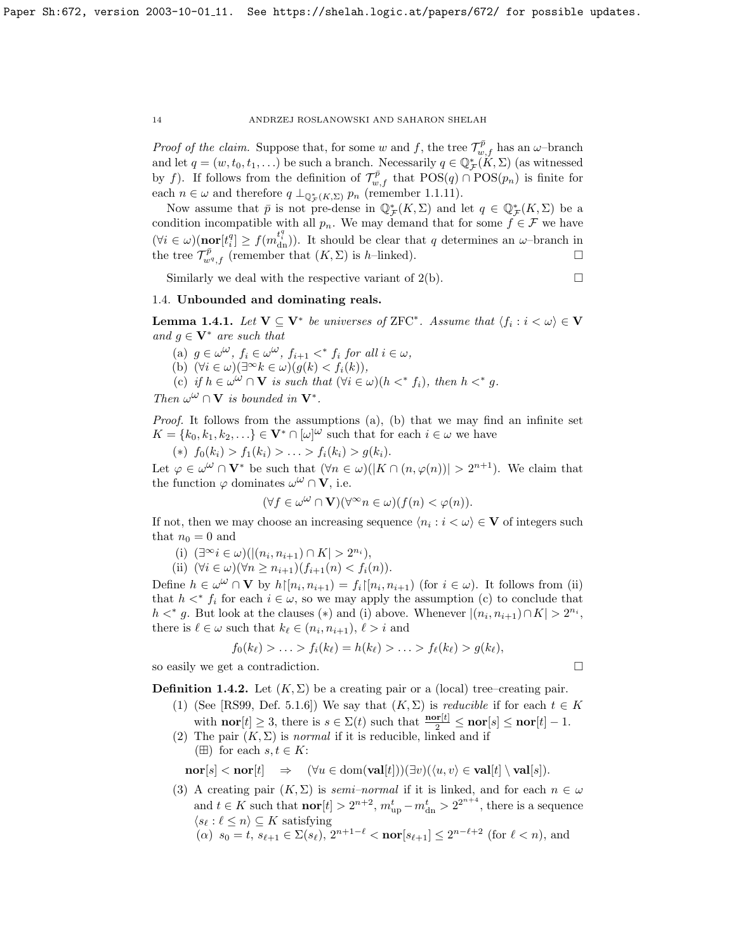*Proof of the claim.* Suppose that, for some w and f, the tree  $\mathcal{T}_{w,f}^{\bar{p}}$  has an  $\omega$ -branch and let  $q = (w, t_0, t_1, \ldots)$  be such a branch. Necessarily  $q \in \mathbb{Q}_{\mathcal{F}}^*(K, \Sigma)$  (as witnessed by f). If follows from the definition of  $\mathcal{T}_{w,f}^{\bar{p}}$  that  $POS(q) \cap POS(p_n)$  is finite for each  $n \in \omega$  and therefore  $q \perp_{\mathbb{Q}_{\mathcal{F}}^*(K,\Sigma)} p_n$  (remember [1.1.11\)](#page-8-0).

Now assume that  $\bar{p}$  is not pre-dense in  $\mathbb{Q}_{\mathcal{F}}^*(K,\Sigma)$  and let  $q \in \mathbb{Q}_{\mathcal{F}}^*(K,\Sigma)$  be a condition incompatible with all  $p_n$ . We may demand that for some  $f \in \mathcal{F}$  we have  $(\forall i \in \omega)(\textbf{nor}[t_i^q] \geq f(m_{\text{dn}}^{t_i^q}))$ . It should be clear that q determines an  $\omega$ -branch in the tree  $\mathcal{T}_{w^q,f}^{\bar{p}}$  (remember that  $(K,\Sigma)$  is h-linked).

Similarly we deal with the respective variant of  $2(b)$ .

# <span id="page-14-0"></span>1.4. Unbounded and dominating reals.

**Lemma 1.4.1.** Let  $V \subseteq V^*$  be universes of ZFC<sup>\*</sup>. Assume that  $\langle f_i : i < \omega \rangle \in V$ and  $g \in V^*$  are such that

- (a)  $g \in \omega^{\omega}$ ,  $f_i \in \omega^{\omega}$ ,  $f_{i+1} <^* f_i$  for all  $i \in \omega$ ,
- (b)  $(\forall i \in \omega)(\exists^{\infty} k \in \omega)(g(k) < f_i(k)),$
- (c) if  $h \in \omega^{\omega} \cap \mathbf{V}$  is such that  $(\forall i \in \omega)(h \lt^* f_i)$ , then  $h \lt^* g$ .

Then  $\omega^{\omega} \cap \mathbf{V}$  is bounded in  $\mathbf{V}^*$ .

Proof. It follows from the assumptions (a), (b) that we may find an infinite set  $K = \{k_0, k_1, k_2, \ldots\} \in \mathbf{V}^* \cap [\omega]^\omega$  such that for each  $i \in \omega$  we have

(\*)  $f_0(k_i) > f_1(k_i) > \ldots > f_i(k_i) > g(k_i).$ 

Let  $\varphi \in \omega^{\omega} \cap \mathbf{V}^*$  be such that  $(\forall n \in \omega)(|K \cap (n, \varphi(n))| > 2^{n+1})$ . We claim that the function  $\varphi$  dominates  $\omega^{\omega} \cap \mathbf{V}$ , i.e.

$$
(\forall f \in \omega^{\omega} \cap \mathbf{V})(\forall^{\infty} n \in \omega)(f(n) < \varphi(n)).
$$

If not, then we may choose an increasing sequence  $\langle n_i : i < \omega \rangle \in V$  of integers such that  $n_0 = 0$  and

- (i)  $(\exists^{\infty} i \in \omega)(|(n_i, n_{i+1}) \cap K| > 2^{n_i}),$
- (ii)  $(\forall i \in \omega)(\forall n \geq n_{i+1})(f_{i+1}(n) < f_i(n)).$

Define  $h \in \omega^{\omega} \cap \mathbf{V}$  by  $h\upharpoonright [n_i, n_{i+1}) = f_i\upharpoonright [n_i, n_{i+1})$  (for  $i \in \omega$ ). It follows from (ii) that  $h <^* f_i$  for each  $i \in \omega$ , so we may apply the assumption (c) to conclude that  $h \lt^* g$ . But look at the clauses (\*) and (i) above. Whenever  $|(n_i, n_{i+1}) \cap K| > 2^{n_i}$ , there is  $\ell \in \omega$  such that  $k_{\ell} \in (n_i, n_{i+1}), \ell > i$  and

$$
f_0(k_{\ell}) > \ldots > f_i(k_{\ell}) = h(k_{\ell}) > \ldots > f_{\ell}(k_{\ell}) > g(k_{\ell}),
$$

so easily we get a contradiction.

**Definition 1.4.2.** Let  $(K, \Sigma)$  be a creating pair or a (local) tree–creating pair.

- (1) (See [\[RS99,](#page-70-1) Def. 5.1.6]) We say that  $(K, \Sigma)$  is *reducible* if for each  $t \in K$ with **nor**[ $t$ ]  $\geq$  3, there is  $s \in \Sigma(t)$  such that  $\frac{\mathbf{nor}[t]}{2} \leq \mathbf{nor}[s] \leq \mathbf{nor}[t] - 1$ .
- (2) The pair  $(K, \Sigma)$  is normal if it is reducible, linked and if ( $\boxplus$ ) for each  $s, t \in K$ :

 $\mathbf{nor}[s] < \mathbf{nor}[t] \Rightarrow (\forall u \in \text{dom}(\mathbf{val}[t]))(\exists v)(\langle u, v \rangle \in \mathbf{val}[t] \setminus \mathbf{val}[s]).$ 

- (3) A creating pair  $(K, \Sigma)$  is *semi–normal* if it is linked, and for each  $n \in \omega$ and  $t \in K$  such that  $\textbf{nor}[t] > 2^{n+2}$ ,  $m_{\text{up}}^t - m_{\text{dn}}^t > 2^{2^{n+4}}$ , there is a sequence  $\langle s_\ell : \ell \leq n \rangle \subseteq K$  satisfying
	- $(\alpha)$   $s_0 = t$ ,  $s_{\ell+1} \in \Sigma(s_{\ell}), 2^{n+1-\ell} < \text{nor}[s_{\ell+1}] \leq 2^{n-\ell+2}$  (for  $\ell < n$ ), and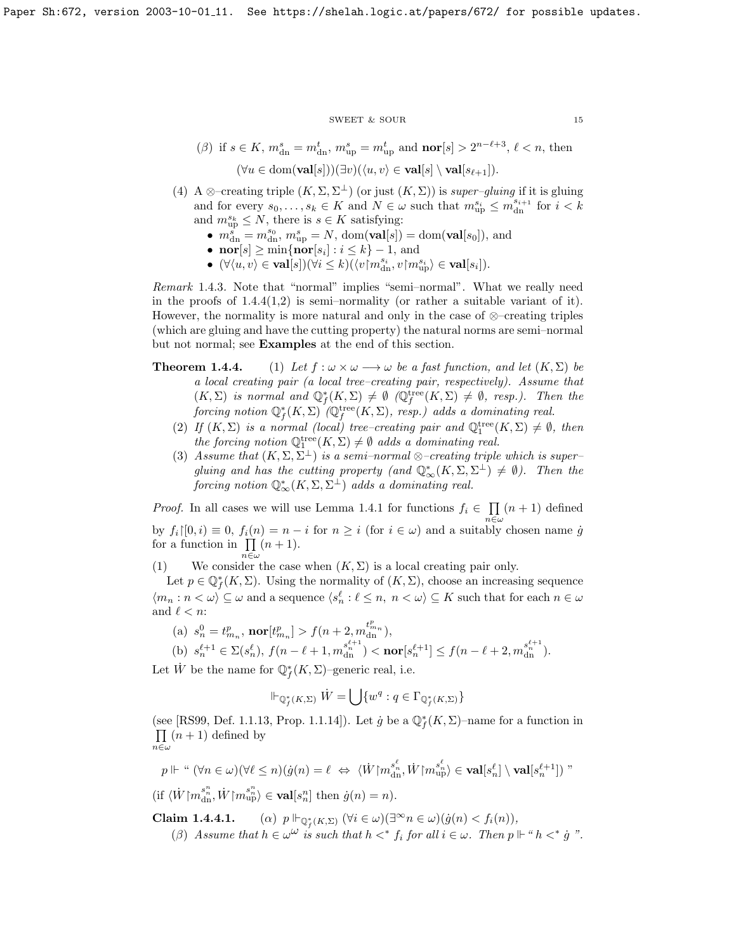#### ${\tt SWEET\ \&\ SOUR} \eqno{15}$

$$
\begin{aligned} &(\beta) \text{ if } s \in K, \, m^s_{\text{dn}} = m^t_{\text{dn}}, \, m^s_{\text{up}} = m^t_{\text{up}} \text{ and } \text{nor}[s] > 2^{n-\ell+3}, \, \ell < n, \text{ then} \\ & (\forall u \in \text{dom}(\textbf{val}[s]))(\exists v)(\langle u, v \rangle \in \textbf{val}[s] \setminus \textbf{val}[s_{\ell+1}]). \end{aligned}
$$

- (4) A ⊗–creating triple  $(K, \Sigma, \Sigma^{\perp})$  (or just  $(K, \Sigma)$ ) is super–gluing if it is gluing and for every  $s_0, \ldots, s_k \in K$  and  $N \in \omega$  such that  $m_{\text{up}}^{s_i} \leq m_{\text{dn}}^{s_{i+1}}$  for  $i < k$ and  $m_{\text{up}}^{s_k} \leq N$ , there is  $s \in K$  satisfying:
	- $m_{\text{dn}}^{s} = m_{\text{dn}}^{s_0}, m_{\text{up}}^{s} = N$ , dom $(\text{val}[s]) = \text{dom}(\text{val}[s_0])$ , and
	- nor  $[s] \ge \min\{\mathbf{nor}[s_i] : i \le k\} 1$ , and
	- $(\forall \langle u, v \rangle \in \textbf{val}[s])(\forall i \leq k)(\langle v \lceil m_{\text{dn}}^{s_i}, v \lceil m_{\text{up}}^{s_i} \rangle \in \textbf{val}[s_i]).$

Remark 1.4.3. Note that "normal" implies "semi–normal". What we really need in the proofs of  $1.4.4(1,2)$  is semi–normality (or rather a suitable variant of it). However, the normality is more natural and only in the case of  $\otimes$ –creating triples (which are gluing and have the cutting property) the natural norms are semi–normal but not normal; see Examples at the end of this section.

- **Theorem 1.4.4.** (1) Let  $f : \omega \times \omega \longrightarrow \omega$  be a fast function, and let  $(K, \Sigma)$  be a local creating pair (a local tree–creating pair, respectively). Assume that  $(K, \Sigma)$  is normal and  $\mathbb{Q}_f^*(K, \Sigma) \neq \emptyset$  ( $\mathbb{Q}_f^{\text{tree}}(K, \Sigma) \neq \emptyset$ , resp.). Then the  $\hbox{forcing notion } \mathbb Q_f^*(K,\Sigma) \,\,\,\,\, (\mathbb Q_f^{\rm tree}(K,\Sigma),\,\, resp.)\,\,\, adds\,\,a\,\, dominating\,\, real.$ 
	- (2) If  $(K, \Sigma)$  is a normal (local) tree-creating pair and  $\mathbb{Q}_1^{\text{tree}}(K, \Sigma) \neq \emptyset$ , then the forcing notion  $\mathbb{Q}_1^{\text{tree}}(K,\Sigma) \neq \emptyset$  adds a dominating real.
	- (3) Assume that  $(K, \Sigma, \Sigma^{\perp})$  is a semi–normal  $\otimes$ –creating triple which is super– gluing and has the cutting property (and  $\mathbb{Q}^*_{\infty}(K,\Sigma,\Sigma^{\perp}) \neq \emptyset$ ). Then the  $\textit{forcing notion} \ \mathbb Q_\infty^*(K,\Sigma,\Sigma^\perp) \ \textit{ adds a dominating real.}$

*Proof.* In all cases we will use Lemma [1.4.1](#page-5-1) for functions  $f_i \in \prod$  $\prod_{n\in\omega}(n+1)$  defined by  $f_i|[0, i) \equiv 0, f_i(n) = n - i$  for  $n \geq i$  (for  $i \in \omega$ ) and a suitably chosen name  $\dot{g}$ for a function in  $\prod_{n\in\omega}(n+1)$ .

(1) We consider the case when  $(K, \Sigma)$  is a local creating pair only.

Let  $p \in \mathbb{Q}_f^*(K,\Sigma)$ . Using the normality of  $(K,\Sigma)$ , choose an increasing sequence  $\langle m_n : n \langle \omega \rangle \subseteq \omega$  and a sequence  $\langle s_n^{\ell} : \ell \leq n, n \langle \omega \rangle \subseteq K$  such that for each  $n \in \omega$ and  $\ell < n$ :

(a)  $s_n^0 = t_{m_n}^p$ ,  $\text{nor}[t_{m_n}^p] > f(n+2, m_{\text{dn}}^{t_{m_n}^p}),$ 

(b) 
$$
s_n^{\ell+1} \in \Sigma(s_n^{\ell}), f(n-\ell+1, m_{\text{dn}}^{s_n^{\ell+1}}) < \text{nor}[s_n^{\ell+1}] \le f(n-\ell+2, m_{\text{dn}}^{s_n^{\ell+1}}).
$$

Let  $\dot{W}$  be the name for  $\mathbb{Q}_f^*(K,\Sigma)$ -generic real, i.e.

$$
\Vdash_{\mathbb{Q}_f^*(K,\Sigma)} \dot{W} = \bigcup \{ w^q : q \in \Gamma_{\mathbb{Q}_f^*(K,\Sigma)} \}
$$

(see [\[RS99,](#page-70-1) Def. 1.1.13, Prop. 1.1.14]). Let  $\dot{g}$  be a  $\mathbb{Q}_f^*(K,\Sigma)$ -name for a function in  $\prod$  $\prod_{n\in\omega}(n+1)$  defined by

 $p \Vdash ``(\forall n\in\omega)(\forall \ell\leq n)(\dot{g}(n)=\ell \ \Leftrightarrow \ \langle \dot{W} {\restriction} m^{s^{\ell}_{n}}_{{\rm dn}}, \dot{W}{\restriction} m^{s^{\ell}_{n}}_{{\rm up}} \rangle \in{\bf val}[s^{\ell}_{n}] \setminus {\bf val}[s^{\ell+1}_{n}])\;"$ (if  $\langle \dot{W} {\restriction} m^{s^{n}_{n}}_{{\rm dn}}, \dot{W} {\restriction} m^{s^{n}_{n}}_{{\rm up}} \rangle \in \textbf{val}[s^{n}_{n}]$  then  $\dot{g}(n) = n$ ).

 $Claim\ 1.4.4.1.$  $f_{f(K,\Sigma)} (\forall i \in \omega)(\exists^{\infty} n \in \omega)(\dot{g}(n) < f_i(n)),$ ( $\beta$ ) Assume that  $h \in \omega^{\omega}$  is such that  $h \lt^* f_i$  for all  $i \in \omega$ . Then  $p \Vdash "h \lt^* \dot{g}$ ".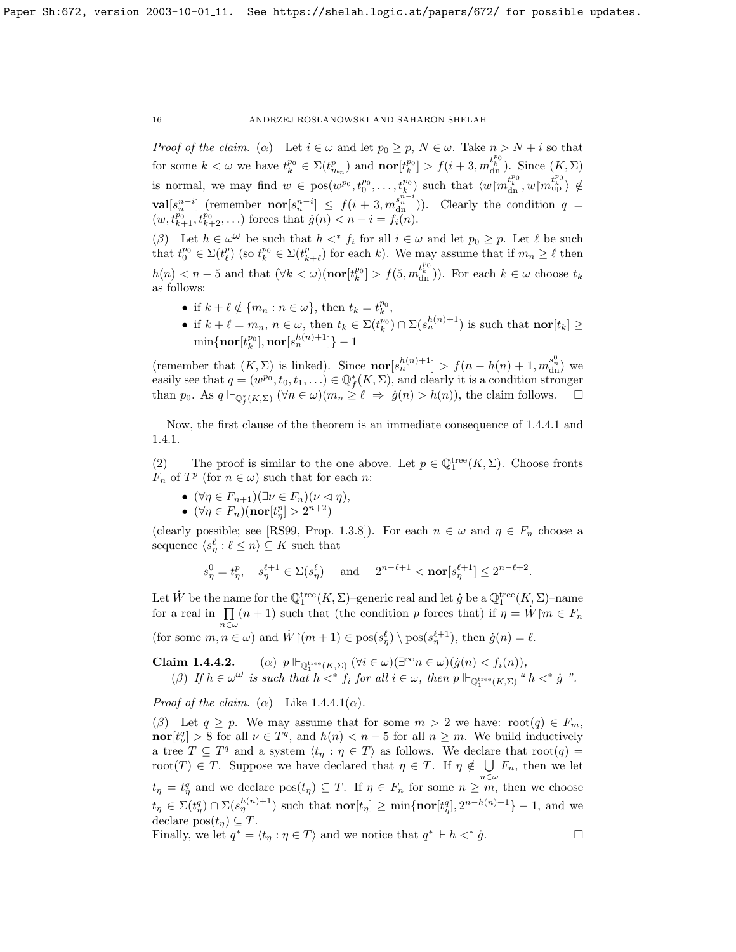Proof of the claim. ( $\alpha$ ) Let  $i \in \omega$  and let  $p_0 \geq p$ ,  $N \in \omega$ . Take  $n > N + i$  so that for some  $k < \omega$  we have  $t_k^{p_0} \in \Sigma(t_{m_n}^p)$  and  $\textbf{nor}[t_k^{p_0}] > f(i+3, m_{dn}^{t_k^{p_0}})$ . Since  $(K, \Sigma)$ is normal, we may find  $w \in \text{pos}(w^{p_0}, t_0^{p_0}, \ldots, t_k^{p_0})$  such that  $\langle w | m_{\text{dn}}^{t_k^{p_0}}, w | m_{\text{up}}^{t_k^{p_0}} \rangle \notin$ **val** $[s_n^{n-i}]$  (remember **nor** $[s_n^{n-i}] \leq f(i+3,m_{\text{dn}}^{s_n^{n-i}})$ ). Clearly the condition  $q =$  $(w, t^{p_0}_{k+1}, t^{p_0}_{k+2}, \ldots)$  forces that  $\dot{g}(n) < n - i = f_i(n)$ .

( $\beta$ ) Let  $h \in \omega^{\omega}$  be such that  $h \lt^* f_i$  for all  $i \in \omega$  and let  $p_0 \geq p$ . Let  $\ell$  be such that  $t_0^{p_0} \in \Sigma(t_\ell^p)$  (so  $t_k^{p_0} \in \Sigma(t_{k+\ell}^p)$  for each k). We may assume that if  $m_n \geq \ell$  then  $h(n) < n-5$  and that  $(\forall k < \omega)(\textbf{nor}[t_k^{p_0}] > f(5, m_{\text{dn}}^{t_k^{p_0}}))$ . For each  $k \in \omega$  choose  $t_k$ as follows:

- if  $k + \ell \notin \{m_n : n \in \omega\}$ , then  $t_k = t_k^{p_0}$ ,
- if  $k + \ell = m_n$ ,  $n \in \omega$ , then  $t_k \in \Sigma(t_k^{p_0}) \cap \Sigma(s_n^{h(n)+1})$  is such that  $\textbf{nor}[t_k] \geq$  $\min\{\mathbf{nor}[t_k^{p_0}],\mathbf{nor}[s_n^{h(n)+1}]\}-1$

(remember that  $(K, \Sigma)$  is linked). Since  $\text{nor}[s_n^{h(n)+1}] > f(n-h(n)+1, m_{\text{dn}}^{s_n^0})$  we easily see that  $q = (w^{p_0}, t_0, t_1, \ldots) \in \mathbb{Q}_f^*(K, \Sigma)$ , and clearly it is a condition stronger than  $p_0$ . As  $q \Vdash_{\mathbb{Q}_f^*(K,\Sigma)} (\forall n \in \omega)(m_n \geq \ell \Rightarrow \dot{g}(n) > h(n)),$  the claim follows.  $\Box$ 

Now, the first clause of the theorem is an immediate consequence of [1.4.4.1](#page-0-0) and [1.4.1.](#page-5-1)

(2) The proof is similar to the one above. Let  $p \in \mathbb{Q}_1^{\text{tree}}(K,\Sigma)$ . Choose fronts  $F_n$  of  $T^p$  (for  $n \in \omega$ ) such that for each n:

- $(\forall \eta \in F_{n+1})(\exists \nu \in F_n)(\nu \vartriangleleft \eta),$
- $(\forall \eta \in F_n)(\mathrm{\bf nor}[t^p_\eta] > 2^{n+2})$

(clearly possible; see [\[RS99,](#page-70-1) Prop. 1.3.8]). For each  $n \in \omega$  and  $\eta \in F_n$  choose a sequence  $\langle s^\ell_\eta : \ell \leq n \rangle \subseteq K$  such that

$$
s_\eta^0=t_\eta^p,\quad s_\eta^{\ell+1}\in\Sigma(s_\eta^\ell)\quad\text{ and }\quad 2^{n-\ell+1}<\mathbf{nor}[s_\eta^{\ell+1}]\le 2^{n-\ell+2}.
$$

Let  $\dot{W}$  be the name for the  $\mathbb{Q}_1^{\text{tree}}(K,\Sigma)$ -generic real and let  $\dot{g}$  be a  $\mathbb{Q}_1^{\text{tree}}(K,\Sigma)$ -name for a real in  $\prod (n + 1)$  such that (the condition p forces that) if  $\eta = W \mid m \in F_n$ (for some  $m, n \in \omega$ ) and  $\dot{W} \upharpoonright (m+1) \in \text{pos}(s_n^{\ell}) \setminus \text{pos}(s_n^{\ell+1}),$  then  $\dot{g}(n) = \ell$ .

**Claim 1.4.4.2.** (a)  $p \Vdash_{\mathbb{Q}_1^{\text{tree}}(K,\Sigma)} (\forall i \in \omega)(\exists^{\infty} n \in \omega)(\dot{g}(n) < f_i(n)),$ (β) If  $h \in \omega^{\omega}$  is such that  $h \lt^* f_i$  for all  $i \in \omega$ , then  $p \Vdash_{\mathbb{Q}_1^{\text{tree}}(K,\Sigma)} "h \lt^* \dot{g}$ .

*Proof of the claim.* ( $\alpha$ ) Like [1.4.4.1\(](#page-0-0) $\alpha$ ).

(β) Let  $q \geq p$ . We may assume that for some  $m > 2$  we have: root(q)  $\in F_m$ ,  $\text{nor}[t^q_\nu] > 8$  for all  $\nu \in T^q$ , and  $h(n) < n-5$  for all  $n \geq m$ . We build inductively a tree  $T \subseteq T^q$  and a system  $\langle t_\eta : \eta \in T \rangle$  as follows. We declare that root $(q)$  = root(T)  $\in$  T. Suppose we have declared that  $\eta \in T$ . If  $\eta \notin \bigcup F_n$ , then we let  $t_{\eta} = t_{\eta}^q$  and we declare  $pos(t_{\eta}) \subseteq T$ . If  $\eta \in F_n$  for some  $n \geq m$ , then we choose  $t_{\eta} \in \Sigma(t_{\eta}^q) \cap \Sigma(s_{\eta}^{h(n)+1})$  such that  $\textbf{nor}[t_{\eta}] \geq \min\{\textbf{nor}[t_{\eta}^q], 2^{n-h(n)+1}\}-1$ , and we declare  $pos(t_n) \subseteq T$ .

Finally, we let  $q^* = \langle t_\eta : \eta \in T \rangle$  and we notice that  $q^* \Vdash h <^*$  $\dot{g}$ .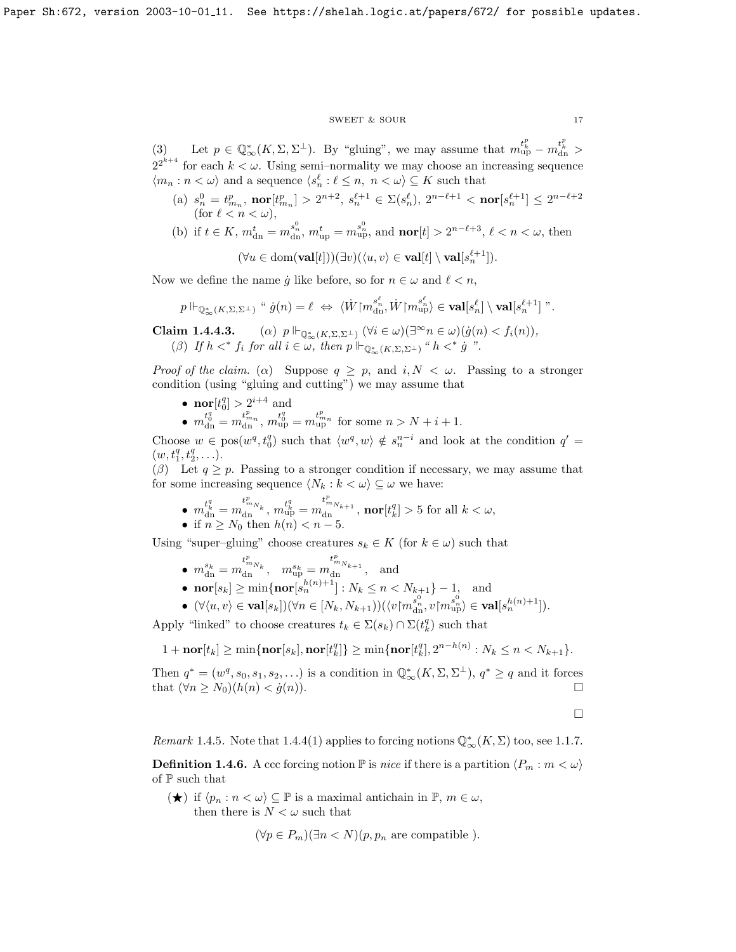## $\begin{tabular}{ll} \multicolumn{2}{c}{\text{SWEET}} & $\&$ \text{SOUR} \end{tabular} \begin{tabular}{ll} \multicolumn{2}{c}{\text{3.17}}\\ \multicolumn{2}{c}{\text{SWEET}} & $\&$ \text{SOUR} \end{tabular}$

(3) Let  $p \in \mathbb{Q}_{\infty}^*(K, \Sigma, \Sigma^{\perp})$ . By "gluing", we may assume that  $m_{\textrm{up}}^{t_k^p} - m_{\textrm{dn}}^{t_k^p} >$  $2^{2^{k+4}}$  for each  $k < \omega$ . Using semi-normality we may choose an increasing sequence  $\langle m_n : n \langle \omega \rangle$  and a sequence  $\langle s_n^{\ell} : \ell \leq n, n \langle \omega \rangle \subseteq K$  such that

- (a)  $s_n^0 = t_{m_n}^p$ ,  $\text{nor}[t_{m_n}^p] > 2^{n+2}$ ,  $s_n^{\ell+1} \in \Sigma(s_n^{\ell}), 2^{n-\ell+1} < \text{nor}[s_n^{\ell+1}] \leq 2^{n-\ell+2}$ (for  $\ell < n < \omega$ ),
- (b) if  $t \in K$ ,  $m_{dn}^t = m_{dn}^{s_n^0}$ ,  $m_{up}^t = m_{up}^{s_n^0}$ , and  $\mathbf{nor}[t] > 2^{n-\ell+3}$ ,  $\ell < n < \omega$ , then

$$
(\forall u \in \text{dom}(\mathbf{val}[t]))(\exists v)(\langle u, v \rangle \in \mathbf{val}[t] \setminus \mathbf{val}[s_n^{\ell+1}]).
$$

Now we define the name  $\dot{g}$  like before, so for  $n \in \omega$  and  $\ell < n$ ,

$$
p \Vdash_{\mathbb{Q}^*_{\infty}(K,\Sigma,\Sigma^{\perp})} \text{``}\; \dot{g}(n) = \ell \; \Leftrightarrow \; \langle \dot{W} \rangle \text{``} \text{''}^{\text{''}_{n}}_{\text{dn}}, \dot{W} \rangle \text{``} \text{''}^{\text{''}_{n}}_{\text{up}} \rangle \in \textbf{val}[s_n^{\ell}] \setminus \textbf{val}[s_n^{\ell+1}] \text{''}.
$$

**Claim 1.4.4.3.** (a)  $p \Vdash_{\mathbb{Q}^*_{\infty}(K,\Sigma,\Sigma^{\perp})} (\forall i \in \omega)(\exists^{\infty} n \in \omega)(\dot{g}(n) < f_i(n)),$ ( $\beta$ ) If  $h \lt^* f_i$  for all  $i \in \mathbb{Z}$ , then  $p \Vdash_{\mathbb{Q}^*_{\infty}(K,\Sigma,\Sigma^{\perp})}$  " $h \lt^* g$ ".

Proof of the claim. ( $\alpha$ ) Suppose  $q \geq p$ , and  $i, N < \omega$ . Passing to a stronger condition (using "gluing and cutting") we may assume that

- **nor**  $[t_0^q] > 2^{i+4}$  and
- $m_{\text{dn}}^{t_0^q} = m_{\text{dn}}^{t_{m_n}^p}$ ,  $m_{\text{up}}^{t_0^q} = m_{\text{up}}^{t_{m_n}^p}$  for some  $n > N + i + 1$ .

Choose  $w \in \text{pos}(w^q, t_0^q)$  such that  $\langle w^q, w \rangle \notin s_n^{n-i}$  and look at the condition  $q' =$  $(w, t_1^q, t_2^q, \ldots).$ 

(β) Let  $q \geq p$ . Passing to a stronger condition if necessary, we may assume that for some increasing sequence  $\langle N_k : k < \omega \rangle \subseteq \omega$  we have:

•  $m_{\mathrm{dn}}^{t^q_k} = m_{\mathrm{dn}}^{t^p_{m_{N_k}}}, m_{\mathrm{up}}^{t^q_k} = m_{\mathrm{dn}}^{t^p_{m_{N_{k+1}}}}, \, \textbf{nor}[t^q_k] > 5$  for all  $k < \omega$ , • if  $n \geq N_0$  then  $h(n) < n-5$ .

Using "super–gluing" choose creatures  $s_k \in K$  (for  $k \in \omega$ ) such that

- $\bullet \hspace{0.1cm} m^{s_k}_{\rm dn} = m^{t^p_{m_{N_k}}}_{\rm dn}, \hspace{0.1cm} m^{s_k}_{\rm up} = m^{t^p_{m_{N_k+1}}}_{\rm dn}, \hspace{0.1cm} \text{and}$
- **nor**  $[s_k] \ge \min\{\textbf{nor}[s_n^{h(n)+1}] : N_k \le n < N_{k+1}\} 1, \text{ and}$
- $\bullet \ (\forall \langle u, v \rangle \in \mathbf{val}[s_k]) (\forall n \in [N_k, N_{k+1})) (\langle v \mathord{\restriction} m^{s_n^0}_{\text{dn}}, v \mathord{\restriction} m^{s_n^0}_{\text{up}} \rangle \in \mathbf{val}[s_n^{h(n)+1}]).$

Apply "linked" to choose creatures  $t_k \in \Sigma(s_k) \cap \Sigma(t_k^q)$  such that

$$
1+\mathbf{nor}[t_k] \ge \min\{\mathbf{nor}[s_k], \mathbf{nor}[t_k^q]\} \ge \min\{\mathbf{nor}[t_k^q], 2^{n-h(n)} : N_k \le n < N_{k+1}\}.
$$

Then  $q^* = (w^q, s_0, s_1, s_2, \ldots)$  is a condition in  $\mathbb{Q}_{\infty}^*(K, \Sigma, \Sigma^{\perp}), q^* \ge q$  and it forces that  $(\forall n \ge N_0)(h(n) < \dot{g}(n)).$ 

 $\Box$ 

Remark 1.4.5. Note that [1.4.4\(](#page-7-0)1) applies to forcing notions  $\mathbb{Q}^*_{\infty}(K,\Sigma)$  too, see [1.1.7.](#page-7-2)

<span id="page-17-0"></span>**Definition 1.4.6.** A ccc forcing notion  $\mathbb{P}$  is nice if there is a partition  $\langle P_m : m < \omega \rangle$ of P such that

 $(\bigstar)$  if  $\langle p_n : n < \omega \rangle \subseteq \mathbb{P}$  is a maximal antichain in  $\mathbb{P}, m \in \omega$ , then there is  $N < \omega$  such that

$$
(\forall p \in P_m)(\exists n < N)(p, p_n \text{ are compatible}).
$$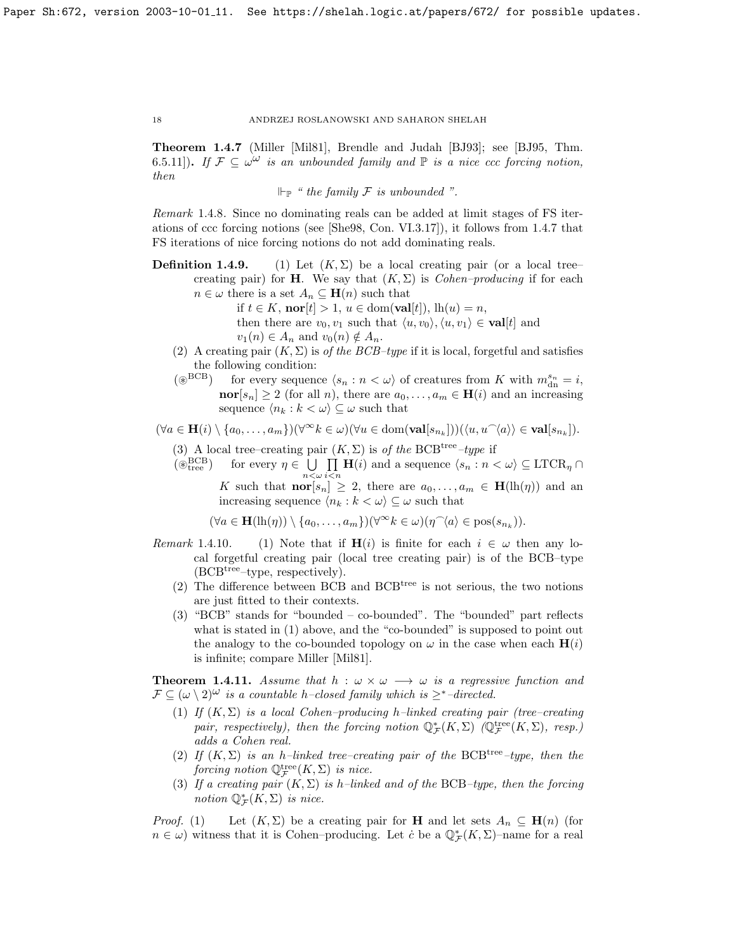Theorem 1.4.7 (Miller [\[Mil81\]](#page-70-13), Brendle and Judah [\[BJ93\]](#page-69-3); see [\[BJ95,](#page-69-1) Thm. 6.5.11). If  $\mathcal{F} \subseteq \omega^{\omega}$  is an unbounded family and  $\mathbb{P}$  is a nice ccc forcing notion, then

 $\Vdash_{\mathbb{P}}$  " the family F is unbounded ".

Remark 1.4.8. Since no dominating reals can be added at limit stages of FS iterations of ccc forcing notions (see [\[She98,](#page-70-14) Con. VI.3.17]), it follows from [1.4.7](#page-7-2) that FS iterations of nice forcing notions do not add dominating reals.

- **Definition 1.4.9.** (1) Let  $(K, \Sigma)$  be a local creating pair (or a local tree– creating pair) for **H**. We say that  $(K, \Sigma)$  is *Cohen–producing* if for each  $n \in \omega$  there is a set  $A_n \subseteq \mathbf{H}(n)$  such that
	- if  $t \in K$ ,  $\mathbf{nor}[t] > 1$ ,  $u \in \text{dom}(\mathbf{val}[t])$ ,  $\text{lh}(u) = n$ , then there are  $v_0, v_1$  such that  $\langle u, v_0 \rangle, \langle u, v_1 \rangle \in \textbf{val}[t]$  and  $v_1(n) \in A_n$  and  $v_0(n) \notin A_n$ .
	- (2) A creating pair  $(K, \Sigma)$  is of the BCB–type if it is local, forgetful and satisfies the following condition:
	- ( $\circledast^{\text{BCB}}$ ) for every sequence  $\langle s_n : n \langle \omega \rangle$  of creatures from K with  $m_{\text{dn}}^{s_n} = i$ , **nor**[ $s_n$ ]  $\geq 2$  (for all *n*), there are  $a_0, \ldots, a_m \in \mathbf{H}(i)$  and an increasing sequence  $\langle n_k : k < \omega \rangle \subseteq \omega$  such that

 $(\forall a \in \mathbf{H}(i) \setminus \{a_0, \ldots, a_m\})(\forall^{\infty} k \in \omega)(\forall u \in \text{dom}(\mathbf{val}[s_{n_k}]))(\langle u, u^{\frown}\langle a \rangle \rangle \in \mathbf{val}[s_{n_k}]).$ 

- (3) A local tree–creating pair  $(K, \Sigma)$  is of the BCB<sup>tree</sup>–type if
- $(\overset{\sim}{\otimes}_{\text{tree}}^{\text{BCB}})$  $_{\text{tree}}^{\text{BCB}}$  for every  $\eta \in \bigcup$  $n<\omega$  $\prod$  **H**(i) and a sequence  $\langle s_n : n < \omega \rangle \subseteq \text{LTCR}_{\eta} \cap$  $i$  $\lt$ n

K such that  $\mathbf{nor}[s_n] \geq 2$ , there are  $a_0, \ldots, a_m \in \mathbf{H}(\mathrm{lh}(\eta))$  and an increasing sequence  $\langle n_k : k < \omega \rangle \subseteq \omega$  such that

 $(\forall a \in \mathbf{H}(\mathrm{lh}(\eta)) \setminus \{a_0, \ldots, a_m\}) (\forall^\infty k \in \omega) (\eta^\frown \langle a \rangle \in \mathrm{pos}(s_{n_k})).$ 

- Remark 1.4.10. (1) Note that if  $H(i)$  is finite for each  $i \in \omega$  then any local forgetful creating pair (local tree creating pair) is of the BCB–type  $(BCB<sup>tree</sup>–type, respectively).$ 
	- (2) The difference between BCB and BCB<sup>tree</sup> is not serious, the two notions are just fitted to their contexts.
	- (3) "BCB" stands for "bounded co-bounded". The "bounded" part reflects what is stated in (1) above, and the "co-bounded" is supposed to point out the analogy to the co-bounded topology on  $\omega$  in the case when each  $\mathbf{H}(i)$ is infinite; compare Miller [\[Mil81\]](#page-70-13).

**Theorem 1.4.11.** Assume that  $h : \omega \times \omega \longrightarrow \omega$  is a regressive function and  $\mathcal{F} \subseteq (\omega \setminus 2)^{\omega}$  is a countable h–closed family which is  $\geq^*$ –directed.

- (1) If  $(K, \Sigma)$  is a local Cohen–producing h–linked creating pair (tree–creating pair, respectively), then the forcing notion  $\mathbb{Q}_{\mathcal{F}}^*(K,\Sigma)$  ( $\mathbb{Q}_{\mathcal{F}}^{\text{tree}}(K,\Sigma)$ , resp.) adds a Cohen real.
- (2) If  $(K, \Sigma)$  is an h–linked tree–creating pair of the BCB<sup>tree</sup>–type, then the forcing notion  $\mathbb{Q}^{\text{tree}}_{\mathcal{F}}(K,\Sigma)$  is nice.
- (3) If a creating pair  $(K, \Sigma)$  is h–linked and of the BCB–type, then the forcing notion  $\mathbb{Q}_{\mathcal{F}}^{*}(K,\Sigma)$  is nice.

*Proof.* (1) Let  $(K, \Sigma)$  be a creating pair for **H** and let sets  $A_n \subseteq \mathbf{H}(n)$  (for  $n \in \omega$ ) witness that it is Cohen–producing. Let  $\dot{c}$  be a  $\mathbb{Q}_{\mathcal{F}}^*(K,\Sigma)$ –name for a real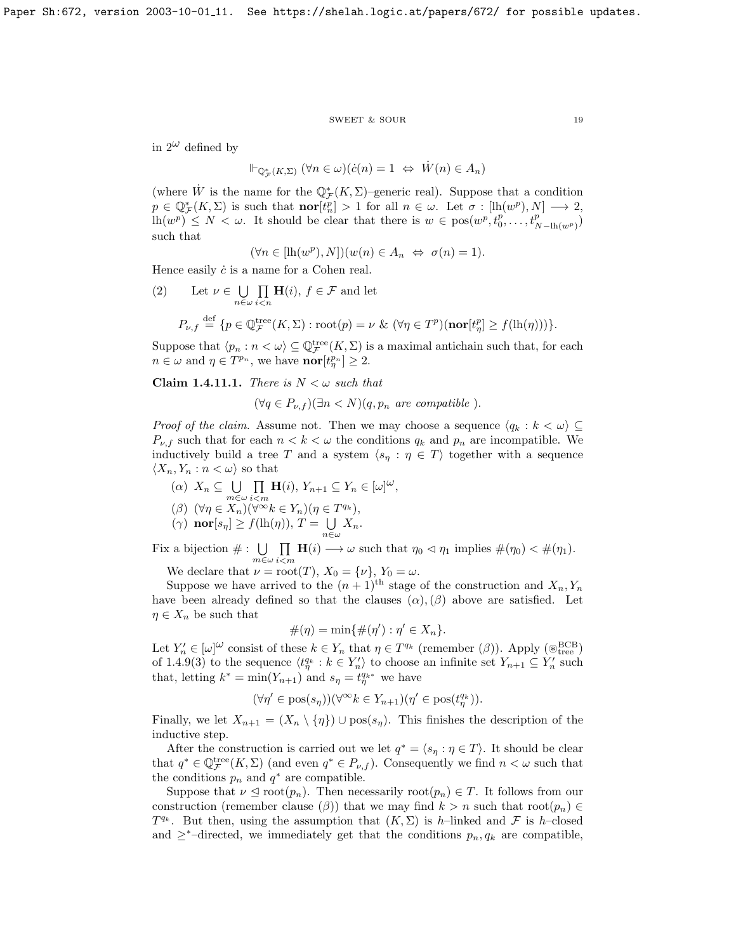#### $\begin{tabular}{ll} \multicolumn{2}{c}{\text{SWEET}} & $\&$ \text{SOUR} \end{tabular} \begin{tabular}{ll} \multicolumn{2}{c}{\text{3.19}}\\ \multicolumn{2}{c}{\text{SWEET}} & $\&$ \text{SOUR} \end{tabular}$

in  $2^{\omega}$  defined by

$$
\Vdash_{\mathbb{Q}^*_{\mathcal{F}}(K,\Sigma)} (\forall n \in \omega)(\dot{c}(n) = 1 \Leftrightarrow \dot{W}(n) \in A_n)
$$

(where  $\dot{W}$  is the name for the  $\mathbb{Q}_{\mathcal{F}}^*(K,\Sigma)$ -generic real). Suppose that a condition  $p \in \mathbb{Q}_{\mathcal{F}}^{*}(K,\Sigma)$  is such that  $\textbf{nor}[t_{n}^{p}] > 1$  for all  $n \in \omega$ . Let  $\sigma : [\text{lh}(w^{p}), N] \longrightarrow 2$ ,  $\text{lh}(w^p) \leq N < \omega$ . It should be clear that there is  $w \in \text{pos}(w^p, t_0^p, \ldots, t_{N-\text{lh}(w^p)}^p)$ such that

$$
(\forall n \in [\mathrm{lh}(w^p), N])(w(n) \in A_n \Leftrightarrow \sigma(n) = 1).
$$

Hence easily  $\dot{c}$  is a name for a Cohen real.

(2) Let  $\nu \in \bigcup$  $n\in\omega$  $\Pi$  $i$  $\lt$ n  $\mathbf{H}(i), f \in \mathcal{F}$  and let  $P_{\nu,f} \stackrel{\text{def}}{=} \{p \in \mathbb{Q}_{\mathcal{F}}^{\text{tree}}(K,\Sigma) : \text{root}(p) = \nu \& (\forall \eta \in T^p)(\textbf{nor}[t^p_\eta] \ge f(\text{lh}(\eta)))\}.$ 

Suppose that  $\langle p_n : n < \omega \rangle \subseteq \mathbb{Q}_{\mathcal{F}}^{\text{tree}}(K, \Sigma)$  is a maximal antichain such that, for each  $n \in \omega$  and  $\eta \in T^{p_n}$ , we have  $\textbf{nor}[t^{p_n}_{\eta}] \geq 2$ .

Claim 1.4.11.1. There is  $N < \omega$  such that

 $(\forall q \in P_{\nu,f})(\exists n < N)(q,p_n$  are compatible).

*Proof of the claim.* Assume not. Then we may choose a sequence  $\langle q_k : k < \omega \rangle \subseteq$  $P_{\nu,f}$  such that for each  $n < k < \omega$  the conditions  $q_k$  and  $p_n$  are incompatible. We inductively build a tree T and a system  $\langle s_\eta : \eta \in T \rangle$  together with a sequence  $\langle X_n, Y_n : n < \omega \rangle$  so that

- $(\alpha)$   $X_n \subseteq \bigcup$  $m \in \omega$  $\Pi$  $\prod_{i \leq m} \mathbf{H}(i), Y_{n+1} \subseteq Y_n \in [\omega]^\omega,$
- ( $\beta$ )  $(\forall \eta \in X_n)(\forall^{\infty} k \in Y_n)(\eta \in T^{q_k}),$
- $(\gamma)$  nor $[s_\eta] \geq f(\text{lh}(\eta)), T = \bigcup$  $\bigcup_{n\in\omega}X_n.$

Fix a bijection  $\# : \bigcup_{m \in \omega}$  $\Pi$  $\prod_{i \leq m} \mathbf{H}(i) \longrightarrow \omega$  such that  $\eta_0 \triangleleft \eta_1$  implies  $\#(\eta_0) \leq \#(\eta_1)$ .

We declare that  $\nu = \text{root}(T)$ ,  $X_0 = {\nu}$ ,  $Y_0 = \omega$ .

Suppose we have arrived to the  $(n+1)$ <sup>th</sup> stage of the construction and  $X_n, Y_n$ have been already defined so that the clauses  $(\alpha)$ ,  $(\beta)$  above are satisfied. Let  $\eta \in X_n$  be such that

$$
\#(\eta) = \min\{\#(\eta') : \eta' \in X_n\}.
$$

Let  $Y'_n \in [\omega]^\omega$  consist of these  $k \in Y_n$  that  $\eta \in T^{q_k}$  (remember  $(\beta)$ ). Apply  $(\circledast_{\text{tree}}^{\text{BCB}})$ of [1.4.9\(](#page-8-1)3) to the sequence  $\langle t_n^{q_k} : k \in Y_n' \rangle$  to choose an infinite set  $Y_{n+1} \subseteq Y_n'$  such that, letting  $k^* = \min(Y_{n+1})$  and  $s_\eta = t_\eta^{q_{k^*}}$  we have

$$
(\forall \eta' \in \text{pos}(s_{\eta}))(\forall^{\infty} k \in Y_{n+1})(\eta' \in \text{pos}(t_{\eta}^{q_k})).
$$

Finally, we let  $X_{n+1} = (X_n \setminus \{\eta\}) \cup \text{pos}(s_n)$ . This finishes the description of the inductive step.

After the construction is carried out we let  $q^* = \langle s_\eta : \eta \in T \rangle$ . It should be clear that  $q^* \in \mathbb{Q}_{\mathcal{F}}^{\text{tree}}(K,\Sigma)$  (and even  $q^* \in P_{\nu,f}$ ). Consequently we find  $n < \omega$  such that the conditions  $p_n$  and  $q^*$  are compatible.

Suppose that  $\nu \leq \text{root}(p_n)$ . Then necessarily  $\text{root}(p_n) \in T$ . It follows from our construction (remember clause  $(\beta)$ ) that we may find  $k > n$  such that root $(p_n) \in$  $T^{q_k}$ . But then, using the assumption that  $(K, \Sigma)$  is h-linked and F is h-closed and  $\geq^*$ –directed, we immediately get that the conditions  $p_n, q_k$  are compatible,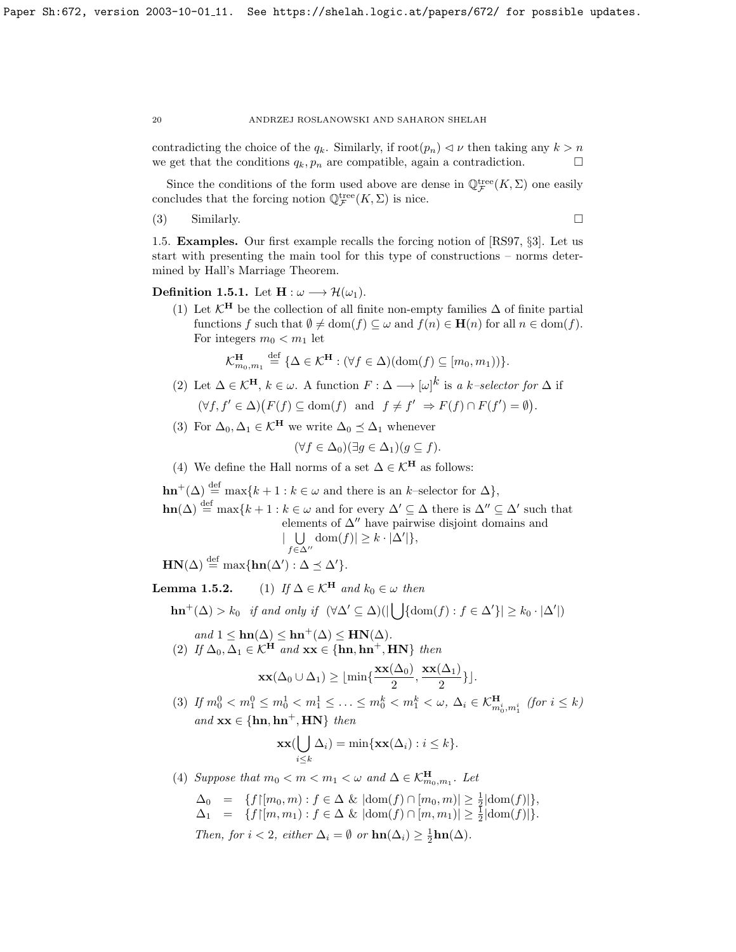contradicting the choice of the  $q_k$ . Similarly, if  $\text{root}(p_n) \lhd \nu$  then taking any  $k > n$ we get that the conditions  $q_k, p_n$  are compatible, again a contradiction.  $\Box$ 

Since the conditions of the form used above are dense in  $\mathbb{Q}^{\text{tree}}_{\mathcal{F}}(K,\Sigma)$  one easily concludes that the forcing notion  $\mathbb{Q}^{\text{tree}}_{\mathcal{F}}(K,\Sigma)$  is nice.

(3) Similarly.

<span id="page-20-0"></span>1.5. Examples. Our first example recalls the forcing notion of [\[RS97,](#page-70-2) §3]. Let us start with presenting the main tool for this type of constructions – norms determined by Hall's Marriage Theorem.

Definition 1.5.1. Let  $H : \omega \longrightarrow \mathcal{H}(\omega_1)$ .

(1) Let  $\mathcal{K}^{\mathbf{H}}$  be the collection of all finite non-empty families  $\Delta$  of finite partial functions f such that  $\emptyset \neq \text{dom}(f) \subseteq \omega$  and  $f(n) \in \mathbf{H}(n)$  for all  $n \in \text{dom}(f)$ . For integers  $m_0 < m_1$  let

$$
\mathcal{K}_{m_0,m_1}^{\mathbf{H}} \stackrel{\text{def}}{=} {\{\Delta \in \mathcal{K}^{\mathbf{H}} : (\forall f \in \Delta)(\text{dom}(f) \subseteq [m_0, m_1))\} }.
$$

- (2) Let  $\Delta \in \mathcal{K}^{\mathbf{H}}, k \in \omega$ . A function  $F : \Delta \longrightarrow |\omega|^{k}$  is a k-selector for  $\Delta$  if  $(\forall f, f' \in \Delta) (F(f) \subseteq \text{dom}(f) \text{ and } f \neq f' \Rightarrow F(f) \cap F(f') = \emptyset).$
- (3) For  $\Delta_0, \Delta_1 \in \mathcal{K}^H$  we write  $\Delta_0 \preceq \Delta_1$  whenever

$$
(\forall f \in \Delta_0)(\exists g \in \Delta_1)(g \subseteq f).
$$

(4) We define the Hall norms of a set  $\Delta \in \mathcal{K}^{\mathbf{H}}$  as follows:

 $\mathbf{hn}^+(\Delta) \stackrel{\text{def}}{=} \max\{k+1 : k \in \omega \text{ and there is an } k\text{-selector for } \Delta\},\$  $\text{hn}(\Delta) \stackrel{\text{def}}{=} \max\{k+1 : k \in \omega \text{ and for every } \Delta' \subseteq \Delta \text{ there is } \Delta'' \subseteq \Delta' \text{ such that }$ elements of  $\Delta$ <sup>*n*</sup> have pairwise disjoint domains and  $\vert \ \ \cup$  $f\in\Delta^{\prime\prime}$  $\text{dom}(f)| \geq k \cdot |\Delta'|$  $HN(\Delta) \stackrel{\text{def}}{=} \max\{\text{hn}(\Delta') : \Delta \preceq \Delta'\}.$ 

**Lemma 1.5.2.** (1) If  $\Delta \in \mathcal{K}^H$  and  $k_0 \in \omega$  then

$$
\mathbf{hn}^+(\Delta) > k_0 \quad \text{if and only if} \quad (\forall \Delta' \subseteq \Delta)(|\bigcup \{\mathrm{dom}(f) : f \in \Delta'\}| \geq k_0 \cdot |\Delta'|)
$$

and  $1 \leq \mathbf{hn}(\Delta) \leq \mathbf{hn}^+(\Delta) \leq \mathbf{HN}(\Delta)$ . (2) If  $\Delta_0, \Delta_1 \in \mathcal{K}^H$  and  $\mathbf{xx} \in \{\mathbf{hn}, \mathbf{hn}^+, \mathbf{HN}\}\)$  then

$$
\mathbf{x}\mathbf{x}(\Delta_0\cup\Delta_1)\geq \lfloor\min\{\frac{\mathbf{x}\mathbf{x}(\Delta_0)}{2},\frac{\mathbf{x}\mathbf{x}(\Delta_1)}{2}\}\rfloor.
$$

(3) If  $m_0^0 < m_1^0 \le m_0^1 < m_1^1 \le \ldots \le m_0^k < m_1^k < \omega$ ,  $\Delta_i \in \mathcal{K}_{m_0^i, m_1^i}^{\mathbf{H}}$  (for  $i \le k$ ) and  $\mathbf{x} \mathbf{x} \in \{\text{hn}, \text{hn}^+, \text{HN}\}\$  then

$$
\mathbf{xx}(\bigcup_{i\leq k}\Delta_i)=\min\{\mathbf{xx}(\Delta_i):i\leq k\}.
$$

- (4) Suppose that  $m_0 < m < m_1 < \omega$  and  $\Delta \in \mathcal{K}_{m_0,m_1}^{\mathbf{H}}$ . Let
	- $\Delta_0 = \{f \mid [m_0, m) : f \in \Delta \& \, |\text{dom}(f) \cap [m_0, m)| \geq \frac{1}{2} |\text{dom}(f)| \},$  $\Delta_1 = \{f | [m, m_1) : f \in \Delta \& \, |dom(f) \cap [m, m_1)| \geq \frac{1}{2} |dom(f)| \}.$ Then, for  $i < 2$ , either  $\Delta_i = \emptyset$  or  $\text{hn}(\Delta_i) \geq \frac{1}{2}\text{hn}(\Delta)$ .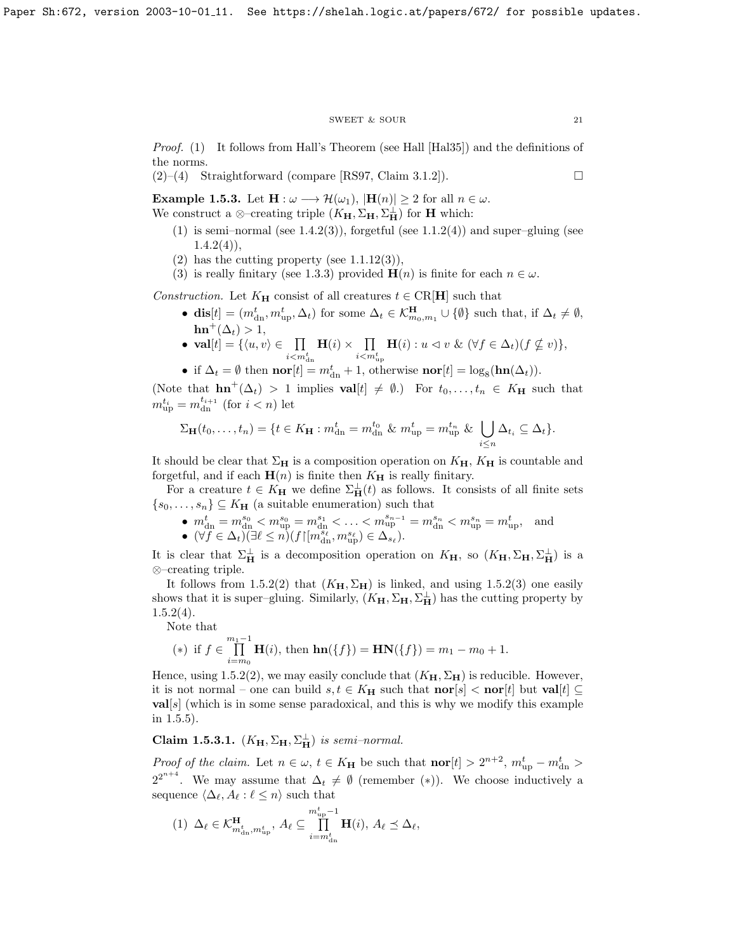#### $\begin{tabular}{ll} \multicolumn{2}{c}{\text{SWEET}} & $\&$ \text{SOUR} \end{tabular} \begin{tabular}{ll} \multicolumn{2}{c}{\text{SWEET}} & $\&$ \multicolumn{2}{c}{\text{SWEET}} & $\&$ \multicolumn{2}{c}{\text{SOWR}} \end{tabular}$

Proof. (1) It follows from Hall's Theorem (see Hall [\[Hal35\]](#page-70-15)) and the definitions of the norms.

 $(2)$ – $(4)$  Straightforward (compare [\[RS97,](#page-70-2) Claim 3.1.2]).

**Example 1.5.3.** Let  $\mathbf{H} : \omega \longrightarrow \mathcal{H}(\omega_1), |\mathbf{H}(n)| \geq 2$  for all  $n \in \omega$ . We construct a ⊗–creating triple  $(K_{\mathbf{H}}, \Sigma_{\mathbf{H}}, \Sigma_{\mathbf{H}}^{\perp})$  for **H** which:

- (1) is semi–normal (see  $1.4.2(3)$ ), forgetful (see  $1.1.2(4)$ ) and super–gluing (see  $1.4.2(4)$  $1.4.2(4)$ ,
- $(2)$  has the cutting property (see 1.1.12 $(3)$ ),
- (3) is really finitary (see [1.3.3\)](#page-6-0) provided  $\mathbf{H}(n)$  is finite for each  $n \in \omega$ .

Construction. Let  $K_{\mathbf{H}}$  consist of all creatures  $t \in \text{CR}[\mathbf{H}]$  such that

- dis $[t] = (m_{\text{dn}}^t, m_{\text{up}}^t, \Delta_t)$  for some  $\Delta_t \in \mathcal{K}_{m_0, m_1}^{\mathbf{H}} \cup \{\emptyset\}$  such that, if  $\Delta_t \neq \emptyset$ ,  $\mathbf{hn}^+(\Delta_t) > 1,$
- val $[t] = \{\langle u, v \rangle \in \Pi$  $i$   $\lt m^t_{\rm dn}$  $H(i) \times$   $\prod$  $i$   $m_{\text{up}}^t$  $\mathbf{H}(i): u \vartriangleleft v \ \& \ (\forall f \in \Delta_t)(f \nsubseteq v) \},\$
- if  $\Delta_t = \emptyset$  then  $\textbf{nor}[t] = m_{dn}^t + 1$ , otherwise  $\textbf{nor}[t] = \log_8(\textbf{hn}(\Delta_t)).$

(Note that  $\text{hn}^+(\Delta_t) > 1$  implies  $\text{val}[t] \neq \emptyset$ .) For  $t_0, \ldots, t_n \in K_\mathbf{H}$  such that  $m_{\text{up}}^{t_i} = m_{\text{dn}}^{t_{i+1}}$  (for  $i < n$ ) let

$$
\Sigma_{\mathbf{H}}(t_0,\ldots,t_n)=\{t\in K_{\mathbf{H}}: m^t_{\rm dn}=m^{t_0}_{\rm dn}~\&~m^{t}_{\rm up}=m^{t_n}_{\rm up}~\&~\bigcup_{i\leq n}\Delta_{t_i}\subseteq\Delta_t\}.
$$

It should be clear that  $\Sigma_H$  is a composition operation on  $K_H$ ,  $K_H$  is countable and forgetful, and if each  $\mathbf{H}(n)$  is finite then  $K_{\mathbf{H}}$  is really finitary.

For a creature  $t \in K_{\mathbf{H}}$  we define  $\Sigma_{\mathbf{H}}^{\perp}(t)$  as follows. It consists of all finite sets  $\{s_0, \ldots, s_n\} \subseteq K_\mathbf{H}$  (a suitable enumeration) such that

•  $m_{\text{dn}}^t = m_{\text{dn}}^{s_0} < m_{\text{up}}^{s_0} = m_{\text{dn}}^{s_1} < \ldots < m_{\text{up}}^{s_{n-1}} = m_{\text{dn}}^{s_n} < m_{\text{up}}^{s_n} = m_{\text{up}}^t$ , and •  $(\forall f \in \Delta_t)(\exists \ell \leq n)(f\upharpoonright[m_{\rm dn}^{s_{\ell}}, m_{\rm up}^{s_{\ell}}) \in \Delta_{s_{\ell}}).$ 

It is clear that  $\Sigma_{\bf H}^{\perp}$  is a decomposition operation on  $K_{\bf H}$ , so  $(K_{\bf H}, \Sigma_{\bf H}, \Sigma_{\bf H}^{\perp})$  is a ⊗–creating triple.

It follows from [1.5.2\(](#page-6-1)2) that  $(K_{\mathbf{H}}, \Sigma_{\mathbf{H}})$  is linked, and using 1.5.2(3) one easily shows that it is super–gluing. Similarly,  $(K_{\mathbf{H}}, \Sigma_{\mathbf{H}}, \Sigma_{\mathbf{H}}^{\perp})$  has the cutting property by  $1.5.2(4)$  $1.5.2(4)$ .

Note that

(\*) if 
$$
f \in \prod_{i=m_0}^{m_1-1} \mathbf{H}(i)
$$
, then  $\mathbf{hn}(\{f\}) = \mathbf{HN}(\{f\}) = m_1 - m_0 + 1$ .

Hence, using [1.5.2\(](#page-6-1)2), we may easily conclude that  $(K_{\mathbf{H}}, \Sigma_{\mathbf{H}})$  is reducible. However, it is not normal – one can build  $s, t \in K_H$  such that  $\mathbf{nor}[s] < \mathbf{nor}[t]$  but  $\mathbf{val}[t] \subseteq$ **val**[s] (which is in some sense paradoxical, and this is why we modify this example in [1.5.5\)](#page-7-3).

# Claim 1.5.3.1.  $(K_{\mathbf{H}}, \Sigma_{\mathbf{H}}, \Sigma_{\mathbf{H}}^{\perp})$  is semi-normal.

*Proof of the claim.* Let  $n \in \omega$ ,  $t \in K_H$  be such that  $\textbf{nor}[t] > 2^{n+2}$ ,  $m_{\text{up}}^t - m_{\text{dn}}^t >$  $2^{2^{n+4}}$ . We may assume that  $\Delta_t \neq \emptyset$  (remember (\*)). We choose inductively a sequence  $\langle \Delta_{\ell}, A_{\ell} : \ell \leq n \rangle$  such that

$$
(1) \ \Delta_\ell \in {\mathcal K}^{\mathbf{H}}_{m^t_{{\rm dn}}, m^t_{{\rm up}}}, \ A_\ell \subseteq \prod_{i=m^t_{{\rm dn}}}^{m^t_{{\rm up}}-1} {\mathbf{H}}(i), \ A_\ell \preceq \Delta_\ell,
$$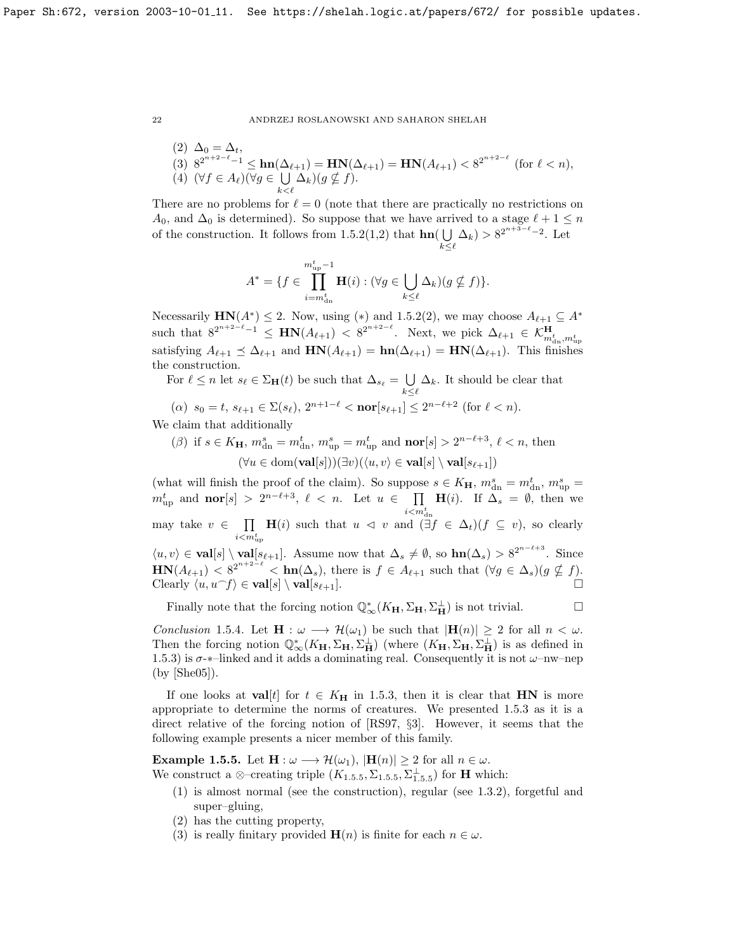$(2)$   $\Delta_0 = \Delta_t$ , (3)  $8^{2^{n+2-\ell}-1} \leq \ln(\Delta_{\ell+1}) = \text{HN}(\Delta_{\ell+1}) = \text{HN}(A_{\ell+1}) < 8^{2^{n+2-\ell}}$  (for  $\ell < n$ ), (4)  $(\forall f \in A_{\ell})(\forall g \in \bigcup$  $\bigcup_{k < \ell} \Delta_k$ )( $g \nsubseteq f$ ).

There are no problems for  $\ell = 0$  (note that there are practically no restrictions on  $A_0$ , and  $\Delta_0$  is determined). So suppose that we have arrived to a stage  $\ell + 1 \leq n$ of the construction. It follows from [1.5.2\(](#page-6-1)1,2) that  $\text{hn}(\bigcup$  $\bigcup_{k\leq \ell} \Delta_k$ ) > 8<sup>2n+3- $\ell$ </sup>-2. Let

$$
A^* = \{ f \in \prod_{i=m_{\text{dn}}^t}^{m_{\text{tp}}^t - 1} \mathbf{H}(i) : (\forall g \in \bigcup_{k \leq \ell} \Delta_k)(g \nsubseteq f) \}.
$$

Necessarily  $HN(A^*) \leq 2$ . Now, using (\*) and [1.5.2\(](#page-6-1)2), we may choose  $A_{\ell+1} \subseteq A^*$ such that  $8^{2^{n+2-\ell}-1} \leq \mathbf{HN}(A_{\ell+1}) < 8^{2^{n+2-\ell}}$ . Next, we pick  $\Delta_{\ell+1} \in \mathcal{K}^{\mathbf{H}}_{m^t_{\text{dn}},m^t_{\text{up}}}$ satisfying  $A_{\ell+1} \preceq \Delta_{\ell+1}$  and  $HN(A_{\ell+1}) = hn(\Delta_{\ell+1}) = HN(\Delta_{\ell+1})$ . This finishes the construction.

For  $\ell \leq n$  let  $s_{\ell} \in \Sigma_{\mathbf{H}}(t)$  be such that  $\Delta_{s_{\ell}} = \bigcup$  $\bigcup_{k\leq \ell} \Delta_k$ . It should be clear that

- (a)  $s_0 = t$ ,  $s_{\ell+1} \in \Sigma(s_{\ell}), 2^{n+1-\ell} < \text{nor}[s_{\ell+1}] \leq 2^{n-\ell+2}$  (for  $\ell < n$ ). We claim that additionally
	- ( $\beta$ ) if  $s \in K_{\mathbf{H}}, m_{\text{dn}}^s = m_{\text{dn}}^t, m_{\text{up}}^s = m_{\text{up}}^t$  and  $\text{nor}[s] > 2^{n-\ell+3}, \ell < n$ , then  $(\forall u \in \text{dom}(\textbf{val}[s]))(\exists v)(\langle u, v \rangle \in \textbf{val}[s] \setminus \textbf{val}[s_{\ell+1}])$

(what will finish the proof of the claim). So suppose  $s \in K_{\mathbf{H}}$ ,  $m_{\text{dn}}^s = m_{\text{dn}}^t$ ,  $m_{\text{up}}^s =$  $m_{\text{up}}^t$  and  $\text{nor}[s] > 2^{n-\ell+3}, \ell < n$ . Let  $u \in \prod$  $i$   $<$   $m_{\text{dn}}^t$  $H(i)$ . If  $\Delta_s = \emptyset$ , then we may take  $v \in \prod$  $i$  $m$ <sup>t</sup><sub>up</sub>  $H(i)$  such that  $u \leq v$  and  $(\exists f \in \Delta_t)(f \subseteq v)$ , so clearly  $\langle u, v \rangle \in \textbf{val}[s] \setminus \textbf{val}[s_{\ell+1}]$ . Assume now that  $\Delta_s \neq \emptyset$ , so  $\textbf{hn}(\Delta_s) > 8^{2^{n-\ell+3}}$ . Since  $\mathbf{HN}(A_{\ell+1}) < 8^{2^{n+2-\ell}} < \mathbf{hn}(\Delta_s)$ , there is  $f \in A_{\ell+1}$  such that  $(\forall g \in \Delta_s)(g \nsubseteq f)$ . Clearly  $\langle u, u^-f \rangle \in \mathbf{val}[s] \setminus \mathbf{val}[s_{\ell+1}].$ 

Finally note that the forcing notion  $\mathbb{Q}^*_{\infty}(K_{\mathbf{H}}, \Sigma_{\mathbf{H}}, \Sigma_{\mathbf{H}}^{\perp})$  is not trivial.

Conclusion 1.5.4. Let  $\mathbf{H} : \omega \longrightarrow \mathcal{H}(\omega_1)$  be such that  $|\mathbf{H}(n)| \geq 2$  for all  $n < \omega$ . Then the forcing notion  $\mathbb{Q}^*_{\infty}(K_{\mathbf{H}}, \Sigma_{\mathbf{H}}, \Sigma_{\mathbf{H}}^{\perp})$  (where  $(K_{\mathbf{H}}, \Sigma_{\mathbf{H}}, \Sigma_{\mathbf{H}}^{\perp})$ ) is as defined in [1.5.3\)](#page-6-0) is  $\sigma$ -\*-linked and it adds a dominating real. Consequently it is not  $\omega$ -nw-nep (by [\[She05\]](#page-70-5)).

If one looks at **val**[t] for  $t \in K_H$  in [1.5.3,](#page-6-0) then it is clear that **HN** is more appropriate to determine the norms of creatures. We presented [1.5.3](#page-6-0) as it is a direct relative of the forcing notion of [\[RS97,](#page-70-2) §3]. However, it seems that the following example presents a nicer member of this family.

**Example 1.5.5.** Let  $\mathbf{H} : \omega \longrightarrow \mathcal{H}(\omega_1), |\mathbf{H}(n)| \geq 2$  for all  $n \in \omega$ . We construct a ⊗–creating triple  $(K_{1.5.5}, \Sigma_{1.5.5}, \Sigma_{1.5.5}^{\perp})$  $(K_{1.5.5}, \Sigma_{1.5.5}, \Sigma_{1.5.5}^{\perp})$  $(K_{1.5.5}, \Sigma_{1.5.5}, \Sigma_{1.5.5}^{\perp})$  for **H** which:

- (1) is almost normal (see the construction), regular (see [1.3.2\)](#page-6-1), forgetful and super–gluing,
- (2) has the cutting property,
- (3) is really finitary provided  $\mathbf{H}(n)$  is finite for each  $n \in \omega$ .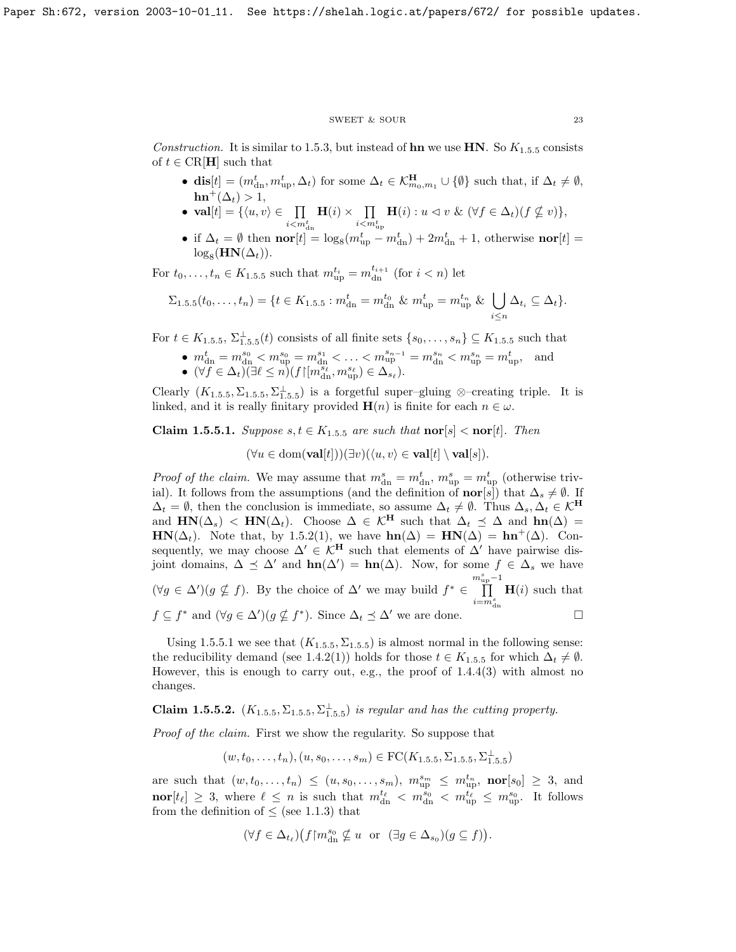#### $\begin{tabular}{lllllll} \textbf{SWEET} \ \& \textbf{SOUR} & \textbf{23} \\ \end{tabular}$

Construction. It is similar to [1.5.3,](#page-6-0) but instead of **hn** we use **HN**. So  $K_{1.5.5}$  $K_{1.5.5}$  $K_{1.5.5}$  consists of  $t \in \text{CR}[\mathbf{H}]$  such that

- dis $[t] = (m_{\text{dn}}^t, m_{\text{up}}^t, \Delta_t)$  for some  $\Delta_t \in \mathcal{K}_{m_0, m_1}^{\mathbf{H}} \cup \{\emptyset\}$  such that, if  $\Delta_t \neq \emptyset$ ,  $\mathbf{hn}^+(\Delta_t) > 1$ ,
- val $[t] = \{\langle u, v \rangle \in \Pi$  $i$   $<$   $m_{\text{dn}}^t$  $H(i) \times$   $\prod$  $i$   $m_{\text{up}}^t$  $\mathbf{H}(i): u \vartriangleleft v \ \& \ (\forall f \in \Delta_t)(f \nsubseteq v) \},\$
- if  $\Delta_t = \emptyset$  then  $\textbf{nor}[t] = \log_8(m_{\text{up}}^t m_{\text{dn}}^t) + 2m_{\text{dn}}^t + 1$ , otherwise  $\textbf{nor}[t] =$  $\log_8(HN(\Delta_t)).$

For  $t_0, \ldots, t_n \in K_{1.5.5}$  $t_0, \ldots, t_n \in K_{1.5.5}$  $t_0, \ldots, t_n \in K_{1.5.5}$  such that  $m_{\text{up}}^{t_i} = m_{\text{dn}}^{t_{i+1}}$  (for  $i < n$ ) let

$$
\Sigma_{1.5.5}(t_0,\ldots,t_n) = \{t \in K_{1.5.5} : m_{\rm dn}^t = m_{\rm dn}^{t_0} \& m_{\rm up}^t = m_{\rm up}^{t_n} \& \bigcup_{i \leq n} \Delta_{t_i} \subseteq \Delta_t\}.
$$

For  $t \in K_{1.5.5}$  $t \in K_{1.5.5}$  $t \in K_{1.5.5}$ ,  $\Sigma_{1.5.5}^{\perp}(t)$  consists of all finite sets  $\{s_0, \ldots, s_n\} \subseteq K_{1.5.5}$  such that

- $m_{\text{dn}}^t = m_{\text{dn}}^{s_0} < m_{\text{up}}^{s_0} = m_{\text{dn}}^{s_1} < \ldots < m_{\text{up}}^{s_{n-1}} = m_{\text{dn}}^{s_n} < m_{\text{up}}^{s_n} = m_{\text{up}}^t$ , and •  $(\forall f \in \Delta_t)(\exists \ell \leq n)(f\upharpoonright[m_{\rm dn}^{s_{\ell}}, m_{\rm up}^{s_{\ell}}) \in \Delta_{s_{\ell}}).$
- Clearly  $(K_{1.5.5}, \Sigma_{1.5.5}, \Sigma_{1.5.5}^{\perp})$  $(K_{1.5.5}, \Sigma_{1.5.5}, \Sigma_{1.5.5}^{\perp})$  $(K_{1.5.5}, \Sigma_{1.5.5}, \Sigma_{1.5.5}^{\perp})$  is a forgetful super–gluing ⊗–creating triple. It is

linked, and it is really finitary provided  $\mathbf{H}(n)$  is finite for each  $n \in \omega$ .

<span id="page-23-0"></span>Claim [1](#page-7-3).5.5.1. Suppose  $s, t \in K_{1.5.5}$  are such that  $\text{nor}[s] < \text{nor}[t]$ . Then

 $(\forall u \in \text{dom}(\textbf{val}[t]))(\exists v)(\langle u, v \rangle \in \textbf{val}[t] \setminus \textbf{val}[s]).$ 

*Proof of the claim.* We may assume that  $m_{dn}^s = m_{dn}^t$ ,  $m_{up}^s = m_{up}^t$  (otherwise trivial). It follows from the assumptions (and the definition of **nor**[s]) that  $\Delta_s \neq \emptyset$ . If  $\Delta_t = \emptyset$ , then the conclusion is immediate, so assume  $\Delta_t \neq \emptyset$ . Thus  $\Delta_s, \Delta_t \in \mathcal{K}^{\mathbf{H}}$ and  $\text{HN}(\Delta_s)$  <  $\text{HN}(\Delta_t)$ . Choose  $\Delta \in \mathcal{K}^{\text{H}}$  such that  $\Delta_t \preceq \Delta$  and  $\text{hn}(\Delta)$  =  $HN(\Delta_t)$ . Note that, by [1.5.2\(](#page-6-1)1), we have  $hn(\Delta) = HN(\Delta) = hn^+(\Delta)$ . Consequently, we may choose  $\Delta' \in \mathcal{K}^H$  such that elements of  $\Delta'$  have pairwise disjoint domains,  $\Delta \preceq \Delta'$  and  $\mathbf{hn}(\Delta') = \mathbf{hn}(\Delta)$ . Now, for some  $f \in \Delta_s$  we have  $(\forall g \in \Delta') (g \nsubseteq f)$ . By the choice of  $\Delta'$  we may build  $f^* \in$  $\prod_{\text{up}}^{-1}$  $i = m_{\rm dn}^s$  $H(i)$  such that  $f \subseteq f^*$  and  $(\forall g \in \Delta') (g \nsubseteq f^*)$ . Since  $\Delta_t \preceq \Delta'$  we are done.

Using [1.5.5.1](#page-23-0) we see that  $(K_{1.5.5}, \Sigma_{1.5.5})$  $(K_{1.5.5}, \Sigma_{1.5.5})$  $(K_{1.5.5}, \Sigma_{1.5.5})$  is almost normal in the following sense: the reducibility demand (see [1.4.2\(](#page-6-1)[1](#page-7-3))) holds for those  $t \in K_{1.5.5}$  for which  $\Delta_t \neq \emptyset$ . However, this is enough to carry out, e.g., the proof of [1.4.4\(](#page-7-0)3) with almost no changes.

**Claim [1](#page-7-3).5.5.2.**  $(K_{1.5.5}, \Sigma_{1.5.5}, \Sigma_{1.5.5}^{\perp})$  is regular and has the cutting property.

Proof of the claim. First we show the regularity. So suppose that

$$
(w, t_0, \ldots, t_n), (u, s_0, \ldots, s_m) \in \text{FC}(K_{1.5.5}, \Sigma_{1.5.5}, \Sigma_{1.5.5}^{\perp})
$$

are such that  $(w, t_0, \ldots, t_n) \le (u, s_0, \ldots, s_m)$ ,  $m_{\text{up}}^{s_m} \le m_{\text{up}}^{t_n}$ ,  $\text{nor}[s_0] \ge 3$ , and  $\textbf{nor}[t_\ell] \geq 3$ , where  $\ell \leq n$  is such that  $m_{dn}^{t_\ell} < m_{dn}^{\hat{s}_0} < m_{up}^{t_\ell} \leq m_{up}^{s_0}$ . It follows from the definition of  $\leq$  (see [1.1.3\)](#page-6-0) that

$$
(\forall f \in \Delta_{t_{\ell}})(f \upharpoonright m_{\text{dn}}^{s_0} \nsubseteq u \quad \text{or} \quad (\exists g \in \Delta_{s_0})(g \subseteq f)).
$$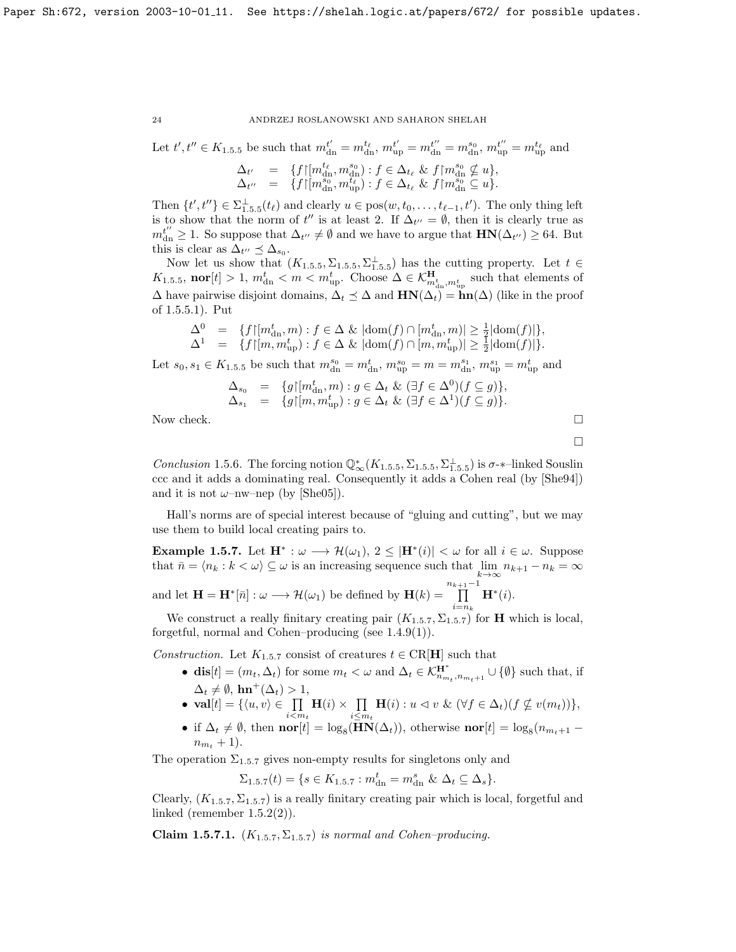Let 
$$
t', t'' \in K_{1.5.5}
$$
 be such that  $m_{dn}^{t'} = m_{dn}^{t_{\ell}}, m_{up}^{t'} = m_{dn}^{t''} = m_{dn}^{s_0}, m_{up}^{t''} = m_{up}^{t_{\ell}}$  and  
\n
$$
\Delta_{t'} = \{f | [m_{dn}^{t_{\ell}}, m_{dn}^{s_0}) : f \in \Delta_{t_{\ell}} \& f | m_{dn}^{s_0} \not\subseteq u \},\newline \Delta_{t''} = \{f | [m_{dn}^{s_0}, m_{up}^{t_{\ell}}) : f \in \Delta_{t_{\ell}} \& f | m_{dn}^{s_0} \subseteq u \}.
$$

Then  $\{t', t''\} \in \Sigma_{1.5.5}^{\perp}(t_\ell)$  $\{t', t''\} \in \Sigma_{1.5.5}^{\perp}(t_\ell)$  $\{t', t''\} \in \Sigma_{1.5.5}^{\perp}(t_\ell)$  and clearly  $u \in \text{pos}(w, t_0, \ldots, t_{\ell-1}, t')$ . The only thing left is to show that the norm of  $t''$  is at least 2. If  $\Delta_{t''} = \emptyset$ , then it is clearly true as  $m_{\text{dn}}^{t''} \geq 1$ . So suppose that  $\Delta_{t''} \neq \emptyset$  and we have to argue that  $\text{HN}(\Delta_{t''}) \geq 64$ . But this is clear as  $\Delta_{t''} \preceq \Delta_{s_0}$ .

Now let us show that  $(K_{1.5.5}, \Sigma_{1.5.5}, \Sigma_{1.5.5}^{\perp})$  $(K_{1.5.5}, \Sigma_{1.5.5}, \Sigma_{1.5.5}^{\perp})$  $(K_{1.5.5}, \Sigma_{1.5.5}, \Sigma_{1.5.5}^{\perp})$  has the cutting property. Let  $t \in$  $K_{1.5.5}$  $K_{1.5.5}$  $K_{1.5.5}$ , nor  $[t] > 1$ ,  $m_{dn}^t < m < m_{up}^t$ . Choose  $\Delta \in \mathcal{K}_{m_{dn}^t, m_{up}^t}^{\mathbf{H}}$  such that elements of  $\Delta$  have pairwise disjoint domains,  $\Delta_t \preceq \Delta$  and  $\mathbf{HN}(\Delta_t) = \mathbf{hn}(\Delta)$  (like in the proof of [1.5.5.1\)](#page-23-0). Put

$$
\begin{array}{lll} \Delta^0&=&\{f\vert[m^t_{{\rm dn}},m):f\in\Delta~\&~\vert{\rm dom}(f)\cap[m^t_{{\rm dn}},m)\vert\geq\frac{1}{2}\vert{\rm dom}(f)\vert\},\\ \Delta^1&=&\{f\vert[m,m^t_{{\rm up}}):f\in\Delta~\&~\vert{\rm dom}(f)\cap[m,m^t_{{\rm up}})\vert\geq\frac{1}{2}\vert{\rm dom}(f)\vert\}. \end{array}
$$

Let  $s_0, s_1 \in K_{1.5,5}$  $s_0, s_1 \in K_{1.5,5}$  $s_0, s_1 \in K_{1.5,5}$  be such that  $m_{dn}^{s_0} = m_{dn}^t, m_{up}^{s_0} = m = m_{dn}^{s_1}, m_{up}^{s_1} = m_{up}^t$  and

$$
\Delta_{s_0} = \{ g \mid [m_{\text{dn}}^t, m) : g \in \Delta_t \& (\exists f \in \Delta^0)(f \subseteq g) \},
$$
  
\n
$$
\Delta_{s_1} = \{ g \mid [m, m_{\text{up}}^t) : g \in \Delta_t \& (\exists f \in \Delta^1)(f \subseteq g) \}.
$$
  
\nNow check.

 $\Box$ 

Conclusion [1](#page-7-3).5.6. The forcing notion  $\mathbb{Q}_{\infty}^*(K_{1.5.5}, \Sigma_{1.5.5}, \Sigma_{1.5.5}^{\perp})$  is  $\sigma$ - $\ast$ -linked Souslin ccc and it adds a dominating real. Consequently it adds a Cohen real (by [\[She94\]](#page-70-9)) and it is not  $\omega$ -nw-nep (by [\[She05\]](#page-70-5)).

Hall's norms are of special interest because of "gluing and cutting", but we may use them to build local creating pairs to.

**Example 1.5.7.** Let  $\mathbf{H}^* : \omega \longrightarrow \mathcal{H}(\omega_1), 2 \leq |\mathbf{H}^*(i)| < \omega$  for all  $i \in \omega$ . Suppose that  $\bar{n} = \langle n_k : k \langle \omega \rangle \subseteq \omega$  is an increasing sequence such that  $\lim_{k \to \infty} n_{k+1} - n_k = \infty$ 

and let  $\mathbf{H} = \mathbf{H}^*[\bar{n}] : \omega \longrightarrow \mathcal{H}(\omega_1)$  be defined by  $\mathbf{H}(k) =$  $\prod^{n_{k+1}-1}$  $i=n_k$  $\mathbf{H}^*(i)$ .

We construct a really finitary creating pair  $(K_{1.5.7}, \Sigma_{1.5.7})$  $(K_{1.5.7}, \Sigma_{1.5.7})$  $(K_{1.5.7}, \Sigma_{1.5.7})$  for **H** which is local, forgetful, normal and Cohen–producing (see [1.4.9\(](#page-8-1)1)).

Construction. Let  $K_{1.5.7}$  $K_{1.5.7}$  $K_{1.5.7}$  consist of creatures  $t \in \text{CR}[\mathbf{H}]$  such that

- dis $[t] = (m_t, \Delta_t)$  for some  $m_t < \omega$  and  $\Delta_t \in \mathcal{K}_{n_{m_t}, n_{m_t+1}}^{\mathbf{H}^*} \cup \{\emptyset\}$  such that, if  $\Delta_t \neq \emptyset$ , hn<sup>+</sup>( $\Delta_t$ ) > 1,
- $\mathbf{val}[t] = \{\langle u, v \rangle \in \prod$  $i < m_t$  $\mathbf{H}(i) \times \prod$  $\prod_{i\leq m_t} \mathbf{H}(i) : u \vartriangleleft v \ \& \ (\forall f \in \Delta_t) (f \nsubseteq v(m_t)) \},$
- if  $\Delta_t \neq \emptyset$ , then  $\textbf{nor}[t] = \log_8(\textbf{HN}(\Delta_t))$ , otherwise  $\textbf{nor}[t] = \log_8(n_{m_t+1} t)$  $n_{m_t} + 1$ .

The operation  $\Sigma_{1.5.7}$  $\Sigma_{1.5.7}$  $\Sigma_{1.5.7}$  gives non-empty results for singletons only and

$$
\Sigma_{1.5.7}(t) = \{ s \in K_{1.5.7} : m_{\rm dn}^t = m_{\rm dn}^s \& \Delta_t \subseteq \Delta_s \}.
$$

Clearly,  $(K_{1.5.7}, \Sigma_{1.5.7})$  $(K_{1.5.7}, \Sigma_{1.5.7})$  $(K_{1.5.7}, \Sigma_{1.5.7})$  is a really finitary creating pair which is local, forgetful and linked (remember  $1.5.2(2)$ ).

Claim [1](#page-7-2).5.7.1.  $(K_{1.5.7}, \Sigma_{1.5.7})$  is normal and Cohen–producing.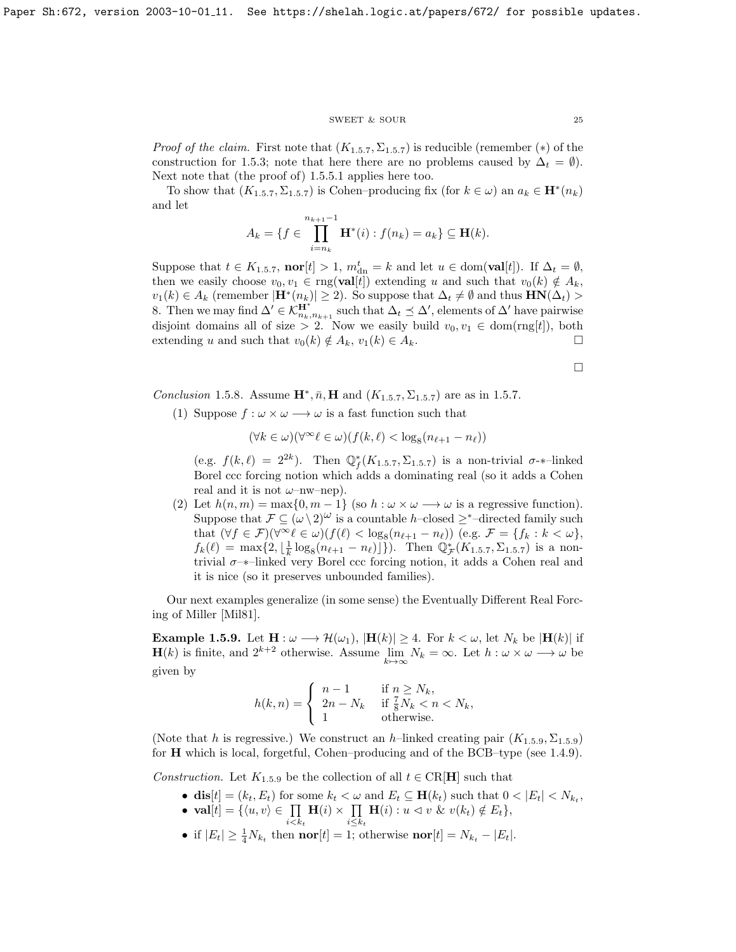#### SWEET & SOUR 25

*Proof of the claim.* First note that  $(K_{1.5.7}, \Sigma_{1.5.7})$  $(K_{1.5.7}, \Sigma_{1.5.7})$  $(K_{1.5.7}, \Sigma_{1.5.7})$  is reducible (remember (\*) of the construction for [1.5.3;](#page-6-0) note that here there are no problems caused by  $\Delta_t = \emptyset$ . Next note that (the proof of) [1.5.5.1](#page-23-0) applies here too.

To show that  $(K_{1.5.7}, \Sigma_{1.5.7})$  $(K_{1.5.7}, \Sigma_{1.5.7})$  $(K_{1.5.7}, \Sigma_{1.5.7})$  is Cohen-producing fix (for  $k \in \omega$ ) an  $a_k \in \mathbf{H}^*(n_k)$ and let

$$
A_k = \{ f \in \prod_{i=n_k}^{n_{k+1}-1} \mathbf{H}^*(i) : f(n_k) = a_k \} \subseteq \mathbf{H}(k).
$$

Suppose that  $t \in K_{1.5.7}$  $t \in K_{1.5.7}$  $t \in K_{1.5.7}$ ,  $\textbf{nor}[t] > 1$ ,  $m_{dn}^t = k$  and let  $u \in \text{dom}(\textbf{val}[t])$ . If  $\Delta_t = \emptyset$ , then we easily choose  $v_0, v_1 \in \text{rng}(\textbf{val}[t])$  extending u and such that  $v_0(k) \notin A_k$ ,  $v_1(k) \in A_k$  (remember  $|\mathbf{H}^*(n_k)| \geq 2$ ). So suppose that  $\Delta_t \neq \emptyset$  and thus  $\mathbf{HN}(\Delta_t) >$ 8. Then we may find  $\Delta' \in \mathcal{K}_{n_k,n_{k+1}}^{\mathbf{H}^*}$  such that  $\Delta_t \preceq \Delta'$ , elements of  $\Delta'$  have pairwise disjoint domains all of size > 2. Now we easily build  $v_0, v_1 \in \text{dom}(rng[t])$ , both extending u and such that  $v_0(k) \notin A_k$ ,  $v_1(k) \in A_k$ .

 $\Box$ 

Conclusion [1](#page-7-2).5.8. Assume  $\mathbf{H}^*, \bar{n}, \mathbf{H}$  and  $(K_{1.5.7}, \Sigma_{1.5.7})$  are as in [1.5.7.](#page-7-2)

(1) Suppose  $f : \omega \times \omega \longrightarrow \omega$  is a fast function such that

$$
(\forall k \in \omega)(\forall^\infty \ell \in \omega)(f(k,\ell) < \log_8(n_{\ell+1} - n_\ell))
$$

(e.g.  $f(k, \ell) = 2^{2k}$ ). Then  $\mathbb{Q}_f^*(K_{1.5.7}, \Sigma_{1.5.7})$  $\mathbb{Q}_f^*(K_{1.5.7}, \Sigma_{1.5.7})$  $\mathbb{Q}_f^*(K_{1.5.7}, \Sigma_{1.5.7})$  is a non-trivial  $\sigma$ -\*-linked Borel ccc forcing notion which adds a dominating real (so it adds a Cohen real and it is not  $\omega$ -nw-nep).

(2) Let  $h(n,m) = \max\{0, m-1\}$  (so  $h : \omega \times \omega \longrightarrow \omega$  is a regressive function). Suppose that  $\mathcal{F} \subseteq (\omega \setminus 2)^{\omega}$  is a countable h–closed  $\geq^*$ –directed family such that  $(\forall f \in \mathcal{F})(\forall^{\infty}\ell \in \omega)(f(\ell) < \log_8(n_{\ell+1} - n_{\ell}))$  (e.g.  $\mathcal{F} = \{f_k : k < \omega\},\$  $f_k(\ell) = \max\{2, \lfloor\frac{1}{k}\log_8(n_{\ell+1} - n_{\ell})\rfloor\})$  $f_k(\ell) = \max\{2, \lfloor\frac{1}{k}\log_8(n_{\ell+1} - n_{\ell})\rfloor\})$  $f_k(\ell) = \max\{2, \lfloor\frac{1}{k}\log_8(n_{\ell+1} - n_{\ell})\rfloor\})$ . Then  $\mathbb{Q}_{\mathcal{F}}^*(K_{1.5.7}, \Sigma_{1.5.7})$  is a nontrivial  $\sigma$ – $*$ –linked very Borel ccc forcing notion, it adds a Cohen real and it is nice (so it preserves unbounded families).

Our next examples generalize (in some sense) the Eventually Different Real Forcing of Miller [\[Mil81\]](#page-70-13).

**Example 1.5.9.** Let  $\mathbf{H} : \omega \longrightarrow \mathcal{H}(\omega_1), |\mathbf{H}(k)| \geq 4$ . For  $k < \omega$ , let  $N_k$  be  $|\mathbf{H}(k)|$  if  $\mathbf{H}(k)$  is finite, and  $2^{k+2}$  otherwise. Assume  $\lim_{k\to\infty} N_k = \infty$ . Let  $h : \omega \times \omega \longrightarrow \omega$  be given by

$$
h(k,n) = \begin{cases} n-1 & \text{if } n \ge N_k, \\ 2n - N_k & \text{if } \frac{7}{8}N_k < n < N_k, \\ 1 & \text{otherwise.} \end{cases}
$$

(Note that h is regressive.) We construct an h–linked creating pair  $(K_{1.5.9}, \Sigma_{1.5.9})$  $(K_{1.5.9}, \Sigma_{1.5.9})$  $(K_{1.5.9}, \Sigma_{1.5.9})$ for H which is local, forgetful, Cohen–producing and of the BCB–type (see [1.4.9\)](#page-8-1).

Construction. Let  $K_{1,5,9}$  $K_{1,5,9}$  $K_{1,5,9}$  be the collection of all  $t \in \text{CR}[\mathbf{H}]$  such that

- dis $[t] = (k_t, E_t)$  for some  $k_t < \omega$  and  $E_t \subseteq \mathbf{H}(k_t)$  such that  $0 < |E_t| < N_{k_t}$ ,
- val $[t] = \{\langle u, v \rangle \in \prod$  $i < k_t$  $H(i) \times \prod$  $i \leq k_t$  $\mathbf{H}(i): u \vartriangleleft v \& v(k_t) \notin E_t \},\$
- if  $|E_t| \geq \frac{1}{4} N_{k_t}$  then **nor**[t] = 1; otherwise **nor**[t] =  $N_{k_t} |E_t|$ .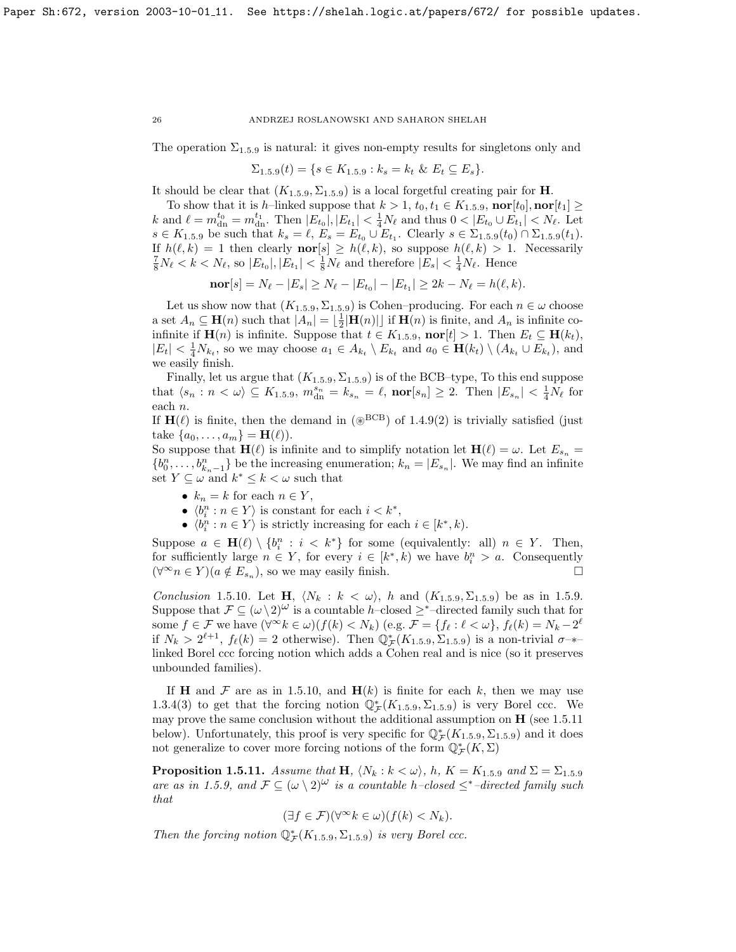The operation  $\Sigma_{1,5,9}$  $\Sigma_{1,5,9}$  $\Sigma_{1,5,9}$  is natural: it gives non-empty results for singletons only and

$$
\Sigma_{1.5.9}(t) = \{ s \in K_{1.5.9} : k_s = k_t \& E_t \subseteq E_s \}.
$$

It should be clear that  $(K_{1.5.9}, \Sigma_{1.5.9})$  $(K_{1.5.9}, \Sigma_{1.5.9})$  $(K_{1.5.9}, \Sigma_{1.5.9})$  is a local forgetful creating pair for **H**.

To show that it is h–linked suppose that  $k > 1$  $k > 1$ ,  $t_0, t_1 \in K_{1,5,9}$ ,  $\textbf{nor}[t_0]$ ,  $\textbf{nor}[t_1] \geq$ k and  $\ell = m_{\rm dn}^{t_0} = m_{\rm dn}^{t_1}$ . Then  $|E_{t_0}|, |E_{t_1}| < \frac{1}{4}N_{\ell}$  and thus  $0 < |E_{t_0} \cup E_{t_1}| < N_{\ell}$ . Let  $s \in K_{1.5.9}$  $s \in K_{1.5.9}$  $s \in K_{1.5.9}$  be such that  $k_s = \ell, E_s = E_{t_0} \cup E_{t_1}$ . Clearly  $s \in \Sigma_{1.5.9}(t_0) \cap \Sigma_{1.5.9}(t_1)$ . If  $h(\ell, k) = 1$  then clearly  $\mathbf{nor}[s] \ge h(\ell, k)$ , so suppose  $h(\ell, k) > 1$ . Necessarily  $\frac{7}{8}N_{\ell} < k < N_{\ell}$ , so  $|E_{t_0}|, |E_{t_1}| < \frac{1}{8}N_{\ell}$  and therefore  $|E_s| < \frac{1}{4}N_{\ell}$ . Hence

$$
\mathbf{nor}[s] = N_{\ell} - |E_s| \ge N_{\ell} - |E_{t_0}| - |E_{t_1}| \ge 2k - N_{\ell} = h(\ell, k).
$$

Let us show now that  $(K_{1.5.9}, \Sigma_{1.5.9})$  $(K_{1.5.9}, \Sigma_{1.5.9})$  $(K_{1.5.9}, \Sigma_{1.5.9})$  is Cohen–producing. For each  $n \in \omega$  choose a set  $A_n \subseteq \mathbf{H}(n)$  such that  $|A_n| = \lfloor \frac{1}{2} |\mathbf{H}(n)| \rfloor$  if  $\mathbf{H}(n)$  is finite, and  $A_n$  is infinite coinfinite if  $\mathbf{H}(n)$  is infinite. Suppose that  $t \in K_{1.5.9}$  $t \in K_{1.5.9}$  $t \in K_{1.5.9}$ , nor $[t] > 1$ . Then  $E_t \subseteq \mathbf{H}(k_t)$ ,  $|E_t| < \frac{1}{4}N_{k_t}$ , so we may choose  $a_1 \in A_{k_t} \setminus E_{k_t}$  and  $a_0 \in \mathbf{H}(k_t) \setminus (A_{k_t} \cup E_{k_t})$ , and we easily finish.

Finally, let us argue that  $(K_{1.5.9}, \Sigma_{1.5.9})$  $(K_{1.5.9}, \Sigma_{1.5.9})$  $(K_{1.5.9}, \Sigma_{1.5.9})$  is of the BCB–type, To this end suppose that  $\langle s_n : n \langle \omega \rangle \subseteq K_{1,5,9}, m_{\text{dn}}^{s_n} = k_{s_n} = \ell, \text{ nor}[s_n] \geq 2.$  $\langle s_n : n \langle \omega \rangle \subseteq K_{1,5,9}, m_{\text{dn}}^{s_n} = k_{s_n} = \ell, \text{ nor}[s_n] \geq 2.$  $\langle s_n : n \langle \omega \rangle \subseteq K_{1,5,9}, m_{\text{dn}}^{s_n} = k_{s_n} = \ell, \text{ nor}[s_n] \geq 2.$  Then  $|E_{s_n}| < \frac{1}{4}N_{\ell}$  for each n.

If  $H(\ell)$  is finite, then the demand in ( $\mathscr{B}^{\text{BCB}}$ ) of [1.4.9\(](#page-8-1)2) is trivially satisfied (just take  $\{a_0, ..., a_m\} = H(\ell)$ .

So suppose that  $\mathbf{H}(\ell)$  is infinite and to simplify notation let  $\mathbf{H}(\ell) = \omega$ . Let  $E_{s_n} =$  ${b_0^n, \ldots, b_{k_n-1}^n}$  be the increasing enumeration;  $k_n = |E_{s_n}|$ . We may find an infinite set  $Y \subseteq \omega$  and  $k^* \leq k < \omega$  such that

- $k_n = k$  for each  $n \in Y$ ,
- $\langle b_i^n : n \in Y \rangle$  is constant for each  $i < k^*$ ,
- $\langle b_i^n : n \in Y \rangle$  is strictly increasing for each  $i \in [k^*, k)$ .

Suppose  $a \in \mathbf{H}(\ell) \setminus \{b_i^n : i < k^*\}\$ for some (equivalently: all)  $n \in Y$ . Then, for sufficiently large  $n \in Y$ , for every  $i \in [k^*, k)$  we have  $b_i^n > a$ . Consequently  $(\forall^{\infty} n \in Y)(a \notin E_{s_n}),$  so we may easily finish.

Conclusion [1](#page-8-1).5.10. Let H,  $\langle N_k : k \langle \omega \rangle$ , h and  $(K_{1.5.9}, \Sigma_{1.5.9})$  be as in [1.5.9.](#page-8-1) Suppose that  $\mathcal{F} \subseteq (\omega \setminus 2)^{\omega}$  is a countable h–closed  $\geq^*$ –directed family such that for some  $f \in \mathcal{F}$  we have  $(\forall^{\infty} k \in \omega)(f(k) < N_k)$  (e.g.  $\mathcal{F} = \{f_\ell : \ell < \omega\}, f_\ell(k) = N_k - 2^{\ell}$ if  $N_k > 2^{\ell+1}$  $N_k > 2^{\ell+1}$  $N_k > 2^{\ell+1}$ ,  $f_{\ell}(k) = 2$  otherwise). Then  $\mathbb{Q}_{\mathcal{F}}^*(K_{1,5,9}, \Sigma_{1,5,9})$  is a non-trivial  $\sigma$ -\* linked Borel ccc forcing notion which adds a Cohen real and is nice (so it preserves unbounded families).

If **H** and  $\mathcal F$  are as in [1.5.10,](#page-8-3) and  $\mathbf{H}(k)$  is finite for each k, then we may use [1.3.4\(](#page-7-0)3) to get that the forcing notion  $\mathbb{Q}_{\mathcal{F}}^*(K_{1.5.9}, \Sigma_{1.5.9})$  $\mathbb{Q}_{\mathcal{F}}^*(K_{1.5.9}, \Sigma_{1.5.9})$  $\mathbb{Q}_{\mathcal{F}}^*(K_{1.5.9}, \Sigma_{1.5.9})$  is very Borel ccc. We may prove the same conclusion without the additional assumption on  $\bf{H}$  (see [1.5.11](#page-8-0)) below). Unfortunately, this proof is very specific for  $\mathbb{Q}_{\mathcal{F}}^*(K_{1.5.9}, \Sigma_{1.5.9})$  $\mathbb{Q}_{\mathcal{F}}^*(K_{1.5.9}, \Sigma_{1.5.9})$  $\mathbb{Q}_{\mathcal{F}}^*(K_{1.5.9}, \Sigma_{1.5.9})$  and it does not generalize to cover more forcing notions of the form  $\overline{\mathbb{Q}^*_\mathcal{F}}(K,\Sigma)$ 

**Proposition [1](#page-8-1).5.11.** Assume that **H**,  $\langle N_k : k \langle \omega \rangle$ , h,  $K = K_{1.5.9}$  and  $\Sigma = \Sigma_{1.5.9}$ are as in [1.5.9,](#page-8-1) and  $\mathcal{F} \subseteq (\omega \setminus 2)^{\omega}$  is a countable h–closed  $\leq^*$ –directed family such that

$$
(\exists f \in \mathcal{F})(\forall^{\infty} k \in \omega)(f(k) < N_k).
$$

Then the forcing notion  $\mathbb{Q}_{\mathcal{F}}^*(K_{1.5.9}, \Sigma_{1.5.9})$  $\mathbb{Q}_{\mathcal{F}}^*(K_{1.5.9}, \Sigma_{1.5.9})$  $\mathbb{Q}_{\mathcal{F}}^*(K_{1.5.9}, \Sigma_{1.5.9})$  is very Borel ccc.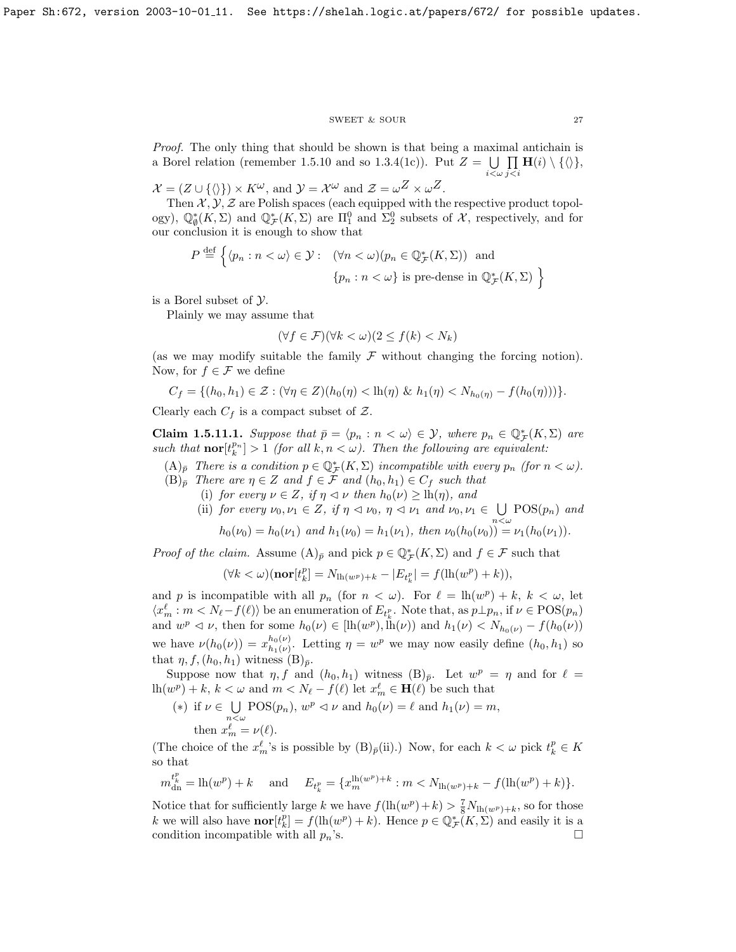### $\begin{tabular}{ll} \multicolumn{2}{c}{\text{SWEET}} & $\&$ \text{SOUR} \end{tabular} \begin{tabular}{ll} \multicolumn{2}{c}{\text{SWEET}} & $\&$ \multicolumn{2}{c}{\text{SOWR}} \end{tabular}$

Proof. The only thing that should be shown is that being a maximal antichain is a Borel relation (remember [1.5.10](#page-8-3) and so [1.3.4\(](#page-7-0)1c)). Put  $Z = \bigcup \prod \mathbf{H}(i) \setminus \{\langle\}\},\$  $i<\omega$  $j < i$ 

 $\mathcal{X} = (Z \cup \{\langle \rangle\}) \times K^{\omega}$ , and  $\mathcal{Y} = \mathcal{X}^{\omega}$  and  $\mathcal{Z} = \omega^Z \times \omega^Z$ .

Then  $\mathcal{X}, \mathcal{Y}, \mathcal{Z}$  are Polish spaces (each equipped with the respective product topology),  $\mathbb{Q}_{\emptyset}^*(K,\Sigma)$  and  $\mathbb{Q}_{\mathcal{F}}^*(K,\Sigma)$  are  $\Pi_1^0$  and  $\Sigma_2^0$  subsets of X, respectively, and for our conclusion it is enough to show that

$$
P \stackrel{\text{def}}{=} \left\{ \langle p_n : n < \omega \rangle \in \mathcal{Y} : \quad (\forall n < \omega)(p_n \in \mathbb{Q}_{\mathcal{F}}^*(K, \Sigma)) \text{ and } \right\}
$$
\n
$$
\{p_n : n < \omega\} \text{ is pre-dense in } \mathbb{Q}_{\mathcal{F}}^*(K, \Sigma) \right\}
$$

is a Borel subset of Y.

Plainly we may assume that

$$
(\forall f \in \mathcal{F})(\forall k < \omega)(2 \le f(k) < N_k)
$$

(as we may modify suitable the family  $\mathcal F$  without changing the forcing notion). Now, for  $f \in \mathcal{F}$  we define

$$
C_f = \{ (h_0, h_1) \in \mathcal{Z} : (\forall \eta \in Z) (h_0(\eta) < \text{lh}(\eta) \& h_1(\eta) < N_{h_0(\eta)} - f(h_0(\eta))) \}.
$$

Clearly each  $C_f$  is a compact subset of  $\mathcal{Z}$ .

<span id="page-27-0"></span>**Claim 1.5.11.1.** Suppose that  $\bar{p} = \langle p_n : n \langle \omega \rangle \in \mathcal{Y}$ , where  $p_n \in \mathbb{Q}_{\mathcal{F}}^*(K, \Sigma)$  are such that  $\textbf{nor}[t_k^{p_n}] > 1$  (for all  $k, n < \omega$ ). Then the following are equivalent:

- $(A)_{\bar{p}}$  There is a condition  $p \in \mathbb{Q}_{\mathcal{F}}^*(K,\Sigma)$  incompatible with every  $p_n$  (for  $n < \omega$ ).  $(B)_{\bar{p}}$  There are  $\eta \in Z$  and  $f \in \mathcal{F}$  and  $(h_0, h_1) \in C_f$  such that
	- (i) for every  $\nu \in Z$ , if  $\eta \lhd \nu$  then  $h_0(\nu) \geq \mathrm{lh}(\eta)$ , and
	- (ii) for every  $\nu_0, \nu_1 \in Z$ , if  $\eta \triangleleft \nu_0, \eta \triangleleft \nu_1$  and  $\nu_0, \nu_1 \in \bigcup$  $\bigcup_{n<\omega}$  POS $(p_n)$  and  $h_0(\nu_0) = h_0(\nu_1)$  and  $h_1(\nu_0) = h_1(\nu_1)$ , then  $\nu_0(h_0(\nu_0)) = \nu_1(h_0(\nu_1))$ .

*Proof of the claim.* Assume  $(A)_{\bar{p}}$  and pick  $p \in \mathbb{Q}_{\mathcal{F}}^*(K,\Sigma)$  and  $f \in \mathcal{F}$  such that

$$
(\forall k < \omega)(\textbf{nor}[t_k^p] = N_{\text{lh}(w^p)+k} - |E_{t_k^p}| = f(\text{lh}(w^p)+k)),
$$

and p is incompatible with all  $p_n$  (for  $n < \omega$ ). For  $\ell = \ln(w^p) + k, k < \omega$ , let  $\langle x_m^{\ell} : m < N_{\ell} - f(\ell) \rangle$  be an enumeration of  $E_{t_k^p}$ . Note that, as  $p \perp p_n$ , if  $\nu \in \text{POS}(p_n)$ and  $w^p \leq v$ , then for some  $h_0(v) \in [\ln(w^p), \ln(v))$  and  $h_1(v) \leq N_{h_0(v)} - f(h_0(v))$ we have  $\nu(h_0(\nu)) = x_{h_1(\nu)}^{h_0(\nu)}$  $h_0(\nu)$ . Letting  $\eta = w^p$  we may now easily define  $(h_0, h_1)$  so that  $\eta, f, (h_0, h_1)$  witness  $(B)_{\bar{p}}$ .

Suppose now that  $\eta$ , f and  $(h_0, h_1)$  witness  $(B)_{\bar{p}}$ . Let  $w^p = \eta$  and for  $\ell =$  $\ln(w^p) + k, k < \omega$  and  $m < N_{\ell} - f(\ell)$  let  $x_m^{\ell} \in \mathbf{H}(\ell)$  be such that

(\*) if  $\nu \in \bigcup$  $\bigcup_{n<\omega}$  POS( $p_n$ ),  $w^p \lhd \nu$  and  $h_0(\nu) = \ell$  and  $h_1(\nu) = m$ , then  $x_m^{\ell} = \nu(\ell)$ .

(The choice of the  $x_m^{\ell}$ 's is possible by  $(B)_{\bar{p}}(ii)$ .) Now, for each  $k < \omega$  pick  $t_k^p \in K$ so that

$$
m_{\text{dn}}^{t_k^p} = \text{lh}(w^p) + k \quad \text{ and } \quad E_{t_k^p} = \{x_m^{\text{lh}(w^p) + k} : m < N_{\text{lh}(w^p) + k} - f(\text{lh}(w^p) + k)\}.
$$

Notice that for sufficiently large k we have  $f(\ln(w^p) + k) > \frac{7}{8}N_{\ln(w^p) + k}$ , so for those k we will also have  $\textbf{nor}[t_k^p] = f(\text{lh}(w^p) + k)$ . Hence  $p \in \mathbb{Q}_{\mathcal{F}}^*(K, \Sigma)$  and easily it is a condition incompatible with all  $p_n$ 's.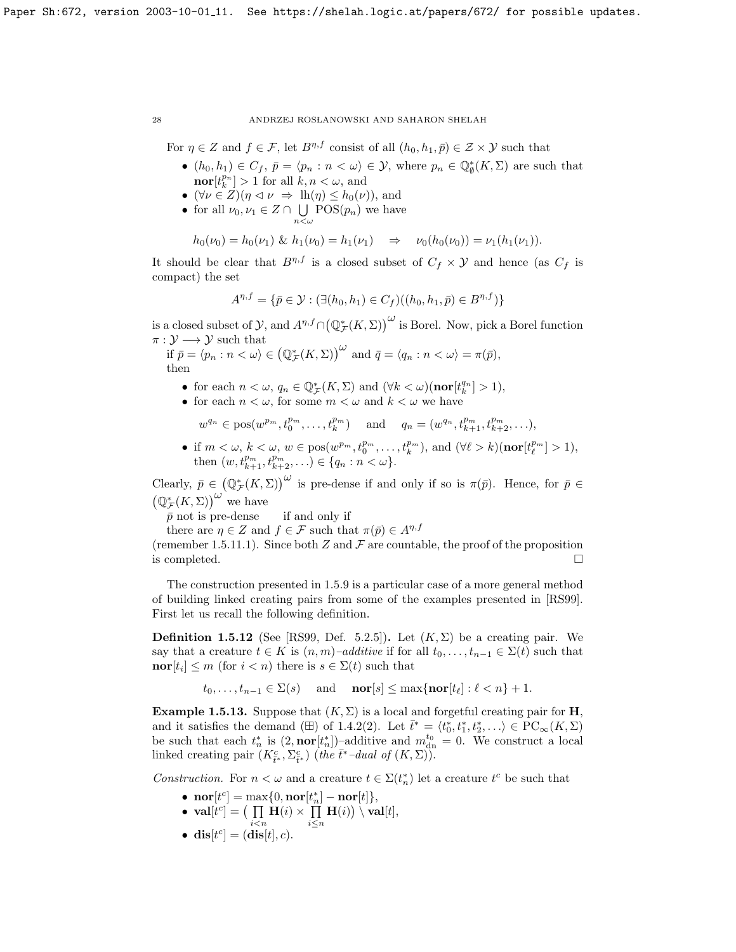For  $\eta \in Z$  and  $f \in \mathcal{F}$ , let  $B^{\eta,f}$  consist of all  $(h_0, h_1, \bar{p}) \in \mathcal{Z} \times \mathcal{Y}$  such that

- $(h_0, h_1) \in C_f$ ,  $\overline{p} = \langle p_n : n \langle \omega \rangle \in \mathcal{Y}$ , where  $p_n \in \mathbb{Q}_{\emptyset}^*(K, \Sigma)$  are such that  $\textbf{nor}[t_k^{p_n}] > 1$  for all  $k, n < \omega$ , and
- $(\forall \nu \in Z)(\eta \triangleleft \nu \Rightarrow \mathrm{lh}(\eta) \leq h_0(\nu)$ , and
- for all  $\nu_0, \nu_1 \in Z \cap \bigcup_{v \in S}(p_n)$  we have  $n<\omega$

$$
h_0(\nu_0) = h_0(\nu_1) \& h_1(\nu_0) = h_1(\nu_1) \Rightarrow \nu_0(h_0(\nu_0)) = \nu_1(h_1(\nu_1)).
$$

It should be clear that  $B^{\eta,f}$  is a closed subset of  $C_f \times Y$  and hence (as  $C_f$  is compact) the set

$$
A^{\eta,f} = \{ \bar{p} \in \mathcal{Y} : (\exists (h_0, h_1) \in C_f)((h_0, h_1, \bar{p}) \in B^{\eta,f}) \}
$$

is a closed subset of  $\mathcal{Y}$ , and  $A^{\eta,f}\cap(\mathbb{Q}_{\mathcal{F}}^{*}(K,\Sigma))^{\omega}$  is Borel. Now, pick a Borel function  $\pi: \mathcal{Y} \longrightarrow \mathcal{Y}$  such that

if 
$$
\bar{p} = \langle p_n : n < \omega \rangle \in (\mathbb{Q}_{\mathcal{F}}^*(K, \Sigma))^{\omega}
$$
 and  $\bar{q} = \langle q_n : n < \omega \rangle = \pi(\bar{p}),$   
then

- for each  $n < \omega$ ,  $q_n \in \mathbb{Q}_{\mathcal{F}}^*(K, \Sigma)$  and  $(\forall k < \omega)(\textbf{nor}[t_k^{q_n}] > 1)$ ,
- for each  $n < \omega$ , for some  $m < \omega$  and  $k < \omega$  we have

 $w^{q_n} \in \text{pos}(w^{p_m}, t_0^{p_m}, \dots, t_k^{p_m})$  and  $q_n = (w^{q_n}, t_{k+1}^{p_m}, t_{k+2}^{p_m}, \dots),$ 

• if  $m < \omega, k < \omega, w \in \text{pos}(w^{p_m}, t_0^{p_m}, \dots, t_k^{p_m}), \text{ and } (\forall \ell > k)(\text{nor}[t_{\ell}^{p_m}] > 1),$ then  $(w, t^{p_m}_{k+1}, t^{p_m}_{k+2}, \ldots) \in \{q_n : n < \omega\}.$ 

Clearly,  $\bar{p} \in (\mathbb{Q}_{\mathcal{F}}^{*}(K,\Sigma))^{\omega}$  is pre-dense if and only if so is  $\pi(\bar{p})$ . Hence, for  $\bar{p} \in$  $(\mathbb{Q}_{\mathcal{F}}^{*}(K,\Sigma))^{\omega}$  we have

 $\bar{p}$  not is pre-dense if and only if

there are  $\eta \in Z$  and  $f \in \mathcal{F}$  such that  $\pi(\bar{p}) \in A^{\eta, f}$ 

(remember [1.5.11.1\)](#page-27-0). Since both Z and  $\mathcal F$  are countable, the proof of the proposition is completed.  $\square$ 

The construction presented in [1.5.9](#page-8-1) is a particular case of a more general method of building linked creating pairs from some of the examples presented in [\[RS99\]](#page-70-1). First let us recall the following definition.

**Definition 1.5.12** (See [\[RS99,](#page-70-1) Def. 5.2.5]). Let  $(K, \Sigma)$  be a creating pair. We say that a creature  $t \in K$  is  $(n, m)$ –additive if for all  $t_0, \ldots, t_{n-1} \in \Sigma(t)$  such that  $\textbf{nor}[t_i] \leq m \text{ (for } i < n) \text{ there is } s \in \Sigma(t) \text{ such that }$ 

$$
t_0, \ldots, t_{n-1} \in \Sigma(s)
$$
 and **nor**[s]  $\leq \max\{\textbf{nor}[t_\ell]: \ell < n\} + 1.$ 

**Example 1.5.13.** Suppose that  $(K, \Sigma)$  is a local and forgetful creating pair for **H**, and it satisfies the demand ( $\boxplus$ ) of [1.4.2\(](#page-6-1)2). Let  $\bar{t}^* = \langle t_0^*, t_1^*, t_2^*, \ldots \rangle \in \mathrm{PC}_{\infty}(K, \Sigma)$ be such that each  $t_n^*$  is  $(2, \text{nor}[t_n^*])$ -additive and  $m_{dn}^{t_0} = 0$ . We construct a local linked creating pair  $(K_{\bar{t}^*}^c, \Sigma_{\bar{t}^*}^c)$  (the  $\bar{t}^*$ -dual of  $(K, \Sigma))$ ).

Construction. For  $n < \omega$  and a creature  $t \in \Sigma(t_n^*)$  let a creature  $t^c$  be such that

- $\textbf{nor}[t^c] = \max\{0, \textbf{nor}[t_n^*] \textbf{nor}[t]\},\$
- $\mathbf{val}[t^c] = ( \prod \mathbf{H}(i) \times \prod \mathbf{H}(i) ) \setminus \mathbf{val}[t],$  $i$  $\lt$ n i≤n
- dis $[t^c] = (\textbf{dis}[t], c)$ .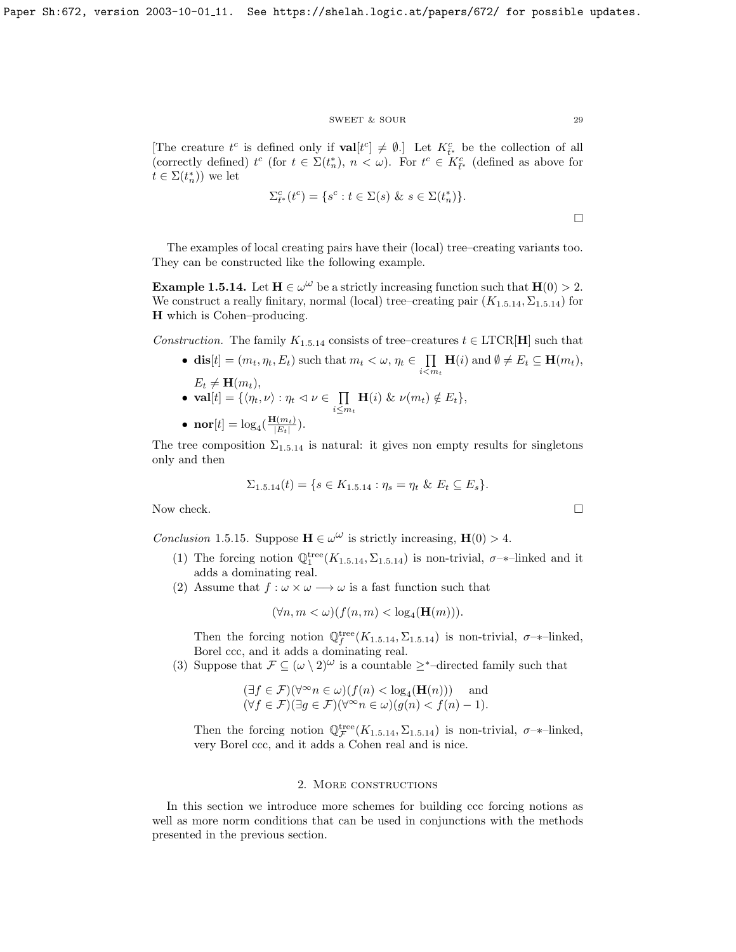## SWEET & SOUR 29

[The creature  $t^c$  is defined only if  $\textbf{val}[t^c] \neq \emptyset$ .] Let  $K_{\tilde{t}^*}^c$  be the collection of all (correctly defined)  $t^c$  (for  $t \in \Sigma(t_n^*), n < \omega$ ). For  $t^c \in K_{\tilde{t}^*}^c$  (defined as above for  $t \in \Sigma(t_n^*))$  we let

$$
\Sigma_{t^*}^c(t^c) = \{s^c : t \in \Sigma(s) \& s \in \Sigma(t_n^*)\}.
$$

The examples of local creating pairs have their (local) tree–creating variants too. They can be constructed like the following example.

**Example 1.5.14.** Let  $H \in \omega^{\omega}$  be a strictly increasing function such that  $H(0) > 2$ . We construct a really finitary, normal (local) tree–creating pair  $(K_{1.5.14}, \Sigma_{1.5.14})$  $(K_{1.5.14}, \Sigma_{1.5.14})$  $(K_{1.5.14}, \Sigma_{1.5.14})$  for H which is Cohen–producing.

Construction. The family  $K_{1.5.14}$  $K_{1.5.14}$  $K_{1.5.14}$  consists of tree–creatures  $t \in \text{LTCR}[\textbf{H}]$  such that

- dis $[t] = (m_t, \eta_t, E_t)$  such that  $m_t < \omega, \eta_t \in \prod_{i} \mathbf{H}(i)$  and  $\emptyset \neq E_t \subseteq \mathbf{H}(m_t)$ ,  $E_t \neq \mathbf{H}(m_t)$ ,  $i < m_t$
- $\bullet \ \ \textbf{val}[t] = \{\langle \eta_t, \nu \rangle : \eta_t \vartriangleleft \nu \in \ \ \prod$  $\prod_{i\leq m_t} \mathbf{H}(i) \& \nu(m_t) \notin E_t\},\$

• 
$$
\mathbf{nor}[t] = \log_4(\frac{\mathbf{H}(m_t)}{|E_t|}).
$$

The tree composition  $\Sigma_{1.5,14}$  $\Sigma_{1.5,14}$  $\Sigma_{1.5,14}$  is natural: it gives non empty results for singletons only and then

$$
\Sigma_{1.5.14}(t) = \{ s \in K_{1.5.14} : \eta_s = \eta_t \& E_t \subseteq E_s \}.
$$

Now check.  $\Box$ 

<span id="page-29-1"></span>Conclusion 1.5.15. Suppose  $\mathbf{H} \in \omega^{\omega}$  is strictly increasing,  $\mathbf{H}(0) > 4$ .

- (1) The forcing notion  $\mathbb{Q}_1^{\text{tree}}(K_{1.5.14}, \Sigma_{1.5.14})$  $\mathbb{Q}_1^{\text{tree}}(K_{1.5.14}, \Sigma_{1.5.14})$  $\mathbb{Q}_1^{\text{tree}}(K_{1.5.14}, \Sigma_{1.5.14})$  is non-trivial,  $\sigma$ -\*-linked and it adds a dominating real.
- (2) Assume that  $f : \omega \times \omega \longrightarrow \omega$  is a fast function such that

$$
(\forall n, m < \omega)(f(n, m) < \log_4(\mathbf{H}(m))).
$$

Then the forcing notion  $\mathbb{Q}_f^{\text{tree}}(K_{1.5.14}, \Sigma_{1.5.14})$  $\mathbb{Q}_f^{\text{tree}}(K_{1.5.14}, \Sigma_{1.5.14})$  $\mathbb{Q}_f^{\text{tree}}(K_{1.5.14}, \Sigma_{1.5.14})$  is non-trivial,  $\sigma$ -\*-linked, Borel ccc, and it adds a dominating real.

(3) Suppose that  $\mathcal{F} \subseteq (\omega \setminus 2)^{\omega}$  is a countable ≥<sup>\*</sup>-directed family such that

$$
(\exists f \in \mathcal{F})(\forall^{\infty} n \in \omega)(f(n) < \log_4(\mathbf{H}(n))) \quad \text{and} \quad (\forall f \in \mathcal{F})(\exists g \in \mathcal{F})(\forall^{\infty} n \in \omega)(g(n) < f(n) - 1).
$$

Then the forcing notion  $\mathbb{Q}_\mathcal{F}^{\text{tree}}(K_{1.5.14}, \Sigma_{1.5.14})$  $\mathbb{Q}_\mathcal{F}^{\text{tree}}(K_{1.5.14}, \Sigma_{1.5.14})$  $\mathbb{Q}_\mathcal{F}^{\text{tree}}(K_{1.5.14}, \Sigma_{1.5.14})$  is non-trivial,  $\sigma$ -\*-linked, very Borel ccc, and it adds a Cohen real and is nice.

# 2. More constructions

<span id="page-29-0"></span>In this section we introduce more schemes for building ccc forcing notions as well as more norm conditions that can be used in conjunctions with the methods presented in the previous section.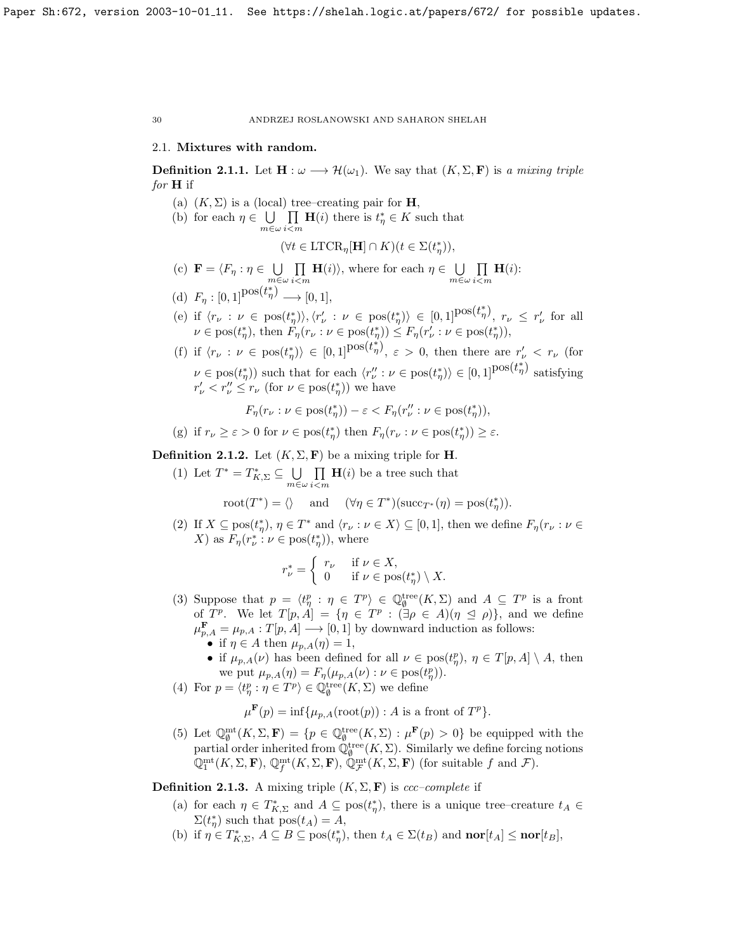## <span id="page-30-0"></span>2.1. Mixtures with random.

<span id="page-30-2"></span>**Definition 2.1.1.** Let  $\mathbf{H} : \omega \longrightarrow \mathcal{H}(\omega_1)$ . We say that  $(K, \Sigma, \mathbf{F})$  is a mixing triple for **H** if

- (a)  $(K, \Sigma)$  is a (local) tree–creating pair for **H**,
- (b) for each  $\eta \in \bigcup \prod \mathbf{H}(i)$  there is  $t^*_{\eta} \in K$  such that  $m \in \omega i$   $m$

 $(\forall t \in \text{LTCR}_{\eta}[\mathbf{H}] \cap K)(t \in \Sigma(t_{\eta}^*)),$ 

- (c)  $\mathbf{F} = \langle F_{\eta} : \eta \in \mathbb{U}$  $m \in \omega$  $\Pi$  $i$  $<$ m  $H(i)$ , where for each  $\eta \in \bigcup$ m∈ω  $\Pi$  $i$  $<$ m  $H(i)$ :
- (d)  $F_{\eta}: [0,1]^{\text{pos}(t_{\eta}^{*})} \longrightarrow [0,1],$
- (e) if  $\langle r_{\nu} : \nu \in \text{pos}(t_{\eta}^{*}) \rangle, \langle r_{\nu}' : \nu \in \text{pos}(t_{\eta}^{*}) \rangle \in [0,1]^{\text{pos}(t_{\eta}^{*})}, r_{\nu} \leq r_{\nu}'$  for all  $\nu \in \text{pos}(t^*_{\eta}), \text{ then } F_{\eta}(r_{\nu} : \nu \in \text{pos}(t^*_{\eta})) \leq F_{\eta}(r'_{\nu} : \nu \in \text{pos}(t^*_{\eta})),$
- (f) if  $\langle r_{\nu} : \nu \in \text{pos}(t_{\eta}^{*}) \rangle \in [0,1]^{\text{pos}(t_{\eta}^{*})}, \varepsilon > 0$ , then there are  $r_{\nu}^{\prime} < r_{\nu}$  (for  $\nu \in \text{pos}(t^*_{\eta})$  such that for each  $\langle r''_{\nu} : \nu \in \text{pos}(t^*_{\eta}) \rangle \in [0,1]^{\text{pos}(t^*_{\eta})}$  satisfying  $r'_{\nu} < r''_{\nu} \leq r_{\nu}$  (for  $\nu \in \text{pos}(t^*_{\eta})$ ) we have

$$
F_{\eta}(r_{\nu} : \nu \in \text{pos}(t_{\eta}^*)) - \varepsilon < F_{\eta}(r_{\nu}'' : \nu \in \text{pos}(t_{\eta}^*)),
$$

(g) if  $r_{\nu} \geq \varepsilon > 0$  for  $\nu \in \text{pos}(t_{\eta}^*)$  then  $F_{\eta}(r_{\nu} : \nu \in \text{pos}(t_{\eta}^*)) \geq \varepsilon$ .

**Definition 2.1.2.** Let  $(K, \Sigma, \mathbf{F})$  be a mixing triple for **H**.

(1) Let  $T^* = T^*_{K,\Sigma} \subseteq \bigcup$ m∈ω  $\Pi$ i<m  $H(i)$  be a tree such that \*) =  $\wedge$  and  $(\forall n \in T^*$ 

$$
\mathrm{root}(T^*) = \langle \rangle \quad \text{ and } \quad (\forall \eta \in T^*)(\mathrm{succ}_{T^*}(\eta) = \mathrm{pos}(t^*_\eta)).
$$

(2) If  $X \subseteq \text{pos}(t^*_{\eta}), \eta \in T^*$  and  $\langle r_{\nu} : \nu \in X \rangle \subseteq [0,1]$ , then we define  $F_{\eta}(r_{\nu} : \nu \in$ X) as  $F_{\eta}(r_{\nu}^* : \nu \in \text{pos}(t_{\eta}^*)),$  where

$$
r_{\nu}^* = \begin{cases} r_{\nu} & \text{if } \nu \in X, \\ 0 & \text{if } \nu \in \text{pos}(t_{\eta}^*) \setminus X. \end{cases}
$$

- (3) Suppose that  $p = \langle t_p^p : \eta \in T^p \rangle \in \mathbb{Q}_\emptyset^{\text{tree}}(K,\Sigma)$  and  $A \subseteq T^p$  is a front of  $T^p$ . We let  $T[p, A] = \{ \eta \in T^p : (\exists \rho \in A)(\eta \le \rho) \},\$ and we define  $\mu_{p,A}^{\mathbf{F}} = \mu_{p,A} : T[p,A] \longrightarrow [0,1]$  by downward induction as follows:
	- if  $\eta \in A$  then  $\mu_{p,A}(\eta) = 1$ ,
	- if  $\mu_{p,A}(\nu)$  has been defined for all  $\nu \in \text{pos}(t_p^p)$ ,  $\eta \in T[p,A] \setminus A$ , then we put  $\mu_{p,A}(\eta) = F_{\eta}(\mu_{p,A}(\nu) : \nu \in \text{pos}(t_{\eta}^p)).$
- (4) For  $p = \langle t_p^p : \eta \in T^p \rangle \in \mathbb{Q}_{\emptyset}^{\text{tree}}(K, \Sigma)$  we define

$$
\mu^{\mathbf{F}}(p) = \inf \{ \mu_{p,A}(\operatorname{root}(p)) : A \text{ is a front of } T^p \}.
$$

(5) Let  $\mathbb{Q}_{\emptyset}^{\text{mt}}(K,\Sigma,\mathbf{F}) = \{p \in \mathbb{Q}_{\emptyset}^{\text{tree}}(K,\Sigma) : \mu^{\mathbf{F}}(p) > 0\}$  be equipped with the partial order inherited from  $\mathbb{Q}_\emptyset^{\text{tree}}(K,\Sigma)$ . Similarly we define forcing notions  $\mathbb{Q}_1^{\text{mt}}(K,\Sigma,\mathbf{F}), \mathbb{Q}_f^{\text{mt}}(K,\Sigma,\mathbf{F}), \mathbb{Q}_{\mathcal{F}}^{\text{mt}}(K,\Sigma,\mathbf{F})$  (for suitable f and  $\mathcal{F}$ ).

<span id="page-30-1"></span>**Definition 2.1.3.** A mixing triple  $(K, \Sigma, \mathbf{F})$  is ccc–complete if

- (a) for each  $\eta \in T^*_{K,\Sigma}$  and  $A \subseteq \text{pos}(t^*_{\eta})$ , there is a unique tree–creature  $t_A \in$  $\Sigma(t_{\eta}^*)$  such that  $pos(t_A) = A$ ,
- (b) if  $\eta \in T^*_{K,\Sigma}$ ,  $A \subseteq B \subseteq \text{pos}(t^*_{\eta})$ , then  $t_A \in \Sigma(t_B)$  and  $\textbf{nor}[t_A] \leq \textbf{nor}[t_B]$ ,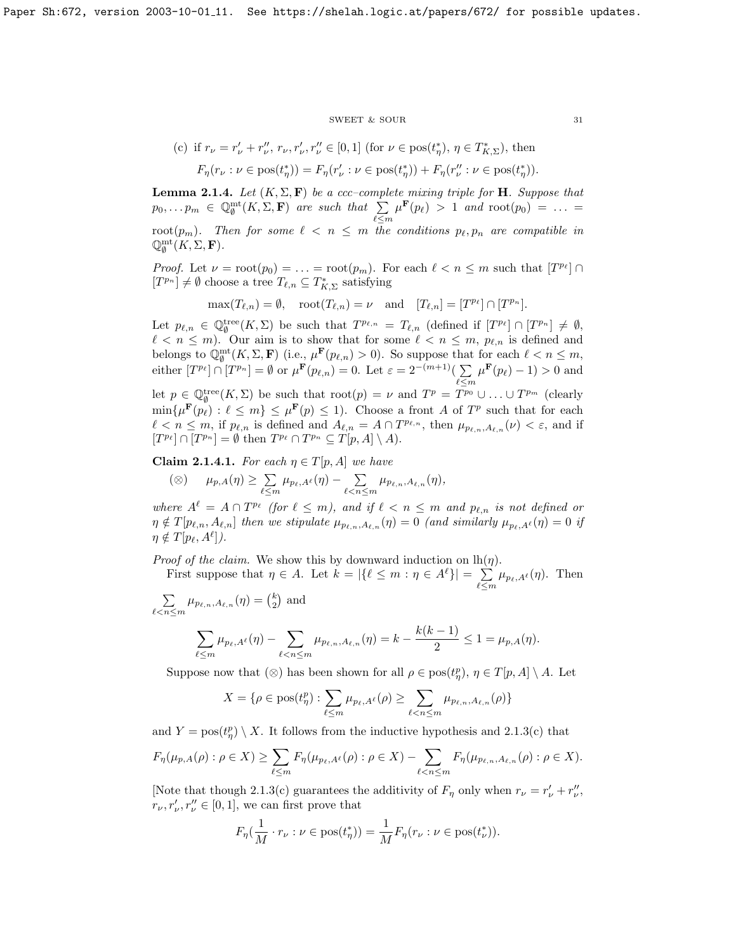#### $\begin{tabular}{ll} \multicolumn{2}{c}{\text{SWEET}} & $\&$ \text{SOUR} \end{tabular} \begin{tabular}{ll} \multicolumn{2}{c}{\text{SWEET}} & $\&$ \multicolumn{2}{c}{\text{SOWR}} \end{tabular}$

(c) if 
$$
r_{\nu} = r'_{\nu} + r''_{\nu}, r_{\nu}, r'_{\nu}, r''_{\nu} \in [0, 1]
$$
 (for  $\nu \in \text{pos}(t^*_{\eta}), \eta \in T^*_{K,\Sigma}$ ), then  

$$
F_{\eta}(r_{\nu} : \nu \in \text{pos}(t^*_{\eta})) = F_{\eta}(r'_{\nu} : \nu \in \text{pos}(t^*_{\eta})) + F_{\eta}(r''_{\nu} : \nu \in \text{pos}(t^*_{\eta})).
$$

<span id="page-31-1"></span>**Lemma 2.1.4.** Let  $(K, \Sigma, \mathbf{F})$  be a ccc-complete mixing triple for **H**. Suppose that  $p_0, \ldots p_m \in \mathbb{Q}_{\emptyset}^{\mathrm{mt}}(K, \Sigma, \mathbf{F})$  are such that  $\sum$  $\ell \leq m$  $\mu^{\mathbf{F}}(p_{\ell}) > 1$  and  $\text{root}(p_0) = \ldots =$ root( $p_m$ ). Then for some  $\ell \leq n \leq m$  the conditions  $p_\ell, p_n$  are compatible in  $\mathbb{Q}_{\emptyset}^{\mathrm{mt}}(K,\Sigma,\mathbf{F}).$ 

*Proof.* Let  $\nu = \text{root}(p_0) = \ldots = \text{root}(p_m)$ . For each  $\ell < n \leq m$  such that  $[T^{p_\ell}] \cap$  $[T^{p_n}] \neq \emptyset$  choose a tree  $T_{\ell,n} \subseteq T^*_{K,\Sigma}$  satisfying

$$
\max(T_{\ell,n}) = \emptyset, \quad \text{root}(T_{\ell,n}) = \nu \quad \text{and} \quad [T_{\ell,n}] = [T^{p_{\ell}}] \cap [T^{p_n}].
$$

Let  $p_{\ell,n} \in \mathbb{Q}_{\emptyset}^{\text{tree}}(K,\Sigma)$  be such that  $T^{p_{\ell,n}} = T_{\ell,n}$  (defined if  $[T^{p_{\ell}}] \cap [T^{p_n}] \neq \emptyset$ ,  $\ell < n \leq m$ ). Our aim is to show that for some  $\ell < n \leq m$ ,  $p_{\ell,n}$  is defined and belongs to  $\mathbb{Q}_{\emptyset}^{\mathrm{mt}}(K,\Sigma,\mathbf{F})$  (i.e.,  $\mu^{\mathbf{F}}(p_{\ell,n}) > 0$ ). So suppose that for each  $\ell < n \leq m$ , either  $[T^{p_\ell}] \cap [T^{p_n}] = \emptyset$  or  $\mu^{\mathbf{F}}(p_{\ell,n}) = 0$ . Let  $\varepsilon = 2^{-(m+1)}(\sum_{\ell=1}^{\infty}$  $\ell \leq m$  $\mu^{\mathbf{F}}(p_{\ell}) - 1) > 0$  and let  $p \in \mathbb{Q}_{\emptyset}^{\text{tree}}(K,\Sigma)$  be such that  $\text{root}(p) = \nu$  and  $T^p = T^{p_0} \cup \ldots \cup T^{p_m}$  (clearly  $\min\{\mu^{\mathbf{F}}(p_\ell) : \ell \leq m\} \leq \mu^{\mathbf{F}}(p) \leq 1$ . Choose a front A of  $T^p$  such that for each  $\ell < n \leq m$ , if  $p_{\ell,n}$  is defined and  $A_{\ell,n} = A \cap T^{p_{\ell,n}},$  then  $\mu_{p_{\ell,n},A_{\ell,n}}(\nu) < \varepsilon$ , and if  $[T^{p_\ell}] \cap [T^{p_n}] = \emptyset$  then  $T^{p_\ell} \cap T^{p_n} \subseteq T[p, A] \setminus A$ .

<span id="page-31-0"></span>Claim 2.1.4.1. For each  $\eta \in T[p, A]$  we have

$$
(\otimes) \qquad \mu_{p,A}(\eta) \geq \sum_{\ell \leq m} \mu_{p_\ell,A^{\ell}}(\eta) - \sum_{\ell < n \leq m} \mu_{p_{\ell,n},A_{\ell,n}}(\eta),
$$

where  $A^{\ell} = A \cap T^{p_{\ell}}$  (for  $\ell \leq m$ ), and if  $\ell < n \leq m$  and  $p_{\ell,n}$  is not defined or  $\eta \notin T[p_{\ell,n}, A_{\ell,n}]$  then we stipulate  $\mu_{p_{\ell,n},A_{\ell,n}}(\eta) = 0$  (and similarly  $\mu_{p_{\ell,A}(\ell)}(\eta) = 0$  if  $\eta \notin T[p_\ell, A^\ell]).$ 

*Proof of the claim.* We show this by downward induction on  $lh(\eta)$ .

First suppose that  $\eta \in A$ . Let  $k = |\{\ell \leq m : \eta \in A^{\ell}\}| = \sum$  $\sum_{\ell \leq m} \mu_{p_\ell,A^\ell}(\eta)$ . Then

 $\sum$  $\sum_{\ell \leq n \leq m} \mu_{p_{\ell,n},A_{\ell,n}}(\eta) = \binom{k}{2}$  and

$$
\sum_{\ell \le m} \mu_{p_{\ell}, A^{\ell}}(\eta) - \sum_{\ell < n \le m} \mu_{p_{\ell, n}, A_{\ell, n}}(\eta) = k - \frac{k(k-1)}{2} \le 1 = \mu_{p, A}(\eta).
$$

Suppose now that  $(\otimes)$  has been shown for all  $\rho \in \text{pos}(t_{\eta}^p), \eta \in T[p, A] \setminus A$ . Let

$$
X = \{\rho \in \text{pos}(t^p_\eta): \sum_{\ell \leq m} \mu_{p_\ell,A^\ell}(\rho) \geq \sum_{\ell < n \leq m} \mu_{p_{\ell,n},A_{\ell,n}}(\rho)\}
$$

and  $Y = \text{pos}(t_{\eta}^p) \setminus X$ . It follows from the inductive hypothesis and [2.1.3\(](#page-30-1)c) that

$$
F_{\eta}(\mu_{p,A}(\rho): \rho \in X) \geq \sum_{\ell \leq m} F_{\eta}(\mu_{p_{\ell},A^{\ell}}(\rho): \rho \in X) - \sum_{\ell < n \leq m} F_{\eta}(\mu_{p_{\ell,n},A_{\ell,n}}(\rho): \rho \in X).
$$

[Note that though [2.1.3\(](#page-30-1)c) guarantees the additivity of  $F_{\eta}$  only when  $r_{\nu} = r'_{\nu} + r''_{\nu}$ ,  $r_{\nu}, r_{\nu}', r_{\nu}'' \in [0, 1],$  we can first prove that

$$
F_{\eta}(\frac{1}{M} \cdot r_{\nu} : \nu \in \text{pos}(t_{\eta}^*)) = \frac{1}{M} F_{\eta}(r_{\nu} : \nu \in \text{pos}(t_{\nu}^*) ).
$$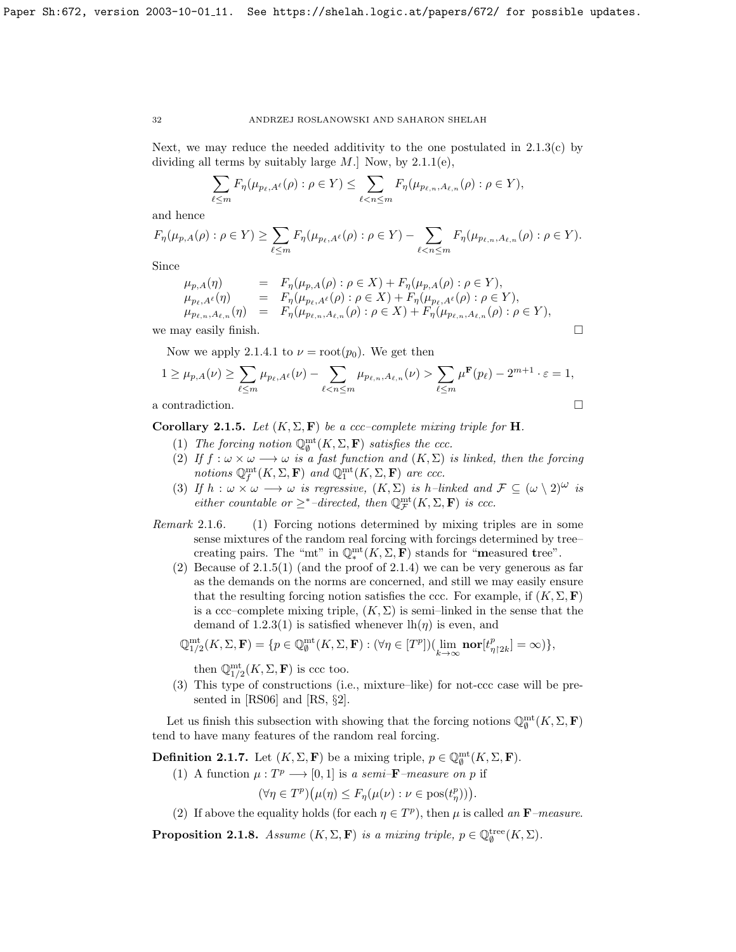Next, we may reduce the needed additivity to the one postulated in  $2.1.3(c)$  by dividing all terms by suitably large  $M$ .] Now, by [2.1.1\(](#page-30-2)e),

$$
\sum_{\ell \leq m} F_{\eta}(\mu_{p_{\ell},A^{\ell}}(\rho) : \rho \in Y) \leq \sum_{\ell < n \leq m} F_{\eta}(\mu_{p_{\ell,n},A_{\ell,n}}(\rho) : \rho \in Y),
$$

and hence

$$
F_{\eta}(\mu_{p,A}(\rho): \rho \in Y) \geq \sum_{\ell \leq m} F_{\eta}(\mu_{p_{\ell},A^{\ell}}(\rho): \rho \in Y) - \sum_{\ell < n \leq m} F_{\eta}(\mu_{p_{\ell,n},A_{\ell,n}}(\rho): \rho \in Y).
$$

Since

$$
\mu_{p,A}(\eta) = F_{\eta}(\mu_{p,A}(\rho) : \rho \in X) + F_{\eta}(\mu_{p,A}(\rho) : \rho \in Y), \n\mu_{p_{\ell},A^{\ell}}(\eta) = F_{\eta}(\mu_{p_{\ell},A^{\ell}}(\rho) : \rho \in X) + F_{\eta}(\mu_{p_{\ell},A^{\ell}}(\rho) : \rho \in Y), \n\mu_{p_{\ell,n},A_{\ell,n}}(\eta) = F_{\eta}(\mu_{p_{\ell,n},A_{\ell,n}}(\rho) : \rho \in X) + F_{\eta}(\mu_{p_{\ell,n},A_{\ell,n}}(\rho) : \rho \in Y), \nwe may easily finish.
$$

Now we apply [2.1.4.1](#page-31-0) to  $\nu = \text{root}(p_0)$ . We get then

$$
1 \geq \mu_{p,A}(\nu) \geq \sum_{\ell \leq m} \mu_{p_{\ell},A^{\ell}}(\nu) - \sum_{\ell < n \leq m} \mu_{p_{\ell,n},A_{\ell,n}}(\nu) > \sum_{\ell \leq m} \mu^{\mathbf{F}}(p_{\ell}) - 2^{m+1} \cdot \varepsilon = 1,
$$
\na contradiction.

<span id="page-32-1"></span>Corollary 2.1.5. Let  $(K, \Sigma, \mathbf{F})$  be a ccc–complete mixing triple for **H**.

- (1) The forcing notion  $\mathbb{Q}_{\emptyset}^{\mathrm{mt}}(K,\Sigma,\mathbf{F})$  satisfies the ccc.
- (2) If  $f: \omega \times \omega \longrightarrow \omega$  is a fast function and  $(K, \Sigma)$  is linked, then the forcing notions  $\mathbb{Q}_f^{\text{mt}}(K,\Sigma,\mathbf{F})$  and  $\mathbb{Q}_1^{\text{mt}}(K,\Sigma,\mathbf{F})$  are ccc.
- (3) If  $h : \omega \times \omega \longrightarrow \omega$  is regressive,  $(K, \Sigma)$  is h-linked and  $\mathcal{F} \subseteq (\omega \setminus 2)^{\omega}$  is either countable or  $\geq^*$ -directed, then  $\mathbb{Q}_{\mathcal{F}}^{\mathrm{mt}}(K,\Sigma,\mathbf{F})$  is ccc.
- Remark 2.1.6. (1) Forcing notions determined by mixing triples are in some sense mixtures of the random real forcing with forcings determined by tree– creating pairs. The "mt" in  $\mathbb{Q}_*^{\text{mt}}(K,\Sigma,\mathbf{F})$  stands for "measured tree".
	- (2) Because of  $2.1.5(1)$  (and the proof of  $2.1.4$ ) we can be very generous as far as the demands on the norms are concerned, and still we may easily ensure that the resulting forcing notion satisfies the ccc. For example, if  $(K, \Sigma, \mathbf{F})$ is a ccc–complete mixing triple,  $(K, \Sigma)$  is semi–linked in the sense that the demand of [1.2.3\(](#page-6-0)1) is satisfied whenever  $\ln(\eta)$  is even, and

$$
\mathbb{Q}_{1/2}^{\mathrm{mt}}(K,\Sigma,\mathbf{F})=\{p\in \mathbb{Q}_{\emptyset}^{\mathrm{mt}}(K,\Sigma,\mathbf{F}): (\forall \eta\in[T^p])(\lim_{k\rightarrow \infty}\mathrm{\bf nor}[t^p_{\eta\restriction 2k}]=\infty)\},
$$

then  $\mathbb{Q}_{1/2}^{\mathrm{mt}}(K,\Sigma,\mathbf{F})$  is ccc too.

(3) This type of constructions (i.e., mixture–like) for not-ccc case will be presented in [\[RS06\]](#page-70-16) and [\[RS,](#page-70-17) §2].

Let us finish this subsection with showing that the forcing notions  $\mathbb{Q}_{\emptyset}^{\mathrm{mt}}(K,\Sigma,\mathbf{F})$ tend to have many features of the random real forcing.

<span id="page-32-0"></span>**Definition 2.1.7.** Let  $(K, \Sigma, \mathbf{F})$  be a mixing triple,  $p \in \mathbb{Q}_{\emptyset}^{\text{mt}}(K, \Sigma, \mathbf{F})$ .

(1) A function  $\mu : T^p \longrightarrow [0, 1]$  is a semi-**F**-measure on p if

 $(\forall \eta \in T^p) (\mu(\eta) \leq F_{\eta}(\mu(\nu) : \nu \in \text{pos}(t^p_{\eta}))).$ 

(2) If above the equality holds (for each  $\eta \in T^p$ ), then  $\mu$  is called an **F**-measure.

**Proposition 2.1.8.** Assume  $(K, \Sigma, \mathbf{F})$  is a mixing triple,  $p \in \mathbb{Q}_{\emptyset}^{\text{tree}}(K, \Sigma)$ .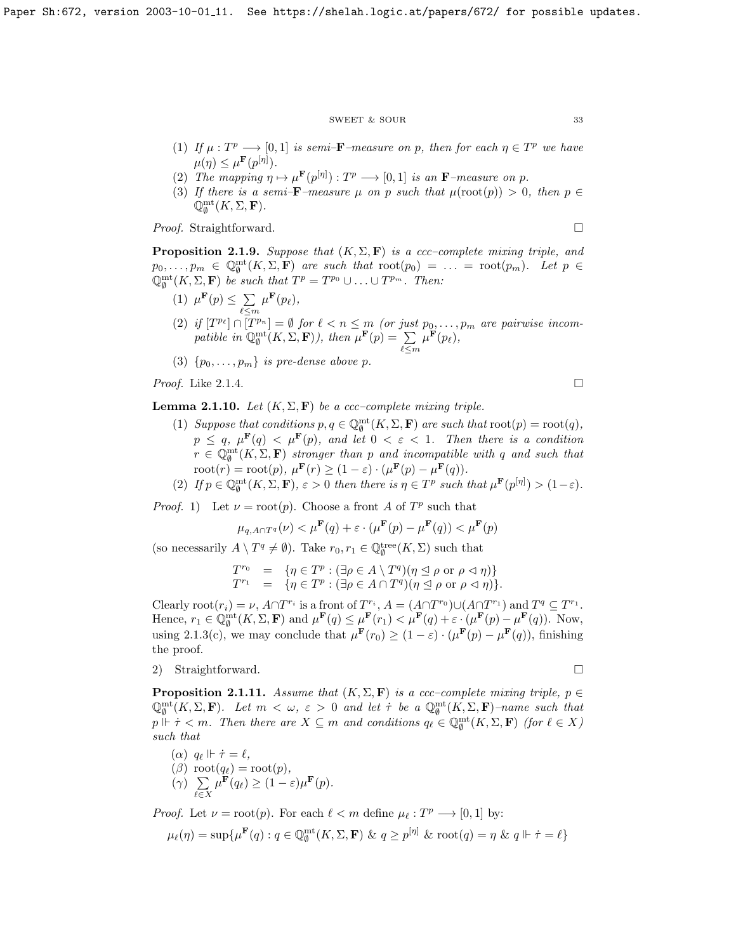#### SWEET & SOUR 33

- (1) If  $\mu : T^p \longrightarrow [0,1]$  is semi-**F**-measure on p, then for each  $\eta \in T^p$  we have  $\mu(\eta) \leq \mu^{\mathbf{F}}(p^{[\eta]}).$
- (2) The mapping  $\eta \mapsto \mu^{\mathbf{F}}(p^{[\eta]}) : T^p \longrightarrow [0,1]$  is an **F**-measure on p.
- (3) If there is a semi– $\mathbf{F}-$ measure  $\mu$  on p such that  $\mu(\text{root}(p)) > 0$ , then  $p \in$  $\overline{\mathbb{Q}}^{\mathrm{mt}}_\emptyset(K,\Sigma,\mathbf{F}).$

*Proof.* Straightforward. □

**Proposition 2.1.9.** Suppose that  $(K, \Sigma, \mathbf{F})$  is a ccc-complete mixing triple, and  $p_0,\ldots,p_m \in \mathbb{Q}_{\emptyset}^{\text{mt}}(K,\Sigma,\mathbf{F})$  are such that  $\text{root}(p_0) = \ldots = \text{root}(p_m)$ . Let  $p \in$  $\mathbb{Q}_{\emptyset}^{\mathrm{mt}}(K,\Sigma,\mathbf{F})$  be such that  $T^{p}=T^{p_{0}}\cup\ldots\cup T^{p_{m}}$ . Then:

- (1)  $\mu^{\mathbf{F}}(p) \leq \sum$  $\ell \leq m$  $\mu^{\mathbf{F}}(p_\ell),$
- (2) if  $[T^{p_\ell}] \cap [T^{p_n}] = \emptyset$  for  $\ell < n \leq m$  (or just  $p_0, \ldots, p_m$  are pairwise incompatible in  $\mathbb{Q}_{\emptyset}^{\text{mt}}(K,\Sigma,\mathbf{F})$ ), then  $\mu^{\mathbf{F}}(p) = \sum$  $\ell \leq m$  $\mu^{\mathbf{F}}(p_\ell),$
- (3)  $\{p_0, \ldots, p_m\}$  is pre-dense above p.

*Proof.* Like [2.1.4.](#page-31-1)

<span id="page-33-0"></span>**Lemma 2.1.10.** Let  $(K, \Sigma, \mathbf{F})$  be a ccc-complete mixing triple.

- (1) Suppose that conditions  $p, q \in \mathbb{Q}_{\emptyset}^{\text{mt}}(K, \Sigma, \mathbf{F})$  are such that  $\text{root}(p) = \text{root}(q)$ ,  $p \leq q, \mu^{\mathbf{F}}(q) < \mu^{\mathbf{F}}(p)$ , and let  $0 < \varepsilon < 1$ . Then there is a condition  $r \in \mathbb{Q}_{\emptyset}^{\text{mt}}(K,\Sigma,\mathbf{F})$  stronger than p and incompatible with q and such that  $\text{root}(r) = \text{root}(p), \ \mu^{\mathbf{F}}(r) \ge (1 - \varepsilon) \cdot (\mu^{\mathbf{F}}(p) - \mu^{\mathbf{F}}(q)).$
- (2) If  $p \in \mathbb{Q}_{\emptyset}^{\text{mt}}(K,\Sigma,\mathbf{F}), \varepsilon > 0$  then there is  $\eta \in T^p$  such that  $\mu^{\mathbf{F}}(p^{[\eta]}) > (1-\varepsilon)$ .

*Proof.* 1) Let  $\nu = \text{root}(p)$ . Choose a front A of  $T^p$  such that

$$
\mu_{q, A \cap T^q}(\nu) < \mu^{\mathbf{F}}(q) + \varepsilon \cdot (\mu^{\mathbf{F}}(p) - \mu^{\mathbf{F}}(q)) < \mu^{\mathbf{F}}(p)
$$

(so necessarily  $A \setminus T^q \neq \emptyset$ ). Take  $r_0, r_1 \in \mathbb{Q}_\emptyset^{\text{tree}}(K, \Sigma)$  such that

$$
T^{r_0} = \{ \eta \in T^p : (\exists \rho \in A \setminus T^q)(\eta \leq \rho \text{ or } \rho \lhd \eta) \}
$$
  

$$
T^{r_1} = \{ \eta \in T^p : (\exists \rho \in A \cap T^q)(\eta \leq \rho \text{ or } \rho \lhd \eta) \}.
$$

Clearly  $\text{root}(r_i) = \nu$ ,  $A \cap T^{r_i}$  is a front of  $T^{r_i}$ ,  $A = (A \cap T^{r_0}) \cup (A \cap T^{r_1})$  and  $T^q \subseteq T^{r_1}$ . Hence,  $r_1 \in \mathbb{Q}_{\emptyset}^{\text{mt}}(K,\Sigma,\mathbf{F})$  and  $\mu^{\mathbf{F}}(q) \leq \mu^{\mathbf{F}}(r_1) < \mu^{\mathbf{F}}(q) + \varepsilon \cdot (\mu^{\mathbf{F}}(p) - \mu^{\mathbf{F}}(q)).$  Now, using [2.1.3\(](#page-30-1)c), we may conclude that  $\mu^{\mathbf{F}}(r_0) \geq (1 - \varepsilon) \cdot (\mu^{\mathbf{F}}(p) - \mu^{\mathbf{F}}(q))$ , finishing the proof.

2) Straightforward.

**Proposition 2.1.11.** Assume that  $(K, \Sigma, \mathbf{F})$  is a ccc–complete mixing triple,  $p \in$  $\mathbb{Q}_{\emptyset}^{\rm mt}(K,\Sigma,\mathbf{F})$ . Let  $m < \omega, \varepsilon > 0$  and let  $\tau$  be a  $\mathbb{Q}_{\emptyset}^{\rm mt}(K,\Sigma,\mathbf{F})$ -name such that  $p \Vdash \tau < m$ . Then there are  $X \subseteq m$  and conditions  $q_{\ell} \in \mathbb{Q}_{\emptyset}^{\mathrm{mt}}(K, \Sigma, \mathbf{F})$  (for  $\ell \in X$ ) such that

 $(\alpha)$   $q_{\ell} \Vdash \dot{\tau} = \ell,$  $(\beta) \ \text{root}(q_\ell) = \text{root}(p),$  $(\gamma)$   $\Sigma$  $\ell \in X$  $\mu^{\mathbf{F}}(q_{\ell}) \geq (1-\varepsilon)\mu^{\mathbf{F}}(p).$ 

*Proof.* Let  $\nu = \text{root}(p)$ . For each  $\ell < m$  define  $\mu_{\ell} : T^p \longrightarrow [0, 1]$  by:

$$
\mu_{\ell}(\eta) = \sup \{ \mu^{\mathbf{F}}(q) : q \in \mathbb{Q}_{\emptyset}^{\mathrm{mt}}(K, \Sigma, \mathbf{F}) \& q \ge p^{[\eta]} \& \mathrm{root}(q) = \eta \& q \Vdash \dot{\tau} = \ell \}
$$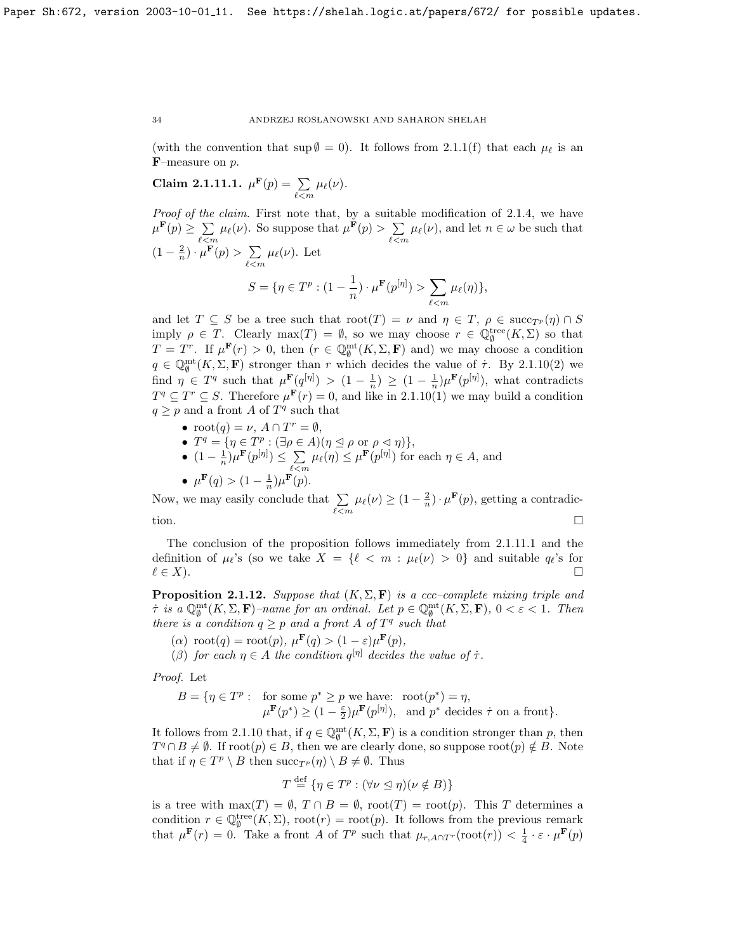(with the convention that sup  $\emptyset = 0$ ). It follows from [2.1.1\(](#page-30-2)f) that each  $\mu_{\ell}$  is an F–measure on p.

<span id="page-34-0"></span>Claim 2.1.11.1. 
$$
\mu^{\mathbf{F}}(p) = \sum_{\ell < m} \mu_{\ell}(\nu)
$$
.

Proof of the claim. First note that, by a suitable modification of [2.1.4,](#page-31-1) we have  $\mu^{\mathbf{F}}(p) \geq \sum$  $\sum_{\ell \leq m} \mu_{\ell}(\nu)$ . So suppose that  $\mu^{\mathbf{F}}(p) > \sum_{\ell \leq n}$  $\sum_{\ell \leq m} \mu_{\ell}(\nu)$ , and let  $n \in \omega$  be such that  $(1-\frac{2}{n})\cdot\mu^{\mathbf{F}}(p) > \sum$  $\sum_{\ell \leq m} \mu_{\ell}(\nu)$ . Let  $S = \{ \eta \in T^p : (1 - \frac{1}{\cdot})$  $\frac{1}{n})\cdot\mu^{\mathbf{F}}(p^{[\eta]})>\sum_{\ell\in\mathcal{L}}% {\displaystyle\sum\limits_{\ell\in\mathcal{L}}% {\displaystyle\sum\limits_{\ell\in\mathcal{L}}% {\displaystyle\sum\limits_{\ell\in\mathcal{L}}% {\displaystyle\sum\limits_{\ell\in\mathcal{L}}% {\displaystyle\sum\limits_{\ell\in\mathcal{L}}% {\displaystyle\sum\limits_{\ell\in\mathcal{L}}% {\displaystyle\sum\limits_{\ell\in\mathcal{L}}% {\displaystyle\sum\limits_{\ell\in\mathcal{L}}% {\displaystyle\sum\limits_{\ell\in\mathcal{L}}% {\displaystyle\sum\limits_{\ell$  $_{\ell < m}$  $\mu_{\ell}(\eta)\},$ 

and let  $T \subseteq S$  be a tree such that  $\text{root}(T) = \nu$  and  $\eta \in T$ ,  $\rho \in \text{succ}_{T^p}(\eta) \cap S$ imply  $\rho \in T$ . Clearly  $\max(T) = \emptyset$ , so we may choose  $r \in \mathbb{Q}_\emptyset^{\text{tree}}(K,\Sigma)$  so that  $T = T^r$ . If  $\mu^{\mathbf{F}}(r) > 0$ , then  $(r \in \mathbb{Q}_{\emptyset}^{\mathrm{mt}}(K,\Sigma,\mathbf{F})$  and) we may choose a condition  $q \in \mathbb{Q}_{\emptyset}^{\text{mt}}(K,\Sigma,\mathbf{F})$  stronger than r which decides the value of  $\tau$ . By [2.1.10\(](#page-33-0)2) we find  $\eta \in T^q$  such that  $\mu^{\mathbf{F}}(q^{[\eta]}) > (1 - \frac{1}{n}) \geq (1 - \frac{1}{n})\mu^{\mathbf{F}}(p^{[\eta]}),$  what contradicts  $T^q \subseteq T^r \subseteq S$ . Therefore  $\mu^{\mathbf{F}}(r) = 0$ , and like in [2.1.10\(](#page-33-0)1) we may build a condition  $q \geq p$  and a front A of  $T<sup>q</sup>$  such that

- $\text{root}(q) = \nu, A \cap T^r = \emptyset,$
- $T^q = \{ \eta \in T^p : (\exists \rho \in A)(\eta \leq \rho \text{ or } \rho \lhd \eta) \},\$
- $(1 \frac{1}{n}) \mu^{\mathbf{F}}(p^{[\eta]}) \leq \sum$  $\sum_{\ell \leq m} \mu_{\ell}(\eta) \leq \mu^{\mathbf{F}}(p^{[\eta]})$  for each  $\eta \in A$ , and

•  $\mu^{\mathbf{F}}(q) > (1 - \frac{1}{n}) \mu^{\mathbf{F}}(p).$ Now, we may easily conclude that  $\Sigma$  $\sum_{\ell \leq m} \mu_{\ell}(\nu) \geq (1 - \frac{2}{n}) \cdot \mu^{\mathbf{F}}(p)$ , getting a contradiction.  $\square$ 

The conclusion of the proposition follows immediately from [2.1.11.1](#page-34-0) and the definition of  $\mu_{\ell}$ 's (so we take  $X = \{ \ell \langle m : \mu_{\ell}(\nu) > 0 \}$  and suitable  $q_{\ell}$ 's for  $\ell \in X$ ).

**Proposition 2.1.12.** Suppose that  $(K, \Sigma, \mathbf{F})$  is a ccc-complete mixing triple and  $\tau$  is a  $\mathbb{Q}_{\emptyset}^{\rm mt}(K,\Sigma,\mathbf{F})$ -name for an ordinal. Let  $p \in \mathbb{Q}_{\emptyset}^{\rm mt}(K,\Sigma,\mathbf{F})$ ,  $0 < \varepsilon < 1$ . Then there is a condition  $q \geq p$  and a front A of  $T<sup>q</sup>$  such that

- $(\alpha) \text{ root}(q) = \text{root}(p), \ \mu^{\mathbf{F}}(q) > (1 \varepsilon)\mu^{\mathbf{F}}(p),$
- (β) for each  $\eta \in A$  the condition  $q^{[\eta]}$  decides the value of  $\tau$ .

Proof. Let

$$
B = \{ \eta \in T^p : \text{ for some } p^* \ge p \text{ we have: } \operatorname{root}(p^*) = \eta, \\ \mu^{\mathbf{F}}(p^*) \ge (1 - \frac{\varepsilon}{2})\mu^{\mathbf{F}}(p^{[\eta]}), \text{ and } p^* \text{ decides } \dot{\tau} \text{ on a front} \}.
$$

It follows from [2.1.10](#page-33-0) that, if  $q \in \mathbb{Q}_{\emptyset}^{\text{mt}}(K,\Sigma,\mathbf{F})$  is a condition stronger than p, then  $T^q \cap B \neq \emptyset$ . If root $(p) \in B$ , then we are clearly done, so suppose root $(p) \notin B$ . Note that if  $\eta \in T^p \setminus B$  then  $succ_{T^p}(\eta) \setminus B \neq \emptyset$ . Thus

$$
T \stackrel{\text{def}}{=} \{ \eta \in T^p : (\forall \nu \le \eta)(\nu \notin B) \}
$$

is a tree with  $\max(T) = \emptyset$ ,  $T \cap B = \emptyset$ ,  $\text{root}(T) = \text{root}(p)$ . This T determines a condition  $r \in \mathbb{Q}_{\emptyset}^{\text{tree}}(K,\Sigma)$ , root $(r) = \text{root}(p)$ . It follows from the previous remark that  $\mu^{\mathbf{F}}(r) = 0$ . Take a front A of  $T^p$  such that  $\mu_{r, A \cap T^r}(\text{root}(r)) < \frac{1}{4} \cdot \varepsilon \cdot \mu^{\mathbf{F}}(p)$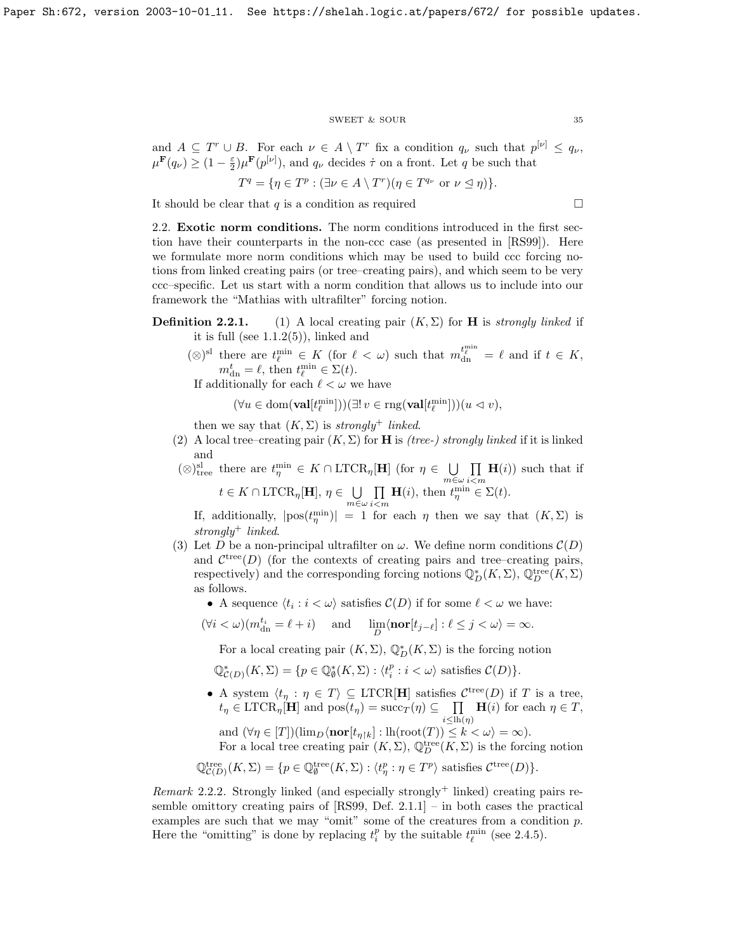## $\begin{tabular}{ll} \multicolumn{2}{c}{\text{SWEET}} & $\&$ \text{SOUR} \end{tabular} \tag{35}$

and  $A \subseteq T^r \cup B$ . For each  $\nu \in A \setminus T^r$  fix a condition  $q_{\nu}$  such that  $p^{[\nu]} \leq q_{\nu}$ ,  $\mu^{\mathbf{F}}(q_{\nu}) \geq (1 - \frac{\varepsilon}{2}) \mu^{\mathbf{F}}(p^{[\nu]})$ , and  $q_{\nu}$  decides  $\dot{\tau}$  on a front. Let q be such that

$$
T^{q} = \{ \eta \in T^{p} : (\exists \nu \in A \setminus T^{r})(\eta \in T^{q_{\nu}} \text{ or } \nu \leq \eta) \}.
$$

It should be clear that  $q$  is a condition as required  $\Box$ 

<span id="page-35-0"></span>2.2. Exotic norm conditions. The norm conditions introduced in the first section have their counterparts in the non-ccc case (as presented in [\[RS99\]](#page-70-1)). Here we formulate more norm conditions which may be used to build ccc forcing notions from linked creating pairs (or tree–creating pairs), and which seem to be very ccc–specific. Let us start with a norm condition that allows us to include into our framework the "Mathias with ultrafilter" forcing notion.

# **Definition 2.2.1.** (1) A local creating pair  $(K, \Sigma)$  for **H** is *strongly linked* if it is full (see  $1.1.2(5)$ ), linked and

(⊗)<sup>sl</sup> there are  $t_{\ell}^{\min}$  ∈ K (for  $\ell < \omega$ ) such that  $m_{dn}^{t_{\ell}^{\min}} = \ell$  and if  $t \in K$ ,  $m^t_{\rm dn} = \ell$ , then  $t_{\ell}^{\rm min} \in \Sigma(t)$ .

If additionally for each  $\ell < \omega$  we have

$$
(\forall u\in \mathrm{dom}(\mathbf{val}[t^{\min}_{\ell}]))(\exists! \ v\in\mathrm{rng}(\mathbf{val}[t^{\min}_{\ell}]))(u\vartriangleleft v),
$$

 $m \in \omega$ 

then we say that  $(K, \Sigma)$  is strongly<sup>+</sup> linked.

(2) A local tree–creating pair  $(K, \Sigma)$  for **H** is *(tree-) strongly linked* if it is linked and

$$
(\otimes)^{\text{sl}}_{\text{tree}}
$$
 there are  $t_{\eta}^{\min} \in K \cap \text{LTCR}_{\eta}[\mathbf{H}]$  (for  $\eta \in \bigcup_{m \in \omega} \prod_{i \le m} \mathbf{H}(i)$ ) such that if  $t \in K \cap \text{LTCR}_{\eta}[\mathbf{H}], \eta \in \bigcup \prod \mathbf{H}(i)$ , then  $t_{\eta}^{\min} \in \Sigma(t)$ .

 $i$  $<$ m If, additionally,  $|pos(t_n^{\min})| = 1$  for each  $\eta$  then we say that  $(K, \Sigma)$  is strongly<sup>+</sup> linked.

- (3) Let D be a non-principal ultrafilter on  $\omega$ . We define norm conditions  $\mathcal{C}(D)$ and  $\mathcal{C}^{tree}(D)$  (for the contexts of creating pairs and tree–creating pairs, respectively) and the corresponding forcing notions  $\mathbb{Q}_D^*(K,\Sigma)$ ,  $\mathbb{Q}_D^{\text{tree}}(K,\Sigma)$ as follows.
	- A sequence  $\langle t_i : i < \omega \rangle$  satisfies  $\mathcal{C}(D)$  if for some  $\ell < \omega$  we have:

$$
(\forall i < \omega)(m_{\mathrm{dn}}^{t_i} = \ell + i) \quad \text{and} \quad \lim_{D} \langle \mathbf{nor}[t_{j-\ell}] : \ell \le j < \omega \rangle = \infty.
$$

For a local creating pair  $(K, \Sigma)$ ,  $\mathbb{Q}_D^*(K, \Sigma)$  is the forcing notion

 $\mathbb{Q}_{\mathcal{C}(D)}^*(K,\Sigma) = \{p \in \mathbb{Q}_{\emptyset}^*(K,\Sigma) : \langle t_i^p : i \langle \omega \rangle \text{ satisfies } \mathcal{C}(D)\}.$ 

• A system  $\langle t_\eta : \eta \in T \rangle \subseteq \text{LTCR}[\mathbf{H}]$  satisfies  $\mathcal{C}^{\text{tree}}(D)$  if T is a tree,  $t_{\eta} \in \text{LTCR}_{\eta}[\mathbf{H}]$  and  $\text{pos}(t_{\eta}) = \text{succ}_{T}(\eta) \subseteq \prod$  $i \leq lh(\eta)$  $H(i)$  for each  $\eta \in T$ , and  $(\forall \eta \in [T])(\lim_{D} \langle \textbf{nor}[t_{\eta\upharpoonright k}] : \text{lh}(\textbf{root}(T)) \leq k < \omega \rangle = \infty).$ 

For a local tree creating pair  $(K, \Sigma)$ ,  $\mathbb{Q}_D^{\text{tree}}(K, \Sigma)$  is the forcing notion

$$
\mathbb{Q}^{\text{tree}}_{\mathcal{C}(D)}(K,\Sigma) = \{ p \in \mathbb{Q}_{\emptyset}^{\text{tree}}(K,\Sigma) : \langle t^p_{\eta} : \eta \in T^p \rangle \text{ satisfies } \mathcal{C}^{\text{tree}}(D) \}.
$$

Remark 2.2.2. Strongly linked (and especially strongly<sup>+</sup> linked) creating pairs resemble omittory creating pairs of [\[RS99,](#page-70-1) Def. 2.1.1] – in both cases the practical examples are such that we may "omit" some of the creatures from a condition  $p$ . Here the "omitting" is done by replacing  $t_i^p$  by the suitable  $t_{\ell}^{\min}$  (see [2.4.5\)](#page-32-1).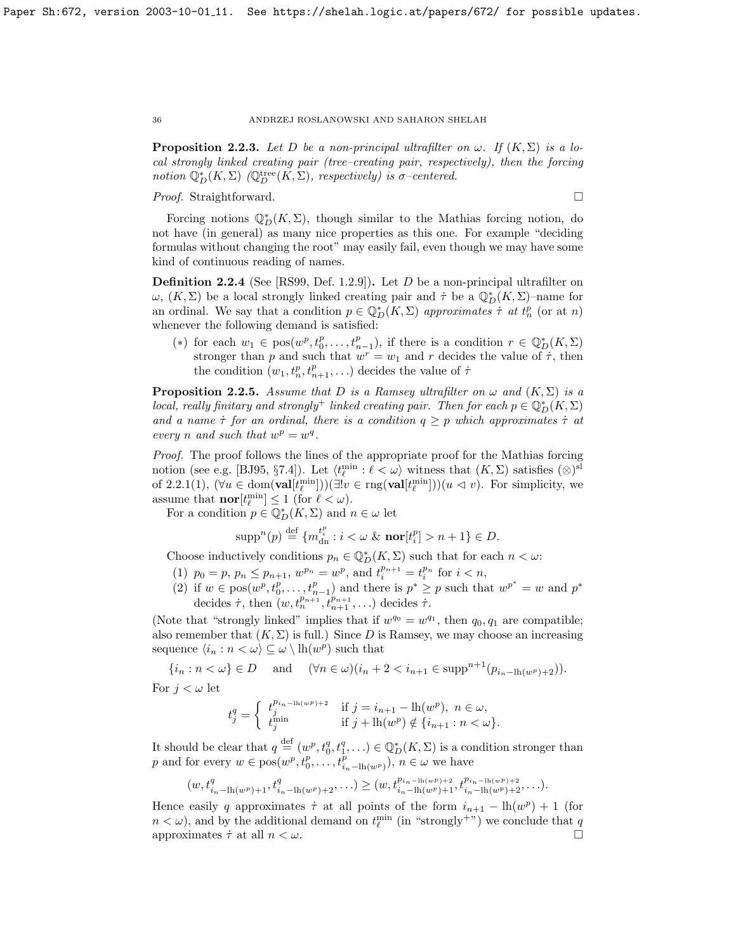**Proposition 2.2.3.** Let D be a non-principal ultrafilter on  $\omega$ . If  $(K, \Sigma)$  is a local strongly linked creating pair (tree–creating pair, respectively), then the forcing notion  $\mathbb{Q}_D^*(K,\Sigma)$  ( $\mathbb{Q}_D^{\text{tree}}(K,\Sigma)$ , respectively) is  $\sigma$ -centered.

# *Proof.* Straightforward. □

Forcing notions  $\mathbb{Q}_D^*(K,\Sigma)$ , though similar to the Mathias forcing notion, do not have (in general) as many nice properties as this one. For example "deciding formulas without changing the root" may easily fail, even though we may have some kind of continuous reading of names.

**Definition 2.2.4** (See [\[RS99,](#page-70-0) Def. 1.2.9]). Let D be a non-principal ultrafilter on ω,  $(K, \Sigma)$  be a local strongly linked creating pair and  $\tau$  be a  $\mathbb{Q}_D^*(K, \Sigma)$ -name for an ordinal. We say that a condition  $p \in \mathbb{Q}_D^*(K,\Sigma)$  approximates  $\tau$  at  $t_n^p$  (or at n) whenever the following demand is satisfied:

(\*) for each  $w_1 \in \text{pos}(w^p, t_0^p, \ldots, t_{n-1}^p)$ , if there is a condition  $r \in \mathbb{Q}_D^*(K, \Sigma)$ stronger than p and such that  $w^r = w_1$  and r decides the value of  $\dot{\tau}$ , then the condition  $(w_1, t_n^p, t_{n+1}^p, \ldots)$  decides the value of  $\tau$ 

**Proposition 2.2.5.** Assume that D is a Ramsey ultrafilter on  $\omega$  and  $(K, \Sigma)$  is a local, really finitary and strongly<sup>+</sup> linked creating pair. Then for each  $p \in \mathbb{Q}_D^*(K,\Sigma)$ and a name  $\tau$  for an ordinal, there is a condition  $q \geq p$  which approximates  $\tau$  at every *n* and such that  $w^p = w^q$ .

Proof. The proof follows the lines of the appropriate proof for the Mathias forcing notion (see e.g. [\[BJ95,](#page-69-0) §7.4]). Let  $\langle t_{\ell}^{\min} : \ell < \omega \rangle$  witness that  $(K, \Sigma)$  satisfies  $(\otimes)^{\text{sl}}$ of [2.2.1\(](#page-30-0)1),  $(\forall u \in \text{dom}(\textbf{val}[t_{\ell}^{\min}]))(\exists! v \in \text{rng}(\textbf{val}[t_{\ell}^{\min}]))$  $(u \lhd v)$ . For simplicity, we assume that  $\operatorname{nor}[t_{\ell}^{\min}] \leq 1$  (for  $\ell < \omega$ ).

For a condition  $p \in \mathbb{Q}_D^*(K,\Sigma)$  and  $n \in \omega$  let

$$
\operatorname{supp}^n(p) \stackrel{\text{def}}{=} \{m_{\text{dn}}^{t_i^n} : i < \omega \ \& \ \operatorname{nor}[t_i^p] > n+1\} \in D.
$$

Choose inductively conditions  $p_n \in \mathbb{Q}_D^*(K, \Sigma)$  such that for each  $n < \omega$ :

- (1)  $p_0 = p, p_n \leq p_{n+1}, w^{p_n} = w^p$ , and  $t_i^{p_{n+1}} = t_i^{p_n}$  for  $i < n$ ,
- (2) if  $w \in \text{pos}(w^p, t^p_0, \ldots, t^p_{n-1})$  and there is  $p^* \geq p$  such that  $w^{p^*} = w$  and  $p^*$ decides  $\dot{\tau}$ , then  $(w, t_n^{p_{n+1}}, t_{n+1}^{p_{n+1}}, \ldots)$  decides  $\dot{\tau}$ .

(Note that "strongly linked" implies that if  $w^{q_0} = w^{q_1}$ , then  $q_0, q_1$  are compatible; also remember that  $(K, \Sigma)$  is full.) Since D is Ramsey, we may choose an increasing sequence  $\langle i_n : n \langle \omega \rangle \subseteq \omega \setminus \mathrm{lh}(w^p)$  such that

$$
\{i_n : n < \omega\} \in D \quad \text{and} \quad (\forall n \in \omega)(i_n + 2 < i_{n+1} \in \text{supp}^{n+1}(p_{i_n - \text{lh}(w^p)+2})).
$$

For  $j < \omega$  let

$$
t_j^q = \begin{cases} t_j^{p_{i_n - \text{lh}(w^p) + 2}} & \text{if } j = i_{n+1} - \text{lh}(w^p), \ n \in \omega, \\ t_j^{\min} & \text{if } j + \text{lh}(w^p) \notin \{i_{n+1} : n < \omega\}. \end{cases}
$$

It should be clear that  $q \stackrel{\text{def}}{=} (w^p, t_0^q, t_1^q, \ldots) \in \mathbb{Q}_D^*(K, \Sigma)$  is a condition stronger than p and for every  $w \in \text{pos}(w^p, t^p_0, \ldots, t^p_{i_n - \text{lh}(w^p)}), n \in \omega$  we have

$$
(w, t_{i_n-\ln(w^p)+1}^q, t_{i_n-\ln(w^p)+2}^q, \ldots) \ge (w, t_{i_n-\ln(w^p)+1}^{p_{i_n-\ln(w^p)+2}}, t_{i_n-\ln(w^p)+2}^{p_{i_n-\ln(w^p)+2}}, \ldots).
$$

Hence easily q approximates  $\dot{\tau}$  at all points of the form  $i_{n+1} - \text{lh}(w^p) + 1$  (for  $n < \omega$ ), and by the additional demand on  $t_{\ell}^{\min}$  (in "strongly<sup>+")</sup>) we conclude that  $q$ approximates  $\dot{\tau}$  at all  $n < \omega$ .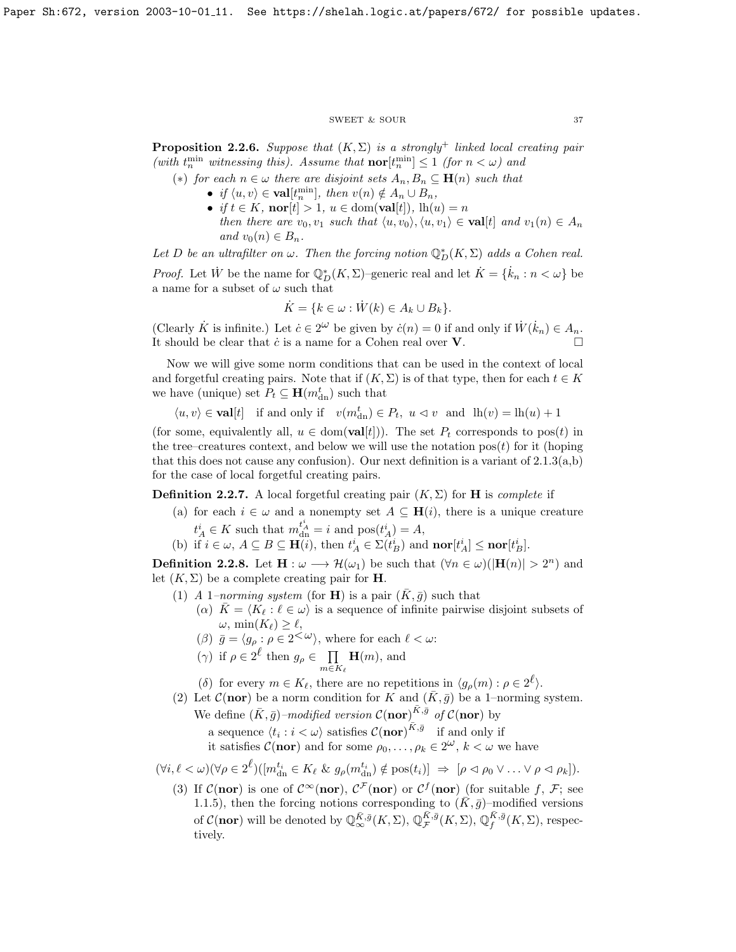#### $\begin{tabular}{ll} \multicolumn{2}{c}{\text{SWEET}} & $\&$ \text{SOUR} \end{tabular} \begin{tabular}{ll} \multicolumn{2}{c}{\text{SWEET}} & $\&$ \multicolumn{2}{c}{\text{SOWR}} \end{tabular}$

<span id="page-37-0"></span>**Proposition 2.2.6.** Suppose that  $(K, \Sigma)$  is a strongly<sup>+</sup> linked local creating pair (with  $t_n^{\min}$  witnessing this). Assume that  $\operatorname{nor}[t_n^{\min}] \leq 1$  (for  $n < \omega$ ) and

- (\*) for each  $n \in \omega$  there are disjoint sets  $A_n, B_n \subseteq \mathbf{H}(n)$  such that
	- if  $\langle u, v \rangle \in \textbf{val}[t_n^{\min}],$  then  $v(n) \notin A_n \cup B_n$ ,
	- if  $t \in K$ ,  $\textbf{nor}[t] > 1$ ,  $u \in \text{dom}(\textbf{val}[t])$ ,  $\text{lh}(u) = n$ then there are  $v_0, v_1$  such that  $\langle u, v_0 \rangle, \langle u, v_1 \rangle \in \textbf{val}[t]$  and  $v_1(n) \in A_n$ and  $v_0(n) \in B_n$ .

Let D be an ultrafilter on  $\omega$ . Then the forcing notion  $\mathbb{Q}_D^*(K,\Sigma)$  adds a Cohen real.

*Proof.* Let  $\dot{W}$  be the name for  $\mathbb{Q}_D^*(K,\Sigma)$ -generic real and let  $\dot{K} = \{\dot{k}_n : n < \omega\}$  be a name for a subset of  $\omega$  such that

$$
\dot{K} = \{k \in \omega : \dot{W}(k) \in A_k \cup B_k\}.
$$

(Clearly  $\dot{K}$  is infinite.) Let  $\dot{c} \in 2^{\omega}$  be given by  $\dot{c}(n) = 0$  if and only if  $\dot{W}(\dot{k}_n) \in A_n$ . It should be clear that  $\dot{c}$  is a name for a Cohen real over  $V$ .

Now we will give some norm conditions that can be used in the context of local and forgetful creating pairs. Note that if  $(K, \Sigma)$  is of that type, then for each  $t \in K$ we have (unique) set  $P_t \subseteq \mathbf{H}(m_{\text{dn}}^t)$  such that

 $\langle u, v \rangle \in \textbf{val}[t] \text{ if and only if } v(m_{\text{dn}}^t) \in P_t, u \vartriangleleft v \text{ and } \text{lh}(v) = \text{lh}(u) + 1$ 

(for some, equivalently all,  $u \in \text{dom}(\textbf{val}[t])$ ). The set  $P_t$  corresponds to pos(t) in the tree–creatures context, and below we will use the notation  $pos(t)$  for it (hoping that this does not cause any confusion). Our next definition is a variant of  $2.1.3(a,b)$ for the case of local forgetful creating pairs.

**Definition 2.2.7.** A local forgetful creating pair  $(K, \Sigma)$  for **H** is *complete* if

- (a) for each  $i \in \omega$  and a nonempty set  $A \subseteq \mathbf{H}(i)$ , there is a unique creature  $t_A^i \in K$  such that  $m_{dn}^{t_A^i} = i$  and  $pos(t_A^i) = A$ ,
- (b) if  $i \in \omega$ ,  $A \subseteq B \subseteq \mathbf{H}(i)$ , then  $t_A^i \in \Sigma(t_B^i)$  and  $\mathbf{nor}[t_A^i] \leq \mathbf{nor}[t_B^i]$ .

**Definition 2.2.8.** Let  $\mathbf{H}: \omega \longrightarrow \mathcal{H}(\omega_1)$  be such that  $(\forall n \in \omega)(|\mathbf{H}(n)| > 2^n)$  and let  $(K, \Sigma)$  be a complete creating pair for **H**.

- (1) A 1–norming system (for **H**) is a pair  $(\bar{K}, \bar{g})$  such that
	- ( $\alpha$ )  $K = \langle K_\ell : \ell \in \omega \rangle$  is a sequence of infinite pairwise disjoint subsets of  $\omega, \min(K_{\ell}) \geq \ell,$
	- ( $\beta$ )  $\bar{g} = \langle g_{\rho} : \rho \in 2^{\langle \omega \rangle} \rangle$ , where for each  $\ell < \omega$ :
	- ( $\gamma$ ) if  $\rho \in 2^{\ell}$  then  $g_{\rho} \in \Pi$  $m \in K_{\ell}$  $\mathbf{H}(m)$ , and

(δ) for every  $m \in K_{\ell}$ , there are no repetitions in  $\langle g_{\rho}(m) : \rho \in 2^{\ell} \rangle$ .

(2) Let  $\mathcal{C}$ (nor) be a norm condition for K and  $(\bar{K}, \bar{g})$  be a 1–norming system. We define  $(\bar{K}, \bar{g})$ -modified version  $\mathcal{C}(\mathbf{nor})^{\bar{K}, \bar{g}}$  of  $\mathcal{C}(\mathbf{nor})$  by a sequence  $\langle t_i : i \langle \omega \rangle$  satisfies  $\mathcal{C}(nor)^{\bar{K},\bar{g}}$  if and only if

it satisfies  $\mathcal{C}(\mathbf{nor})$  and for some  $\rho_0, \ldots, \rho_k \in 2^{\omega}, k < \omega$  we have

 $(\forall i, \ell < \omega)(\forall \rho \in 2^{\ell})( [m_{\text{dn}}^{t_i} \in K_{\ell} \& g_{\rho}(m_{\text{dn}}^{t_i}) \notin \text{pos}(t_i)] \Rightarrow [\rho \vartriangleleft \rho_0 \vee \ldots \vee \rho \vartriangleleft \rho_k]).$ 

(3) If  $\mathcal{C}(\mathbf{nor})$  is one of  $\mathcal{C}^{\infty}(\mathbf{nor})$ ,  $\mathcal{C}^{\mathcal{F}}(\mathbf{nor})$  or  $\mathcal{C}^f(\mathbf{nor})$  (for suitable f, F; see [1.1.5\)](#page-7-0), then the forcing notions corresponding to  $(\bar{K}, \bar{g})$ –modified versions of  $C(\textbf{nor})$  will be denoted by  $\mathbb{Q}_{\infty}^{\bar{K},\bar{g}}(K,\Sigma), \mathbb{Q}_{\mathcal{F}}^{\bar{K},\bar{g}}(K,\Sigma), \mathbb{Q}_{f}^{\bar{K},\bar{g}}(K,\Sigma)$ , respectively.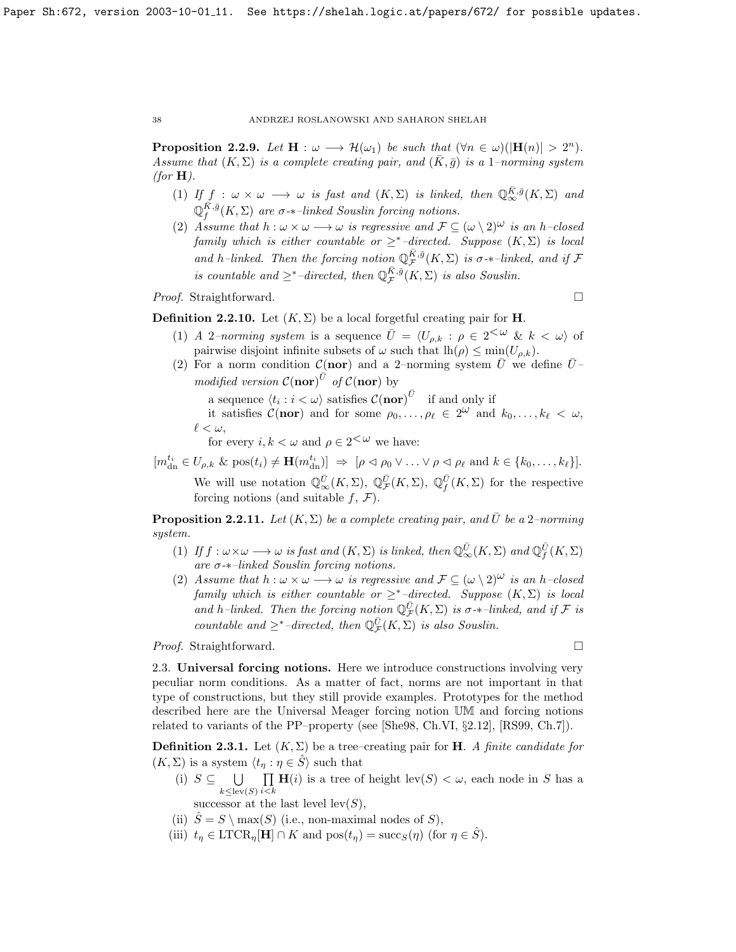**Proposition 2.2.9.** Let  $\mathbf{H}: \omega \longrightarrow \mathcal{H}(\omega_1)$  be such that  $(\forall n \in \omega)(|\mathbf{H}(n)| > 2^n)$ . Assume that  $(K, \Sigma)$  is a complete creating pair, and  $(K, \bar{g})$  is a 1–norming system (for  $H$ ).

- (1) If  $f : \omega \times \omega \longrightarrow \omega$  is fast and  $(K, \Sigma)$  is linked, then  $\mathbb{Q}_{\infty}^{\bar{K}, \bar{g}}(K, \Sigma)$  and  $\mathbb{Q}_f^{\tilde{K},\bar{g}}(K,\Sigma)$  are  $\sigma$ - $*$ -linked Souslin forcing notions.
- (2) Assume that  $h : \omega \times \omega \longrightarrow \omega$  is regressive and  $\mathcal{F} \subseteq (\omega \setminus 2)^{\omega}$  is an h–closed family which is either countable or  $\geq^*$ -directed. Suppose  $(K, \Sigma)$  is local and h–linked. Then the forcing notion  $\mathbb{Q}_{\mathcal{F}}^{\bar{K},\bar{g}}(K,\Sigma)$  is  $\sigma$ - $*$ –linked, and if  $\mathcal F$ is countable and  $\geq^*$ -directed, then  $\mathbb{Q}_{\mathcal{F}}^{\bar{K},\bar{g}}(K,\Sigma)$  is also Souslin.

Proof. Straightforward. □

**Definition 2.2.10.** Let  $(K, \Sigma)$  be a local forgetful creating pair for **H**.

- (1) A 2-norming system is a sequence  $\bar{U} = \langle U_{\rho,k} : \rho \in 2^{\langle \omega \rangle} \& k \langle \omega \rangle$  of pairwise disjoint infinite subsets of  $\omega$  such that  $lh(\rho) \leq \min(U_{\rho,k}).$
- (2) For a norm condition  $\mathcal{C}(\text{nor})$  and a 2–norming system  $\overline{U}$  we define  $\overline{U}$  modified version  $\mathcal{C}(\mathbf{nor})^{\overline{U}}$  of  $\overline{\mathcal{C}}(\mathbf{nor})$  by

a sequence  $\langle t_i : i \langle \omega \rangle$  satisfies  $\mathcal{C}(\text{nor})^{\bar{U}}$  if and only if

it satisfies  $\mathcal{C}(\text{nor})$  and for some  $\rho_0, \ldots, \rho_\ell \in 2^{\omega}$  and  $k_0, \ldots, k_\ell < \omega$ ,  $\ell < \omega$ ,

for every  $i, k < \omega$  and  $\rho \in 2^{\textstyle < \omega}$  we have:

 $[m_{\text{dn}}^{t_i} \in U_{\rho,k} \& \text{pos}(t_i) \neq \mathbf{H}(m_{\text{dn}}^{t_i})] \Rightarrow [\rho \triangleleft \rho_0 \vee \ldots \vee \rho \triangleleft \rho_\ell \text{ and } k \in \{k_0, \ldots, k_\ell\}].$ 

We will use notation  $\mathbb{Q}_{\infty}^{\bar{U}}(K,\Sigma)$ ,  $\mathbb{Q}_{\mathcal{F}}^{\bar{U}}(K,\Sigma)$ ,  $\mathbb{Q}_{f}^{\bar{U}}(K,\Sigma)$  for the respective forcing notions (and suitable  $f, \mathcal{F}$ ).

**Proposition 2.2.11.** Let  $(K, \Sigma)$  be a complete creating pair, and  $\overline{U}$  be a 2–norming system.

- (1) If  $f : \omega \times \omega \longrightarrow \omega$  is fast and  $(K, \Sigma)$  is linked, then  $\mathbb{Q}_{\infty}^{\overline{U}}(K, \Sigma)$  and  $\mathbb{Q}_{f}^{\overline{U}}(K, \Sigma)$ are σ-∗–linked Souslin forcing notions.
- (2) Assume that  $h : \omega \times \omega \longrightarrow \omega$  is regressive and  $\mathcal{F} \subseteq (\omega \setminus 2)^{\omega}$  is an h–closed family which is either countable or  $\geq^*$ -directed. Suppose  $(K, \Sigma)$  is local and h–linked. Then the forcing notion  $\mathbb{Q}_{\mathcal{F}}^{\bar{U}}(K,\Sigma)$  is  $\sigma$ - $*$ –linked, and if  $\mathcal F$  is countable and  $\geq^*$ -directed, then  $\mathbb{Q}_{\mathcal{F}}^{\bar{U}}(K,\Sigma)$  is also Souslin.

*Proof.* Straightforward. □

2.3. Universal forcing notions. Here we introduce constructions involving very peculiar norm conditions. As a matter of fact, norms are not important in that type of constructions, but they still provide examples. Prototypes for the method described here are the Universal Meager forcing notion UM and forcing notions related to variants of the PP–property (see [\[She98,](#page-70-1) Ch.VI, §2.12], [\[RS99,](#page-70-0) Ch.7]).

**Definition 2.3.1.** Let  $(K, \Sigma)$  be a tree–creating pair for **H**. A finite candidate for  $(K, \Sigma)$  is a system  $\langle t_n : \eta \in \hat{S} \rangle$  such that

- (i)  $S \subseteq \bigcup$  $k \leq$ lev $(S)$  $\prod$  $_{i < k}$  $H(i)$  is a tree of height lev(S)  $< \omega$ , each node in S has a
	- successor at the last level  $\text{lev}(S)$ ,
- (ii)  $\hat{S} = S \setminus \max(S)$  (i.e., non-maximal nodes of S),
- (iii)  $t_n \in \text{LTCR}_n[\mathbf{H}] \cap K$  and  $\text{pos}(t_n) = \text{succ}_S(\eta)$  (for  $\eta \in \hat{S}$ ).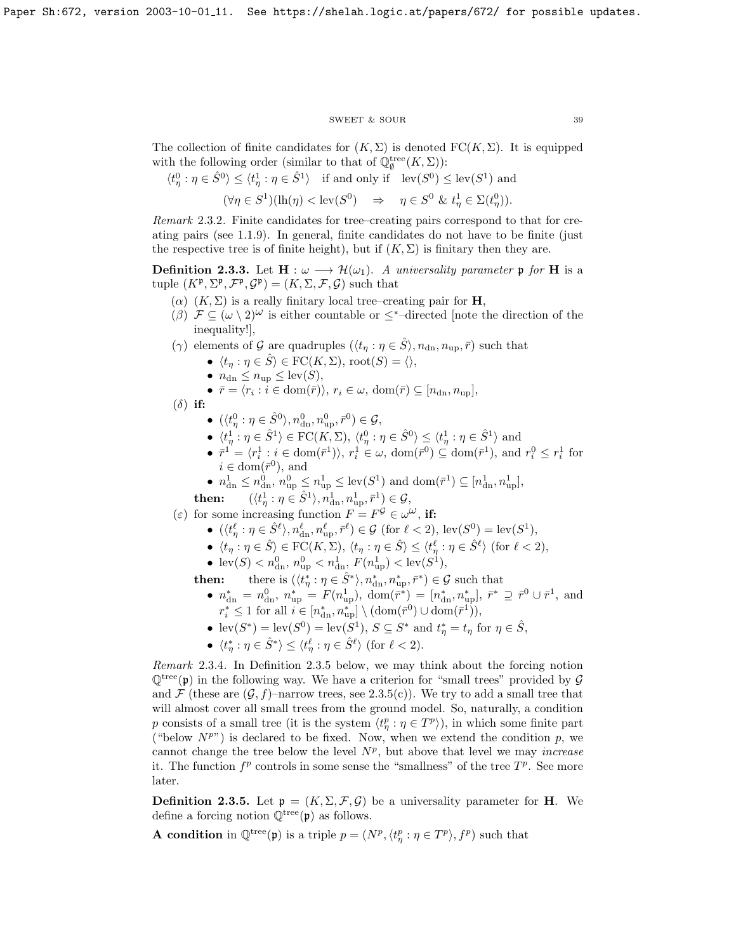#### SWEET & SOUR 39

The collection of finite candidates for  $(K, \Sigma)$  is denoted  $FC(K, \Sigma)$ . It is equipped with the following order (similar to that of  $\mathbb{Q}_\emptyset^{\text{tree}}(K,\Sigma)$ ):

$$
\langle t_\eta^0 : \eta \in \hat{S}^0 \rangle \le \langle t_\eta^1 : \eta \in \hat{S}^1 \rangle \quad \text{if and only if} \quad \text{lev}(S^0) \le \text{lev}(S^1) \text{ and}
$$

$$
(\forall \eta \in S^1)(\text{lh}(\eta) < \text{lev}(S^0) \quad \Rightarrow \quad \eta \in S^0 \, \& \, t_\eta^1 \in \Sigma(t_\eta^0)).
$$

Remark 2.3.2. Finite candidates for tree–creating pairs correspond to that for creating pairs (see [1.1.9\)](#page-8-0). In general, finite candidates do not have to be finite (just the respective tree is of finite height), but if  $(K, \Sigma)$  is finitary then they are.

**Definition 2.3.3.** Let  $H : \omega \longrightarrow \mathcal{H}(\omega_1)$ . A universality parameter p for H is a tuple  $(K^{\mathfrak{p}}, \Sigma^{\mathfrak{p}}, \mathcal{F}^{\mathfrak{p}}, \mathcal{G}^{\mathfrak{p}}) = (K, \Sigma, \mathcal{F}, \mathcal{G})$  such that

- (α)  $(K, Σ)$  is a really finitary local tree–creating pair for **H**,
- (β)  $\mathcal{F} \subseteq (\omega \setminus 2)^{\omega}$  is either countable or  $\leq^*$ -directed [note the direction of the inequality!],
- ( $\gamma$ ) elements of G are quadruples  $(\langle t_{\eta} : \eta \in \hat{S} \rangle, n_{\text{dn}}, n_{\text{up}}, \bar{r})$  such that
	- $\langle t_\eta : \eta \in \hat{S} \rangle \in \text{FC}(K, \Sigma)$ , root $(S) = \langle \rangle$
	- $n_{\text{dn}} \leq n_{\text{up}} \leq \text{lev}(S)$ ,
	- $\bar{r} = \langle r_i : i \in \text{dom}(\bar{r}) \rangle, r_i \in \omega, \text{ dom}(\bar{r}) \subseteq [n_{\text{dn}}, n_{\text{up}}],$
- $(\delta)$  if:
	- $\bullet$   $(\langle t_n^0 : \eta \in \hat{S}^0 \rangle, n_{\text{dn}}^0, n_{\text{up}}^0, \bar{r}^0) \in \mathcal{G},$
	- $\langle t_n^1 : \eta \in \hat{S}^1 \rangle \in \text{FC}(K, \Sigma), \, \langle t_\eta^0 : \eta \in \hat{S}^0 \rangle \leq \langle t_\eta^1 : \eta \in \hat{S}^1 \rangle$  and
	- $\bar{r}^1 = \langle r_i^1 : i \in \text{dom}(\bar{r}^1) \rangle, r_i^1 \in \omega, \text{ dom}(\bar{r}^0) \subseteq \text{dom}(\bar{r}^1), \text{ and } r_i^0 \leq r_i^1 \text{ for }$  $i \in \text{dom}(\bar{r}^0)$ , and
	- $n_{\text{dn}}^1 \leq n_{\text{dn}}^0, n_{\text{up}}^0 \leq n_{\text{up}}^1 \leq \text{lev}(S^1)$  and  $\text{dom}(\bar{r}^1) \subseteq [n_{\text{dn}}^1, n_{\text{up}}^1],$

 $\text{then:}\qquad (\langle t^1_\eta: \eta\in\hat{S}^1\rangle , n^1_{\text{dn}}, n^1_{\text{up}}, \bar{r}^1\rangle \in\mathcal{G},$ 

(ε) for some increasing function  $F = F^{\mathcal{G}} \in \omega^{\omega}$ , if:

- $(\langle t^\ell_\eta : \eta \in \hat{S}^\ell \rangle, n_{\text{dn}}^\ell, n_{\text{up}}^\ell, \bar{r}^\ell) \in \mathcal{G} \text{ (for } \ell < 2\text{), lev}(S^0) = \text{lev}(S^1)$ ,
- $\langle t_\eta : \eta \in \hat{S} \rangle \in \text{FC}(K, \Sigma), \ \langle t_\eta : \eta \in \hat{S} \rangle \leq \langle t_\eta^{\ell} : \eta \in \hat{S}^{\ell} \rangle \text{ (for } \ell < 2),$
- $\text{lev}(S) < n_{\text{dn}}^0$ ,  $n_{\text{up}}^0 < n_{\text{dn}}^1$ ,  $F(n_{\text{up}}^1) < \text{lev}(S^1)$ ,

**then:** there is  $(\langle t^*_{\eta} : \eta \in \hat{S}^* \rangle, n^*_{\text{dn}}, n^*_{\text{up}}, \bar{r}^* ) \in \mathcal{G}$  such that

- $n_{\text{dn}}^* = n_{\text{dn}}^0$ ,  $n_{\text{up}}^* = F(n_{\text{up}}^1)$ ,  $\text{dom}(\bar{r}^*) = [n_{\text{dn}}^*, n_{\text{up}}^*]$ ,  $\bar{r}^* \supseteq \bar{r}^0 \cup \bar{r}^1$ , and  $r_i^* \leq 1$  for all  $i \in [n_{\rm dn}^*, n_{\rm up}^*] \setminus (\text{dom}(\bar{r}^0) \cup \text{dom}(\bar{r}^1)),$
- $\text{lev}(S^*) = \text{lev}(S^0) = \text{lev}(S^1), S \subseteq S^* \text{ and } t^*_\eta = t_\eta \text{ for } \eta \in \hat{S},$
- $\langle t_{\eta}^* : \eta \in \hat{S}^* \rangle \leq \langle t_{\eta}^{\ell} : \eta \in \hat{S}^{\ell} \rangle$  (for  $\ell < 2$ ).

Remark 2.3.4. In Definition [2.3.5](#page-32-0) below, we may think about the forcing notion  $\mathbb{Q}^{\text{tree}}(\mathfrak{p})$  in the following way. We have a criterion for "small trees" provided by  $\mathcal G$ and  $\mathcal F$  (these are  $(\mathcal G, f)$ –narrow trees, see [2.3.5\(](#page-32-0)c)). We try to add a small tree that will almost cover all small trees from the ground model. So, naturally, a condition p consists of a small tree (it is the system  $\langle t^p_{\eta} : \eta \in T^p \rangle$ ), in which some finite part ("below  $N^{p}$ ") is declared to be fixed. Now, when we extend the condition p, we cannot change the tree below the level  $N^p$ , but above that level we may *increase* it. The function  $f^p$  controls in some sense the "smallness" of the tree  $T^p$ . See more later.

**Definition 2.3.5.** Let  $\mathfrak{p} = (K, \Sigma, \mathcal{F}, \mathcal{G})$  be a universality parameter for **H**. We define a forcing notion  $\mathbb{Q}^{\text{tree}}(\mathfrak{p})$  as follows.

**A condition** in  $\mathbb{Q}^{\text{tree}}(\mathfrak{p})$  is a triple  $p = (N^p, \langle t^p_\eta : \eta \in T^p \rangle, f^p)$  such that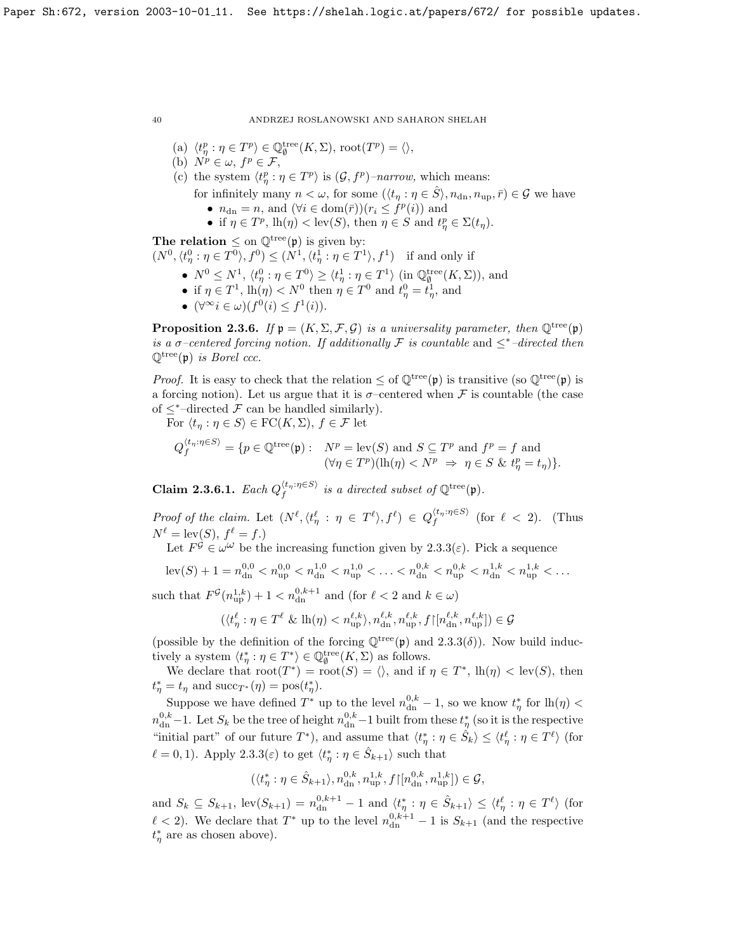(a) 
$$
\langle t^p_\eta : \eta \in T^p \rangle \in \mathbb{Q}_\emptyset^{\text{tree}}(K,\Sigma), \text{root}(T^p) = \langle \rangle
$$
,

- (a)  $\forall i, j \in I^* \in \mathbb{Q}$ <br>(b)  $N^p \in \omega, f^p \in \mathcal{F}$ ,
- (c) the system  $\langle t_p^p : \eta \in T^p \rangle$  is  $(\mathcal{G}, f^p)$ -narrow, which means:
	- for infinitely many  $n < \omega$ , for some  $(\langle t_n : \eta \in \hat{S} \rangle, n_{\text{dn}}, n_{\text{up}}, \bar{r}) \in \mathcal{G}$  we have
		- $n_{\text{dn}} = n$ , and  $(\forall i \in \text{dom}(\bar{r}))(r_i \leq f^p(i))$  and
		- if  $\eta \in T^p$ ,  $\mathrm{lh}(\eta) < \mathrm{lev}(S)$ , then  $\eta \in S$  and  $t^p_\eta \in \Sigma(t_\eta)$ .

The relation  $\leq$  on  $\mathbb{Q}^{\text{tree}}(\mathfrak{p})$  is given by:

 $(N^0, \langle t^0_\eta : \eta \in T^0 \rangle, f^0) \le (N^1, \langle t^1_\eta : \eta \in T^1 \rangle, f^1)$  if and only if

- $N^0 \leq N^1$ ,  $\langle t^0_\eta : \eta \in T^0 \rangle \geq \langle t^1_\eta : \eta \in T^1 \rangle$  (in  $\mathbb{Q}_\emptyset^{\text{tree}}(K,\Sigma)$ ), and
- if  $\eta \in T^1$ ,  $\text{lh}(\eta) < N^0$  then  $\eta \in T^0$  and  $t^0_{\eta} = t^1_{\eta}$ , and
- $(\forall^\infty i \in \omega)(f^0(i) \leq f^1(i)).$

**Proposition 2.3.6.** If  $\mathfrak{p} = (K, \Sigma, \mathcal{F}, \mathcal{G})$  is a universality parameter, then  $\mathbb{Q}^{\text{tree}}(\mathfrak{p})$ is a  $\sigma$ -centered forcing notion. If additionally F is countable and  $\leq^*$ -directed then  $\mathbb{Q}^{\text{tree}}(\mathfrak{p})$  is Borel ccc.

*Proof.* It is easy to check that the relation  $\leq$  of  $\mathbb{Q}^{\text{tree}}(\mathfrak{p})$  is transitive (so  $\mathbb{Q}^{\text{tree}}(\mathfrak{p})$  is a forcing notion). Let us argue that it is  $\sigma$ -centered when F is countable (the case of  $\leq^*$ -directed  $\mathcal F$  can be handled similarly).

For  $\langle t_\eta : \eta \in S \rangle \in \mathrm{FC}(K,\Sigma), f \in \mathcal{F}$  let

$$
Q_f^{\langle t_\eta:\eta\in S\rangle} = \{p\in\mathbb{Q}^\text{tree}(\mathfrak{p}):\n\begin{array}{l}\nN^p = \text{lev}(S) \text{ and } S \subseteq T^p \text{ and } f^p = f \text{ and} \\
(\forall \eta \in T^p)(\text{lh}(\eta) < N^p \Rightarrow \eta \in S \& t_\eta^p = t_\eta)\}.\n\end{array}
$$

<span id="page-40-0"></span>**Claim 2.3.6.1.** Each  $Q_f^{\langle t_n : \eta \in S \rangle}$  is a directed subset of  $\mathbb{Q}^{\text{tree}}(\mathfrak{p})$ .

Proof of the claim. Let  $(N^{\ell}, \langle t^{\ell}_{\eta} : \eta \in T^{\ell} \rangle, f^{\ell}) \in Q_f^{\langle t_{\eta} : \eta \in S \rangle}$  (for  $\ell < 2$ ). (Thus  $N^{\ell} = \text{lev}(S), f^{\ell} = f.$ 

Let  $F^{\hat{\mathcal{G}}}\in \omega^{\hat{\omega}}$  be the increasing function given by [2.3.3\(](#page-30-1) $\varepsilon$ ). Pick a sequence

$$
\operatorname{lev}(S) + 1 = n_{\operatorname{dn}}^{0,0} < n_{\operatorname{up}}^{0,0} < n_{\operatorname{dn}}^{1,0} < n_{\operatorname{up}}^{1,0} < \ldots < n_{\operatorname{dn}}^{0,k} < n_{\operatorname{up}}^{0,k} < n_{\operatorname{dn}}^{1,k} < n_{\operatorname{up}}^{1,k} < \ldots
$$

such that  $F^{\mathcal{G}}(n_{\text{up}}^{1,k}) + 1 < n_{\text{dn}}^{0,k+1}$  and (for  $\ell < 2$  and  $k \in \omega$ )

$$
(\langle t^\ell_\eta : \eta \in T^\ell \& \mathrm{lh}(\eta) < n_{\mathrm{up}}^{\ell,k}, n_{\mathrm{dn}}^{\ell,k}, n_{\mathrm{up}}^{\ell,k}, f {\upharpoonright} [n_{\mathrm{dn}}^{\ell,k}, n_{\mathrm{up}}^{\ell,k}] ) \in \mathcal{G}
$$

(possible by the definition of the forcing  $\mathbb{Q}^{\text{tree}}(\mathfrak{p})$  and  $2.3.3(\delta)$ ). Now build inductively a system  $\langle t^*_{\eta} : \eta \in T^* \rangle \in \mathbb{Q}_{\emptyset}^{\text{tree}}(K, \Sigma)$  as follows.

We declare that  $\text{root}(T^*) = \text{root}(S) = \langle \rangle$ , and if  $\eta \in T^*$ ,  $\text{lh}(\eta) < \text{lev}(S)$ , then  $t_{\eta}^* = t_{\eta}$  and  $succ_{T^*}(\eta) = pos(t_{\eta}^*).$ 

Suppose we have defined  $T^*$  up to the level  $n_{\text{dn}}^{0,k} - 1$ , so we know  $t^*_{\eta}$  for  $\text{lh}(\eta)$  <  $n_{\rm dn}^{0,k}$  – 1. Let  $S_k$  be the tree of height  $n_{\rm dn}^{0,k}$  – 1 built from these  $t^*_{\eta}$  (so it is the respective "initial part" of our future  $T^*$ ), and assume that  $\langle t^*_{\eta} : \eta \in \hat{S}_k \rangle \leq \langle t^{\ell}_{\eta} : \eta \in T^{\ell} \rangle$  (for  $\ell = 0, 1$ ). Apply [2.3.3\(](#page-30-1) $\varepsilon$ ) to get  $\langle t^*_{\eta} : \eta \in \hat{S}_{k+1} \rangle$  such that

$$
(\langle t^*_{\eta} : \eta \in \hat{S}_{k+1} \rangle, n_{\text{dn}}^{0,k}, n_{\text{up}}^{1,k}, f \upharpoonright [n_{\text{dn}}^{0,k}, n_{\text{up}}^{1,k}] ) \in \mathcal{G},
$$

and  $S_k \subseteq S_{k+1}$ ,  $\text{lev}(S_{k+1}) = n_{\text{dn}}^{0,k+1} - 1$  and  $\langle t_\eta^* : \eta \in \hat{S}_{k+1} \rangle \leq \langle t_\eta^\ell : \eta \in T^\ell \rangle$  (for  $\ell$  < 2). We declare that  $T^*$  up to the level  $n_{\rm dn}^{0,k+1} - 1$  is  $S_{k+1}$  (and the respective  $t_{\eta}^*$  are as chosen above).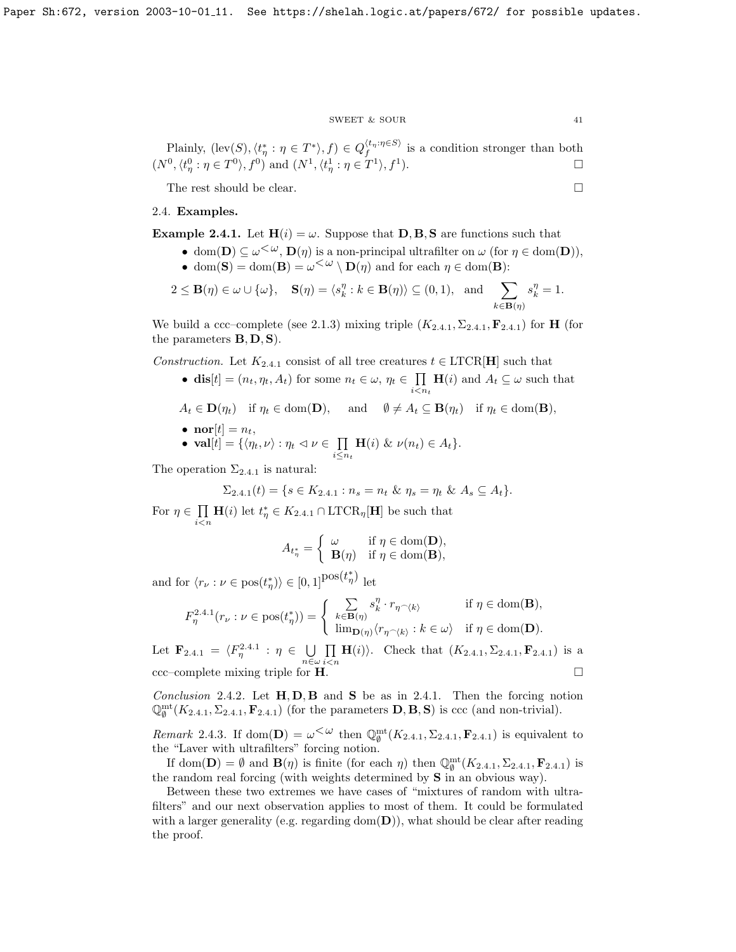## $\begin{tabular}{ll} \bf SWEET & $\&$ SOUR \\ \bf & & & \bf{41} \end{tabular}$

Plainly,  $(\text{lev}(S), \langle t^*_\eta : \eta \in T^* \rangle, f) \in Q_f^{\langle t_\eta : \eta \in S \rangle}$  is a condition stronger than both  $(N^0, \langle t^0_\eta : \eta \in T^0 \rangle, f^0)$  and  $(N^1, \langle t^1_\eta : \eta \in T^1 \rangle, f^1)$ .

The rest should be clear.  $\Box$ 

## 2.4. Examples.

**Example 2.4.1.** Let  $H(i) = \omega$ . Suppose that **D**, **B**, **S** are functions such that

- dom(**D**)  $\subseteq \omega^{\leq \omega}$ , **D**( $\eta$ ) is a non-principal ultrafilter on  $\omega$  (for  $\eta \in \text{dom}(\mathbf{D})$ ),
	- dom(S) = dom(B) =  $\omega < \omega \setminus D(\eta)$  and for each  $\eta \in \text{dom}(\mathbf{B})$ :

$$
2 \leq \mathbf{B}(\eta) \in \omega \cup \{\omega\}, \quad \mathbf{S}(\eta) = \langle s_k^{\eta} : k \in \mathbf{B}(\eta) \rangle \subseteq (0,1), \text{ and } \sum_{k \in \mathbf{B}(\eta)} s_k^{\eta} = 1.
$$

We build a ccc–complete (see [2.1.3\)](#page-30-1) mixing triple  $(K_{2,4,1}, \Sigma_{2,4,1}, \mathbf{F}_{2,4,1})$  $(K_{2,4,1}, \Sigma_{2,4,1}, \mathbf{F}_{2,4,1})$  $(K_{2,4,1}, \Sigma_{2,4,1}, \mathbf{F}_{2,4,1})$  for **H** (for the parameters  $B, D, S$ .

Construction. Let  $K_{2,4,1}$  $K_{2,4,1}$  $K_{2,4,1}$  consist of all tree creatures  $t \in \text{LTCR}[\mathbf{H}]$  such that

- dis $[t] = (n_t, \eta_t, A_t)$  for some  $n_t \in \omega, \eta_t \in \Pi$  $\prod_{i \leq n_t} \mathbf{H}(i)$  and  $A_t \subseteq \omega$  such that
- $A_t \in \mathbf{D}(\eta_t)$  if  $\eta_t \in \text{dom}(\mathbf{D}),$  and  $\emptyset \neq A_t \subseteq \mathbf{B}(\eta_t)$  if  $\eta_t \in \text{dom}(\mathbf{B}),$
- $\mathbf{nor}[t] = n_t,$
- $\mathbf{val}[t] = \{ \langle \eta_t, \nu \rangle : \eta_t \vartriangleleft \nu \in \prod$  $\prod_{i\leq n_t} \mathbf{H}(i) \& \nu(n_t) \in A_t \}.$

The operation  $\Sigma_{2.4.1}$  $\Sigma_{2.4.1}$  $\Sigma_{2.4.1}$  is natural:

$$
\Sigma_{2.4.1}(t) = \{ s \in K_{2.4.1} : n_s = n_t \& \eta_s = \eta_t \& A_s \subseteq A_t \}.
$$

For  $\eta \in \Pi$  $i$  $\lt$ n  $\mathbf{H}(i)$  let  $t_{\eta}^* \in K_{2,4,1} \cap \text{LTCR}_{\eta}[\mathbf{H}]$  $t_{\eta}^* \in K_{2,4,1} \cap \text{LTCR}_{\eta}[\mathbf{H}]$  $t_{\eta}^* \in K_{2,4,1} \cap \text{LTCR}_{\eta}[\mathbf{H}]$  be such that

$$
A_{t_{\eta}^*} = \begin{cases} \omega & \text{if } \eta \in \text{dom}(\mathbf{D}), \\ \mathbf{B}(\eta) & \text{if } \eta \in \text{dom}(\mathbf{B}), \end{cases}
$$

and for  $\langle r_{\nu} : \nu \in \text{pos}(t_{\eta}^*) \rangle \in [0, 1]^{\text{pos}(t_{\eta}^*)}$  let

$$
F_{\eta}^{2.4.1}(r_{\nu}:\nu\in{\rm pos}(t_{\eta}^{\ast}))=\left\{\begin{array}{ll}\sum\limits_{k\in{\bf B}(\eta)}s_{k}^{\eta}\cdot r_{\eta}\smallfrown\langle k\rangle& \text{if } \eta\in{\rm dom}({\bf B}),\\ \lim_{{\bf D}(\eta)}\langle r_{\eta}\smallfrown\langle k\rangle : k\in\omega\rangle& \text{if } \eta\in{\rm dom}({\bf D}).\end{array}\right.
$$

Let  $\mathbf{F}_{2,4,1} = \langle F_{\eta}^{2,4,1} : \eta \in \bigcup$  $\mathbf{F}_{2,4,1} = \langle F_{\eta}^{2,4,1} : \eta \in \bigcup$  $\mathbf{F}_{2,4,1} = \langle F_{\eta}^{2,4,1} : \eta \in \bigcup$  $n\in\omega$  $\Pi$  $\prod_{i \le n} H(i)$ . Check that  $(K_{2.4.1}, \Sigma_{2.4.1}, \mathbf{F}_{2.4.1})$  $(K_{2.4.1}, \Sigma_{2.4.1}, \mathbf{F}_{2.4.1})$  $(K_{2.4.1}, \Sigma_{2.4.1}, \mathbf{F}_{2.4.1})$  is a  $\text{ccc}-\text{complete mixing triple for }\mathbf{H}.$ 

Conclusion 2.4.2. Let  $H, D, B$  and S be as in [2.4.1.](#page-30-0) Then the forcing notion  $\mathbb{Q}_{\emptyset}^{\text{mt}}(K_{2,4,1}, \Sigma_{2,4,1}, \mathbf{F}_{2,4,1})$  $\mathbb{Q}_{\emptyset}^{\text{mt}}(K_{2,4,1}, \Sigma_{2,4,1}, \mathbf{F}_{2,4,1})$  $\mathbb{Q}_{\emptyset}^{\text{mt}}(K_{2,4,1}, \Sigma_{2,4,1}, \mathbf{F}_{2,4,1})$  (for the parameters **D**, **B**, **S**) is ccc (and non-trivial).

Remark [2](#page-30-0).4.3. If dom(D) =  $\omega^{\leq \omega}$  then  $\mathbb{Q}_{\emptyset}^{\text{mt}}(K_{2,4,1}, \Sigma_{2,4,1}, \mathbf{F}_{2,4,1})$  is equivalent to the "Laver with ultrafilters" forcing notion.

If dom(D) =  $\emptyset$  and  $\mathbf{B}(\eta)$  is finite (for each  $\eta$ ) then  $\mathbb{Q}_{\emptyset}^{\text{mt}}(K_{2.4.1}, \Sigma_{2.4.1}, \mathbf{F}_{2.4.1})$  $\mathbb{Q}_{\emptyset}^{\text{mt}}(K_{2.4.1}, \Sigma_{2.4.1}, \mathbf{F}_{2.4.1})$  $\mathbb{Q}_{\emptyset}^{\text{mt}}(K_{2.4.1}, \Sigma_{2.4.1}, \mathbf{F}_{2.4.1})$  is the random real forcing (with weights determined by S in an obvious way).

Between these two extremes we have cases of "mixtures of random with ultrafilters" and our next observation applies to most of them. It could be formulated with a larger generality (e.g. regarding dom( $\mathbf{D}$ )), what should be clear after reading the proof.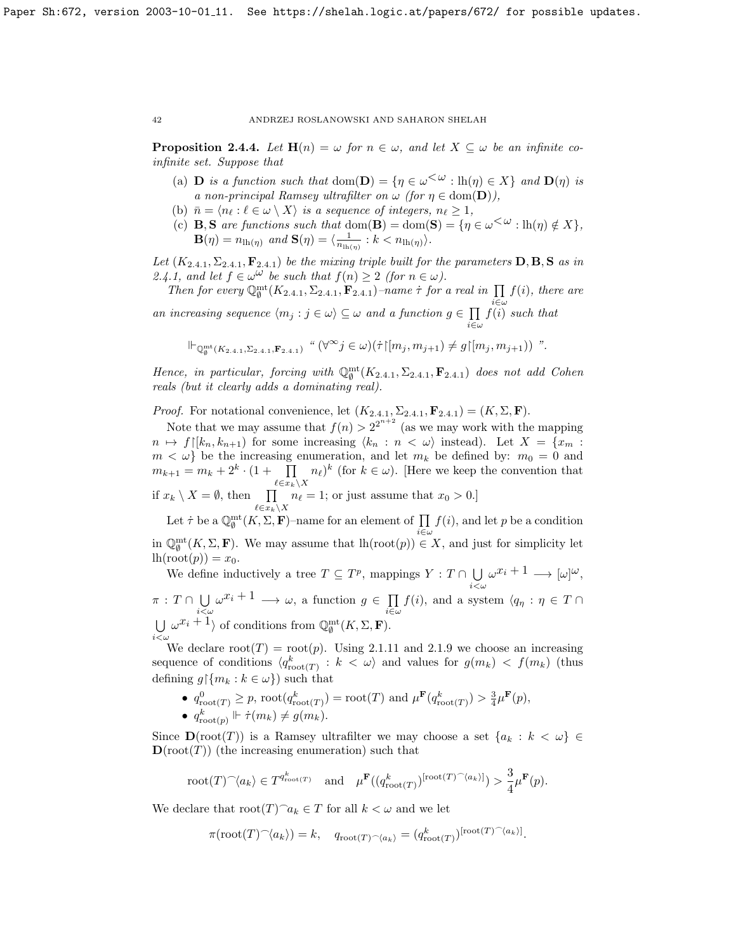**Proposition 2.4.4.** Let  $\mathbf{H}(n) = \omega$  for  $n \in \omega$ , and let  $X \subseteq \omega$  be an infinite coinfinite set. Suppose that

- (a) **D** is a function such that  $dom(D) = \{ \eta \in \omega^{\langle \omega \rangle} : lh(\eta) \in X \}$  and  $D(\eta)$  is a non-principal Ramsey ultrafilter on  $\omega$  (for  $\eta \in \text{dom}(\mathbf{D})$ ),
- (b)  $\bar{n} = \langle n_\ell : \ell \in \omega \setminus X \rangle$  is a sequence of integers,  $n_\ell \geq 1$ ,
- (c) **B**, **S** are functions such that dom(**B**) = dom(**S**) = { $\eta \in \omega^{\lt \omega}$  : lh( $\eta$ )  $\notin X$ },  $\mathbf{B}(\eta) = n_{\mathrm{lh}(\eta)}$  and  $\mathbf{S}(\eta) = \langle \frac{1}{n_{\mathrm{lh}(\eta)}} : k < n_{\mathrm{lh}(\eta)} \rangle$ .

Let  $(K_{2,4,1}, \Sigma_{2,4,1}, \mathbf{F}_{2,4,1})$  $(K_{2,4,1}, \Sigma_{2,4,1}, \mathbf{F}_{2,4,1})$  $(K_{2,4,1}, \Sigma_{2,4,1}, \mathbf{F}_{2,4,1})$  be the mixing triple built for the parameters  $D, B, S$  as in [2.4.1,](#page-30-0) and let  $f \in \omega^{\omega}$  be such that  $f(n) \geq 2$  (for  $n \in \omega$ ).

Then for every  $\mathbb{Q}_{\emptyset}^{\text{mt}}(K_{2,4,1},\Sigma_{2,4,1},\mathbf{F}_{2,4,1})$  $\mathbb{Q}_{\emptyset}^{\text{mt}}(K_{2,4,1},\Sigma_{2,4,1},\mathbf{F}_{2,4,1})$  $\mathbb{Q}_{\emptyset}^{\text{mt}}(K_{2,4,1},\Sigma_{2,4,1},\mathbf{F}_{2,4,1})$ -name  $\tau$  for a real in  $\prod f(i)$ , there are an increasing sequence  $\langle m_j : j \in \omega \rangle \subseteq \omega$  and a function  $g \in \prod_{i=1}^{i \in \omega} f(i)$  $f(i)$  such that

$$
\mathsf{i} \in \omega
$$
  

$$
\mathsf{i} \vdash_{\mathbb{Q}^{\mathsf{mt}}_{\emptyset}(K_{2.4.1},\Sigma_{2.4.1},\mathbf{F}_{2.4.1})} \text{``} (\forall^{\infty} j \in \omega)(\dot{\tau} \upharpoonright [m_j,m_{j+1}) \neq g \upharpoonright [m_j,m_{j+1})
$$
''.

Hence, in particular, forcing with  $\mathbb{Q}_{\emptyset}^{\text{mt}}(K_{2.4.1}, \Sigma_{2.4.1}, \mathbf{F}_{2.4.1})$  $\mathbb{Q}_{\emptyset}^{\text{mt}}(K_{2.4.1}, \Sigma_{2.4.1}, \mathbf{F}_{2.4.1})$  $\mathbb{Q}_{\emptyset}^{\text{mt}}(K_{2.4.1}, \Sigma_{2.4.1}, \mathbf{F}_{2.4.1})$  does not add Cohen reals (but it clearly adds a dominating real).

*Proof.* For notational convenience, let  $(K_{2,4.1}, \Sigma_{2,4.1}, \mathbf{F}_{2,4.1}) = (K, \Sigma, \mathbf{F}).$  $(K_{2,4.1}, \Sigma_{2,4.1}, \mathbf{F}_{2,4.1}) = (K, \Sigma, \mathbf{F}).$  $(K_{2,4.1}, \Sigma_{2,4.1}, \mathbf{F}_{2,4.1}) = (K, \Sigma, \mathbf{F}).$ 

Note that we may assume that  $f(n) > 2^{2^{n+2}}$  (as we may work with the mapping  $n \mapsto f([k_n, k_{n+1})$  for some increasing  $\langle k_n : n \langle \omega \rangle$  instead). Let  $X = \{x_m :$  $m < \omega$  be the increasing enumeration, and let  $m_k$  be defined by:  $m_0 = 0$  and  $m_{k+1} = m_k + 2^k \cdot (1 + \prod$  $\ell\in x_k\!\setminus\! X$  $n_{\ell}$ <sup>k</sup> (for  $k \in \omega$ ). [Here we keep the convention that if  $x_k \setminus X = \emptyset$ , then  $\prod$  $\ell \!\in\! x_k\!\setminus\! X$  $n_{\ell} = 1$ ; or just assume that  $x_0 > 0$ .]

Let  $\dot{\tau}$  be a  $\mathbb{Q}_{\emptyset}^{\mathrm{mt}}(K,\Sigma,\mathbf{F})$ –name for an element of  $\prod$ i∈ω  $f(i)$ , and let p be a condition in  $\mathbb{Q}_{\emptyset}^{\text{mt}}(K,\Sigma,\mathbf{F})$ . We may assume that  $\text{lh}(\text{root}(p)) \in X$ , and just for simplicity let  $lh(root(p)) = x_0.$ 

We define inductively a tree  $T \subseteq T^p$ , mappings  $Y : T \cap \bigcup \omega^{x_i+1} \longrightarrow [\omega]^{\omega}$ ,  $i<\omega$  $\pi : T \cap \bigcup$  $i<\omega$  $\omega^{x_i+1} \longrightarrow \omega$ , a function  $g \in \prod$  $\prod_{i\in\omega}f(i)$ , and a system  $\langle q_\eta:\eta\in T\cap$ U  $i<\omega$  $\omega^{x_i}$  + 1 of conditions from  $\mathbb{Q}_{\emptyset}^{\text{mt}}(K,\Sigma,\mathbf{F}).$ 

We declare  $root(T) = root(p)$ . Using [2.1.11](#page-33-0) and [2.1.9](#page-33-1) we choose an increasing sequence of conditions  $\langle q_{\text{root}(T)}^k : k \langle \omega \rangle$  and values for  $g(m_k) \langle f(m_k) \rangle$  (thus defining  $g{\upharpoonright} \{m_k : k \in \omega\}$  such that

•  $q_{\text{root}(T)}^0 \ge p$ ,  $\text{root}(q_{\text{root}(T)}^k) = \text{root}(T)$  and  $\mu^{\mathbf{F}}(q_{\text{root}(T)}^k) > \frac{3}{4}\mu^{\mathbf{F}}(p)$ , •  $q_{\text{root}(p)}^k \Vdash \dot{\tau}(m_k) \neq g(m_k).$ 

Since  $\mathbf{D}(\text{root}(T))$  is a Ramsey ultrafilter we may choose a set  $\{a_k : k < \omega\} \in$ 

 $\mathbf{D}(\text{root}(T))$  (the increasing enumeration) such that

$$
\mathrm{root}(T) {}^\frown \langle a_k \rangle \in T^{q^k_{\mathrm{root}(T)}} \quad \mathrm{and} \quad \mu^{\mathbf{F}}( (q^k_{\mathrm{root}(T)})^{[\mathrm{root}(T) {}^\frown \langle a_k \rangle] } ) > \frac{3}{4} \mu^{\mathbf{F}}(p).
$$

We declare that  $\text{root}(T)_{a_k} \in T$  for all  $k < \omega$  and we let

$$
\pi(\mathrm{root}(T)^\frown \langle a_k \rangle) = k, \quad q_{\mathrm{root}(T)^\frown \langle a_k \rangle} = (q_{\mathrm{root}(T)}^k)^{[\mathrm{root}(T)^\frown \langle a_k \rangle]}.
$$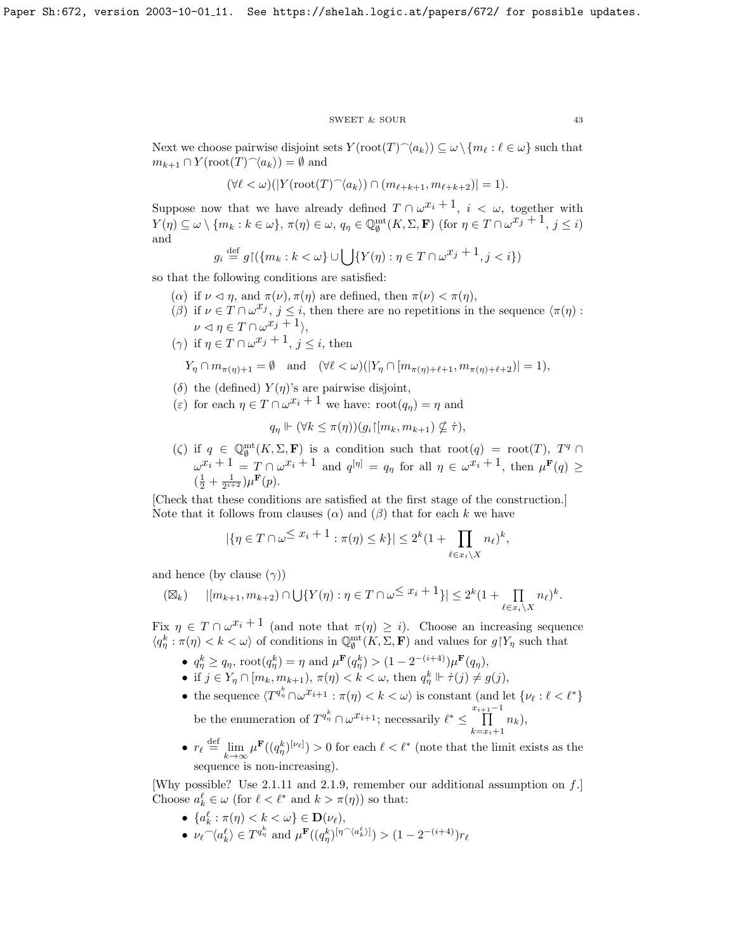#### SWEET & SOUR 43

Next we choose pairwise disjoint sets  $Y(\text{root}(T)\hat{\;} \langle a_k \rangle) \subseteq \omega \setminus \{m_\ell : \ell \in \omega\}$  such that  $m_{k+1} \cap Y(\text{root}(T) \hat{\;} \langle a_k \rangle) = \emptyset$  and

$$
(\forall \ell < \omega)(\vert Y({\rm root}(T)^\frown \langle a_k\rangle) \cap (m_{\ell+k+1}, m_{\ell+k+2}) \vert = 1).
$$

Suppose now that we have already defined  $T \cap \omega^{x_i+1}$ ,  $i < \omega$ , together with  $Y(\eta) \subseteq \omega \setminus \{m_k : k \in \omega\}, \pi(\eta) \in \omega, q_\eta \in \mathbb{Q}_{\emptyset}^{\text{mt}}(K, \Sigma, \mathbf{F}) \text{ (for } \eta \in T \cap \omega^{x_j + 1}, j \leq i\}$ and

$$
g_i \stackrel{\text{def}}{=} g \upharpoonright (\{m_k : k < \omega\} \cup \bigcup \{Y(\eta) : \eta \in T \cap \omega^{x_j + 1}, j < i\})
$$

so that the following conditions are satisfied:

- ( $\alpha$ ) if  $\nu \leq \eta$ , and  $\pi(\nu), \pi(\eta)$  are defined, then  $\pi(\nu) < \pi(\eta)$ ,
- (β) if  $\nu \in T \cap \omega^{x_j}$ ,  $j \leq i$ , then there are no repetitions in the sequence  $\langle \pi(\eta) :$  $\nu \lhd \eta \in T \cap \omega^{x_j} + 1$ ,
- (γ) if  $\eta \in T \cap \omega^{x_j+1}$ ,  $j \leq i$ , then  $\phi$  and  $(\forall \theta \leq u)(|V| \cap \mathbb{R})$

$$
Y_{\eta} \cap m_{\pi(\eta)+1} = \emptyset \quad \text{and} \quad (\forall \ell < \omega)(|Y_{\eta} \cap [m_{\pi(\eta)+\ell+1}, m_{\pi(\eta)+\ell+2})| = 1).
$$

- (δ) the (defined)  $Y(\eta)$ 's are pairwise disjoint,
- (ε) for each  $\eta \in T \cap \omega^{x_i} + 1$  we have:  $\text{root}(q_{\eta}) = \eta$  and

$$
q_{\eta} \Vdash (\forall k \leq \pi(\eta))(g_i\upharpoonright [m_k, m_{k+1}) \nsubseteq \dot{\tau}),
$$

( $\zeta$ ) if  $q \in \mathbb{Q}_{\emptyset}^{\mathrm{mt}}(K,\Sigma,\mathbf{F})$  is a condition such that  $\mathrm{root}(q) = \mathrm{root}(T)$ ,  $T^q \cap$  $\omega^{x_i+1} = T \cap \omega^{x_i+1}$  and  $q^{[\eta]} = q_\eta$  for all  $\eta \in \omega^{x_i+1}$ , then  $\mu^{\mathbf{F}}(q) \geq$  $(\frac{1}{2} + \frac{1}{2^{i+2}})\mu^{\mathbf{F}}(p).$ 

[Check that these conditions are satisfied at the first stage of the construction.] Note that it follows from clauses  $(\alpha)$  and  $(\beta)$  that for each k we have

$$
|\{\eta \in T \cap \omega^{\leq x_i+1} : \pi(\eta) \leq k\}| \leq 2^k (1 + \prod_{\ell \in x_i \setminus X} n_\ell)^k,
$$

and hence (by clause  $(\gamma)$ )

$$
(\boxtimes_k) \qquad |[m_{k+1}, m_{k+2}) \cap \bigcup \{ Y(\eta) : \eta \in T \cap \omega^{\leq x_i+1} \}| \leq 2^k (1 + \prod_{\ell \in x_i \backslash X} n_\ell)^k.
$$

Fix  $\eta \in T \cap \omega^{x_i+1}$  (and note that  $\pi(\eta) \geq i$ ). Choose an increasing sequence  $\langle q_\eta^k:\pi(\eta)<k<\omega\rangle$  of conditions in  $\mathbb{Q}_\theta^{\mathrm{mt}}(K,\Sigma,\mathbf{F})$  and values for  $g\restriction Y_\eta$  such that

- $q_{\eta}^{k} \geq q_{\eta}$ , root $(q_{\eta}^{k}) = \eta$  and  $\mu^{\mathbf{F}}(q_{\eta}^{k}) > (1 2^{-(i+4)}) \mu^{\mathbf{F}}(q_{\eta}),$
- if  $j \in Y_{\eta} \cap [m_k, m_{k+1}), \pi(\eta) < k < \omega$ , then  $q_{\eta}^k \Vdash \dot{\tau}(j) \neq g(j)$ ,
- the sequence  $\langle T^{q^k_{\eta}} \cap \omega^{x_{i+1}} : \pi(\eta) < k < \omega \rangle$  is constant (and let  $\{ \nu_{\ell} : \ell < \ell^* \}$ be the enumeration of  $T^{q_n^k} \cap \omega^{x_{i+1}}$ ; necessarily  $\ell^* \leq \prod^{x_{i+1}-1}$  $k=x_i+1$  $n_k$ ),
- $r_{\ell} \stackrel{\text{def}}{=} \lim_{k \to \infty} \mu^{\mathbf{F}}((q_{\eta}^k)^{[\nu_{\ell}]}) > 0$  for each  $\ell < \ell^*$  (note that the limit exists as the sequence is non-increasing).

[Why possible? Use [2.1.11](#page-33-0) and [2.1.9,](#page-33-1) remember our additional assumption on  $f$ .] Choose  $a_k^{\ell} \in \omega$  (for  $\ell < \ell^*$  and  $k > \pi(\eta)$ ) so that:

- $\{a_k^{\ell} : \pi(\eta) < k < \omega\} \in \mathbf{D}(\nu_{\ell}),$ k
- $\nu_\ell \widehat{\phantom{\alpha}} \langle a_k^{\ell} \rangle \in T^{q_{\eta}^{k}}$  and  $\mu^{\mathbf{F}}((q_{\eta}^{k})^{[\eta] \widehat{\phantom{\alpha}} \langle a_k^{\ell} \rangle]} ) > (1 2^{-(i+4)}) r_{\ell}$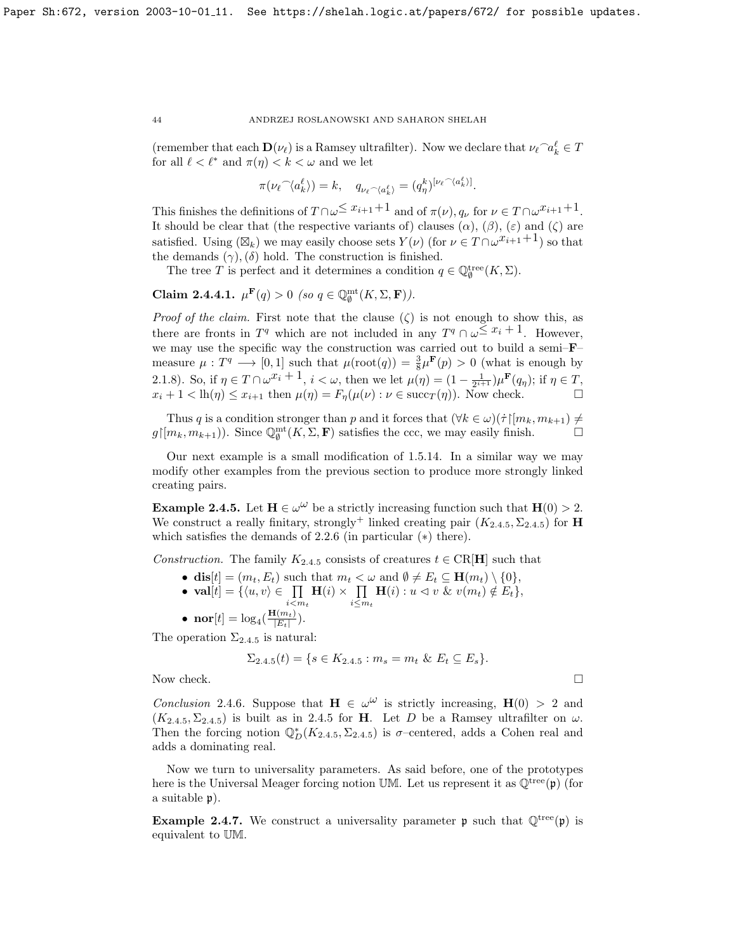(remember that each  $\mathbf{D}(\nu_\ell)$  is a Ramsey ultrafilter). Now we declare that  $\nu_\ell \cap a_k^\ell \in T$ for all  $\ell < \ell^*$  and  $\pi(\eta) < k < \omega$  and we let

$$
\pi(\nu_{\ell} \widehat{\phantom{\alpha}} \langle a_k^{\ell} \rangle) = k, \quad q_{\nu_{\ell} \widehat{\phantom{\alpha}} \langle a_k^{\ell} \rangle} = (q_{\eta}^{k})^{[\nu_{\ell} \widehat{\phantom{\alpha}} \langle a_k^{\ell} \rangle]}.
$$

This finishes the definitions of  $T \cap \omega \leq x_{i+1}+1$  and of  $\pi(\nu)$ ,  $q_{\nu}$  for  $\nu \in T \cap \omega^{x_{i+1}+1}$ . It should be clear that (the respective variants of) clauses  $(\alpha)$ ,  $(\beta)$ ,  $(\varepsilon)$  and  $(\zeta)$  are satisfied. Using  $(\boxtimes_k)$  we may easily choose sets  $Y(\nu)$  (for  $\nu \in T \cap \omega^{x_{i+1}+1}$ ) so that the demands  $(\gamma)$ ,  $(\delta)$  hold. The construction is finished.

The tree T is perfect and it determines a condition  $q \in \mathbb{Q}_\emptyset^{\text{tree}}(K,\Sigma)$ .

Claim 2.4.4.1.  $\mu^{\mathbf{F}}(q) > 0$  (so  $q \in \mathbb{Q}_{\emptyset}^{\mathrm{mt}}(K, \Sigma, \mathbf{F})$ ).

*Proof of the claim.* First note that the clause  $(\zeta)$  is not enough to show this, as there are fronts in  $T^q$  which are not included in any  $T^q \cap \omega \leq x_i + 1$ . However, we may use the specific way the construction was carried out to build a semi–F– measure  $\mu: T^q \longrightarrow [0,1]$  such that  $\mu(\text{root}(q)) = \frac{3}{8} \mu^F(p) > 0$  (what is enough by [2.1.8\)](#page-32-1). So, if  $\eta \in T \cap \omega^{x_i} + 1$ ,  $i < \omega$ , then we let  $\mu(\eta) = (1 - \frac{1}{2^{i+1}})\mu^{\mathbf{F}}(q_{\eta});$  if  $\eta \in T$ ,  $x_i + 1 < \text{lh}(\eta) \le x_{i+1}$  then  $\mu(\eta) = F_{\eta}(\mu(\nu) : \nu \in \text{succ}_T(\eta))$ . Now check.

Thus q is a condition stronger than p and it forces that  $(\forall k \in \omega)(\dot{\tau} | [m_k, m_{k+1}) \neq \dot{\tau}$  $g\upharpoonright [m_k, m_{k+1})$ ). Since  $\mathbb{Q}_{\emptyset}^{\text{mt}}(K, \Sigma, \mathbf{F})$  satisfies the ccc, we may easily finish.

Our next example is a small modification of [1.5.14.](#page-9-0) In a similar way we may modify other examples from the previous section to produce more strongly linked creating pairs.

**Example 2.4.5.** Let  $H \in \omega^{\omega}$  be a strictly increasing function such that  $H(0) > 2$ . We construct a really finitary, strongly<sup>+</sup> linked creating pair  $(K_{2,4.5}, \Sigma_{2,4.5})$  $(K_{2,4.5}, \Sigma_{2,4.5})$  $(K_{2,4.5}, \Sigma_{2,4.5})$  for **H** which satisfies the demands of [2.2.6](#page-37-0) (in particular (∗) there).

Construction. The family  $K_{2,4,5}$  $K_{2,4,5}$  $K_{2,4,5}$  consists of creatures  $t \in \text{CR}[\mathbf{H}]$  such that

- dis $[t] = (m_t, E_t)$  such that  $m_t < \omega$  and  $\emptyset \neq E_t \subseteq \mathbf{H}(m_t) \setminus \{0\},$
- val $[t] = \{\langle u, v \rangle \in \Pi\}$  $i \ll m_t$  $H(i) \times \prod$  $\prod_{i\leq m_t} \mathbf{H}(i) : u \vartriangleleft v \ \& \ v(m_t) \notin E_t \},\$
- $\bullet \ \mathbf{nor}[t] = \log_4(\frac{\mathbf{H}(m_t)}{|E_t|})$  $\frac{\Gamma(m_t)}{|E_t|}$ ).

The operation  $\Sigma_{2,4,5}$  $\Sigma_{2,4,5}$  $\Sigma_{2,4,5}$  is natural:

$$
\Sigma_{2.4.5}(t) = \{ s \in K_{2.4.5} : m_s = m_t \& E_t \subseteq E_s \}.
$$

Now check.  $\Box$ 

Conclusion 2.4.6. Suppose that  $\mathbf{H} \in \omega^{\omega}$  is strictly increasing,  $\mathbf{H}(0) > 2$  and  $(K_{2,4.5}, \Sigma_{2,4.5})$  $(K_{2,4.5}, \Sigma_{2,4.5})$  $(K_{2,4.5}, \Sigma_{2,4.5})$  is built as in [2.4.5](#page-32-0) for **H**. Let D be a Ramsey ultrafilter on  $\omega$ . Then the forcing notion  $\mathbb{Q}_D^*(K_{2,4.5}, \Sigma_{2,4.5})$  $\mathbb{Q}_D^*(K_{2,4.5}, \Sigma_{2,4.5})$  $\mathbb{Q}_D^*(K_{2,4.5}, \Sigma_{2,4.5})$  is  $\sigma$ -centered, adds a Cohen real and adds a dominating real.

Now we turn to universality parameters. As said before, one of the prototypes here is the Universal Meager forcing notion UM. Let us represent it as  $\mathbb{Q}^{\text{tree}}(\mathfrak{p})$  (for a suitable p).

**Example 2.4.7.** We construct a universality parameter **p** such that  $\mathbb{Q}^{\text{tree}}(\mathfrak{p})$  is equivalent to UM.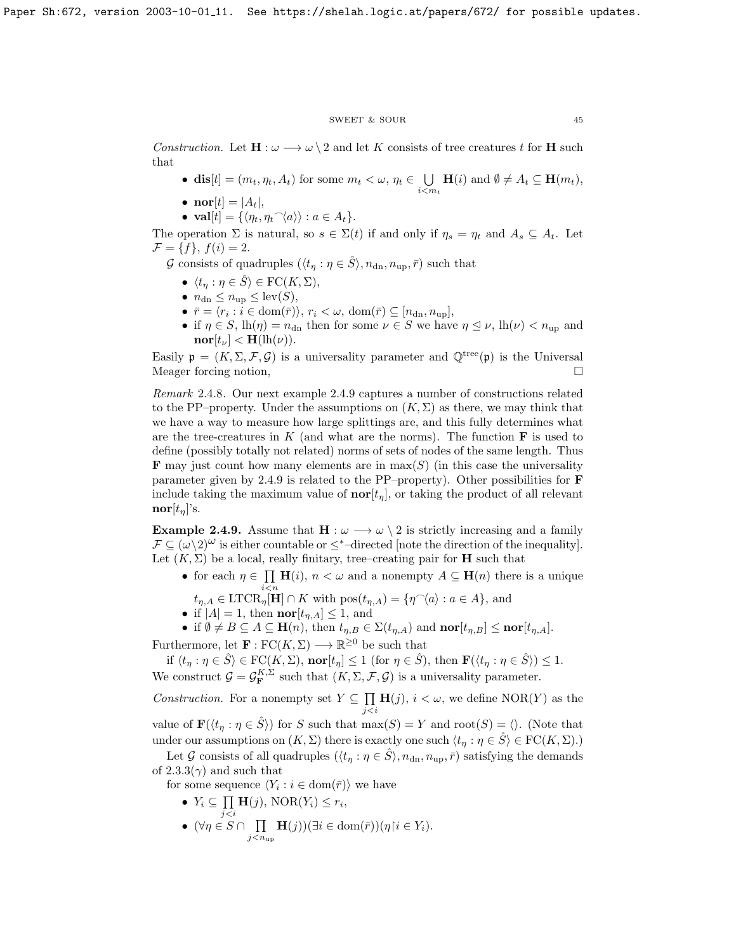#### ${\tt SWEET\ \&\ SOUR} \eqno{45}$

Construction. Let  $\mathbf{H} : \omega \longrightarrow \omega \setminus 2$  and let K consists of tree creatures t for H such that

- dis $[t] = (m_t, \eta_t, A_t)$  for some  $m_t < \omega, \eta_t \in \bigcup$  $\bigcup_{i \leq m_t} \mathbf{H}(i)$  and  $\emptyset \neq A_t \subseteq \mathbf{H}(m_t)$ ,
- nor $[t] = |A_t|$ ,
- $val[t] = {\langle \eta_t, \eta_t{}^{\frown}\langle a \rangle \rangle : a \in A_t}.$

The operation  $\Sigma$  is natural, so  $s \in \Sigma(t)$  if and only if  $\eta_s = \eta_t$  and  $A_s \subseteq A_t$ . Let  $\mathcal{F} = \{f\}, f(i) = 2.$ 

G consists of quadruples  $(\langle t_{\eta} : \eta \in \hat{S} \rangle, n_{\text{dn}}, n_{\text{up}}, \bar{r})$  such that

- $\langle t_n : \eta \in \hat{S} \rangle \in \text{FC}(K, \Sigma),$
- $n_{\rm dn} \leq n_{\rm up} \leq {\rm lev}(S),$
- $\bar{r} = \langle r_i : i \in \text{dom}(\bar{r}) \rangle, r_i \langle \omega, \text{dom}(\bar{r}) \subseteq [n_{\text{dn}}, n_{\text{up}}],$
- if  $\eta \in S$ ,  $\ln(\eta) = n_{\text{dn}}$  then for some  $\nu \in S$  we have  $\eta \leq \nu$ ,  $\ln(\nu) < n_{\text{un}}$  and  $\mathbf{nor}[t_{\nu}] < \mathbf{H}(\mathrm{lh}(\nu)).$

Easily  $\mathfrak{p} = (K, \Sigma, \mathcal{F}, \mathcal{G})$  is a universality parameter and  $\mathbb{Q}^{\text{tree}}(\mathfrak{p})$  is the Universal Meager forcing notion,

Remark 2.4.8. Our next example [2.4.9](#page-33-1) captures a number of constructions related to the PP–property. Under the assumptions on  $(K, \Sigma)$  as there, we may think that we have a way to measure how large splittings are, and this fully determines what are the tree-creatures in  $K$  (and what are the norms). The function  $\bf{F}$  is used to define (possibly totally not related) norms of sets of nodes of the same length. Thus **F** may just count how many elements are in  $\max(S)$  (in this case the universality parameter given by [2.4.9](#page-33-1) is related to the PP–property). Other possibilities for F include taking the maximum value of  $\text{nor}[t_n]$ , or taking the product of all relevant  $\mathbf{nor}[t_{\eta}]$ 's.

Example 2.4.9. Assume that  $H : \omega \longrightarrow \omega \setminus 2$  is strictly increasing and a family  $\mathcal{F} \subseteq (\omega \setminus 2)^{\omega}$  is either countable or  $\leq^*$ -directed [note the direction of the inequality]. Let  $(K, \Sigma)$  be a local, really finitary, tree–creating pair for **H** such that

- for each  $\eta \in \prod$  $i$  $\lt$ n  $H(i)$ ,  $n < \omega$  and a nonempty  $A \subseteq H(n)$  there is a unique
- $t_{\eta,A} \in \text{LTCR}_{\eta}[\mathbf{H}] \cap K$  with  $\text{pos}(t_{\eta,A}) = \{\eta{}^{\frown}\langle a \rangle : a \in A\}$ , and
- if  $|A| = 1$ , then  $\mathbf{nor}[t_{\eta,A}] \leq 1$ , and
- if  $\emptyset \neq B \subseteq A \subseteq \mathbf{H}(n)$ , then  $t_{\eta,B} \in \Sigma(t_{\eta,A})$  and  $\mathbf{nor}[t_{\eta,B}] \leq \mathbf{nor}[t_{\eta,A}]$ .

Furthermore, let  $\mathbf{F} : \text{FC}(K,\Sigma) \longrightarrow \mathbb{R}^{\geq 0}$  be such that

if  $\langle t_\eta : \eta \in \hat{S} \rangle \in \text{FC}(K, \Sigma)$ ,  $\textbf{nor}[t_\eta] \leq 1$  (for  $\eta \in \hat{S}$ ), then  $\mathbf{F}(\langle t_\eta : \eta \in \hat{S} \rangle) \leq 1$ . We construct  $\mathcal{G} = \mathcal{G}_{\mathbf{F}}^{K,\Sigma}$  such that  $(K,\Sigma,\mathcal{F},\mathcal{G})$  is a universality parameter.

*Construction.* For a nonempty set  $Y \subseteq \Pi$ j<i  $H(j), i < \omega$ , we define NOR(Y) as the

value of  $\mathbf{F}(\langle t_n : \eta \in \hat{S} \rangle)$  for S such that  $\max(S) = Y$  and  $\text{root}(S) = \langle \rangle$ . (Note that under our assumptions on  $(K, \Sigma)$  there is exactly one such  $\langle t_n : \eta \in \hat{S} \rangle \in \mathrm{FC}(K, \Sigma)$ .)

Let G consists of all quadruples  $(\langle t_n : \eta \in \hat{S} \rangle, n_{dn}, n_{up}, \bar{r})$  satisfying the demands of  $2.3.3(\gamma)$  and such that

- for some sequence  $\langle Y_i : i \in \text{dom}(\bar{r}) \rangle$  we have
	- $\bullet\ Y_i\subseteq\prod$  $\prod_{j**H**(j), NOR(Y<sub>i</sub>)  $\leq r_i$ ,$
	- $\bullet$  (∀ $\eta \in S \cap \prod$  $\prod_{j < n_{\text{up}}} \mathbf{H}(j))(\exists i \in \text{dom}(\bar{r}))(\eta | i \in Y_i).$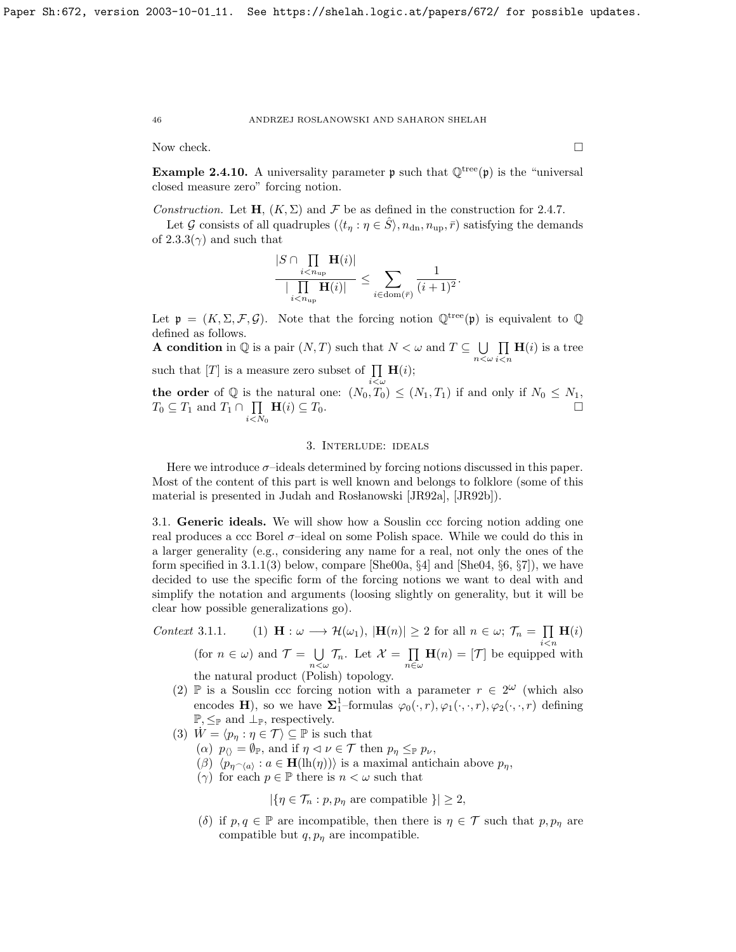Now check.  $\Box$ 

**Example 2.4.10.** A universality parameter **p** such that  $\mathbb{Q}^{\text{tree}}(\mathfrak{p})$  is the "universal closed measure zero" forcing notion.

Construction. Let  $H, (K, \Sigma)$  and  $\mathcal F$  be as defined in the construction for [2.4.7.](#page-32-2)

Let G consists of all quadruples  $(\langle t_n : \eta \in \hat{S} \rangle, n_{\text{dn}}, n_{\text{up}}, \bar{r})$  satisfying the demands of  $2.3.3(\gamma)$  and such that

$$
\frac{|S\cap\prod\limits_{i
$$

Let  $\mathfrak{p} = (K, \Sigma, \mathcal{F}, \mathcal{G})$ . Note that the forcing notion  $\mathbb{Q}^{\text{tree}}(\mathfrak{p})$  is equivalent to  $\mathbb{Q}$ defined as follows.

**A condition** in  $\mathbb Q$  is a pair  $(N, T)$  such that  $N < \omega$  and  $T \subseteq \bigcup$  $n<\omega$  $\Pi$  $i$  $\lt$ n  $H(i)$  is a tree such that  $[T]$  is a measure zero subset of  $\prod \mathbf{H}(i)$ ;

the order of  $\mathbb Q$  is the natural one:  $(N_0, T_0) \le (N_1, T_1)$  if and only if  $N_0 \le N_1$ ,  $T_0 \subseteq T_1$  and  $T_1 \cap \prod$  $i{<}N_0$  $\mathbf{H}(i) \subseteq T_0.$ 

# 3. Interlude: ideals

Here we introduce  $\sigma$ -ideals determined by forcing notions discussed in this paper. Most of the content of this part is well known and belongs to folklore (some of this material is presented in Judah and Rosłanowski [\[JR92a\]](#page-70-2), [\[JR92b\]](#page-70-3)).

3.1. Generic ideals. We will show how a Souslin ccc forcing notion adding one real produces a ccc Borel σ–ideal on some Polish space. While we could do this in a larger generality (e.g., considering any name for a real, not only the ones of the form specified in  $3.1.1(3)$  below, compare [\[She00a,](#page-70-4)  $\S4$ ] and [\[She04,](#page-70-5)  $\S6$ ,  $\S7$ ]), we have decided to use the specific form of the forcing notions we want to deal with and simplify the notation and arguments (loosing slightly on generality, but it will be clear how possible generalizations go).

Context 3.1.1. (1)  $\mathbf{H} : \omega \longrightarrow \mathcal{H}(\omega_1), |\mathbf{H}(n)| \geq 2$  for all  $n \in \omega; \mathcal{T}_n = \prod$  $i$  $\lt$ n  $\mathbf{H}(i)$ (for  $n \in \omega$ ) and  $\mathcal{T} = \bigcup$  $\bigcup_{n<\omega}\mathcal{T}_n$ . Let  $\mathcal{X}=\prod_{n\in\omega}$  $\prod_{n\in\omega}$ **H**(*n*) = [*T*] be equipped with the natural product (Polish) topology.

- (2)  $\mathbb P$  is a Souslin ccc forcing notion with a parameter  $r \in 2^{\omega}$  (which also encodes H), so we have  $\Sigma_1^1$ -formulas  $\varphi_0(\cdot,r), \varphi_1(\cdot,\cdot,r), \varphi_2(\cdot,\cdot,r)$  defining  $\mathbb{P}, \leq_{\mathbb{P}}$  and  $\perp_{\mathbb{P}}$ , respectively.
- (3)  $\dot{W} = \langle p_n : \eta \in \mathcal{T} \rangle \subseteq \mathbb{P}$  is such that
	- ( $\alpha$ )  $p_{\langle\rangle} = \emptyset_{\mathbb{P}}$ , and if  $\eta \leq \nu \in \mathcal{T}$  then  $p_{\eta} \leq_{\mathbb{P}} p_{\nu}$ ,
	- $(\beta)$   $\langle p_{\eta \smallfrown \langle a \rangle} : a \in \mathbf{H}(\mathrm{lh}(\eta)) \rangle$  is a maximal antichain above  $p_{\eta}$ ,
	- ( $\gamma$ ) for each  $p \in \mathbb{P}$  there is  $n < \omega$  such that

$$
|\{\eta \in \mathcal{T}_n : p, p_\eta \text{ are compatible }\}| \geq 2,
$$

(δ) if  $p, q \in \mathbb{P}$  are incompatible, then there is  $\eta \in \mathcal{T}$  such that  $p, p_{\eta}$  are compatible but  $q, p<sub>\eta</sub>$  are incompatible.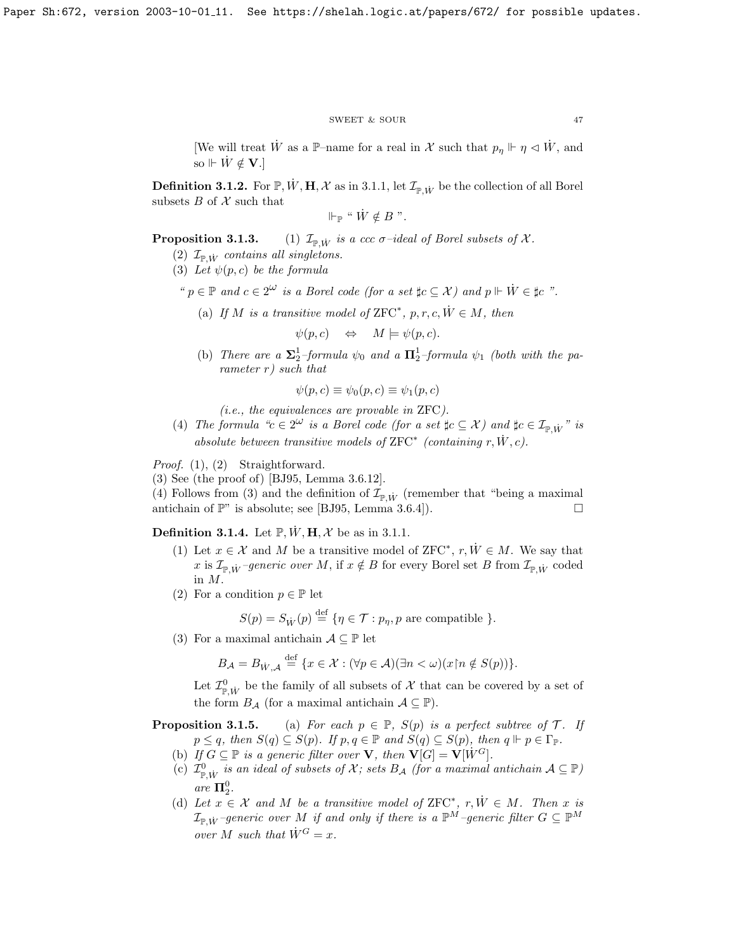#### $\begin{tabular}{ll} \bf SWEET & \& SOUR \\ \end{tabular} \begin{tabular}{ll} \bf 47 \\ \end{tabular}$

[We will treat  $\dot{W}$  as a P-name for a real in X such that  $p_{\eta} \Vdash \eta \vartriangleleft \dot{W}$ , and so  $V \nleftrightarrow W \notin V$ .]

<span id="page-47-0"></span>**Definition 3.1.2.** For  $\mathbb{P}, W, H, \mathcal{X}$  as in [3.1.1,](#page-48-0) let  $\mathcal{I}_{\mathbb{P} W}$  be the collection of all Borel subsets  $B$  of  $X$  such that

$$
\Vdash_{\mathbb{P}} \text{`` } \dot{W} \notin B \text{''}.
$$

**Proposition 3.1.3.** (1)  $\mathcal{I}_{\mathbb{P} W}$  is a ccc  $\sigma$ -ideal of Borel subsets of X.

- (2)  $\mathcal{I}_{\mathbb{P},\dot{W}}$  contains all singletons.
- (3) Let  $\psi(p, c)$  be the formula

"  $p \in \mathbb{P}$  and  $c \in 2^{\omega}$  is a Borel code (for a set  $\sharp c \subseteq \mathcal{X}$ ) and  $p \Vdash \dot{W} \in \sharp c$  ".

(a) If M is a transitive model of  $\text{ZFC}^*$ , p, r, c,  $\dot{W} \in M$ , then

$$
\psi(p,c) \quad \Leftrightarrow \quad M \models \psi(p,c).
$$

(b) There are a  $\Sigma_2^1$ -formula  $\psi_0$  and a  $\Pi_2^1$ -formula  $\psi_1$  (both with the parameter r) such that

$$
\psi(p,c) \equiv \psi_0(p,c) \equiv \psi_1(p,c)
$$

(i.e., the equivalences are provable in ZFC).

(4) The formula " $c \in 2^{\omega}$  is a Borel code (for a set  $\sharp c \subseteq \mathcal{X}$ ) and  $\sharp c \in \mathcal{I}_{\mathbb{P},\dot{W}}$ " is absolute between transitive models of  $ZFC^*$  (containing  $r, \dot{W}, c$ ).

Proof. (1), (2) Straightforward.

(3) See (the proof of) [\[BJ95,](#page-69-0) Lemma 3.6.12].

(4) Follows from (3) and the definition of  $\mathcal{I}_{\mathbb{P},\dot{W}}$  (remember that "being a maximal antichain of  $\mathbb{P}$ " is absolute; see [\[BJ95,](#page-69-0) Lemma 3.6.4]).

**Definition 3.1.4.** Let  $\mathbb{P}, W, H, \mathcal{X}$  be as in [3.1.1.](#page-48-0)

- (1) Let  $x \in \mathcal{X}$  and M be a transitive model of ZFC<sup>\*</sup>,  $r, \dot{W} \in M$ . We say that x is  $\mathcal{I}_{\mathbb{P},\dot{W}}$  –generic over M, if  $x \notin B$  for every Borel set B from  $\mathcal{I}_{\mathbb{P},\dot{W}}$  coded in M.
- (2) For a condition  $p \in \mathbb{P}$  let

$$
S(p) = S_{\dot{W}}(p) \stackrel{\text{def}}{=} \{ \eta \in \mathcal{T} : p_{\eta}, p \text{ are compatible } \}.
$$

(3) For a maximal antichain  $\mathcal{A} \subseteq \mathbb{P}$  let

$$
B_{\mathcal{A}} = B_{\dot{W}, \mathcal{A}} \stackrel{\text{def}}{=} \{ x \in \mathcal{X} : (\forall p \in \mathcal{A})(\exists n < \omega)(x \, \text{in} \notin S(p)) \}.
$$

Let  $\mathcal{I}^0_{\mathbb{P},\dot{W}}$  be the family of all subsets of  $\mathcal X$  that can be covered by a set of the form  $B_{\mathcal{A}}$  (for a maximal antichain  $\mathcal{A} \subseteq \mathbb{P}$ ).

# **Proposition 3.1.5.** (a) For each  $p \in \mathbb{P}$ ,  $S(p)$  is a perfect subtree of  $\mathcal{T}$ . If  $p \leq q$ , then  $S(q) \subseteq S(p)$ . If  $p, q \in \mathbb{P}$  and  $S(q) \subseteq S(p)$ , then  $q \Vdash p \in \Gamma_{\mathbb{P}}$ .

- (b) If  $G \subseteq \mathbb{P}$  is a generic filter over **V**, then  $\mathbf{V}[G] = \mathbf{V}[W^G]$ .
- (c)  $\mathcal{I}^0_{\mathbb{P},\dot{W}}$  is an ideal of subsets of  $\mathcal{X}$ ; sets  $B_{\mathcal{A}}$  (for a maximal antichain  $\mathcal{A}\subseteq\mathbb{P}$ ) are  $\Pi^0_2$ .
- (d) Let  $x \in \mathcal{X}$  and M be a transitive model of ZFC<sup>\*</sup>,  $r, \dot{W} \in M$ . Then x is  $\mathcal{I}_{\mathbb{P} M}$  –generic over M if and only if there is a  $\mathbb{P}^M$ –generic filter  $G \subseteq \mathbb{P}^M$ over M such that  $\dot{W}^G = x$ .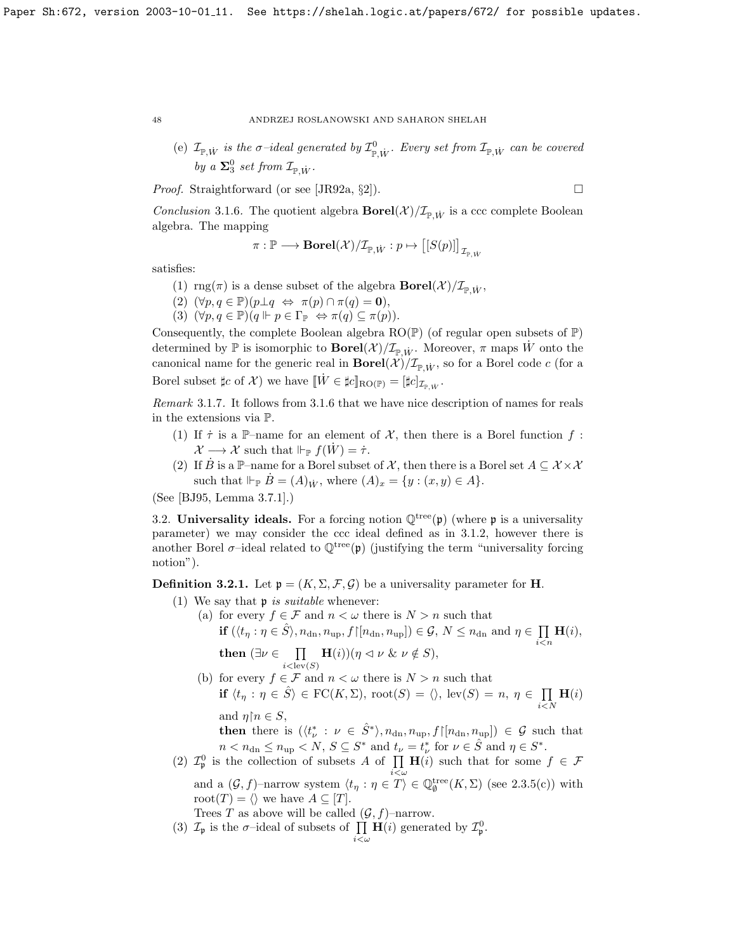(e)  $\mathcal{I}_{\mathbb{P},\dot{W}}$  is the  $\sigma$ -ideal generated by  $\mathcal{I}_{\mathbb{P},\dot{W}}^0$ . Every set from  $\mathcal{I}_{\mathbb{P},\dot{W}}$  can be covered by a  $\Sigma^0_3$  set from  $\mathcal{I}_{\mathbb{P}, \dot{W}}$ .

*Proof.* Straightforward (or see [\[JR92a,](#page-70-2)  $\S2$ ]).

<span id="page-48-1"></span>Conclusion 3.1.6. The quotient algebra  $Borel(\mathcal{X})/\mathcal{I}_{\mathbb{P},\dot{W}}$  is a ccc complete Boolean algebra. The mapping

$$
\pi: \mathbb{P} \longrightarrow {\rm \bf Borel}({\mathcal X})/\mathcal{I}_{\mathbb{P}, \dot{W}}: p \mapsto \big[[S(p)]\big]_{\mathcal{I}_{\mathbb{P}, \dot{W}}}
$$

satisfies:

- (1) rng( $\pi$ ) is a dense subset of the algebra  $\text{Borel}(\mathcal{X})/\mathcal{I}_{\mathbb{P},\dot{W}},$
- (2)  $(\forall p, q \in \mathbb{P})(p \perp q \Leftrightarrow \pi(p) \cap \pi(q) = 0),$
- (3)  $(\forall p, q \in \mathbb{P})(q \Vdash p \in \Gamma_{\mathbb{P}} \Leftrightarrow \pi(q) \subseteq \pi(p)).$

Consequently, the complete Boolean algebra  $RO(\mathbb{P})$  (of regular open subsets of  $\mathbb{P}$ ) determined by  $\mathbb P$  is isomorphic to  $\textbf{Borel}(\mathcal X)/\mathcal I_{\mathbb P,\dot{W}}$ . Moreover,  $\pi$  maps W onto the canonical name for the generic real in  $Borel(\mathcal{X})/\mathcal{I}_{\mathbb{P},\dot{W}}$ , so for a Borel code c (for a Borel subset  $\sharp c$  of X) we have  $[\![\dot{W}\in \sharp c]\!]_{\text{RO}(\mathbb{P})} = [\![\sharp c]\!]_{\mathcal{I}_{\mathbb{P},\dot{W}}}$ .

<span id="page-48-2"></span>Remark 3.1.7. It follows from [3.1.6](#page-48-1) that we have nice description of names for reals in the extensions via P.

- (1) If  $\tau$  is a P-name for an element of X, then there is a Borel function f:  $\mathcal{X} \longrightarrow \mathcal{X}$  such that  $\Vdash_{\mathbb{P}} f(W) = \dot{\tau}$ .
- (2) If  $\dot{B}$  is a P-name for a Borel subset of X, then there is a Borel set  $A \subseteq \mathcal{X} \times \mathcal{X}$ such that  $\Vdash_{\mathbb{P}} \dot{B}=(A)_{\dot{W}}$ , where  $(A)_x=\{y:(x,y)\in A\}$ .

(See [\[BJ95,](#page-69-0) Lemma 3.7.1].)

3.2. Universality ideals. For a forcing notion  $\mathbb{Q}^{\text{tree}}(\mathfrak{p})$  (where p is a universality parameter) we may consider the ccc ideal defined as in [3.1.2,](#page-47-0) however there is another Borel  $\sigma$ -ideal related to  $\mathbb{Q}^{\text{tree}}(\mathfrak{p})$  (justifying the term "universality forcing notion").

<span id="page-48-0"></span>**Definition 3.2.1.** Let  $\mathfrak{p} = (K, \Sigma, \mathcal{F}, \mathcal{G})$  be a universality parameter for **H**.

- (1) We say that  $\mathfrak p$  is suitable whenever:
	- (a) for every  $f \in \mathcal{F}$  and  $n < \omega$  there is  $N > n$  such that if  $(\langle t_\eta : \eta \in \hat{S} \rangle, n_{\text{dn}}, n_{\text{up}}, f \in [n_{\text{dn}}, n_{\text{up}}] ) \in \mathcal{G}, N \leq n_{\text{dn}} \text{ and } \eta \in \prod$  $i$  $\lt$  $n$  $\mathbf{H}(i),$

then  $(\exists \nu \in \Pi)$  $i < \text{lev}(S)$  $\mathbf{H}(i))(\eta \vartriangleleft \nu \ \& \ \nu \notin S),$ 

(b) for every  $f\in\mathcal{F}$  and  $n<\omega$  there is  $N>n$  such that if  $\langle t_\eta : \eta \in \hat{S} \rangle \in \text{FC}(K, \Sigma)$ , root $(S) = \langle \rangle$ , lev $(S) = n, \eta \in \prod$  $i{<}N$  $\mathbf{H}(i)$ and  $\eta \restriction n \in S$ ,

then there is  $(\langle t^*_{\nu} : \nu \in \hat{S}^* \rangle, n_{dn}, n_{up}, f \upharpoonright [n_{dn}, n_{up}]) \in \mathcal{G}$  such that  $n < n_{\text{dn}} \le n_{\text{up}} < N, S \subseteq S^*$  and  $t_{\nu} = t_{\nu}^*$  for  $\nu \in \hat{S}$  and  $\eta \in S^*$ .

(2)  $\mathcal{I}_{\mathfrak{p}}^0$  is the collection of subsets A of  $\prod \mathbf{H}(i)$  such that for some  $f \in \mathcal{F}$ and a  $(G, f)$ -narrow system  $\langle t_\eta : \eta \in T \rangle \in \mathbb{Q}_{\emptyset}^{\text{tree}}(K, \Sigma)$  (see [2.3.5\(](#page-32-0)c)) with root $(T) = \langle \rangle$  we have  $A \subseteq [T]$ .

Trees T as above will be called  $(\mathcal{G}, f)$ –narrow.

(3)  $\mathcal{I}_{\mathfrak{p}}$  is the  $\sigma$ -ideal of subsets of  $\prod \mathbf{H}(i)$  generated by  $\mathcal{I}_{\mathfrak{p}}^0$ .

$$
i{<}\omega
$$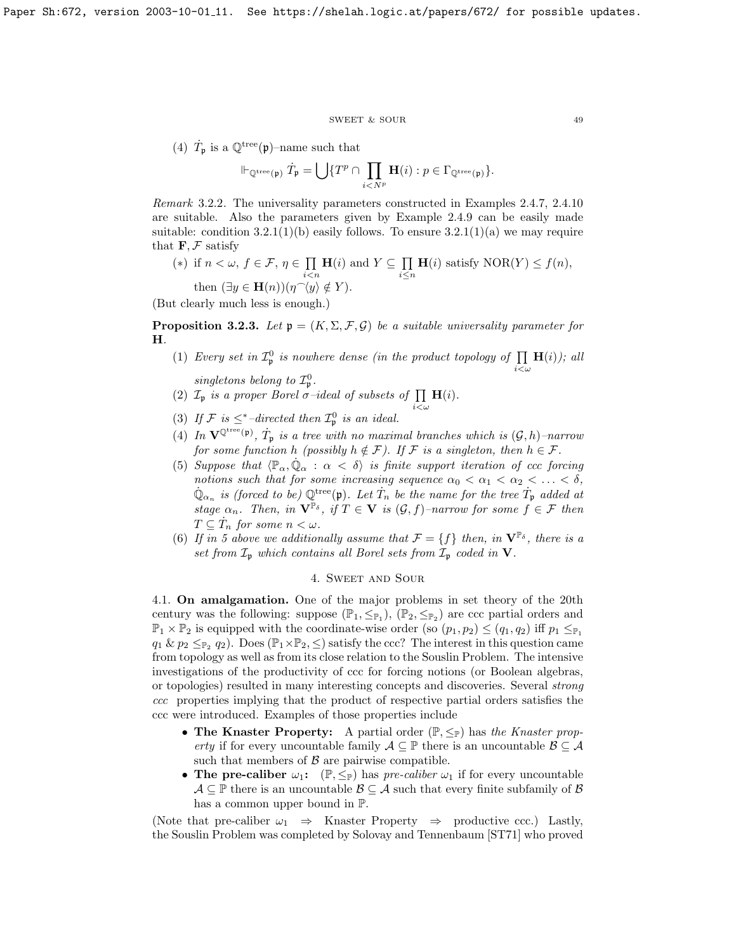#### $\begin{tabular}{ll} \bf SWEET & & \bf SOUR \\ \bf 49 & & \bf 49 \\ \end{tabular}$

(4)  $\dot{T}_{\mathfrak{p}}$  is a  $\mathbb{Q}^{\text{tree}}(\mathfrak{p})$ -name such that

$$
\Vdash_{\mathbb{Q}^{\text{tree}}(\mathfrak{p})} \dot{T}_{\mathfrak{p}} = \bigcup \{ T^p \cap \prod_{i < N^p} \mathbf{H}(i) : p \in \Gamma_{\mathbb{Q}^{\text{tree}}(\mathfrak{p})} \}.
$$

Remark 3.2.2. The universality parameters constructed in Examples [2.4.7,](#page-32-2) [2.4.10](#page-33-2) are suitable. Also the parameters given by Example [2.4.9](#page-33-1) can be easily made suitable: condition  $3.2.1(1)(b)$  easily follows. To ensure  $3.2.1(1)(a)$  we may require that  $\mathbf{F}, \mathcal{F}$  satisfy

(\*) if 
$$
n < \omega
$$
,  $f \in \mathcal{F}$ ,  $\eta \in \prod_{i < n} \mathbf{H}(i)$  and  $Y \subseteq \prod_{i \le n} \mathbf{H}(i)$  satisfy  $NOR(Y) \le f(n)$ ,  
then  $(\exists y \in \mathbf{H}(n))(\eta^{\sim}(y) \notin Y)$ .

(But clearly much less is enough.)

<span id="page-49-0"></span>**Proposition 3.2.3.** Let  $\mathfrak{p} = (K, \Sigma, \mathcal{F}, \mathcal{G})$  be a suitable universality parameter for H.

- (1) Every set in  $\mathcal{I}_{\mathfrak{p}}^0$  is nowhere dense (in the product topology of  $\prod$  $i<\omega$  $\mathbf{H}(i)$ ); all singletons belong to  $\mathcal{I}_{n}^{0}$ .
- (2)  $\mathcal{I}_{\mathfrak{p}}$  is a proper Borel  $\sigma$ -ideal of subsets of  $\prod_{i<\omega}$  $H(i)$ .
- (3) If  $\mathcal{F}$  is  $\leq^*$ -directed then  $\mathcal{I}_{\mathfrak{p}}^0$  is an ideal.
- (4) In  $\mathbf{V}^{\mathbb{Q}^{\text{tree}}(\mathfrak{p})}$ ,  $\dot{T}_{\mathfrak{p}}$  is a tree with no maximal branches which is  $(\mathcal{G}, h)$ -narrow for some function h (possibly  $h \notin \mathcal{F}$ ). If  $\mathcal F$  is a singleton, then  $h \in \mathcal{F}$ .
- (5) Suppose that  $\langle \mathbb{P}_{\alpha}, \dot{\mathbb{Q}}_{\alpha} : \alpha < \delta \rangle$  is finite support iteration of ccc forcing notions such that for some increasing sequence  $\alpha_0 < \alpha_1 < \alpha_2 < \ldots < \delta$ ,  $\dot{\mathbb{Q}}_{\alpha_n}$  is (forced to be)  $\mathbb{Q}^{\text{tree}}(\mathfrak{p})$ . Let  $\dot{T}_n$  be the name for the tree  $\dot{T}_\mathfrak{p}$  added at stage  $\alpha_n$ . Then, in  $\mathbf{V}^{\mathbb{P}_{\delta}}$ , if  $T \in \mathbf{V}$  is  $(\mathcal{G}, f)$ -narrow for some  $f \in \mathcal{F}$  then  $T \subseteq \dot{T}_n$  for some  $n < \omega$ .
- (6) If in 5 above we additionally assume that  $\mathcal{F} = \{f\}$  then, in  $\mathbf{V}^{\mathbb{P}_{\delta}}$ , there is a set from  $\mathcal{I}_{\mathfrak{p}}$  which contains all Borel sets from  $\mathcal{I}_{\mathfrak{p}}$  coded in  $V$ .

## 4. Sweet and Sour

4.1. On amalgamation. One of the major problems in set theory of the 20th century was the following: suppose  $(\mathbb{P}_1, \leq_{\mathbb{P}_1}), (\mathbb{P}_2, \leq_{\mathbb{P}_2})$  are ccc partial orders and  $\mathbb{P}_1 \times \mathbb{P}_2$  is equipped with the coordinate-wise order (so  $(p_1, p_2) \leq (q_1, q_2)$  iff  $p_1 \leq_{\mathbb{P}_1}$  $q_1 \& p_2 \leq_{\mathbb{P}_2} q_2$ . Does  $(\mathbb{P}_1 \times \mathbb{P}_2, \leq)$  satisfy the ccc? The interest in this question came from topology as well as from its close relation to the Souslin Problem. The intensive investigations of the productivity of ccc for forcing notions (or Boolean algebras, or topologies) resulted in many interesting concepts and discoveries. Several strong ccc properties implying that the product of respective partial orders satisfies the ccc were introduced. Examples of those properties include

- The Knaster Property: A partial order  $(\mathbb{P}, \leq_{\mathbb{P}})$  has the Knaster property if for every uncountable family  $A \subseteq \mathbb{P}$  there is an uncountable  $\mathcal{B} \subseteq \mathcal{A}$ such that members of  $\beta$  are pairwise compatible.
- The pre-caliber  $\omega_1$ :  $(\mathbb{P}, \leq_{\mathbb{P}})$  has pre-caliber  $\omega_1$  if for every uncountable  $A \subseteq \mathbb{P}$  there is an uncountable  $B \subseteq A$  such that every finite subfamily of B has a common upper bound in P.

(Note that pre-caliber  $\omega_1 \Rightarrow$  Knaster Property  $\Rightarrow$  productive ccc.) Lastly, the Souslin Problem was completed by Solovay and Tennenbaum [\[ST71\]](#page-70-6) who proved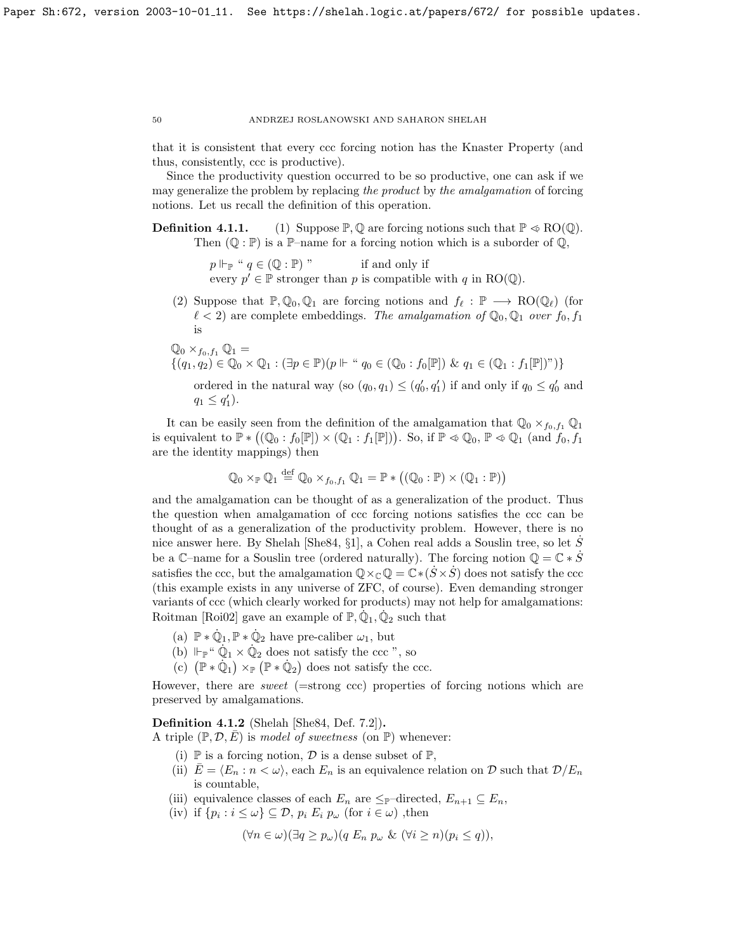that it is consistent that every ccc forcing notion has the Knaster Property (and thus, consistently, ccc is productive).

Since the productivity question occurred to be so productive, one can ask if we may generalize the problem by replacing the product by the amalgamation of forcing notions. Let us recall the definition of this operation.

**Definition 4.1.1.** (1) Suppose  $\mathbb{P}, \mathbb{Q}$  are forcing notions such that  $\mathbb{P} \otimes \text{RO}(\mathbb{Q})$ . Then  $(\mathbb{Q} : \mathbb{P})$  is a  $\mathbb{P}-$ name for a forcing notion which is a suborder of  $\mathbb{Q}$ ,

> $p \Vdash_{\mathbb{P}} " q \in (\mathbb{Q} : \mathbb{P})"$  if and only if every  $p' \in \mathbb{P}$  stronger than p is compatible with q in RO( $\mathbb{Q}$ ).

(2) Suppose that  $\mathbb{P}, \mathbb{Q}_0, \mathbb{Q}_1$  are forcing notions and  $f_\ell : \mathbb{P} \longrightarrow \text{RO}(\mathbb{Q}_\ell)$  (for  $\ell < 2$ ) are complete embeddings. The amalgamation of  $\mathbb{Q}_0$ ,  $\mathbb{Q}_1$  over  $f_0$ ,  $f_1$ is

$$
\mathbb{Q}_0 \times_{f_0, f_1} \mathbb{Q}_1 = \{ (q_1, q_2) \in \mathbb{Q}_0 \times \mathbb{Q}_1 : (\exists p \in \mathbb{P})(p \Vdash " q_0 \in (\mathbb{Q}_0 : f_0[\mathbb{P}]) \& q_1 \in (\mathbb{Q}_1 : f_1[\mathbb{P}])\text{''}) \}
$$

ordered in the natural way (so  $(q_0, q_1) \leq (q'_0, q'_1)$  if and only if  $q_0 \leq q'_0$  and  $q_1 \leq q'_1$ ).

It can be easily seen from the definition of the amalgamation that  $\mathbb{Q}_0 \times_{f_0,f_1} \mathbb{Q}_1$ is equivalent to  $\mathbb{P} * ((\mathbb{Q}_0 : f_0[\mathbb{P})) \times (\mathbb{Q}_1 : f_1[\mathbb{P}]))$ . So, if  $\mathbb{P} \otimes \mathbb{Q}_0$ ,  $\mathbb{P} \otimes \mathbb{Q}_1$  (and  $f_0, f_1$ are the identity mappings) then

$$
\mathbb{Q}_0 \times_{\mathbb{P}} \mathbb{Q}_1 \stackrel{\text{def}}{=} \mathbb{Q}_0 \times_{f_0, f_1} \mathbb{Q}_1 = \mathbb{P} \ast \big( (\mathbb{Q}_0 : \mathbb{P}) \times (\mathbb{Q}_1 : \mathbb{P}) \big)
$$

and the amalgamation can be thought of as a generalization of the product. Thus the question when amalgamation of ccc forcing notions satisfies the ccc can be thought of as a generalization of the productivity problem. However, there is no nice answer here. By Shelah [\[She84,](#page-70-7)  $\S1$ ], a Cohen real adds a Souslin tree, so let S be a C–name for a Souslin tree (ordered naturally). The forcing notion  $\mathbb{Q} = \mathbb{C} * S$ satisfies the ccc, but the amalgamation  $\mathbb{Q}\times_{\mathbb{C}}\mathbb{Q}=\mathbb{C}*(S\times S)$  does not satisfy the ccc (this example exists in any universe of ZFC, of course). Even demanding stronger variants of ccc (which clearly worked for products) may not help for amalgamations: Roitman [\[Roi02\]](#page-70-8) gave an example of  $\mathbb{P}, \dot{\mathbb{Q}}_1, \dot{\mathbb{Q}}_2$  such that

- (a)  $\mathbb{P} * \dot{\mathbb{Q}}_1, \mathbb{P} * \dot{\mathbb{Q}}_2$  have pre-caliber  $\omega_1$ , but
- (b)  $\Vdash_{\mathbb{P}}$  "  $\dot{\mathbb{Q}}_1 \times \dot{\mathbb{Q}}_2$  does not satisfy the ccc ", so
- (c)  $(\mathbb{P} * \dot{\mathbb{Q}}_1) \times_{\mathbb{P}} (\mathbb{P} * \dot{\mathbb{Q}}_2)$  does not satisfy the ccc.

However, there are sweet (=strong ccc) properties of forcing notions which are preserved by amalgamations.

<span id="page-50-0"></span>Definition 4.1.2 (Shelah [\[She84,](#page-70-7) Def. 7.2]).

A triple  $(\mathbb{P}, \mathcal{D}, E)$  is model of sweetness (on  $\mathbb{P}$ ) whenever:

- (i)  $\mathbb P$  is a forcing notion,  $\mathcal D$  is a dense subset of  $\mathbb P$ ,
- (ii)  $E = \langle E_n : n \langle \omega \rangle$ , each  $E_n$  is an equivalence relation on D such that  $\mathcal{D}/E_n$ is countable,
- (iii) equivalence classes of each  $E_n$  are  $\leq_{\mathbb{P}}$ -directed,  $E_{n+1} \subseteq E_n$ ,
- (iv) if  $\{p_i : i \leq \omega\} \subseteq \mathcal{D}, p_i E_i p_\omega$  (for  $i \in \omega$ ), then

 $(\forall n \in \omega)(\exists q > p_{\omega})(q E_n p_{\omega} \& (\forall i > n)(p_i < q)),$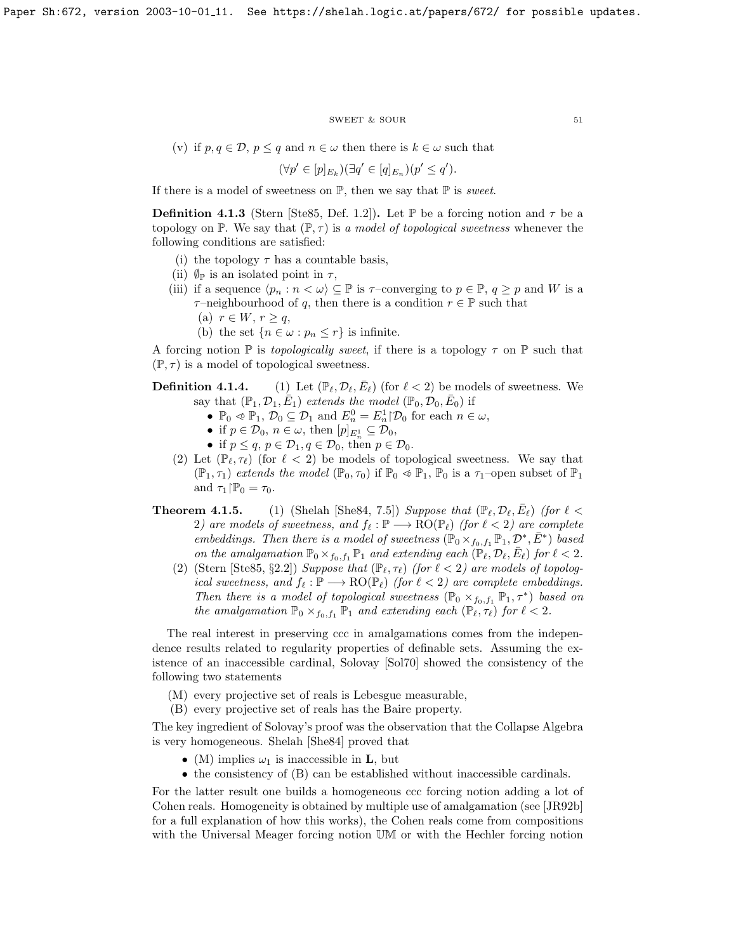#### ${\tt SWEET\ \&\ SOUR} \eqno{51}$

(v) if  $p, q \in \mathcal{D}, p \leq q$  and  $n \in \omega$  then there is  $k \in \omega$  such that

$$
(\forall p' \in [p]_{E_k})(\exists q' \in [q]_{E_n})(p' \leq q').
$$

If there is a model of sweetness on  $\mathbb{P}$ , then we say that  $\mathbb P$  is *sweet*.

<span id="page-51-0"></span>**Definition 4.1.3** (Stern [\[Ste85,](#page-70-9) Def. 1.2]). Let P be a forcing notion and  $\tau$  be a topology on P. We say that  $(\mathbb{P}, \tau)$  is a model of topological sweetness whenever the following conditions are satisfied:

- (i) the topology  $\tau$  has a countable basis,
- (ii)  $\mathcal{O}_\mathbb{P}$  is an isolated point in  $\tau$ ,
- (iii) if a sequence  $\langle p_n : n < \omega \rangle \subseteq \mathbb{P}$  is  $\tau$ –converging to  $p \in \mathbb{P}, q \geq p$  and W is a  $\tau$ –neighbourhood of q, then there is a condition  $r \in \mathbb{P}$  such that
	- (a)  $r \in W$ ,  $r \geq q$ ,
	- (b) the set  $\{n \in \omega : p_n \leq r\}$  is infinite.

A forcing notion  $\mathbb P$  is *topologically sweet*, if there is a topology  $\tau$  on  $\mathbb P$  such that  $(\mathbb{P}, \tau)$  is a model of topological sweetness.

**Definition 4.1.4.** (1) Let  $(\mathbb{P}_{\ell}, \mathcal{D}_{\ell}, \bar{E}_{\ell})$  (for  $\ell < 2$ ) be models of sweetness. We say that  $(\mathbb{P}_1, \mathcal{D}_1, \overline{E}_1)$  extends the model  $(\mathbb{P}_0, \mathcal{D}_0, \overline{E}_0)$  if

- $\mathbb{P}_0 \preccurlyeq \mathbb{P}_1$ ,  $\mathcal{D}_0 \subseteq \mathcal{D}_1$  and  $E_n^0 = E_n^1 | \mathcal{D}_0$  for each  $n \in \omega$ ,
- if  $p \in \mathcal{D}_0$ ,  $n \in \omega$ , then  $[p]_{E_n^1} \subseteq \mathcal{D}_0$ ,
- if  $p \leq q, p \in \mathcal{D}_1, q \in \mathcal{D}_0$ , then  $p \in \mathcal{D}_0$ .
- (2) Let  $(\mathbb{P}_{\ell}, \tau_{\ell})$  (for  $\ell < 2$ ) be models of topological sweetness. We say that  $(\mathbb{P}_1, \tau_1)$  extends the model  $(\mathbb{P}_0, \tau_0)$  if  $\mathbb{P}_0 \otimes \mathbb{P}_1$ ,  $\mathbb{P}_0$  is a  $\tau_1$ -open subset of  $\mathbb{P}_1$ and  $\tau_1|\mathbb{P}_0 = \tau_0$ .
- **Theorem 4.1.5.** (1) (Shelah [\[She84,](#page-70-7) 7.5]) Suppose that  $(\mathbb{P}_{\ell}, \mathcal{D}_{\ell}, \bar{E}_{\ell})$  (for  $\ell$  < 2) are models of sweetness, and  $f_{\ell} : \mathbb{P} \longrightarrow \text{RO}(\mathbb{P}_{\ell})$  (for  $\ell < 2$ ) are complete embeddings. Then there is a model of sweetness  $(\mathbb{P}_0 \times_{f_0,f_1} \mathbb{P}_1, \mathcal{D}^*, \bar{E}^*)$  based on the amalgamation  $\mathbb{P}_0 \times_{f_0,f_1} \mathbb{P}_1$  and extending each  $(\mathbb{P}_\ell, \mathcal{D}_\ell, \bar{E}_\ell)$  for  $\ell < 2$ .
	- (2) (Stern [\[Ste85,](#page-70-9) §2.2]) Suppose that  $(\mathbb{P}_{\ell}, \tau_{\ell})$  (for  $\ell < 2$ ) are models of topological sweetness, and  $f_\ell : \mathbb{P} \longrightarrow \text{RO}(\mathbb{P}_\ell)$  (for  $\ell < 2$ ) are complete embeddings. Then there is a model of topological sweetness  $(\mathbb{P}_0 \times_{f_0,f_1} \mathbb{P}_1, \tau^*)$  based on the amalgamation  $\mathbb{P}_0 \times_{f_0,f_1} \mathbb{P}_1$  and extending each  $(\mathbb{P}_\ell, \tau_\ell)$  for  $\ell < 2$ .

The real interest in preserving ccc in amalgamations comes from the independence results related to regularity properties of definable sets. Assuming the existence of an inaccessible cardinal, Solovay [\[Sol70\]](#page-70-10) showed the consistency of the following two statements

- (M) every projective set of reals is Lebesgue measurable,
- (B) every projective set of reals has the Baire property.

The key ingredient of Solovay's proof was the observation that the Collapse Algebra is very homogeneous. Shelah [\[She84\]](#page-70-7) proved that

- (M) implies  $\omega_1$  is inaccessible in **L**, but
- the consistency of (B) can be established without inaccessible cardinals.

For the latter result one builds a homogeneous ccc forcing notion adding a lot of Cohen reals. Homogeneity is obtained by multiple use of amalgamation (see [\[JR92b\]](#page-70-3) for a full explanation of how this works), the Cohen reals come from compositions with the Universal Meager forcing notion UM or with the Hechler forcing notion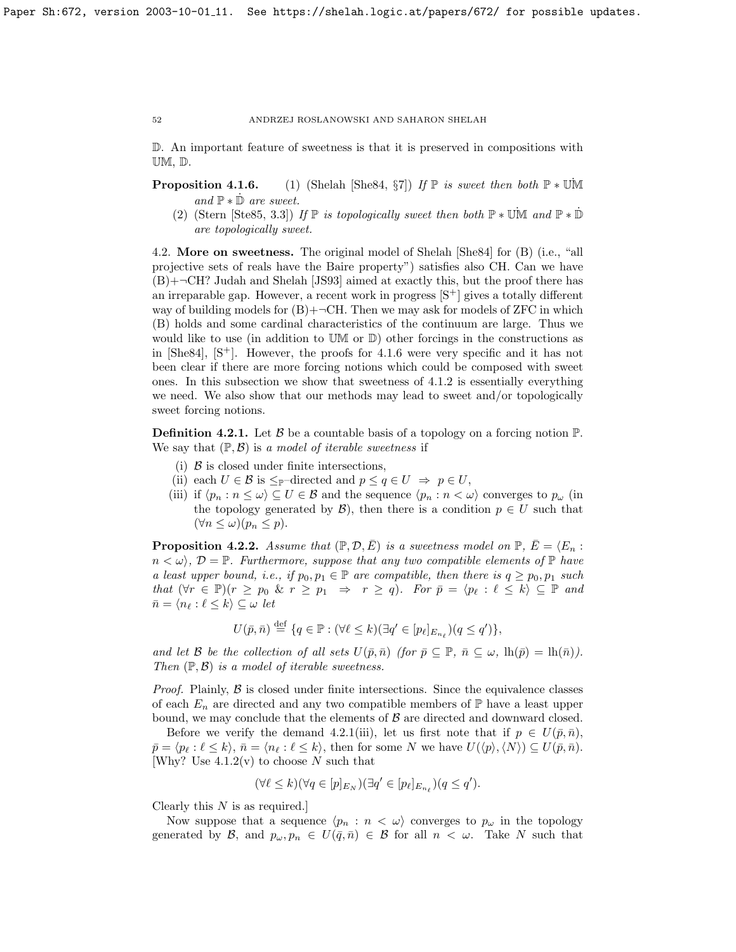D. An important feature of sweetness is that it is preserved in compositions with UM, D.

**Proposition 4.1.6.** (1) (Shelah [\[She84,](#page-70-7) §7]) If P is sweet then both  $\mathbb{P} * \mathbb{U} \mathbb{M}$ and  $\mathbb{P} * \dot{\mathbb{D}}$  are sweet.

(2) (Stern [\[Ste85,](#page-70-9) 3.3]) If  $\mathbb P$  is topologically sweet then both  $\mathbb P * \mathbb U\mathbb M$  and  $\mathbb P * \mathbb D$ are topologically sweet.

4.2. More on sweetness. The original model of Shelah [\[She84\]](#page-70-7) for (B) (i.e., "all projective sets of reals have the Baire property") satisfies also CH. Can we have  $(B)$ + $\neg$ CH? Judah and Shelah [\[JS93\]](#page-70-11) aimed at exactly this, but the proof there has an irreparable gap. However, a recent work in progress  $[S^+]$  gives a totally different way of building models for  $(B)$ +¬CH. Then we may ask for models of ZFC in which (B) holds and some cardinal characteristics of the continuum are large. Thus we would like to use (in addition to UM or D) other forcings in the constructions as in  $[She84]$ ,  $[S^+]$ . However, the proofs for [4.1.6](#page-58-0) were very specific and it has not been clear if there are more forcing notions which could be composed with sweet ones. In this subsection we show that sweetness of [4.1.2](#page-50-0) is essentially everything we need. We also show that our methods may lead to sweet and/or topologically sweet forcing notions.

<span id="page-52-0"></span>**Definition 4.2.1.** Let B be a countable basis of a topology on a forcing notion  $\mathbb{P}$ . We say that  $(\mathbb{P}, \mathcal{B})$  is a model of iterable sweetness if

- (i)  $\beta$  is closed under finite intersections,
- (ii) each  $U \in \mathcal{B}$  is  $\leq_{\mathbb{P}}$ -directed and  $p \leq q \in U \Rightarrow p \in U$ ,
- (iii) if  $\langle p_n : n \le \omega \rangle \subseteq U \in \mathcal{B}$  and the sequence  $\langle p_n : n < \omega \rangle$  converges to  $p_\omega$  (in the topology generated by  $\mathcal{B}$ ), then there is a condition  $p \in U$  such that  $(\forall n \leq \omega)(p_n \leq p).$

**Proposition 4.2.2.** Assume that  $(\mathbb{P}, \mathcal{D}, \overline{E})$  is a sweetness model on  $\mathbb{P}, \overline{E} = \langle E_n : E_n \rangle$  $n < \omega$ ,  $\mathcal{D} = \mathbb{P}$ . Furthermore, suppose that any two compatible elements of  $\mathbb{P}$  have a least upper bound, i.e., if  $p_0, p_1 \in \mathbb{P}$  are compatible, then there is  $q \geq p_0, p_1$  such that  $(\forall r \in \mathbb{P})(r \geq p_0 \& r \geq p_1 \Rightarrow r \geq q)$ . For  $\overline{p} = \langle p_\ell : \ell \leq k \rangle \subseteq \mathbb{P}$  and  $\bar{n} = \langle n_\ell : \ell \leq k \rangle \subseteq \omega$  let

$$
U(\bar{p}, \bar{n}) \stackrel{\text{def}}{=} \{q \in \mathbb{P} : (\forall \ell \leq k)(\exists q' \in [p_\ell]_{E_{n_\ell}})(q \leq q')\},
$$

and let B be the collection of all sets  $U(\bar{p}, \bar{n})$  (for  $\bar{p} \subseteq \mathbb{P}$ ,  $\bar{n} \subseteq \omega$ ,  $\ln(\bar{p}) = \ln(\bar{n})$ ). Then  $(\mathbb{P}, \mathcal{B})$  is a model of iterable sweetness.

*Proof.* Plainly,  $\beta$  is closed under finite intersections. Since the equivalence classes of each  $E_n$  are directed and any two compatible members of  $\mathbb P$  have a least upper bound, we may conclude that the elements of  $\beta$  are directed and downward closed.

Before we verify the demand [4.2.1\(](#page-52-0)iii), let us first note that if  $p \in U(\bar{p}, \bar{n})$ ,  $\bar{p} = \langle p_\ell : \ell \leq k \rangle, \, \bar{n} = \langle n_\ell : \ell \leq k \rangle$ , then for some N we have  $U(\langle p \rangle, \langle N \rangle) \subseteq U(\bar{p}, \bar{n}).$ [Why? Use  $4.1.2(v)$  to choose N such that

$$
(\forall \ell \leq k)(\forall q \in [p]_{E_N})(\exists q' \in [p_\ell]_{E_{n_\ell}})(q \leq q').
$$

Clearly this  $N$  is as required.

Now suppose that a sequence  $\langle p_n : n \langle \omega \rangle$  converges to  $p_\omega$  in the topology generated by B, and  $p_{\omega}, p_n \in U(\bar{q}, \bar{n}) \in \mathcal{B}$  for all  $n < \omega$ . Take N such that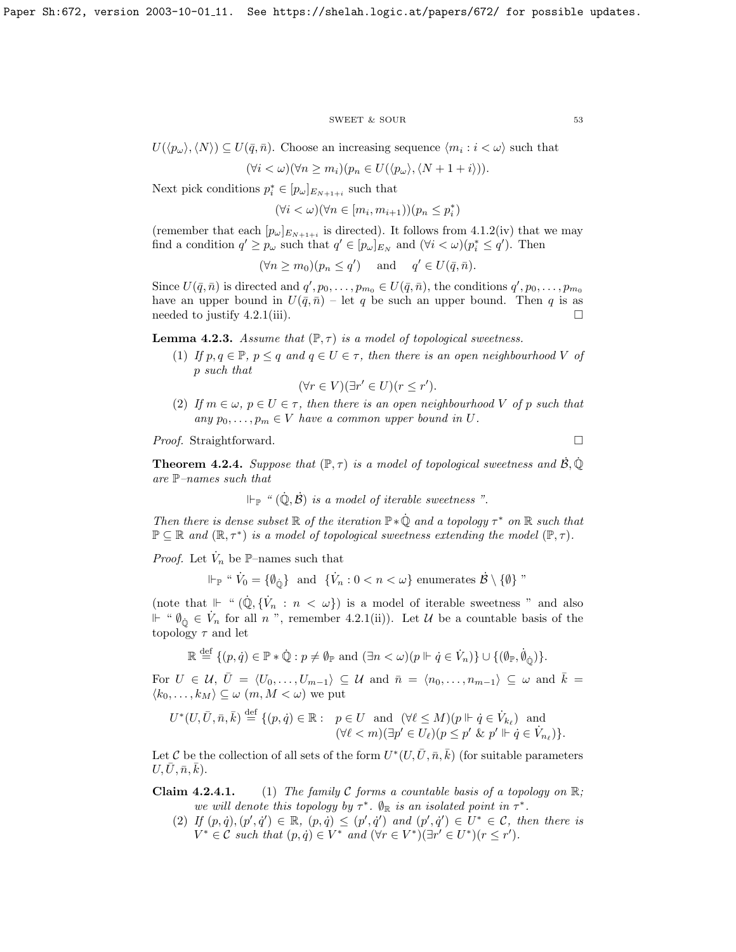#### SWEET & SOUR 53

 $U(\langle p_\omega \rangle, \langle N \rangle) \subseteq U(\bar{q}, \bar{n})$ . Choose an increasing sequence  $\langle m_i : i < \omega \rangle$  such that

$$
(\forall i < \omega)(\forall n \ge m_i)(p_n \in U(\langle p_\omega \rangle, \langle N+1+i \rangle)).
$$

Next pick conditions  $p_i^* \in [p_\omega]_{E_{N+1+i}}$  such that

 $(\forall i < \omega)(\forall n \in [m_i, m_{i+1}))(p_n \leq p_i^*)$ 

(remember that each  $[p_\omega]_{E_{N+1+i}}$  is directed). It follows from [4.1.2\(](#page-50-0)iv) that we may find a condition  $q' \geq p_\omega$  such that  $q' \in [p_\omega]_{E_N}$  and  $(\forall i < \omega)(p_i^* \leq q')$ . Then

$$
(\forall n \ge m_0)(p_n \le q') \quad \text{and} \quad q' \in U(\bar{q}, \bar{n}).
$$

Since  $U(\bar{q}, \bar{n})$  is directed and  $q', p_0, \ldots, p_{m_0} \in U(\bar{q}, \bar{n})$ , the conditions  $q', p_0, \ldots, p_{m_0}$ have an upper bound in  $U(\bar{q}, \bar{n})$  – let q be such an upper bound. Then q is as needed to justify [4.2.1\(](#page-52-0)iii).  $\Box$ 

**Lemma 4.2.3.** Assume that  $(\mathbb{P}, \tau)$  is a model of topological sweetness.

(1) If  $p, q \in \mathbb{P}, p \leq q$  and  $q \in U \in \tau$ , then there is an open neighbourhood V of p such that

$$
(\forall r \in V)(\exists r' \in U)(r \leq r').
$$

(2) If  $m \in \omega$ ,  $p \in U \in \tau$ , then there is an open neighbourhood V of p such that any  $p_0, \ldots, p_m \in V$  have a common upper bound in U.

*Proof.* Straightforward. □

<span id="page-53-0"></span>**Theorem 4.2.4.** Suppose that  $(\mathbb{P}, \tau)$  is a model of topological sweetness and  $\dot{\mathcal{B}}, \dot{\mathbb{Q}}$ are  $\mathbb{P}-names$  such that

$$
\Vdash_{\mathbb{P}} \text{``} (\dot{\mathbb{Q}}, \dot{\mathcal{B}}) \text{ is a model of iterable sweetness''}.
$$

Then there is dense subset  $\mathbb R$  of the iteration  $\mathbb P * \dot{\mathbb Q}$  and a topology  $\tau^*$  on  $\mathbb R$  such that  $\mathbb{P} \subseteq \mathbb{R}$  and  $(\mathbb{R}, \tau^*)$  is a model of topological sweetness extending the model  $(\mathbb{P}, \tau)$ .

*Proof.* Let  $\dot{V}_n$  be  $\mathbb{P}\text{-names such that}$ 

$$
\Vdash_{\mathbb{P}} \text{`` } \dot{V}_0 = \{\emptyset_{\dot{0}}\} \text{ and } \{\dot{V}_n : 0 < n < \omega\} \text{ enumerates } \dot{\mathcal{B}} \setminus \{\emptyset\} \text{''}
$$

(note that  $\Vdash$  " $(\dot{\mathbb{Q}}, \{\dot{V}_n : n < \omega\})$  is a model of iterable sweetness " and also  $\mathbb{H}$  " $\emptyset$ <sub>0</sub><sup>i</sup> ∈  $\dot{V}_n$  for all *n*<sup>n</sup>, remember [4.2.1\(](#page-52-0)ii)). Let *U* be a countable basis of the topology  $\tau$  and let

$$
\mathbb{R} \stackrel{\text{def}}{=} \{ (p, \dot{q}) \in \mathbb{P} * \dot{\mathbb{Q}} : p \neq \emptyset \mathbb{P} \text{ and } (\exists n < \omega) (p \Vdash \dot{q} \in \dot{V}_n ) \} \cup \{ (\emptyset \mathbb{P}, \dot{\emptyset}_{\dot{\mathbb{O}}}) \}.
$$

For  $U \in \mathcal{U}, \bar{U} = \langle U_0, \ldots, U_{m-1} \rangle \subseteq \mathcal{U}$  and  $\bar{n} = \langle n_0, \ldots, n_{m-1} \rangle \subseteq \omega$  and  $\bar{k} =$  $\langle k_0, \ldots, k_M \rangle \subseteq \omega$   $(m, M < \omega)$  we put

$$
U^*(U, \bar{U}, \bar{n}, \bar{k}) \stackrel{\text{def}}{=} \{ (p, \dot{q}) \in \mathbb{R} : p \in U \text{ and } (\forall \ell \le M)(p \Vdash \dot{q} \in \dot{V}_{k_{\ell}}) \text{ and } (\forall \ell < m)(\exists p' \in U_{\ell})(p \le p' \& p' \Vdash \dot{q} \in \dot{V}_{n_{\ell}}) \}.
$$

Let C be the collection of all sets of the form  $U^*(U, \bar{U}, \bar{n}, \bar{k})$  (for suitable parameters  $U, \bar{U}, \bar{n}, \bar{k}$ ).

**Claim 4.2.4.1.** (1) The family C forms a countable basis of a topology on  $\mathbb{R}$ ; we will denote this topology by  $\tau^*$ .  $\emptyset_{\mathbb{R}}$  is an isolated point in  $\tau^*$ .

(2) If  $(p, \dot{q}), (p', \dot{q}') \in \mathbb{R}$ ,  $(p, \dot{q}) \leq (p', \dot{q}')$  and  $(p', \dot{q}') \in U^* \in \mathcal{C}$ , then there is  $V^* \in \mathcal{C}$  such that  $(p, \dot{q}) \in V^*$  and  $(\forall r \in V^*)(\exists r' \in U^*)(r \leq r')$ .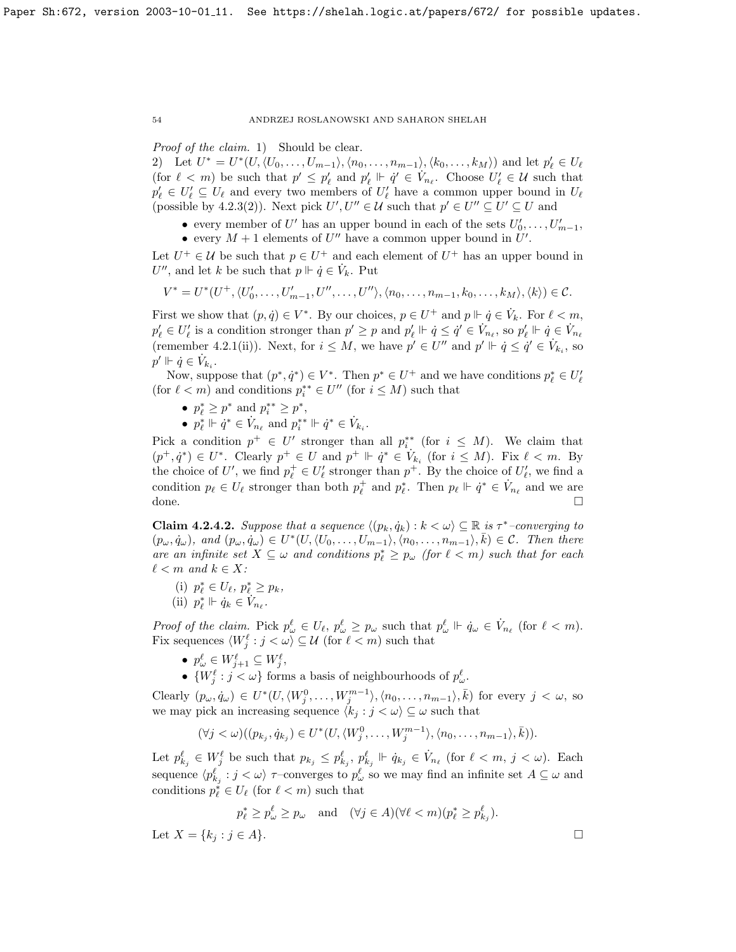Proof of the claim. 1) Should be clear.

2) Let  $U^* = U^*(U, \langle U_0, \ldots, U_{m-1} \rangle, \langle n_0, \ldots, n_{m-1} \rangle, \langle k_0, \ldots, k_M \rangle)$  and let  $p'_\ell \in U_\ell$ (for  $\ell < m$ ) be such that  $p' \leq p'_{\ell}$  and  $p'_{\ell} \Vdash \dot{q}' \in V_{n_{\ell}}$ . Choose  $U'_{\ell} \in \mathcal{U}$  such that  $p'_\ell \in U'_\ell \subseteq U_\ell$  and every two members of  $U'_\ell$  have a common upper bound in  $U_\ell$ (possible by [4.2.3\(](#page-51-0)2)). Next pick  $U', U'' \in \mathcal{U}$  such that  $p' \in U'' \subseteq U' \subseteq U$  and

- every member of U' has an upper bound in each of the sets  $U'_0, \ldots, U'_{m-1}$ ,
- every  $M + 1$  elements of U'' have a common upper bound in U'.

Let  $U^+ \in \mathcal{U}$  be such that  $p \in U^+$  and each element of  $U^+$  has an upper bound in  $U''$ , and let k be such that  $p \Vdash \dot{q} \in \dot{V}_k$ . Put

$$
V^* = U^*(U^+, \langle U'_0, \ldots, U'_{m-1}, U'', \ldots, U'' \rangle, \langle n_0, \ldots, n_{m-1}, k_0, \ldots, k_M \rangle, \langle k \rangle) \in \mathcal{C}.
$$

First we show that  $(p, \dot{q}) \in V^*$ . By our choices,  $p \in U^+$  and  $p \Vdash \dot{q} \in V_k$ . For  $\ell < m$ ,  $p'_\ell \in U'_\ell$  is a condition stronger than  $p' \geq p$  and  $p'_\ell \Vdash \dot{q} \leq \dot{q}' \in V_{n_\ell}$ , so  $p'_\ell \Vdash \dot{q} \in V_{n_\ell}$ (remember [4.2.1\(](#page-52-0)ii)). Next, for  $i \leq M$ , we have  $p' \in U''$  and  $p' \Vdash \dot{q} \leq \dot{q}' \in V_{k_i}$ , so  $p' \Vdash \dot{q} \in \dot{V}_{k_i}$ .

Now, suppose that  $(p^*, \dot{q}^*) \in V^*$ . Then  $p^* \in U^+$  and we have conditions  $p^*_{\ell} \in U'_{\ell}$ (for  $\ell < m$ ) and conditions  $p_i^{**} \in U''$  (for  $i \leq M$ ) such that

- $p_{\ell}^* \ge p^*$  and  $p_i^{**} \ge p^*$ ,
- $p_{\ell}^* \Vdash \dot{q}^* \in V_{n_{\ell}}$  and  $p_i^{**} \Vdash \dot{q}^* \in V_{k_i}$ .

Pick a condition  $p^+ \in U'$  stronger than all  $p_i^{**}$  (for  $i \leq M$ ). We claim that  $(p^+, \dot{q}^*) \in U^*$ . Clearly  $p^+ \in U$  and  $p^+ \Vdash \dot{q}^* \in V_{k_i}$  (for  $i \leq M$ ). Fix  $\ell < m$ . By the choice of U', we find  $p_{\ell}^+ \in U_{\ell}'$  stronger than  $p^+$ . By the choice of  $U_{\ell}'$ , we find a condition  $p_\ell \in U_\ell$  stronger than both  $p_\ell^+$  and  $p_\ell^*$ . Then  $p_\ell \Vdash \dot{q}^* \in V_{n_\ell}$  and we are done. □

<span id="page-54-0"></span>**Claim 4.2.4.2.** Suppose that a sequence  $\langle (p_k, \dot{q}_k) : k < \omega \rangle \subseteq \mathbb{R}$  is  $\tau^*$ -converging to  $(p_\omega, \dot{q}_\omega),$  and  $(p_\omega, \dot{q}_\omega) \in U^*(U, \langle U_0, \ldots, U_{m-1} \rangle, \langle n_0, \ldots, n_{m-1} \rangle, \bar{k}) \in \mathcal{C}$ . Then there are an infinite set  $X \subseteq \omega$  and conditions  $p_{\ell}^* \geq p_{\omega}$  (for  $\ell < m$ ) such that for each  $\ell < m$  and  $k \in X$ :

- (i)  $p_{\ell}^* \in U_{\ell}, p_{\ell}^* \geq p_k$ ,
- (ii)  $p_{\ell}^* \Vdash \dot{q}_k \in \dot{V}_{n_{\ell}}$ .

Proof of the claim. Pick  $p_{\omega}^{\ell} \in U_{\ell}, p_{\omega}^{\ell} \geq p_{\omega}$  such that  $p_{\omega}^{\ell} \Vdash \dot{q}_{\omega} \in \dot{V}_{n_{\ell}}$  (for  $\ell < m$ ). Fix sequences  $\langle W_j^{\ell} : j < \omega \rangle \subseteq \mathcal{U}$  (for  $\ell < m$ ) such that

- $p_{\omega}^{\ell} \in W_{j+1}^{\ell} \subseteq W_j^{\ell},$
- $\{W_j^{\ell} : j < \omega\}$  forms a basis of neighbourhoods of  $p_{\omega}^{\ell}$ .

Clearly  $(p_\omega, \dot{q}_\omega) \in U^*(U, \langle W_j^0, \ldots, W_j^{m-1} \rangle, \langle n_0, \ldots, n_{m-1} \rangle, \overline{k})$  for every  $j < \omega$ , so we may pick an increasing sequence  $\langle k_j : j < \omega \rangle \subseteq \omega$  such that

$$
(\forall j < \omega)((p_{k_j}, \dot{q}_{k_j}) \in U^*(U, \langle W_j^0, \ldots, W_j^{m-1} \rangle, \langle n_0, \ldots, n_{m-1} \rangle, \overline{k})).
$$

Let  $p_{k_j}^{\ell} \in W_j^{\ell}$  be such that  $p_{k_j} \leq p_{k_j}^{\ell}, p_{k_j}^{\ell} \Vdash \dot{q}_{k_j} \in \dot{V}_{n_{\ell}}$  (for  $\ell < m, j < \omega$ ). Each sequence  $\langle p_{k_j}^\ell : j < \omega \rangle$   $\tau$ -converges to  $p_\omega^\ell$  so we may find an infinite set  $A \subseteq \omega$  and conditions  $p_{\ell}^* \in U_{\ell}$  (for  $\ell < m$ ) such that

$$
p_{\ell}^* \ge p_{\omega}^{\ell} \ge p_{\omega} \quad \text{and} \quad (\forall j \in A)(\forall \ell < m)(p_{\ell}^* \ge p_{k_j}^{\ell}).
$$
  
Let  $X = \{k_j : j \in A\}.$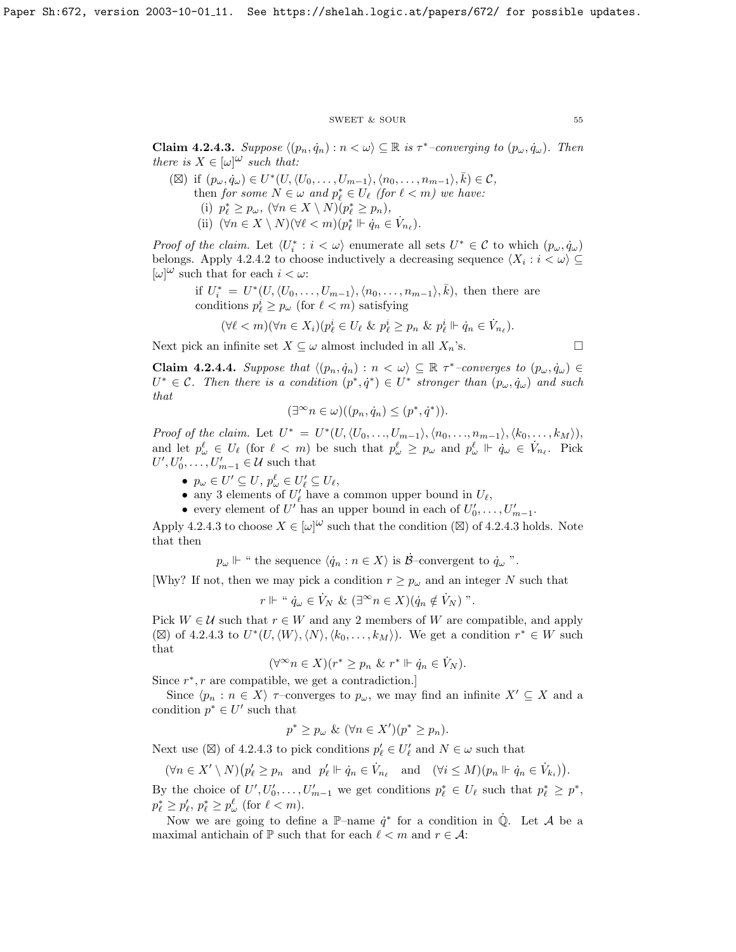#### ${\tt SWEET\ \&\ SOUR} \eqno{55}$

<span id="page-55-0"></span>**Claim 4.2.4.3.** Suppose  $\langle (p_n, \dot{q}_n) : n < \omega \rangle \subseteq \mathbb{R}$  is  $\tau^*$ -converging to  $(p_\omega, \dot{q}_\omega)$ . Then there is  $X \in [\omega]^{(\omega)}$  such that:

( $\boxtimes$ ) if  $(p_\omega, \dot{q}_\omega) \in U^*(U, \langle U_0, \ldots, U_{m-1} \rangle, \langle n_0, \ldots, n_{m-1} \rangle, \overline{k}) \in \mathcal{C}$ , then for some  $N \in \omega$  and  $p_{\ell}^* \in U_{\ell}$  (for  $\ell < m$ ) we have: (i)  $p_{\ell}^* \geq p_{\omega}, \ (\forall n \in X \setminus N)(p_{\ell}^* \geq p_n),$ (ii)  $(\forall n \in X \setminus N)(\forall \ell < m)(p_{\ell}^* \Vdash \dot{q}_n \in \dot{V}_{n_{\ell}}).$ 

*Proof of the claim.* Let  $\langle U_i^* : i < \omega \rangle$  enumerate all sets  $U^* \in \mathcal{C}$  to which  $(p_\omega, \dot{q}_\omega)$ belongs. Apply [4.2.4.2](#page-54-0) to choose inductively a decreasing sequence  $\langle X_i : i \rangle \subseteq$  $[\omega]^\omega$  such that for each  $i < \omega$ .

if  $U_i^* = U^*(U, \langle U_0, \ldots, U_{m-1} \rangle, \langle n_0, \ldots, n_{m-1} \rangle, \overline{k})$ , then there are conditions  $p_\ell^i \geq p_\omega$  (for  $\ell < m$ ) satisfying

$$
(\forall \ell < m)(\forall n \in X_i)(p_\ell^i \in U_\ell \& p_\ell^i \geq p_n \& p_\ell^i \Vdash \dot{q}_n \in \dot{V}_{n_\ell}).
$$

Next pick an infinite set  $X \subseteq \omega$  almost included in all  $X_n$ 's.

$$
\Box
$$

<span id="page-55-1"></span>**Claim 4.2.4.4.** Suppose that  $\langle (p_n, \dot{q}_n) : n < \omega \rangle \subseteq \mathbb{R} \tau^*$ -converges to  $(p_\omega, \dot{q}_\omega) \in$  $U^* \in \mathcal{C}$ . Then there is a condition  $(p^*, \dot{q}^*) \in U^*$  stronger than  $(p_\omega, \dot{q}_\omega)$  and such that

$$
(\exists^{\infty} n \in \omega)((p_n, \dot{q}_n) \le (p^*, \dot{q}^*)\mathbf{).}
$$

Proof of the claim. Let  $U^* = U^*(U, \langle U_0, \ldots, U_{m-1} \rangle, \langle n_0, \ldots, n_{m-1} \rangle, \langle k_0, \ldots, k_M \rangle),$ and let  $p^{\ell}_{\omega} \in U_{\ell}$  (for  $\ell < m$ ) be such that  $p^{\ell}_{\omega} \geq p_{\omega}$  and  $p^{\ell}_{\omega} \Vdash \dot{q}_{\omega} \in V_{n_{\ell}}$ . Pick  $U', U'_0, \ldots, U'_{m-1} \in \mathcal{U}$  such that

- $p_{\omega} \in U' \subseteq U$ ,  $p_{\omega}^{\ell} \in U_{\ell}' \subseteq U_{\ell}$ ,
- any 3 elements of  $U'_\ell$  have a common upper bound in  $U_\ell$ ,
- every element of U' has an upper bound in each of  $U'_0, \ldots, U'_{m-1}$ .

Apply [4.2.4.3](#page-55-0) to choose  $X \in [\omega]^{\omega}$  such that the condition ( $\boxtimes$ ) of 4.2.4.3 holds. Note that then

 $p_{\omega} \Vdash$  " the sequence  $\langle \dot{q}_n : n \in X \rangle$  is  $\mathcal{B}$ -convergent to  $\dot{q}_{\omega}$ ".

[Why? If not, then we may pick a condition  $r \geq p_{\omega}$  and an integer N such that

$$
r \Vdash " \dot{q}_{\omega} \in \dot{V}_N \& (\exists^{\infty} n \in X)(\dot{q}_n \notin \dot{V}_N)".
$$

Pick  $W \in \mathcal{U}$  such that  $r \in W$  and any 2 members of W are compatible, and apply ( $\boxtimes$ ) of [4.2.4.3](#page-55-0) to  $U^*(U,\langle W \rangle,\langle N \rangle,\langle k_0,\ldots,k_M \rangle)$ . We get a condition  $r^* \in W$  such that

$$
(\forall^\infty n \in X)(r^* \ge p_n \& r^* \Vdash \dot{q}_n \in \dot{V}_N).
$$

Since  $r^*$ ,  $r$  are compatible, we get a contradiction.]

Since  $\langle p_n : n \in X \rangle$   $\tau$ –converges to  $p_\omega$ , we may find an infinite  $X' \subseteq X$  and a condition  $p^* \in U'$  such that

$$
p^* \ge p_\omega \& (\forall n \in X')(p^* \ge p_n).
$$

Next use ( $\boxtimes$ ) of [4.2.4.3](#page-55-0) to pick conditions  $p'_\ell \in U'_\ell$  and  $N \in \omega$  such that

 $(\forall n \in X' \setminus N)(p'_{\ell} \geq p_n \text{ and } p'_{\ell} \Vdash \dot{q}_n \in \dot{V}_{n_{\ell}} \text{ and } (\forall i \leq M)(p_n \Vdash \dot{q}_n \in \dot{V}_{k_i})).$ 

By the choice of  $U', U'_0, \ldots, U'_{m-1}$  we get conditions  $p_{\ell}^* \in U_{\ell}$  such that  $p_{\ell}^* \geq p^*$ ,  $p_{\ell}^* \geq p_{\ell}^{\prime}, p_{\ell}^* \geq p_{\omega}^{\ell}$  (for  $\ell < m$ ).

Now we are going to define a  $\mathbb{P}-$ name  $\dot{q}^*$  for a condition in  $\dot{\mathbb{Q}}$ . Let A be a maximal antichain of  $\mathbb P$  such that for each  $\ell < m$  and  $r \in \mathcal{A}$ :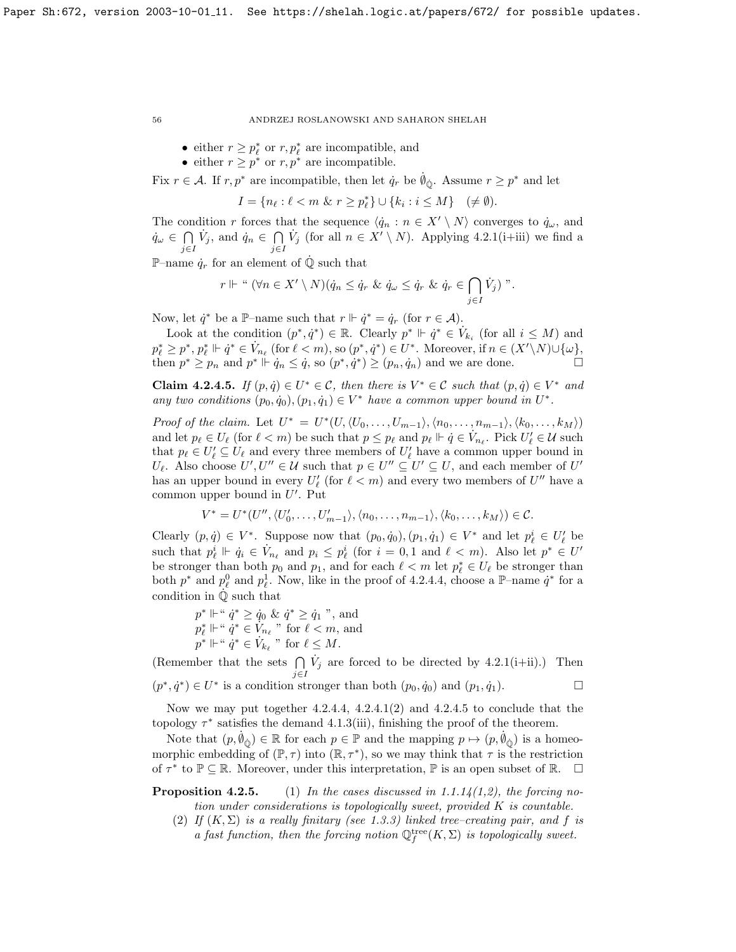- either  $r \ge p_\ell^*$  or  $r, p_\ell^*$  are incompatible, and
- either  $r \geq p^*$  or  $r, p^*$  are incompatible.

Fix  $r \in \mathcal{A}$ . If  $r, p^*$  are incompatible, then let  $\dot{q}_r$  be  $\dot{\theta}_{\dot{\omega}}$ . Assume  $r \geq p^*$  and let

$$
I = \{ n_{\ell} : \ell < m \ \& \ r \ge p_{\ell}^* \} \cup \{ k_i : i \le M \} \quad (\neq \emptyset).
$$

The condition r forces that the sequence  $\langle \dot{q}_n : n \in X' \setminus N \rangle$  converges to  $\dot{q}_\omega$ , and  $\dot{q}_\omega$   $\in$   $\bigcap$ j∈I  $\dot{V}_j$ , and  $\dot{q}_n \in \bigcap$ j∈I  $\dot{V}_j$  (for all  $n \in X' \setminus N$ ). Applying [4.2.1\(](#page-52-0)i+iii) we find a

P–name  $\dot{q}_r$  for an element of  $\dot{Q}$  such that

$$
r \Vdash " (\forall n \in X' \setminus N)(\dot{q}_n \leq \dot{q}_r \& \dot{q}_\omega \leq \dot{q}_r \& \dot{q}_r \in \bigcap_{j \in I} \dot{V}_j)".
$$

Now, let  $\dot{q}^*$  be a P-name such that  $r \Vdash \dot{q}^* = \dot{q}_r$  (for  $r \in \mathcal{A}$ ).

Look at the condition  $(p^*, \dot{q}^*) \in \mathbb{R}$ . Clearly  $p^* \Vdash \dot{q}^* \in V_{k_i}$  (for all  $i \leq M$ ) and  $p_{\ell}^{*} \geq p^{*}, p_{\ell}^{*} \Vdash \dot{q}^{*} \in V_{n_{\ell}} \text{ (for } \ell < m\text{), so } (p^{*}, \dot{q}^{*}) \in U^{*}. \text{ Moreover, if } n \in (X' \setminus N) \cup \{\omega\},$ then  $p^* \geq p_n$  and  $p^* \Vdash \dot{q}_n \leq \dot{q}$ , so  $(p^*, \dot{q}^*) \geq (p_n, \dot{q}_n)$  and we are done.

<span id="page-56-0"></span>**Claim 4.2.4.5.** If  $(p, \dot{q}) \in U^* \in \mathcal{C}$ , then there is  $V^* \in \mathcal{C}$  such that  $(p, \dot{q}) \in V^*$  and any two conditions  $(p_0, \dot{q}_0), (p_1, \dot{q}_1) \in V^*$  have a common upper bound in  $U^*$ .

Proof of the claim. Let  $U^* = U^*(U, \langle U_0, \ldots, U_{m-1} \rangle, \langle n_0, \ldots, n_{m-1} \rangle, \langle k_0, \ldots, k_M \rangle)$ and let  $p_\ell \in U_\ell$  (for  $\ell < m$ ) be such that  $p \leq p_\ell$  and  $p_\ell \Vdash \dot{q} \in V_{n_\ell}$ . Pick  $U'_\ell \in \mathcal{U}$  such that  $p_\ell \in U'_\ell \subseteq U_\ell$  and every three members of  $U'_\ell$  have a common upper bound in  $U_{\ell}$ . Also choose  $U', U'' \in \mathcal{U}$  such that  $p \in U'' \subseteq U' \subseteq U$ , and each member of  $U'$ has an upper bound in every  $U'_\ell$  (for  $\ell < m$ ) and every two members of  $U''$  have a common upper bound in  $U'$ . Put

$$
V^* = U^*(U'', \langle U'_0, \ldots, U'_{m-1} \rangle, \langle n_0, \ldots, n_{m-1} \rangle, \langle k_0, \ldots, k_M \rangle) \in \mathcal{C}.
$$

Clearly  $(p, \dot{q}) \in V^*$ . Suppose now that  $(p_0, \dot{q}_0), (p_1, \dot{q}_1) \in V^*$  and let  $p_\ell^i \in U_\ell'$  be such that  $p_\ell^i \Vdash \dot{q}_i \in \dot{V}_{n_\ell}$  and  $p_i \leq p_\ell^i$  (for  $i = 0, 1$  and  $\ell < m$ ). Also let  $p^* \in U'$ be stronger than both  $p_0$  and  $p_1$ , and for each  $\ell < m$  let  $p_\ell^* \in U_\ell$  be stronger than both  $p^*$  and  $p_\ell^0$  and  $p_\ell^1$ . Now, like in the proof of [4.2.4.4,](#page-55-1) choose a P-name  $\dot{q}^*$  for a condition in  $\dot{\mathbb{Q}}$  such that

 $p^* \Vdash$  "  $\dot{q}^* \ge \dot{q}_0 \& \dot{q}^* \ge \dot{q}_1$  ", and  $p_{\ell}^* \Vdash " \dot{q}^* \in V_{n_{\ell}}"$  for  $\ell < m$ , and  $p^* \Vdash ``\dot{q}^* \in \dot{V}_{k_\ell}" \text{ for } \ell \leq M.$ 

(Remember that the sets  $\bigcap$ j∈I  $\dot{V}_j$  are forced to be directed by [4.2.1\(](#page-52-0)i+ii).) Then  $(p^*, \dot{q}^*) \in U^*$  is a condition stronger than both  $(p_0, \dot{q}_0)$  and  $(p_1, \dot{q}_1)$ .

Now we may put together  $4.2.4.4$ ,  $4.2.4.1(2)$  and  $4.2.4.5$  to conclude that the topology  $\tau^*$  satisfies the demand [4.1.3\(](#page-51-0)iii), finishing the proof of the theorem.

Note that  $(p, \emptyset_{\hat{Q}}) \in \mathbb{R}$  for each  $p \in \mathbb{P}$  and the mapping  $p \mapsto (p, \emptyset_{\hat{Q}})$  is a homeomorphic embedding of  $(\mathbb{P}, \tau)$  into  $(\mathbb{R}, \tau^*)$ , so we may think that  $\tau$  is the restriction of  $\tau^*$  to  $\mathbb{P} \subseteq \mathbb{R}$ . Moreover, under this interpretation,  $\mathbb{P}$  is an open subset of  $\mathbb{R}$ .  $\Box$ 

**Proposition 4.2.5.** (1) In the cases discussed in [1.1.14\(](#page-9-0)1,2), the forcing notion under considerations is topologically sweet, provided K is countable.

(2) If  $(K, \Sigma)$  is a really finitary (see [1.3.3\)](#page-6-0) linked tree-creating pair, and f is a fast function, then the forcing notion  $\mathbb{Q}_f^{\text{tree}}(K,\Sigma)$  is topologically sweet.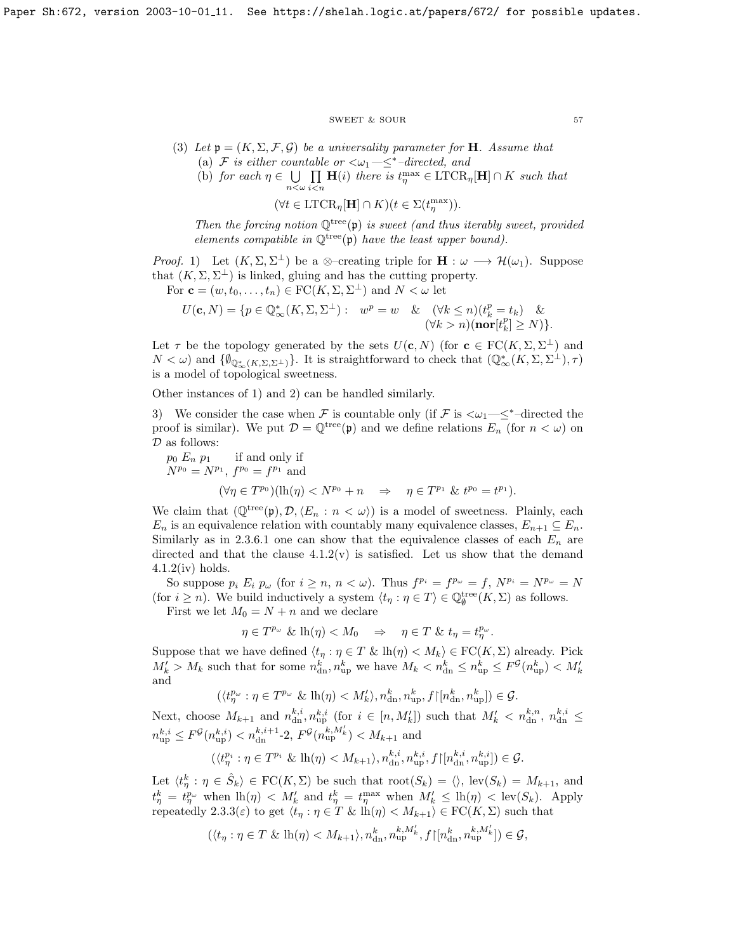#### ${\tt SWEET\ \&\ SOUR} \qquad \qquad {\tt 57}$

- (3) Let  $\mathfrak{p} = (K, \Sigma, \mathcal{F}, \mathcal{G})$  be a universality parameter for **H**. Assume that (a) F is either countable or  $\langle \omega_1 - \leq^* - directed, \text{ and}$ 
	- (b) for each  $\eta \in \bigcup$  $n<\omega$  $\Pi$  $i$  $\lt$ n  $\mathbf{H}(i)$  there is  $t_{\eta}^{\max} \in \text{LTCR}_{\eta}[\mathbf{H}] \cap K$  such that  $(\forall t \in \text{LTCR}_{\eta}[\mathbf{H}] \cap K)(t \in \Sigma(t_{\eta}^{\max}))$ .

Then the forcing notion  $\mathbb{Q}^{tree}(\mathfrak{p})$  is sweet (and thus iterably sweet, provided elements compatible in  $\mathbb{Q}^{tree}(\mathfrak{p})$  have the least upper bound).

*Proof.* 1) Let  $(K, \Sigma, \Sigma^{\perp})$  be a ⊗-creating triple for  $\mathbf{H} : \omega \longrightarrow \mathcal{H}(\omega_1)$ . Suppose that  $(K, \Sigma, \Sigma^{\perp})$  is linked, gluing and has the cutting property.

For  $\mathbf{c} = (w, t_0, \dots, t_n) \in \mathrm{FC}(K, \Sigma, \Sigma^{\perp})$  and  $N < \omega$  let

$$
U(\mathbf{c},N)=\{p\in \mathbb{Q}^*_\infty(K,\Sigma,\Sigma^\perp):\hspace{2mm} w^p=w \hspace{2mm} \& \hspace{2mm} (\forall k\leq n)(t^p_k=t_k) \hspace{2mm} \& \hspace{2mm} (\forall k>n) (\mathbf{nor}[t^p_k]\geq N)\}.
$$

Let  $\tau$  be the topology generated by the sets  $U(\mathbf{c}, N)$  (for  $\mathbf{c} \in \mathrm{FC}(K, \Sigma, \Sigma^{\perp})$  and  $N < \omega$ ) and  $\{\emptyset_{\mathbb{Q}^*_{\infty}(K,\Sigma,\Sigma^{\perp})}\}$ . It is straightforward to check that  $(\mathbb{Q}^*_{\infty}(K,\Sigma,\Sigma^{\perp}),\tau)$ is a model of topological sweetness.

Other instances of 1) and 2) can be handled similarly.

3) We consider the case when F is countable only (if F is  $\langle \omega_1 - \leq^*$ -directed the proof is similar). We put  $\mathcal{D} = \mathbb{Q}^{\text{tree}}(\mathfrak{p})$  and we define relations  $E_n$  (for  $n < \omega$ ) on  ${\mathcal D}$  as follows:

 $p_0 E_n p_1$  if and only if  $N^{p_0} = N^{p_1}, f^{p_0} = f^{p_1}$  and

$$
(\forall \eta \in T^{p_0})(\mathrm{lh}(\eta) < N^{p_0} + n \quad \Rightarrow \quad \eta \in T^{p_1} \& t^{p_0} = t^{p_1}).
$$

We claim that  $(\mathbb{Q}^{tree}(\mathfrak{p}), \mathcal{D}, \langle E_n : n \langle \omega \rangle)$  is a model of sweetness. Plainly, each  $E_n$  is an equivalence relation with countably many equivalence classes,  $E_{n+1} \subseteq E_n$ . Similarly as in [2.3.6.1](#page-40-0) one can show that the equivalence classes of each  $E_n$  are directed and that the clause  $4.1.2(v)$  is satisfied. Let us show that the demand  $4.1.2(iv)$  $4.1.2(iv)$  holds.

So suppose  $p_i E_i p_\omega$  (for  $i \geq n, n < \omega$ ). Thus  $f^{p_i} = f^{p_\omega} = f, N^{p_i} = N^{p_\omega} = N$ (for  $i \geq n$ ). We build inductively a system  $\langle t_{\eta} : \eta \in T \rangle \in \mathbb{Q}_{\emptyset}^{\text{tree}}(K,\Sigma)$  as follows.

First we let  $M_0 = N + n$  and we declare

 $\eta \in T^{p_{\omega}} \& \mathrm{lh}(\eta) < M_0 \Rightarrow \eta \in T \& t_{\eta} = t_{\eta}^{p_{\omega}}.$ 

Suppose that we have defined  $\langle t_\eta : \eta \in T \& \operatorname{lh}(\eta) < M_k \rangle \in \mathrm{FC}(K, \Sigma)$  already. Pick  $M'_k > M_k$  such that for some  $n_{\rm dn}^k$ ,  $n_{\rm up}^k$  we have  $M_k < n_{\rm dn}^k \leq n_{\rm up}^k \leq F^{\mathcal{G}}(n_{\rm up}^k) < M'_k$ and

$$
(\langle t^{p_\omega}_\eta : \eta \in T^{p_\omega} \& \operatorname{lh}(\eta) < M'_k \rangle, n^k_{\text{dn}}, n^k_{\text{up}}, f \upharpoonright [n^k_{\text{dn}}, n^k_{\text{up}}] ) \in \mathcal{G}.
$$

Next, choose  $M_{k+1}$  and  $n_{\text{dn}}^{k,i}$ ,  $n_{\text{up}}^{k,i}$  (for  $i \in [n, M'_{k}]$ ) such that  $M'_{k} < n_{\text{dn}}^{k,n}$ ,  $n_{\text{dn}}^{k,i} \leq$  $n_{\text{up}}^{k,i} \le F^{\mathcal{G}}(n_{\text{up}}^{k,i}) < n_{\text{dn}}^{k,i+1}$ -2,  $F^{\mathcal{G}}(n_{\text{up}}^{k,M'_{k}}) < M_{k+1}$  and

$$
(\langle t^{p_i}_{\eta} : \eta \in T^{p_i} \& \operatorname{lh}(\eta) < M_{k+1} \rangle, n_{\text{dn}}^{k,i}, n_{\text{up}}^{k,i}, f \upharpoonright [n_{\text{dn}}^{k,i}, n_{\text{up}}^{k,i}] \rangle \in \mathcal{G}.
$$

Let  $\langle t_n^k : \eta \in \hat{S}_k \rangle \in \text{FC}(K,\Sigma)$  be such that  $\text{root}(S_k) = \langle \rangle$ ,  $\text{lev}(S_k) = M_{k+1}$ , and  $t_{\eta}^k = t_{\eta}^{p_{\omega}}$  when  $\ln(\eta) < M'_{k}$  and  $t_{\eta}^k = t_{\eta}^{\max}$  when  $M'_{k} \leq \ln(\eta) < \text{lev}(S_k)$ . Apply repeatedly [2.3.3\(](#page-30-1) $\varepsilon$ ) to get  $\langle t_\eta : \eta \in T \& \ln(\eta) < M_{k+1} \rangle \in \mathrm{FC}(K, \Sigma)$  such that

$$
(\langle t_\eta: \eta \in T \ \& \ \mathrm{lh}(\eta)
$$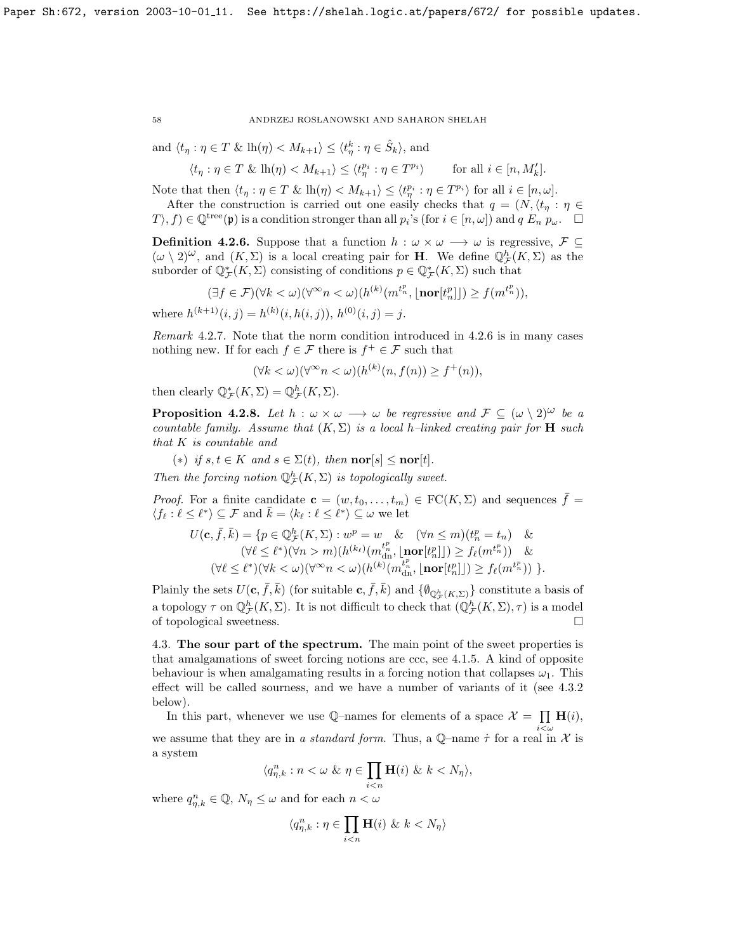and  $\langle t_\eta : \eta \in T \& \operatorname{lh}(\eta) < M_{k+1} \rangle \leq \langle t_\eta^k : \eta \in \hat{S}_k \rangle$ , and

$$
\langle t_\eta : \eta \in T \& \operatorname{lh}(\eta) < M_{k+1} \rangle \le \langle t_\eta^{p_i} : \eta \in T^{p_i} \rangle \qquad \text{for all } i \in [n, M'_k].
$$

Note that then  $\langle t_\eta : \eta \in T \& \ln(\eta) < M_{k+1} \rangle \leq \langle t_\eta^{p_i} : \eta \in T^{p_i} \rangle$  for all  $i \in [n, \omega]$ .

After the construction is carried out one easily checks that  $q = (N, \langle t_n : \eta \in$  $(T\setminus f) \in \mathbb{Q}^{\text{tree}}(\mathfrak{p})$  is a condition stronger than all  $p_i$ 's (for  $i \in [n,\omega]$ ) and  $q E_n p_\omega$ .

<span id="page-58-0"></span>**Definition 4.2.6.** Suppose that a function  $h : \omega \times \omega \longrightarrow \omega$  is regressive,  $\mathcal{F} \subseteq$  $(\omega \setminus 2)^{\omega}$ , and  $(K, \Sigma)$  is a local creating pair for **H**. We define  $\mathbb{Q}_{\mathcal{F}}^{\mathcal{N}}(K, \Sigma)$  as the suborder of  $\mathbb{Q}_{\mathcal{F}}^*(K,\Sigma)$  consisting of conditions  $p \in \mathbb{Q}_{\mathcal{F}}^*(K,\Sigma)$  such that

$$
(\exists f \in \mathcal{F})(\forall k < \omega)(\forall^\infty n < \omega)(h^{(k)}(m^{t^p_n}, \lfloor \textbf{nor}[t^p_n \rfloor]) \ge f(m^{t^p_n})),
$$

where  $h^{(k+1)}(i, j) = h^{(k)}(i, h(i, j)), h^{(0)}(i, j) = j.$ 

Remark 4.2.7. Note that the norm condition introduced in [4.2.6](#page-58-0) is in many cases nothing new. If for each  $f \in \mathcal{F}$  there is  $f^+ \in \mathcal{F}$  such that

$$
(\forall k < \omega)(\forall^{\infty} n < \omega)(h^{(k)}(n, f(n)) \ge f^+(n)),
$$

then clearly  $\mathbb{Q}_{\mathcal{F}}^*(K,\Sigma) = \mathbb{Q}_{\mathcal{F}}^h(K,\Sigma).$ 

<span id="page-58-1"></span>**Proposition 4.2.8.** Let  $h : \omega \times \omega \longrightarrow \omega$  be regressive and  $\mathcal{F} \subseteq (\omega \setminus 2)^{\omega}$  be a countable family. Assume that  $(K, \Sigma)$  is a local h–linked creating pair for **H** such that K is countable and

(\*) if  $s, t \in K$  and  $s \in \Sigma(t)$ , then  $\mathbf{nor}[s] \leq \mathbf{nor}[t]$ .

Then the forcing notion  $\mathbb{Q}_{\mathcal{F}}^h(K,\Sigma)$  is topologically sweet.

*Proof.* For a finite candidate  $\mathbf{c} = (w, t_0, \dots, t_m) \in \mathrm{FC}(K, \Sigma)$  and sequences  $\bar{f} =$  $\langle f_\ell : \ell \leq \ell^* \rangle \subseteq \mathcal{F}$  and  $\bar{k} = \langle k_\ell : \ell \leq \ell^* \rangle \subseteq \omega$  we let

$$
U(\mathbf{c}, \bar{f}, \bar{k}) = \{ p \in \mathbb{Q}_{\mathcal{F}}^{h}(K, \Sigma) : w^{p} = w \& (\forall n \leq m)(t_{n}^{p} = t_{n}) \& (\forall \ell \leq \ell^{*})(\forall n > m)(h^{(k_{\ell})}(m_{\mathrm{dn}}^{t_{n}^{p}}, \lfloor \mathbf{nor}[t_{n}^{p} \rfloor]) \geq f_{\ell}(m^{t_{n}^{p}})) \& (\forall \ell \leq \ell^{*})(\forall k < \omega)(\forall^{\infty} n < \omega)(h^{(k)}(m_{\mathrm{dn}}^{t_{n}^{p}}, \lfloor \mathbf{nor}[t_{n}^{p} \rfloor]) \geq f_{\ell}(m^{t_{n}^{p}})) \}.
$$

Plainly the sets  $U(c, \bar{f}, \bar{k})$  (for suitable  $c, \bar{f}, \bar{k}$ ) and  $\{\emptyset_{\mathbb{Q}_{\mathcal{F}}^h(K,\Sigma)}\}$  constitute a basis of a topology  $\tau$  on  $\mathbb{Q}_{\mathcal{F}}^h(K,\Sigma)$ . It is not difficult to check that  $(\mathbb{Q}_{\mathcal{F}}^h(K,\Sigma),\tau)$  is a model of topological sweetness.

4.3. The sour part of the spectrum. The main point of the sweet properties is that amalgamations of sweet forcing notions are ccc, see [4.1.5.](#page-60-0) A kind of opposite behaviour is when amalgamating results in a forcing notion that collapses  $\omega_1$ . This effect will be called sourness, and we have a number of variants of it (see [4.3.2](#page-50-0) below).

In this part, whenever we use Q-names for elements of a space  $\mathcal{X} = \prod \mathbf{H}(i)$ , we assume that they are in a standard form. Thus, a Q-name  $\dot{\tau}$  for a real in  $\mathcal{X}$  is a system

$$
\langle q_{\eta,k}^n : n < \omega \& \eta \in \prod_{i < n} \mathbf{H}(i) \& k < N_\eta \rangle,
$$

where  $q_{\eta,k}^n \in \mathbb{Q}$ ,  $N_{\eta} \leq \omega$  and for each  $n < \omega$ 

$$
\langle q_{\eta,k}^n : \eta \in \prod_{i < n} \mathbf{H}(i) \& k < N_\eta \rangle
$$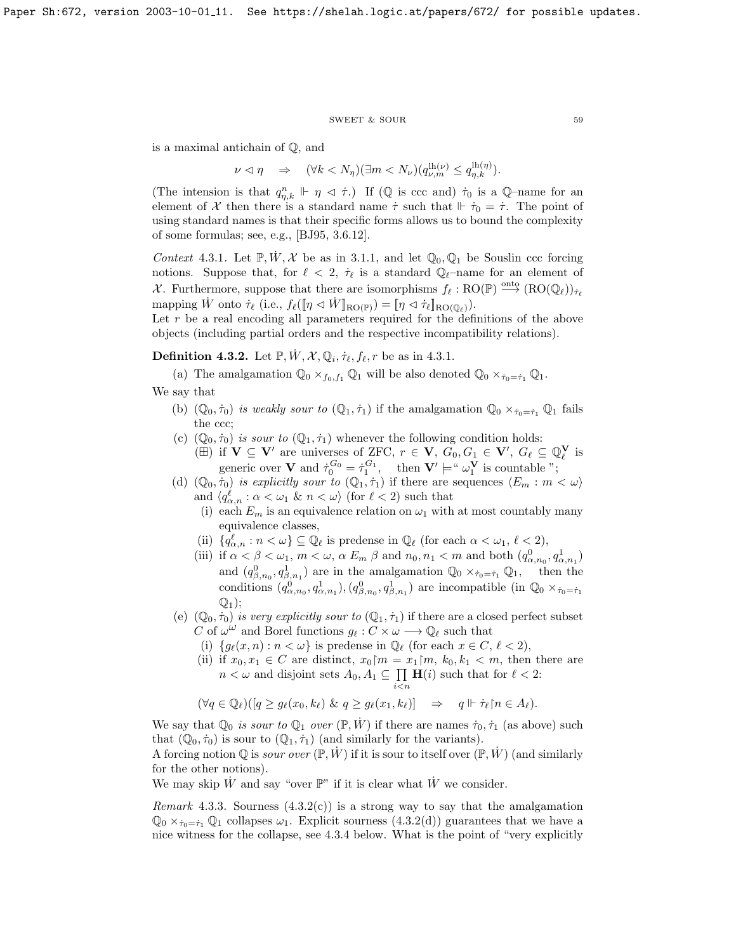#### ${\tt SWEET\ \&\ SOUR} \eqno{59}$

is a maximal antichain of Q, and

$$
\nu \vartriangleleft \eta \quad \Rightarrow \quad (\forall k < N_\eta)(\exists m < N_\nu)(q^{\text{lh}(\nu)}_{\nu, m} \leq q^{\text{lh}(\eta)}_{\eta, k}).
$$

(The intension is that  $q_{\eta,k}^n \Vdash \eta \vartriangleleft \dot{\tau}$ .) If (Q is ccc and)  $\dot{\tau}_0$  is a Q-name for an element of X then there is a standard name  $\dot{\tau}$  such that  $\|\dot{\tau}_0 = \dot{\tau}$ . The point of using standard names is that their specific forms allows us to bound the complexity of some formulas; see, e.g., [\[BJ95,](#page-69-0) 3.6.12].

Context 4.3.1. Let  $\mathbb{P}, W, \mathcal{X}$  be as in [3.1.1,](#page-48-0) and let  $\mathbb{Q}_0, \mathbb{Q}_1$  be Souslin ccc forcing notions. Suppose that, for  $\ell < 2$ ,  $\dot{\tau}_{\ell}$  is a standard  $\mathbb{Q}_{\ell}$ –name for an element of X. Furthermore, suppose that there are isomorphisms  $f_{\ell} : RO(\mathbb{P}) \stackrel{\text{onto}}{\longrightarrow} (RO(\mathbb{Q}_{\ell}))_{\tau_{\ell}}$ mapping  $\dot{W}$  onto  $\dot{\tau}_{\ell}$  (i.e.,  $f_{\ell}(\llbracket \eta \lhd \dot{W} \rrbracket_{\text{RO}(\mathbb{P})}) = [\![\eta \lhd \dot{\tau}_{\ell}]\!]_{\text{RO}(\mathbb{Q}_{\ell})}.$ 

Let  $r$  be a real encoding all parameters required for the definitions of the above objects (including partial orders and the respective incompatibility relations).

**Definition 4.3.2.** Let  $\mathbb{P}, \dot{W}, \mathcal{X}, \mathbb{Q}_i, \dot{\tau}_{\ell}, f_{\ell}, r$  be as in [4.3.1.](#page-52-0)

(a) The amalgamation  $\mathbb{Q}_0 \times_{f_0,f_1} \mathbb{Q}_1$  will be also denoted  $\mathbb{Q}_0 \times_{\dot{\tau}_0=\dot{\tau}_1} \mathbb{Q}_1$ . We say that

- (b)  $(\mathbb{Q}_0, \dot{\tau}_0)$  is weakly sour to  $(\mathbb{Q}_1, \dot{\tau}_1)$  if the amalgamation  $\mathbb{Q}_0 \times_{\dot{\tau}_0 = \dot{\tau}_1} \mathbb{Q}_1$  fails the ccc;
- (c)  $(\mathbb{Q}_0, \dot{\tau}_0)$  is sour to  $(\mathbb{Q}_1, \dot{\tau}_1)$  whenever the following condition holds: ( $\boxplus$ ) if  $\mathbf{V} \subseteq \mathbf{V}'$  are universes of ZFC,  $r \in \mathbf{V}$ ,  $G_0, G_1 \in \mathbf{V}'$ ,  $G_\ell \subseteq \mathbb{Q}_\ell^{\mathbf{V}}$  is
- generic over **V** and  $\dot{\tau}_0^{G_0} = \dot{\tau}_1^{G_1}$ , then  $\mathbf{V}' \models ``\omega_1^{\mathbf{V}}$  is countable "; (d)  $(\mathbb{Q}_0, \tilde{\tau}_0)$  is explicitly sour to  $(\mathbb{Q}_1, \tilde{\tau}_1)$  if there are sequences  $\langle E_m : m \langle \omega \rangle$
- and  $\langle q_{\alpha,n}^{\ell} : \alpha < \omega_1 \& n < \omega \rangle$  (for  $\ell < 2$ ) such that
	- (i) each  $E_m$  is an equivalence relation on  $\omega_1$  with at most countably many equivalence classes,
	- (ii)  $\{q_{\alpha,n}^{\ell} : n < \omega\} \subseteq \mathbb{Q}_{\ell}$  is predense in  $\mathbb{Q}_{\ell}$  (for each  $\alpha < \omega_1, \ell < 2$ ),
	- (iii) if  $\alpha < \beta < \omega_1$ ,  $m < \omega$ ,  $\alpha E_m$ ,  $\beta$  and  $n_0, n_1 < m$  and both  $(q_{\alpha,n_0}^0, q_{\alpha,n_1}^1)$ and  $(q_{\beta,n_0}^0, q_{\beta,n_1}^1)$  are in the amalgamation  $\mathbb{Q}_0 \times_{\dot{\tau}_0 = \dot{\tau}_1} \mathbb{Q}_1$ , then the conditions  $(q_{\alpha,n_0}^0, q_{\alpha,n_1}^1), (q_{\beta,n_0}^0, q_{\beta,n_1}^1)$  are incompatible (in  $\mathbb{Q}_0 \times_{\dot{\tau}_0 = \dot{\tau}_1}$  $\mathbb{Q}_1$ :
- (e)  $(\mathbb{Q}_0, \dot{\tau}_0)$  is very explicitly sour to  $(\mathbb{Q}_1, \dot{\tau}_1)$  if there are a closed perfect subset C of  $\omega^{\omega}$  and Borel functions  $g_{\ell}: C \times \omega \longrightarrow \mathbb{Q}_{\ell}$  such that
	- (i)  $\{g_\ell(x, n) : n < \omega\}$  is predense in  $\mathbb{Q}_\ell$  (for each  $x \in C, \ell < 2$ ),
	- (ii) if  $x_0, x_1 \in C$  are distinct,  $x_0 \upharpoonright m = x_1 \upharpoonright m$ ,  $k_0, k_1 < m$ , then there are  $n < \omega$  and disjoint sets  $A_0, A_1 \subseteq \prod$  $i$  $\lt$ n  $H(i)$  such that for  $\ell < 2$ :

$$
(\forall q \in \mathbb{Q}_{\ell})([q \geq g_{\ell}(x_0, k_{\ell}) \& q \geq g_{\ell}(x_1, k_{\ell})] \Rightarrow q \Vdash \dot{\tau}_{\ell} \upharpoonright n \in A_{\ell}).
$$

We say that  $\mathbb{Q}_0$  is sour to  $\mathbb{Q}_1$  over  $(\mathbb{P}, W)$  if there are names  $\dot{\tau}_0, \dot{\tau}_1$  (as above) such that  $(\mathbb{Q}_0, \dot{\tau}_0)$  is sour to  $(\mathbb{Q}_1, \dot{\tau}_1)$  (and similarly for the variants).

A forcing notion Q is *sour over*  $(\mathbb{P}, W)$  if it is sour to itself over  $(\mathbb{P}, W)$  (and similarly for the other notions).

We may skip W and say "over  $\mathbb{P}$ " if it is clear what W we consider.

Remark 4.3.3. Sourness  $(4.3.2(c))$  is a strong way to say that the amalgamation  $\mathbb{Q}_0 \times_{\tau_0=\tau_1} \mathbb{Q}_1$  collapses  $\omega_1$ . Explicit sourness [\(4.3.2\(](#page-50-0)d)) guarantees that we have a nice witness for the collapse, see [4.3.4](#page-53-0) below. What is the point of "very explicitly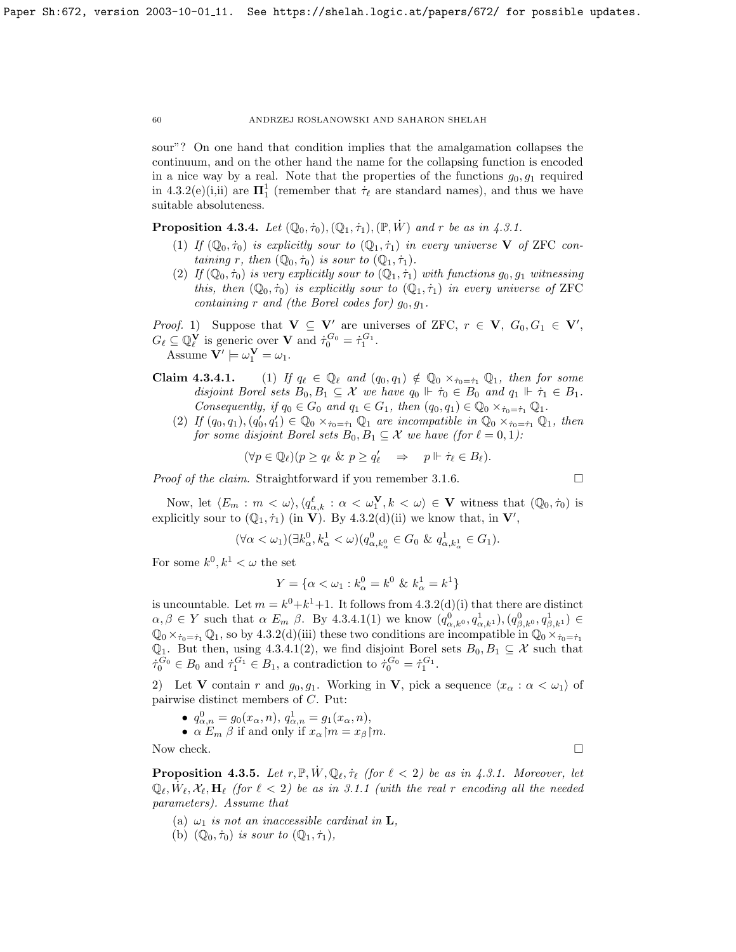sour"? On one hand that condition implies that the amalgamation collapses the continuum, and on the other hand the name for the collapsing function is encoded in a nice way by a real. Note that the properties of the functions  $g_0, g_1$  required in [4.3.2\(](#page-50-0)e)(i,ii) are  $\mathbf{\Pi}^1_1$  (remember that  $\dot{\tau}_{\ell}$  are standard names), and thus we have suitable absoluteness.

**Proposition 4.3.4.** Let  $(\mathbb{Q}_0, \dot{\tau}_0), (\mathbb{Q}_1, \dot{\tau}_1), (\mathbb{P}, W)$  and r be as in [4.3.1.](#page-52-0)

- (1) If  $(\mathbb{Q}_0, \dot{\tau}_0)$  is explicitly sour to  $(\mathbb{Q}_1, \dot{\tau}_1)$  in every universe **V** of ZFC containing r, then  $(\mathbb{Q}_0, \dot{\tau}_0)$  is sour to  $(\mathbb{Q}_1, \dot{\tau}_1)$ .
- (2) If  $(\mathbb{Q}_0, \dot{\tau}_0)$  is very explicitly sour to  $(\mathbb{Q}_1, \dot{\tau}_1)$  with functions  $g_0, g_1$  witnessing this, then  $(\mathbb{Q}_0, \dot{\tau}_0)$  is explicitly sour to  $(\mathbb{Q}_1, \dot{\tau}_1)$  in every universe of ZFC containing r and (the Borel codes for)  $g_0, g_1$ .

*Proof.* 1) Suppose that  $V \subseteq V'$  are universes of ZFC,  $r \in V$ ,  $G_0, G_1 \in V'$ ,  $G_{\ell} \subseteq \mathbb{Q}_{\ell}^{\mathbf{V}}$  is generic over **V** and  $\dot{\tau}_0^{G_0} = \dot{\tau}_1^{G_1}$ . Assume  $\mathbf{V}' \models \omega_1^{\mathbf{V}} = \omega_1.$ 

- **Claim 4.3.4.1.** (1) If  $q_\ell \in \mathbb{Q}_\ell$  and  $(q_0, q_1) \notin \mathbb{Q}_0 \times_{\dot{\tau}_0 = \dot{\tau}_1} \mathbb{Q}_1$ , then for some disjoint Borel sets  $B_0, B_1 \subseteq \mathcal{X}$  we have  $q_0 \Vdash \dot{\tau}_0 \in B_0$  and  $q_1 \Vdash \dot{\tau}_1 \in B_1$ . Consequently, if  $q_0 \in G_0$  and  $q_1 \in G_1$ , then  $(q_0, q_1) \in \mathbb{Q}_0 \times_{\dot{\tau}_0 = \dot{\tau}_1} \mathbb{Q}_1$ .
	- (2) If  $(q_0, q_1), (q'_0, q'_1) \in \mathbb{Q}_0 \times_{\dot{\tau}_0 = \dot{\tau}_1} \mathbb{Q}_1$  are incompatible in  $\mathbb{Q}_0 \times_{\dot{\tau}_0 = \dot{\tau}_1} \mathbb{Q}_1$ , then for some disjoint Borel sets  $B_0, B_1 \subseteq \mathcal{X}$  we have (for  $\ell = 0, 1$ ):

$$
(\forall p \in \mathbb{Q}_{\ell})(p \ge q_{\ell} \& p \ge q_{\ell}' \Rightarrow p \Vdash \dot{\tau}_{\ell} \in B_{\ell}).
$$

*Proof of the claim.* Straightforward if you remember [3.1.6.](#page-48-1)  $\Box$ 

Now, let 
$$
\langle E_m : m < \omega \rangle
$$
,  $\langle q_{\alpha,k}^{\ell} : \alpha < \omega_1^{\mathbf{V}}, k < \omega \rangle \in \mathbf{V}$  witness that  $(\mathbb{Q}_0, \dot{\tau}_0)$  is explicitly sour to  $(\mathbb{Q}_1, \dot{\tau}_1)$  (in **V**). By 4.3.2(d)(ii) we know that, in **V'**,

$$
(\forall \alpha < \omega_1)(\exists k_\alpha^0, k_\alpha^1 < \omega)(q_{\alpha,k_\alpha^0}^0 \in G_0 \& q_{\alpha,k_\alpha^1}^1 \in G_1).
$$

For some  $k^0, k^1 < \omega$  the set

$$
Y = \{ \alpha < \omega_1 : k^0_\alpha = k^0 \ \& \ k^1_\alpha = k^1 \}
$$

is uncountable. Let  $m = k^0 + k^1 + 1$ . It follows from [4.3.2\(](#page-50-0)d)(i) that there are distinct  $\alpha, \beta \in Y$  such that  $\alpha$   $E_m$   $\beta$ . By [4.3.4.1\(](#page-0-0)1) we know  $(q_{\alpha,k^0}^0, q_{\alpha,k^1}^1), (q_{\beta,k^0}^0, q_{\beta,k^1}^1) \in$  $\mathbb{Q}_0 \times_{\tau_0 = \tau_1} \mathbb{Q}_1$ , so by [4.3.2\(](#page-50-0)d)(iii) these two conditions are incompatible in  $\mathbb{Q}_0 \times_{\tau_0 = \tau_1}$  $\mathbb{Q}_1$ . But then, using [4.3.4.1\(](#page-0-0)2), we find disjoint Borel sets  $B_0, B_1 \subseteq \mathcal{X}$  such that  $\dot{\tau}_0^{G_0} \in B_0$  and  $\dot{\tau}_1^{G_1} \in B_1$ , a contradiction to  $\dot{\tau}_0^{G_0} = \dot{\tau}_1^{G_1}$ .

2) Let **V** contain r and  $g_0, g_1$ . Working in **V**, pick a sequence  $\langle x_\alpha : \alpha < \omega_1 \rangle$  of pairwise distinct members of C. Put:

•  $q_{\alpha,n}^0 = g_0(x_\alpha, n), q_{\alpha,n}^1 = g_1(x_\alpha, n),$ 

•  $\alpha E_m \beta$  if and only if  $x_\alpha \upharpoonright m = x_\beta \upharpoonright m$ .

Now check.  $\Box$ 

<span id="page-60-0"></span>**Proposition 4.3.5.** Let  $r, \mathbb{P}, W, \mathbb{Q}_{\ell}, \dot{\tau}_{\ell}$  (for  $\ell < 2$ ) be as in [4.3.1.](#page-52-0) Moreover, let  $\mathbb{Q}_\ell, \dot{W}_\ell, \mathcal{X}_\ell, \mathbf{H}_\ell$  (for  $\ell < 2$ ) be as in [3.1.1](#page-48-0) (with the real r encoding all the needed parameters). Assume that

- (a)  $\omega_1$  is not an inaccessible cardinal in **L**,
- (b)  $(\mathbb{Q}_0, \dot{\tau}_0)$  is sour to  $(\mathbb{Q}_1, \dot{\tau}_1)$ ,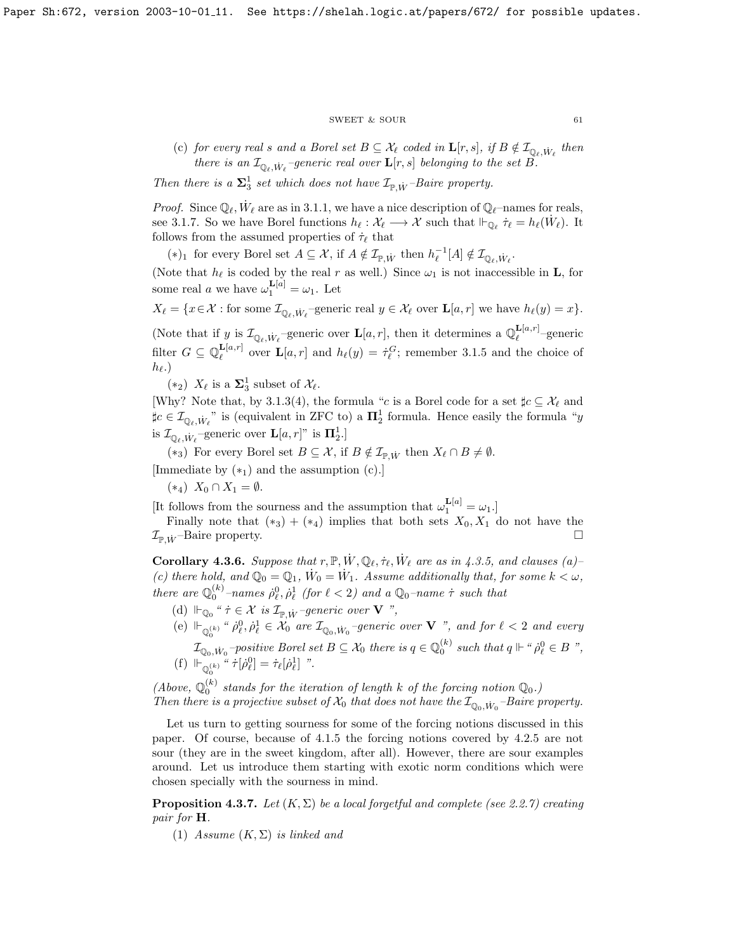### $\begin{tabular}{ll} \multicolumn{2}{c}{\text{SWEET}} & $\&$ \text{SOUR} \end{tabular} \tag{61}$

(c) for every real s and a Borel set  $B \subseteq \mathcal{X}_\ell$  coded in  $\mathbf{L}[r,s]$ , if  $B \notin \mathcal{I}_{\mathbb{Q}_\ell, \dot{W}_\ell}$  then there is an  $\mathcal{I}_{\mathbb{Q}_{\ell},\dot{W}_{\ell}}$ -generic real over  $\mathbf{L}[r,s]$  belonging to the set  $B.$ 

Then there is a  $\Sigma_3^1$  set which does not have  $\mathcal{I}_{\mathbb{P}, \dot{W}}$ -Baire property.

*Proof.* Since  $\mathbb{Q}_\ell$ ,  $\dot{W}_\ell$  are as in [3.1.1,](#page-48-0) we have a nice description of  $\mathbb{Q}_\ell$ -names for reals, see [3.1.7.](#page-48-2) So we have Borel functions  $h_{\ell} : \mathcal{X}_{\ell} \longrightarrow \mathcal{X}$  such that  $\Vdash_{\mathbb{Q}_{\ell}} \dot{\tau}_{\ell} = h_{\ell}(\dot{W}_{\ell})$ . It follows from the assumed properties of  $\dot{\tau}_{\ell}$  that

(\*)<sub>1</sub> for every Borel set  $A \subseteq \mathcal{X}$ , if  $A \notin \mathcal{I}_{\mathbb{P},\dot{W}}$  then  $h_{\ell}^{-1}[A] \notin \mathcal{I}_{\mathbb{Q}_{\ell},\dot{W}_{\ell}}$ .

(Note that  $h_\ell$  is coded by the real r as well.) Since  $\omega_1$  is not inaccessible in **L**, for some real *a* we have  $\omega_1^{\mathbf{L}[a]} = \omega_1$ . Let

 $X_{\ell} = \{x \in \mathcal{X} : \text{for some } \mathcal{I}_{\mathbb{Q}_{\ell}, \dot{W}_{\ell}}$ -generic real  $y \in \mathcal{X}_{\ell}$  over  $\mathbf{L}[a, r]$  we have  $h_{\ell}(y) = x\}.$ 

(Note that if y is  $\mathcal{I}_{\mathbb{Q}_\ell, \dot{W}_\ell}$ -generic over  $\mathbf{L}[a, r]$ , then it determines a  $\mathbb{Q}_\ell^{\mathbf{L}[a, r]}$  $\frac{\mathbf{L}[a,r]}{\ell}$  –generic filter  $G \subseteq \mathbb{Q}_{\ell}^{\mathbf{L}[a,r]}$  $\mathbf{L}[a,r]$  over  $\mathbf{L}[a,r]$  and  $h_{\ell}(y) = \dot{\tau}_{\ell}^G$ ; remember [3.1.5](#page-0-0) and the choice of  $h_{\ell}$ .)

(\*2)  $X_{\ell}$  is a  $\Sigma_3^1$  subset of  $\mathcal{X}_{\ell}$ .

[Why? Note that, by [3.1.3\(](#page-49-0)4), the formula "c is a Borel code for a set  $\sharp c \subseteq \mathcal{X}_\ell$  and  $\sharp c \in \mathcal{I}_{\mathbb{Q}_\ell, \dot{W}_\ell}$ " is (equivalent in ZFC to) a  $\mathbf{\Pi}_2^1$  formula. Hence easily the formula "y is  $\mathcal{I}_{\mathbb{Q}_{\ell}, \dot{W}_{\ell}}$ -generic over  $\mathbf{L}[a, r]$ " is  $\mathbf{\Pi}_2^1$ .]

(\*<sub>3</sub>) For every Borel set  $B \subseteq \mathcal{X}$ , if  $B \notin \mathcal{I}_{\mathbb{P},\dot{W}}$  then  $X_{\ell} \cap B \neq \emptyset$ .

[Immediate by  $(*_1)$  and the assumption  $(c)$ .]

 $(*_4)$   $X_0 \cap X_1 = \emptyset$ .

[It follows from the sourness and the assumption that  $\omega_1^{\mathbf{L}[a]} = \omega_1$ .]

Finally note that  $(*_3) + (*_4)$  implies that both sets  $X_0, X_1$  do not have the  $\mathcal{I}_{\mathbb{P} \text{ } \dot{W}}$ -Baire property.

**Corollary 4.3.6.** Suppose that  $r, \mathbb{P}, W, \mathbb{Q}_{\ell}, \dot{\tau}_{\ell}, \dot{W}_{\ell}$  are as in [4.3.5,](#page-60-0) and clauses (a)-(c) there hold, and  $\mathbb{Q}_0 = \mathbb{Q}_1$ ,  $\dot{W}_0 = \dot{W}_1$ . Assume additionally that, for some  $k < \omega$ , there are  $\mathbb{Q}_0^{(k)}$ -names  $\dot{\rho}_\ell^0$ ,  $\dot{\rho}_\ell^1$  (for  $\ell < 2$ ) and a  $\mathbb{Q}_0$ -name  $\dot{\tau}$  such that

- (d)  $\Vdash_{\mathbb{Q}_0}$  "  $\dot{\tau} \in \mathcal{X}$  is  $\mathcal{I}_{\mathbb{P}, \dot{W}}$ -generic over **V** ",
- (e)  $\Vdash_{\mathbb{Q}_0^{(k)}}$  "  $\rho_\ell^0$ ,  $\rho_\ell^1 \in \mathcal{X}_0$  are  $\mathcal{I}_{\mathbb{Q}_0, \dot{W}_0}$ -generic over  $V$  ", and for  $\ell < 2$  and every  $\sqrt{0}$   $\sqrt{0}$   $\sqrt{0}$   $\sqrt{0}$  $\mathcal{I}_{\mathbb{Q}_0,W_0}$ -positive Borel set  $B\subseteq \mathcal{X}_0$  there is  $q\in \mathbb{Q}_0^{(k)}$  such that  $q\Vdash$  "  $\dot{\rho}_\ell^0\in B$  ",
- (f)  $\mathbb{H}_{\mathbb{Q}_{0}^{(k)}}^{\mathbb{Z}_{0}}$  " $\dot{\tau}[\dot{\rho}_{\ell}^{0}] = \dot{\tau}_{\ell}[\dot{\rho}_{\ell}^{1}]$  ".

(Above,  $\mathbb{Q}_0^{(k)}$  stands for the iteration of length k of the forcing notion  $\mathbb{Q}_0$ .) Then there is a projective subset of  $\mathcal{X}_0$  that does not have the  $\mathcal{I}_{\mathbb{Q}_0, \dot{W}_0}$ -Baire property.

Let us turn to getting sourness for some of the forcing notions discussed in this paper. Of course, because of [4.1.5](#page-60-0) the forcing notions covered by [4.2.5](#page-60-0) are not sour (they are in the sweet kingdom, after all). However, there are sour examples around. Let us introduce them starting with exotic norm conditions which were chosen specially with the sourness in mind.

**Proposition 4.3.7.** Let  $(K, \Sigma)$  be a local forgetful and complete (see [2.2.7\)](#page-32-2) creating pair for H.

(1) Assume  $(K, \Sigma)$  is linked and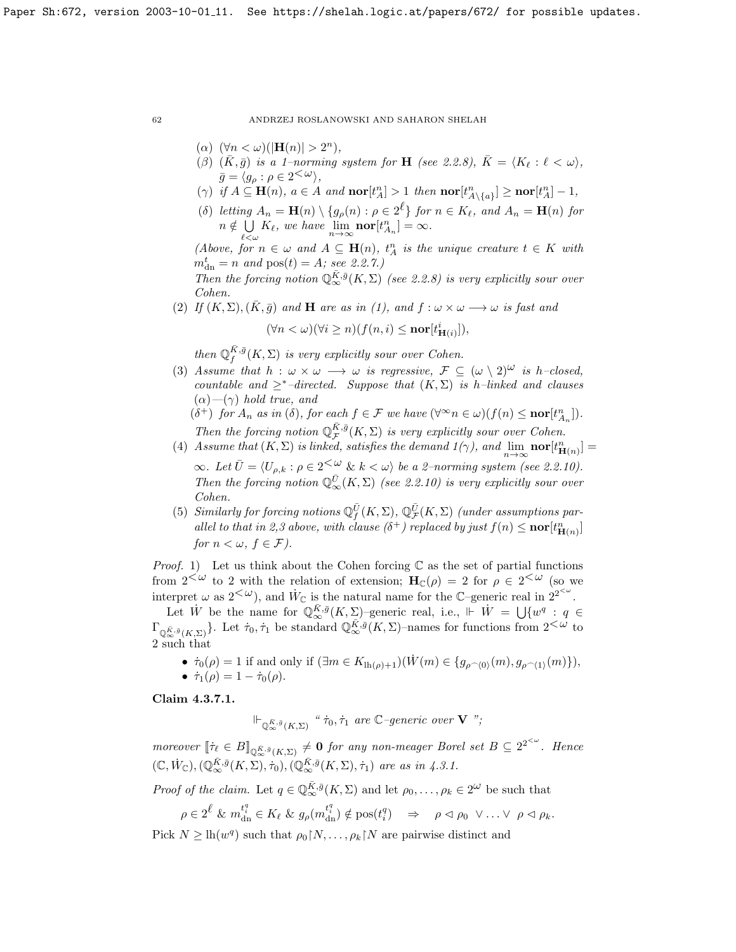- ( $\alpha$ )  $(\forall n < \omega)(|\mathbf{H}(n)| > 2^n),$
- ( $\beta$ ) (K,  $\bar{g}$ ) is a 1–norming system for **H** (see [2.2.8\)](#page-32-1),  $\bar{K} = \langle K_{\ell} : \ell < \omega \rangle$ ,  $\bar{g} = \langle g_{\rho} : \rho \in 2^{\textstyle{<}\omega}\rangle,$
- ( $\gamma$ ) if  $A \subseteq \mathbf{H}(n)$ ,  $a \in A$  and  $\textbf{nor}[t_A^n] > 1$  then  $\textbf{nor}[t_A^n] \geq \textbf{nor}[t_A^n] 1$ ,
- (δ) letting  $A_n = \mathbf{H}(n) \setminus \{g_\rho(n) : \rho \in 2^\ell\}$  for  $n \in K_\ell$ , and  $A_n = \mathbf{H}(n)$  for  $n \notin \cup$  $\bigcup_{\ell < \omega} K_{\ell}$ , we have  $\lim_{n \to \infty} \textbf{nor}[t_{A_n}^n] = \infty$ .

(Above, for  $n \in \omega$  and  $A \subseteq \mathbf{H}(n)$ ,  $t_A^n$  is the unique creature  $t \in K$  with  $m_{\text{dn}}^{t} = n \text{ and } \text{pos}(t) = A; \text{ see } 2.2.7.$  $m_{\text{dn}}^{t} = n \text{ and } \text{pos}(t) = A; \text{ see } 2.2.7.$ 

Then the forcing notion  $\mathbb{Q}_{\infty}^{\bar{K},\bar{g}}(K,\Sigma)$  (see [2.2.8\)](#page-32-1) is very explicitly sour over Cohen.

(2) If  $(K, \Sigma), (\bar{K}, \bar{g})$  and H are as in (1), and  $f : \omega \times \omega \longrightarrow \omega$  is fast and

$$
(\forall n < \omega)(\forall i \ge n)(f(n, i) \le \textbf{nor}[t^i_{\mathbf{H}(i)}]),
$$

then  $\mathbb{Q}_f^{\bar{K},\bar{g}}(K,\Sigma)$  is very explicitly sour over Cohen.

(3) Assume that  $h : \omega \times \omega \longrightarrow \omega$  is regressive,  $\mathcal{F} \subseteq (\omega \setminus 2)^{\omega}$  is h–closed, countable and  $\geq^*$ -directed. Suppose that  $(K, \Sigma)$  is h-linked and clauses  $(\alpha)$ — $(\gamma)$  hold true, and

 $(\delta^+)$  for  $A_n$  as in  $(\delta)$ , for each  $f \in \mathcal{F}$  we have  $(\forall^{\infty} n \in \omega)(f(n) \leq \textbf{nor}[t^n_{A_n}])$ .  $A_n$ Then the forcing notion  $\mathbb{Q}_{\mathcal{F}}^{\bar{K},\bar{g}}(K,\Sigma)$  is very explicitly sour over Cohen.

- (4) Assume that  $(K, \Sigma)$  is linked, satisfies the demand  $1(\gamma)$ , and  $\lim_{n\to\infty}$  **nor** $[t_{\mathbf{H}(n)}^n]$  =  $\infty$ . Let  $\bar{U} = \langle U_{\rho,k} : \rho \in 2^{\langle \omega \rangle} \& k \langle \omega \rangle$  be a 2–norming system (see [2.2.10\)](#page-33-2). Then the forcing notion  $\mathbb{Q}_{\infty}^{\overline{U}}(K,\Sigma)$  (see [2.2.10\)](#page-33-2) is very explicitly sour over Cohen.
- (5) Similarly for forcing notions  $\mathbb{Q}_f^{\bar{U}}(K,\Sigma)$ ,  $\mathbb{Q}_{\mathcal{F}}^{\bar{U}}(K,\Sigma)$  (under assumptions parallel to that in 2,3 above, with clause  $(\delta^+)$  replaced by just  $f(n) \leq \textbf{nor}[t^n_{\mathbf{H}(n)}]$ for  $n < \omega, f \in \mathcal{F}$ ).

*Proof.* 1) Let us think about the Cohen forcing  $\mathbb C$  as the set of partial functions from  $2<sup>{\omega}</sup>$  to 2 with the relation of extension;  $H_{\mathbb{C}}(\rho) = 2$  for  $\rho \in 2<sup>{\omega}</sup>$  (so we interpret  $\omega$  as  $2<sup>{\omega}</sup>$ </sup>), and  $\dot{W}_{\mathbb{C}}$  is the natural name for the C–generic real in  $2^{2<sup>{\omega}}</sup>$ .

Let  $\dot{W}$  be the name for  $\mathbb{Q}_{\infty}^{\bar{K},\bar{g}}(K,\Sigma)$ -generic real, i.e.,  $\Vdash \dot{W} = \bigcup \{w^q : q \in$  $\Gamma_{\mathbb{Q}_{\infty}^{\bar{K},\bar{g}}(K,\Sigma)}$ . Let  $\dot{\tau}_0, \dot{\tau}_1$  be standard  $\mathbb{Q}_{\infty}^{\bar{K},\bar{g}}(K,\Sigma)$ -names for functions from  $2<\omega$  to 2 such that

•  $\dot{\tau}_0(\rho) = 1$  if and only if  $(\exists m \in K_{\text{lh}(\rho)+1})(W(m) \in \{g_{\rho(\rho(0)}(m), g_{\rho(\rho(1)}(m))\}),$ 

•  $\dot{\tau}_1(\rho) = 1 - \dot{\tau}_0(\rho)$ .

<span id="page-62-0"></span>Claim 4.3.7.1.

 $\Vdash_{\mathbb{Q}_\infty^{\bar{K},\bar{g}}(K,\Sigma)}$  "  $\dot{\tau}_0, \dot{\tau}_1$  are  $\mathbb{C}\text{-}generic\ over\ \mathbf{V}$  ";

moreover  $[\![\dot{\tau}_\ell \in B]\!]_{\mathbb{Q}_\infty^{\bar{K},\bar{g}}(K,\Sigma)} \neq \mathbf{0}$  for any non-meager Borel set  $B \subseteq 2^{2^{<\omega}}$ . Hence  $(\mathbb{C}, \dot{W}_{\mathbb{C}}), (\mathbb{Q}_{\infty}^{\bar{K},\bar{g}}(K,\Sigma),\dot{\tau}_0), (\mathbb{Q}_{\infty}^{\bar{K},\bar{g}}(K,\Sigma),\dot{\tau}_1)$  are as in [4.3.1.](#page-52-0)

*Proof of the claim.* Let  $q \in \mathbb{Q}_{\infty}^{\bar{K},\bar{g}}(K,\Sigma)$  and let  $\rho_0,\ldots,\rho_k \in 2^{\omega}$  be such that

$$
\rho \in 2^{\ell} \& m_{\rm dn}^{t_i^q} \in K_{\ell} \& g_{\rho}(m_{\rm dn}^{t_i^q}) \notin \text{pos}(t_i^q) \quad \Rightarrow \quad \rho \vartriangleleft \rho_0 \ \vee \ldots \vee \rho \vartriangleleft \rho_k.
$$

Pick  $N \geq \ln(w^q)$  such that  $\rho_0\upharpoonright N, \ldots, \rho_k\upharpoonright N$  are pairwise distinct and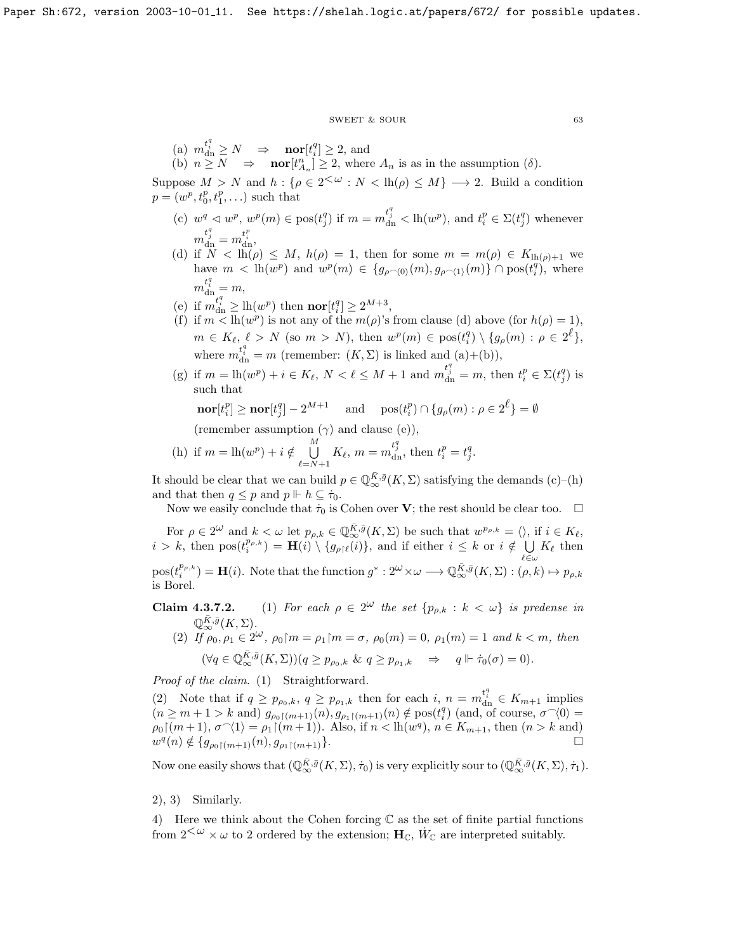#### $\begin{tabular}{lllll} \multicolumn{2}{l}{{\bf SWEET}} & $\&$ {\bf SOUR} & \multicolumn{2}{l}{\bf 63} \\ \multicolumn{2}{l}{\bf 63} & \multicolumn{2}{l}{\bf 64} & \multicolumn{2}{l}{\bf 65} \\ \multicolumn{2}{l}{\bf 67} & \multicolumn{2}{l}{\bf 68} & \multicolumn{2}{l}{\bf 69} \\ \multicolumn{2}{l}{\bf 69} & \multicolumn{2}{l}{\bf 60} & \multicolumn{2}{l}{\bf 61} & \multicolumn{2}{l}{\bf 62} & \multicolumn{2}{l$

(a) 
$$
m_{\text{dn}}^{t_i^q} \geq N \Rightarrow \text{nor}[t_i^q] \geq 2
$$
, and  
\n(b)  $n \geq N \Rightarrow \text{nor}[t_{n-}^n] \geq 2$ , where  $A_n$  is as in the assumption ( $\delta$ ).

(b)  $n \ge N \Rightarrow \text{nor}[t_{A_n}^n] \ge 2$ , where  $A_n$  is as in the assumption  $(\delta)$ .<br>Suppose  $M > N$  and  $h : \{\rho \in 2^{<\omega} : N < \text{lh}(\rho) \le M\} \longrightarrow 2$ . Build a condition  $p = (w^p, t_0^p, t_1^p, \ldots)$  such that

- (c)  $w^q \lhd w^p$ ,  $w^p(m) \in \text{pos}(t_j^q)$  if  $m = m_{dn}^{t_j^q} < \text{lh}(w^p)$ , and  $t_i^p \in \Sigma(t_j^q)$  whenever  $m^{t^q_j}_{\text{dn}} = m^{t^p_i}_{\text{dn}},$
- (d) if  $N < lh(\rho) \leq M$ ,  $h(\rho) = 1$ , then for some  $m = m(\rho) \in K_{lh(\rho)+1}$  we have  $m < \ln(w^p)$  and  $w^p(m) \in \{g_{\rho \cap (0)}(m), g_{\rho \cap (1)}(m)\} \cap \text{pos}(t_i^q)$ , where  $m^{t_i^q}_{dn} = m,$
- (e) if  $m_{\text{dn}}^{t_i^q} \geq \text{lh}(w^p)$  then  $\text{nor}[t_i^q] \geq 2^{M+3}$ ,
- (f) if  $m < lh(w^p)$  is not any of the  $m(\rho)$ 's from clause (d) above (for  $h(\rho) = 1$ ),  $m \in K_{\ell}, \ell > N$  (so  $m > N$ ), then  $w^p(m) \in \text{pos}(t_i^q) \setminus \{g_{\rho}(m) : \rho \in 2^{\ell}\},$ where  $m_{\text{dn}}^{t_i^q} = m$  (remember:  $(K, \Sigma)$  is linked and  $(a)+(b)$ ),
- (g) if  $m = \ln(w^p) + i \in K_\ell$ ,  $N < \ell \leq M + 1$  and  $m_{\text{dn}}^{t_j^q} = m$ , then  $t_i^p \in \Sigma(t_j^q)$  is such that

$$
\mathbf{nor}[t_i^p] \ge \mathbf{nor}[t_j^q] - 2^{M+1} \quad \text{ and } \quad \text{pos}(t_i^p) \cap \{g_\rho(m) : \rho \in 2^\ell\} = \emptyset
$$

(remember assumption  $(\gamma)$  and clause (e)),

(h) if 
$$
m = \ln(w^p) + i \notin \bigcup_{\ell=N+1}^M K_{\ell}, m = m_{\text{dn}}^{t_j^q}
$$
, then  $t_i^p = t_j^q$ .

It should be clear that we can build  $p \in \mathbb{Q}_{\infty}^{\bar{K},\bar{g}}(K,\Sigma)$  satisfying the demands  $(c)$ – $(h)$ and that then  $q \leq p$  and  $p \Vdash h \subseteq \dot{\tau}_0$ .

Now we easily conclude that  $\dot{\tau}_0$  is Cohen over **V**; the rest should be clear too.  $\Box$ 

For  $\rho \in 2^{\omega}$  and  $k < \omega$  let  $p_{\rho,k} \in \mathbb{Q}_{\infty}^{\bar{K},\bar{g}}(K,\Sigma)$  be such that  $w^{p_{\rho,k}} = \langle \rangle$ , if  $i \in K_{\ell}$ ,  $i > k$ , then  $pos(t_i^{p_{\rho,k}}) = \mathbf{H}(i) \setminus \{g_{\rho|\ell}(i)\}\)$ , and if either  $i \leq k$  or  $i \notin \bigcup K_{\ell}$  then  $\ell$ ∈ω  $pos(t_i^{p_{\rho,k}}) = \mathbf{H}(i)$ . Note that the function  $g^* : 2^{\omega} \times \omega \longrightarrow \mathbb{Q}_{\infty}^{\bar{K},\bar{g}}(K,\Sigma) : (\rho, k) \mapsto p_{\rho,k}$ is Borel.

- **Claim 4.3.7.2.** (1) For each  $\rho \in 2^{\omega}$  the set  $\{p_{\rho,k}: k < \omega\}$  is predense in  $\mathbb{Q}_{\infty}^{\bar{K},\bar{g}}(K,\Sigma).$ 
	- (2) If  $\rho_0, \rho_1 \in 2^{\omega}, \rho_0 \upharpoonright m = \rho_1 \upharpoonright m = \sigma, \rho_0(m) = 0, \rho_1(m) = 1$  and  $k < m$ , then  $(\forall q \in \mathbb{Q}_{\infty}^{\overline{K},\overline{g}}(K,\Sigma))(q \geq p_{\rho_0,k} \& q \geq p_{\rho_1,k} \Rightarrow q \Vdash \dot{\tau}_0(\sigma) = 0).$

Proof of the claim. (1) Straightforward.

(2) Note that if  $q \ge p_{\rho_0,k}$ ,  $q \ge p_{\rho_1,k}$  then for each  $i, n = m_{\text{dn}}^{t_i^q} \in K_{m+1}$  implies  $(n \geq m+1 > k \text{ and } \frac{1}{\beta \rho_0 \gamma(m+1)}(n), \frac{1}{\beta \rho_1 \gamma(m+1)}(n) \notin \text{pos}(t_i^q) \text{ (and, of course, } \sigma \gamma(0) =$  $\rho_0 \upharpoonright (m+1), \sigma^{\frown} \langle 1 \rangle = \rho_1 \upharpoonright (m+1)).$  Also, if  $n < \text{lh}(w^q), n \in K_{m+1}$ , then  $(n > k \text{ and})$  $w^q(n) \notin \{g_{\rho_0}(m+1)}(n), g_{\rho_1}(m+1)\}.$ 

Now one easily shows that  $(\mathbb{Q}_{\infty}^{\bar{K},\bar{g}}(K,\Sigma),\dot{\tau}_0)$  is very explicitly sour to  $(\mathbb{Q}_{\infty}^{\bar{K},\bar{g}}(K,\Sigma),\dot{\tau}_1)$ .

# 2), 3) Similarly.

4) Here we think about the Cohen forcing  $\mathbb C$  as the set of finite partial functions from  $2<sup>{\omega}</sup> \times \omega$  to 2 ordered by the extension;  $H_{\mathbb{C}}$ ,  $\dot{W}_{\mathbb{C}}$  are interpreted suitably.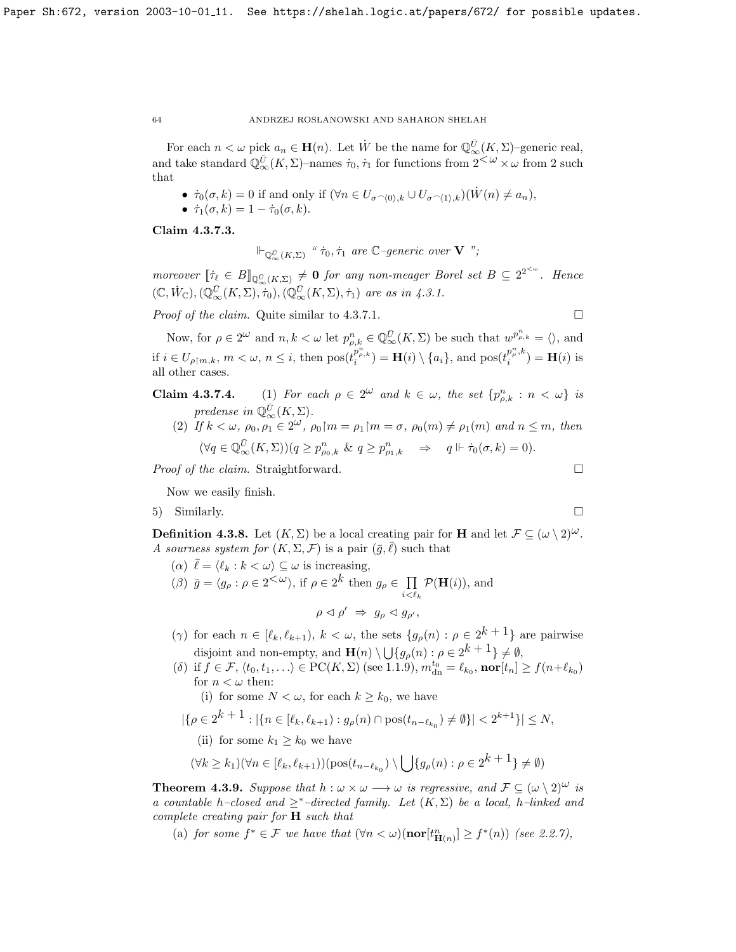For each  $n < \omega$  pick  $a_n \in \mathbf{H}(n)$ . Let  $\dot{W}$  be the name for  $\mathbb{Q}_{\infty}^{\bar{U}}(K,\Sigma)$ -generic real, and take standard  $\mathbb{Q}_{\infty}^{\bar{U}}(K,\Sigma)$ -names  $\dot{\tau}_0, \dot{\tau}_1$  for functions from  $2<sup>\omega</sup> \times \omega$  from 2 such that

- $\dot{\tau}_0(\sigma, k) = 0$  if and only if  $(\forall n \in U_{\sigma \cap (0), k} \cup U_{\sigma \cap (1), k})(\dot{W}(n) \neq a_n)$ ,
- $\dot{\tau}_1(\sigma, k) = 1 \dot{\tau}_0(\sigma, k).$

Claim 4.3.7.3.

 $\Vdash_{\mathbb{Q}_\infty^{\bar{U}}(K,\Sigma)}$  "  $\dot{\tau}_0, \dot{\tau}_1$  are  $\mathbb{C}\text{-}generic\ over\ \mathbf{V}$  ";

moreover  $[\![\dot{\tau}_\ell \in B]\!]_{\mathbb{Q}_{\infty}^{\bar{U}}(K,\Sigma)} \neq \mathbf{0}$  for any non-meager Borel set  $B \subseteq 2^{2^{<\omega}}$ . Hence  $(\mathbb{C}, \dot{W}_{\mathbb{C}}),(\mathbb{Q}_{\infty}^{\bar{U}}(K,\Sigma),\dot{\tau}_0),(\mathbb{Q}_{\infty}^{\bar{U}}(K,\Sigma),\dot{\tau}_1)$  are as in [4.3.1.](#page-52-0)

*Proof of the claim.* Quite similar to [4.3.7.1.](#page-62-0)  $\Box$ 

Now, for  $\rho \in 2^{\omega}$  and  $n, k < \omega$  let  $p_{\rho,k}^n \in \mathbb{Q}_{\infty}^{\overline{U}}(K,\Sigma)$  be such that  $w^{p_{\rho,k}^n} = \langle \rangle$ , and if  $i \in U_{\rho \upharpoonright m,k}, m < \omega, n \leq i$ , then  $pos(t_i^{p^n_{\rho,k}}) = \mathbf{H}(i) \setminus \{a_i\}$ , and  $pos(t_i^{p^n_{\rho,k}})$  $\mathbf{H}(i)$  is  $\mathbf{H}(i)$  is all other cases.

- **Claim 4.3.7.4.** (1) For each  $\rho \in 2^{\omega}$  and  $k \in \omega$ , the set  $\{p_{\rho,k}^n : n < \omega\}$  is predense in  $\mathbb{Q}_{\infty}^{\bar{U}}(K,\Sigma)$ .
	- (2) If  $k < \omega, \rho_0, \rho_1 \in 2^{\omega}, \rho_0 \upharpoonright m = \rho_1 \upharpoonright m = \sigma, \rho_0(m) \neq \rho_1(m)$  and  $n \leq m$ , then  $(\forall q \in \mathbb{Q}_{\infty}^{\overline{U}}(K,\Sigma))(q \geq p_{\rho_0,k}^n \& q \geq p_{\rho_1,k}^n \Rightarrow q \Vdash \dot{\tau}_0(\sigma,k) = 0).$

*Proof of the claim.* Straightforward.  $\Box$ 

Now we easily finish.

5) Similarly.

**Definition 4.3.8.** Let  $(K, \Sigma)$  be a local creating pair for **H** and let  $\mathcal{F} \subseteq (\omega \setminus 2)^{\omega}$ . A sourness system for  $(K, \Sigma, \mathcal{F})$  is a pair  $(\bar{g}, \ell)$  such that

- (a)  $\bar{\ell} = \langle \ell_k : k \langle \omega \rangle \subseteq \omega$  is increasing,
- (*β*)  $\bar{g} = \langle g_{\rho} : \rho \in 2^{\mathcal{L}(\omega)} \rangle$ , if  $\rho \in 2^k$  then  $g_{\rho} \in \prod$  $i<\ell_k$  $\mathcal{P}(\mathbf{H}(i)),$  and

 $\rho \triangleleft \rho' \Rightarrow g_{\rho} \triangleleft g_{\rho'},$ 

- ( $\gamma$ ) for each  $n \in [\ell_k, \ell_{k+1}), k < \omega$ , the sets  $\{g_\rho(n) : \rho \in 2^{k+1}\}\$  are pairwise disjoint and non-empty, and  $\mathbf{H}(n) \setminus \bigcup \{g_{\rho}(n) : \rho \in 2^k + 1\} \neq \emptyset$ ,
- (δ) if  $f \in \mathcal{F}, \langle t_0, t_1, \ldots \rangle \in \mathrm{PC}(K, \Sigma)$  (see [1.1.9\)](#page-8-0),  $m_{dn}^{t_0} = \ell_{k_0}$ , nor $[t_n] \ge f(n+\ell_{k_0})$ for  $n < \omega$  then:
	- (i) for some  $N < \omega$ , for each  $k \geq k_0$ , we have
- $|\{\rho \in 2^{k+1} : |\{n \in [\ell_k, \ell_{k+1}) : g_{\rho}(n) \cap \text{pos}(t_{n-\ell_{k_0}}) \neq \emptyset\}| < 2^{k+1}\}| \leq N,$ 
	- (ii) for some  $k_1 \geq k_0$  we have

$$
(\forall k \ge k_1)(\forall n \in [\ell_k, \ell_{k+1}))(\text{pos}(t_{n-\ell_{k_0}}) \setminus \bigcup \{g_{\rho}(n) : \rho \in 2^{k+1}\} \neq \emptyset)
$$

<span id="page-64-0"></span>**Theorem 4.3.9.** Suppose that  $h : \omega \times \omega \longrightarrow \omega$  is regressive, and  $\mathcal{F} \subseteq (\omega \setminus 2)^{\omega}$  is a countable h–closed and  $\geq^*$ –directed family. Let  $(K,\Sigma)$  be a local, h–linked and complete creating pair for H such that

(a) for some  $f^* \in \mathcal{F}$  we have that  $(\forall n < \omega)(\textbf{nor}[t^n_{\mathbf{H}(n)}] \geq f^*(n))$  (see [2.2.7\)](#page-32-2),

$$
f_{\rm{max}}
$$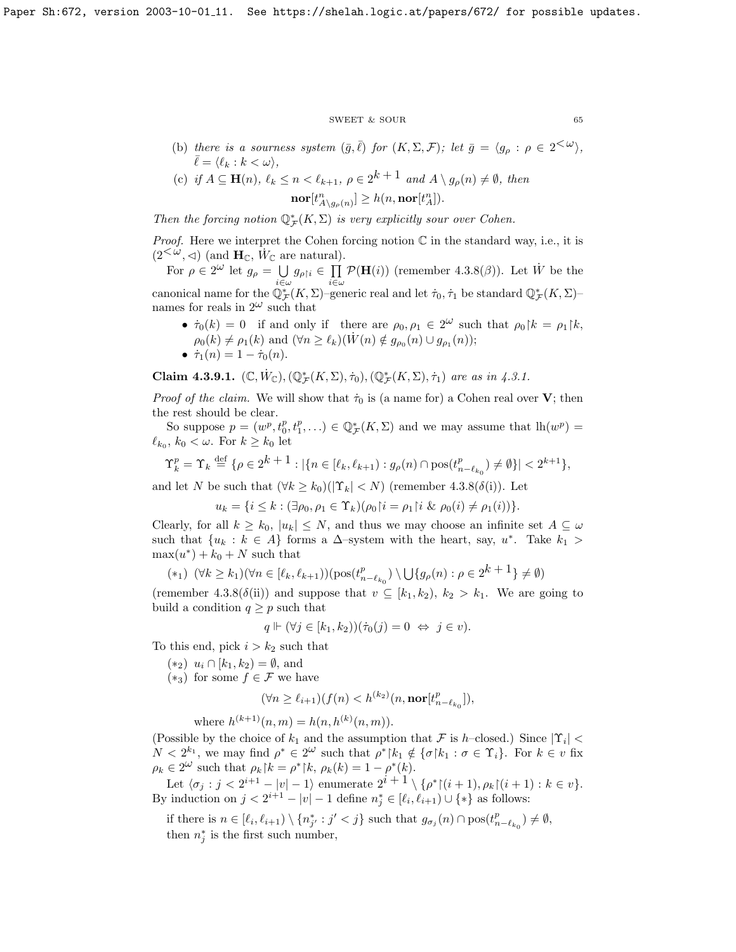$\begin{tabular}{ll} \multicolumn{2}{c}{\text{SWEET}} & $\&$ \text{SOUR} \end{tabular} \tag{65} \vspace{0.05in}$ 

- (b) there is a sourness system  $(\bar{g}, \bar{\ell})$  for  $(K, \Sigma, \mathcal{F})$ ; let  $\bar{g} = \langle g_{\rho} : \rho \in 2^{\langle \omega \rangle},$  $\overline{\ell} = \langle \ell_k : k < \omega \rangle,$
- (c) if  $A \subseteq \mathbf{H}(n)$ ,  $\ell_k \leq n < \ell_{k+1}$ ,  $\rho \in 2^{k+1}$  and  $A \setminus g_{\rho}(n) \neq \emptyset$ , then  $\mathrm{nor}[t^{n}_{A\setminus g_{\rho}(n)}]\geq h(n,\mathrm{nor}[t^{n}_{A}]).$

Then the forcing notion  $\mathbb{Q}_{\mathcal{F}}^*(K,\Sigma)$  is very explicitly sour over Cohen.

*Proof.* Here we interpret the Cohen forcing notion  $\mathbb C$  in the standard way, i.e., it is  $(2<sup>{\check{\omega}}, \triangleleft)</sup>$  (and  $\mathbf{H}_{\mathbb{C}}, \dot{W}_{\mathbb{C}}$  are natural).

For  $\rho \in 2^{\omega}$  let  $g_{\rho} = \bigcup$  $\bigcup_{i\in\omega}g_{\rho{\restriction} i}\in\prod_{i\in\omega}$ i∈ω  $\mathcal{P}(\mathbf{H}(i))$  (remember [4.3.8\(](#page-58-1) $\beta$ )). Let  $\dot{W}$  be the canonical name for the  $\mathbb{Q}_{\mathcal{F}}^*(K,\Sigma)$ -generic real and let  $\dot{\tau}_0, \dot{\tau}_1$  be standard  $\mathbb{Q}_{\mathcal{F}}^*(K,\Sigma)$ names for reals in  $2^{\omega}$  such that

•  $\dot{\tau}_0(k) = 0$  if and only if there are  $\rho_0, \rho_1 \in 2^{\omega}$  such that  $\rho_0 \upharpoonright k = \rho_1 \upharpoonright k$ ,  $\rho_0(k) \neq \rho_1(k)$  and  $(\forall n \geq \ell_k)(\dot{W}(n) \notin g_{\rho_0}(n) \cup g_{\rho_1}(n));$ 

$$
\bullet \ \dot{\tau}_1(n) = 1 - \dot{\tau}_0(n).
$$

Claim 4.3.9.1.  $(\mathbb{C}, \dot{W}_{\mathbb{C}}), (\mathbb{Q}_{\mathcal{F}}^{*}(K, \Sigma), \dot{\tau}_0), (\mathbb{Q}_{\mathcal{F}}^{*}(K, \Sigma), \dot{\tau}_1)$  are as in [4.3.1.](#page-52-0)

*Proof of the claim.* We will show that  $\dot{\tau}_0$  is (a name for) a Cohen real over V; then the rest should be clear.

So suppose  $p = (w^p, t_0^p, t_1^p, \ldots) \in \mathbb{Q}_{\mathcal{F}}^*(K, \Sigma)$  and we may assume that  $lh(w^p) =$  $\ell_{k_0}, k_0 < \omega$ . For  $k \geq k_0$  let

$$
\Upsilon_k^p = \Upsilon_k \stackrel{\text{def}}{=} {\rho \in 2^{k+1} : |\{ n \in [\ell_k, \ell_{k+1}) : g_\rho(n) \cap \text{pos}(t_{n-\ell_{k_0}}^p) \neq \emptyset \}| < 2^{k+1}},
$$

and let N be such that  $(\forall k \geq k_0)(|\Upsilon_k| < N)$  (remember [4.3.8\(](#page-58-1) $\delta(i)$ ). Let

$$
u_k = \{ i \leq k : (\exists \rho_0, \rho_1 \in \Upsilon_k)(\rho_0 | i = \rho_1 | i \& \rho_0(i) \neq \rho_1(i)) \}.
$$

Clearly, for all  $k \geq k_0$ ,  $|u_k| \leq N$ , and thus we may choose an infinite set  $A \subseteq \omega$ such that  $\{u_k : k \in A\}$  forms a  $\Delta$ -system with the heart, say,  $u^*$ . Take  $k_1 >$  $\max(u^*) + k_0 + N$  such that  $k + 1$ 

$$
(*) \quad (\forall k \ge k_1)(\forall n \in [\ell_k, \ell_{k+1})) (\text{pos}(t_{n-\ell_{k_0}}^p) \setminus \bigcup \{g_\rho(n) : \rho \in 2^{k+1}\} \neq \emptyset)
$$

(remember [4.3.8\(](#page-58-1) $\delta$ (ii)) and suppose that  $v \subseteq [k_1, k_2), k_2 > k_1$ . We are going to build a condition  $q \geq p$  such that

$$
q \Vdash (\forall j \in [k_1, k_2))(\dot{\tau}_0(j) = 0 \iff j \in v).
$$

To this end, pick  $i > k_2$  such that

- $(*_2)$   $u_i ∩ [k_1, k_2) = ∅$ , and
- $(*_3)$  for some  $f \in \mathcal{F}$  we have

$$
(\forall n \ge \ell_{i+1})(f(n) < h^{(k_2)}(n, \textbf{nor}[t^n_{n-\ell_{k_0}}]),
$$

where  $h^{(k+1)}(n,m) = h(n, h^{(k)}(n,m)).$ 

(Possible by the choice of  $k_1$  and the assumption that F is h–closed.) Since  $|\Upsilon_i|$  <  $N < 2^{k_1}$ , we may find  $\rho^* \in 2^{\omega}$  such that  $\rho^* \upharpoonright k_1 \notin {\sigma \upharpoonright k_1 : \sigma \in \Upsilon_i}$ . For  $k \in v$  fix  $\rho_k \in 2^{\omega}$  such that  $\rho_k |k\rangle = \rho^* |k\rangle$ ,  $\rho_k(k) = 1 - \rho^*(k)$ .

Let  $\langle \sigma_j : j < 2^{i+1} - |v| - 1 \rangle$  enumerate  $2^{i+1} \setminus {\rho^*} | (i+1), \rho_k | (i+1) : k \in v$ . By induction on  $j < 2^{i+1} - |v| - 1$  define  $n_j^* \in [\ell_i, \ell_{i+1}) \cup \{*\}$  as follows:

if there is  $n \in [\ell_i, \ell_{i+1}) \setminus \{n_{j'}^* : j' < j\}$  such that  $g_{\sigma_j}(n) \cap \text{pos}(t_{n-\ell_{k_0}}^p) \neq \emptyset$ , then  $n_j^*$  is the first such number,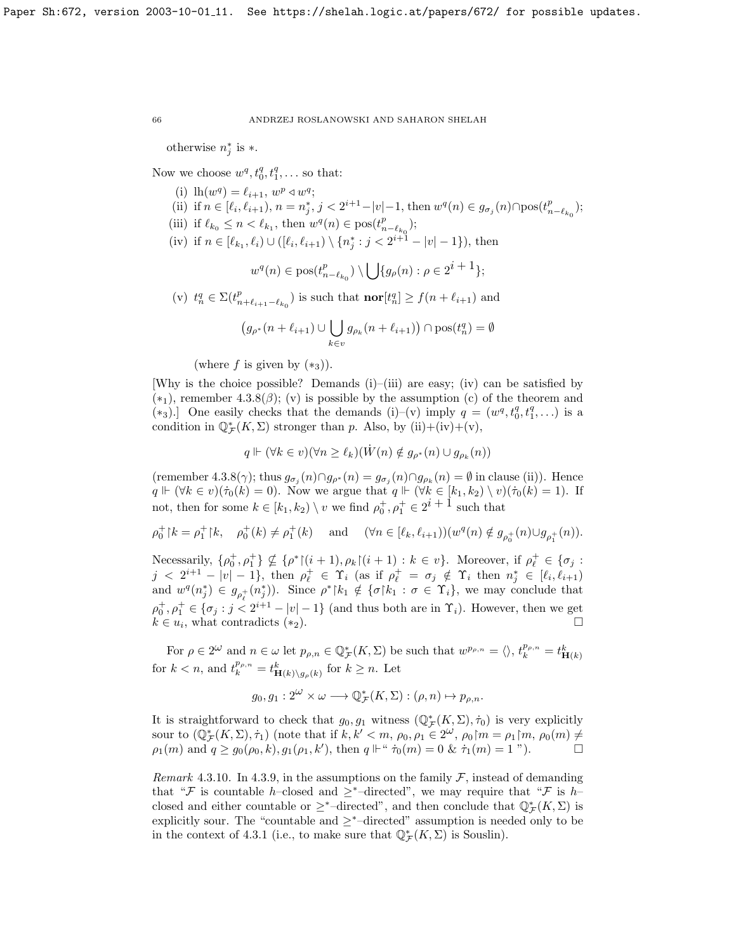otherwise  $n_j^*$  is  $*$ .

Now we choose  $w^q, t_0^q, t_1^q, \ldots$  so that:

- (i)  $\ln(w^q) = \ell_{i+1}, w^p \triangleleft w^q;$
- (ii) if  $n \in [\ell_i, \ell_{i+1}), n = n_j^*, j < 2^{i+1} |v| 1$ , then  $w^q(n) \in g_{\sigma_j}(n) \cap \text{pos}(t_{n-\ell_{k_0}}^p);$
- (iii) if  $\ell_{k_0} \leq n < \ell_{k_1}$ , then  $w^q(n) \in \text{pos}(t^p_{n-\ell_{k_0}});$
- (iv) if  $n \in [\ell_{k_1}, \ell_i) \cup ([\ell_i, \ell_{i+1}) \setminus \{n_j^* : j < 2^{i+1} |v| 1\}),\$  then

$$
w^{q}(n) \in \text{pos}(t^{p}_{n-\ell_{k_0}}) \setminus \bigcup \{g_{\rho}(n) : \rho \in 2^{i+1}\};
$$

(v)  $t_n^q \in \Sigma(t_{n+\ell_{i+1}-\ell_{k_0}}^p)$  is such that  $\textbf{nor}[t_n^q] \ge f(n+\ell_{i+1})$  and

$$
(g_{\rho^*}(n+\ell_{i+1}) \cup \bigcup_{k \in v} g_{\rho_k}(n+\ell_{i+1}) ) \cap \text{pos}(t_n^q) = \emptyset
$$

(where f is given by  $(*_3)$ ).

[Why is the choice possible? Demands  $(i)$ – $(iii)$  are easy;  $(iv)$  can be satisfied by  $(*_1)$ , remember [4.3.8\(](#page-58-1) $\beta$ ); (v) is possible by the assumption (c) of the theorem and (\*3).] One easily checks that the demands (i)–(v) imply  $q = (w^q, t_0^q, t_1^q, \ldots)$  is a condition in  $\mathbb{Q}_{\mathcal{F}}^*(K,\Sigma)$  stronger than p. Also, by  $(ii)+(iv)+(v)$ ,

$$
q \Vdash (\forall k \in v)(\forall n \geq \ell_k)(\dot{W}(n) \notin g_{\rho^*}(n) \cup g_{\rho_k}(n))
$$

(remember [4.3.8\(](#page-58-1) $\gamma$ ); thus  $g_{\sigma_j}(n) \cap g_{\rho^*}(n) = g_{\sigma_j}(n) \cap g_{\rho_k}(n) = \emptyset$  in clause (ii)). Hence  $q \Vdash (\forall k \in v)(\dot{\tau}_0(k) = 0)$ . Now we argue that  $q \Vdash (\forall k \in [k_1, k_2) \setminus v)(\dot{\tau}_0(k) = 1)$ . If not, then for some  $k \in [k_1, k_2) \setminus v$  we find  $\rho_0^+, \rho_1^+ \in 2^{i+1}$  such that

$$
\rho_0^+ \upharpoonright k = \rho_1^+ \upharpoonright k, \quad \rho_0^+ (k) \neq \rho_1^+ (k) \quad \text{ and } \quad (\forall n \in [\ell_k, \ell_{i+1}))(w^q(n) \notin g_{\rho_0^+}(n) \cup g_{\rho_1^+}(n)).
$$

Necessarily,  $\{\rho_0^+, \rho_1^+\} \nsubseteq {\rho^*}{\upharpoonright}(i+1), \rho_k{\upharpoonright}(i+1) : k \in v$ . Moreover, if  $\rho_\ell^+ \in {\sigma_j}$ :  $j \leq 2^{i+1} - |v| - 1$ , then  $\rho_{\ell}^+ \in \Upsilon_i$  (as if  $\rho_{\ell}^+ = \sigma_j \notin \Upsilon_i$  then  $n_j^* \in [\ell_i, \ell_{i+1})$ and  $w^q(n_j^*) \in g_{\rho_\ell^+}(n_j^*)$ ). Since  $\rho^* \upharpoonright k_1 \notin {\sigma \upharpoonright k_1 : \sigma \in \Upsilon_i}$ , we may conclude that  $\rho_0^+, \rho_1^+ \in {\sigma_j : j < 2^{i+1} - |v| - 1}$  (and thus both are in  $\Upsilon_i$ ). However, then we get  $k \in u_i$ , what contradicts  $(*_2)$ .

For  $\rho \in 2^{\omega}$  and  $n \in \omega$  let  $p_{\rho,n} \in \mathbb{Q}_{\mathcal{F}}^{*}(K,\Sigma)$  be such that  $w^{p_{\rho,n}} = \langle \rangle$ ,  $t_k^{p_{\rho,n}} = t_{\mathbf{H}(k)}^k$ for  $k < n$ , and  $t_k^{p_{\rho,n}} = t_{\mathbf{H}(k)\setminus g_{\rho}(k)}^k$  for  $k \geq n$ . Let

$$
g_0, g_1: 2^{\omega} \times \omega \longrightarrow \mathbb{Q}_{\mathcal{F}}^*(K, \Sigma) : (\rho, n) \mapsto p_{\rho, n}.
$$

It is straightforward to check that  $g_0, g_1$  witness  $(\mathbb{Q}_{\mathcal{F}}^*(K,\Sigma), \dot{\tau}_0)$  is very explicitly sour to  $(\mathbb{Q}_{\mathcal{F}}^*(K,\Sigma),\dot{\tau}_1)$  (note that if  $k, k' < m, \rho_0, \rho_1 \in 2^{\omega}, \rho_0 \upharpoonright m = \rho_1 \upharpoonright m, \rho_0(m) \neq 0$  $\rho_1(m)$  and  $q \geq g_0(\rho_0, k), g_1(\rho_1, k')$ , then  $q \Vdash ``\dot{\tau}_0(m) = 0$  &  $\dot{\tau}_1(m) = 1$  ").

Remark 4.3.10. In [4.3.9,](#page-64-0) in the assumptions on the family  $\mathcal{F}$ , instead of demanding that "F is countable h–closed and  $\geq^*$ –directed", we may require that "F is h– closed and either countable or  $\geq^*$ -directed", and then conclude that  $\mathbb{Q}_{\mathcal{F}}^*(K,\Sigma)$  is explicitly sour. The "countable and  $\geq^*$ –directed" assumption is needed only to be in the context of [4.3.1](#page-52-0) (i.e., to make sure that  $\mathbb{Q}_{\mathcal{F}}^{*}(K,\Sigma)$  is Souslin).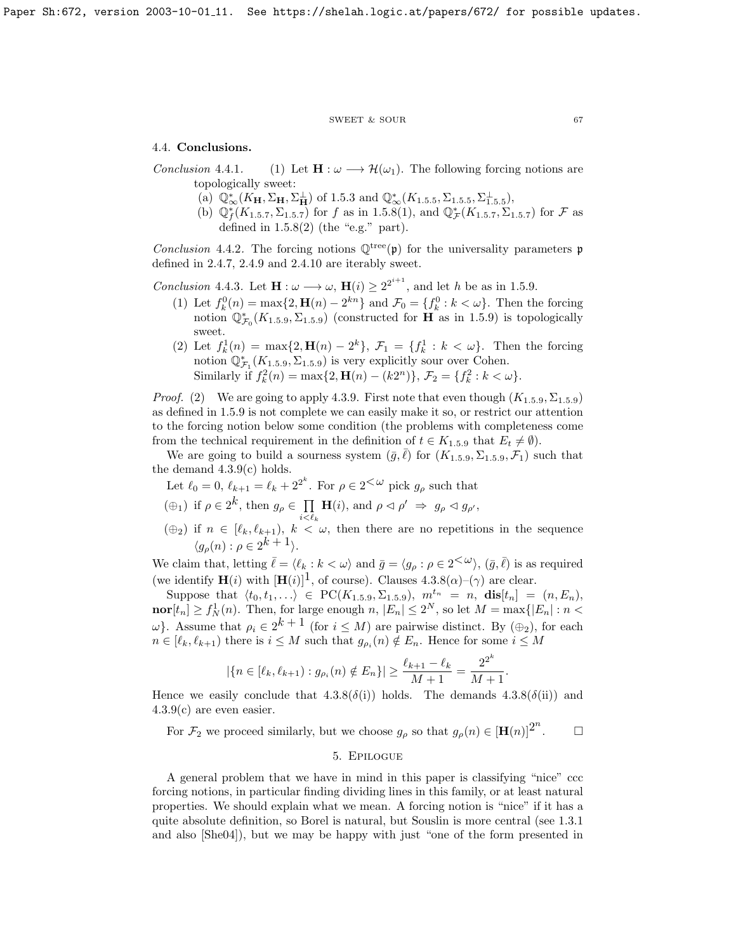#### $\begin{tabular}{lllll} \multicolumn{2}{l}{{\bf SWEET}} & $\&$ {\bf SOUR} & \multicolumn{2}{l}{\bf 67} \\ \multicolumn{2}{l}{\bf 67} & $\&$ {\bf 68} \\ \multicolumn{2}{l}{\bf 69} & $\&$ {\bf 69} \\ \multicolumn{2}{l}{\bf 61} & $\&$ {\bf 61} \\ \multicolumn{2}{l}{\bf 61} & $\&$ {\bf 61} \\ \multicolumn{2}{l}{\bf 62} & $\&$ {\bf 63} \\ \multicolumn{2}{l}{\bf 65} & $\&$ {\bf 67} \\ \multicolumn{2}{l}{\bf$

## 4.4. Conclusions.

Conclusion 4.4.1. (1) Let  $\mathbf{H} : \omega \longrightarrow \mathcal{H}(\omega_1)$ . The following forcing notions are topologically sweet:

- (a)  $\mathbb{Q}_{\infty}^{*}(K_{\mathbf{H}}, \Sigma_{\mathbf{H}}, \Sigma_{\mathbf{H}}^{\perp})$  of [1.5.3](#page-6-0) and  $\mathbb{Q}_{\infty}^{*}(K_{1.5.5}, \Sigma_{1.5.5}, \Sigma_{1.5.5}^{\perp}),$  $\mathbb{Q}_{\infty}^{*}(K_{1.5.5}, \Sigma_{1.5.5}, \Sigma_{1.5.5}^{\perp}),$  $\mathbb{Q}_{\infty}^{*}(K_{1.5.5}, \Sigma_{1.5.5}, \Sigma_{1.5.5}^{\perp}),$
- (b)  $\mathbb{Q}_f^*(K_{1.5.7}, \Sigma_{1.5.7})$  $\mathbb{Q}_f^*(K_{1.5.7}, \Sigma_{1.5.7})$  $\mathbb{Q}_f^*(K_{1.5.7}, \Sigma_{1.5.7})$  for f as in [1.5.8\(](#page-7-2)1), and  $\mathbb{Q}_\mathcal{F}^*(K_{1.5.7}, \Sigma_{1.5.7})$  for F as defined in  $1.5.8(2)$  (the "e.g." part).

Conclusion 4.4.2. The forcing notions  $\mathbb{Q}^{tree}(\mathfrak{p})$  for the universality parameters  $\mathfrak{p}$ defined in [2.4.7,](#page-32-2) [2.4.9](#page-33-1) and [2.4.10](#page-33-2) are iterably sweet.

*Conclusion* 4.4.3. Let  $\mathbf{H} : \omega \longrightarrow \omega$ ,  $\mathbf{H}(i) \geq 2^{2^{i+1}}$ , and let h be as in [1.5.9.](#page-8-0)

- (1) Let  $f_k^0(n) = \max\{2, \mathbf{H}(n) 2^{kn}\}\$  and  $\mathcal{F}_0 = \{f_k^0 : k < \omega\}$ . Then the forcing notion  $\mathbb{Q}_{\mathcal{F}_0}^*(K_{1.5.9}, \Sigma_{1.5.9})$  $\mathbb{Q}_{\mathcal{F}_0}^*(K_{1.5.9}, \Sigma_{1.5.9})$  $\mathbb{Q}_{\mathcal{F}_0}^*(K_{1.5.9}, \Sigma_{1.5.9})$  (constructed for  $\overline{H}$  as in [1.5.9\)](#page-8-0) is topologically sweet.
- (2) Let  $f_k^1(n) = \max\{2, \mathbf{H}(n) 2^k\}, \mathcal{F}_1 = \{f_k^1 : k < \omega\}.$  Then the forcing notion  $\mathbb{Q}^*_{\mathcal{F}_1}(K_{1.5.9}, \Sigma_{1.5.9})$  $\mathbb{Q}^*_{\mathcal{F}_1}(K_{1.5.9}, \Sigma_{1.5.9})$  $\mathbb{Q}^*_{\mathcal{F}_1}(K_{1.5.9}, \Sigma_{1.5.9})$  is very explicitly sour over Cohen. Similarly if  $f_k^2(n) = \max\{2, \mathbf{H}(n) - (k2^n)\}, \mathcal{F}_2 = \{f_k^2 : k < \omega\}.$

*Proof.* (2) We are going to apply [4.3.9.](#page-64-0) First note that even though  $(K_{1.5.9}, \Sigma_{1.5.9})$  $(K_{1.5.9}, \Sigma_{1.5.9})$  $(K_{1.5.9}, \Sigma_{1.5.9})$ as defined in [1.5.9](#page-8-0) is not complete we can easily make it so, or restrict our attention to the forcing notion below some condition (the problems with completeness come from the technical requirement in the definition of  $t \in K_{1,5,9}$  $t \in K_{1,5,9}$  $t \in K_{1,5,9}$  that  $E_t \neq \emptyset$ .

We are going to build a sourness system  $(\bar{g}, \bar{\ell})$  for  $(K_{1.5.9}, \Sigma_{1.5.9}, \mathcal{F}_1)$  $(K_{1.5.9}, \Sigma_{1.5.9}, \mathcal{F}_1)$  $(K_{1.5.9}, \Sigma_{1.5.9}, \mathcal{F}_1)$  such that the demand [4.3.9\(](#page-64-0)c) holds.

- Let  $\ell_0 = 0, \, \ell_{k+1} = \ell_k + 2^{2^k}$ . For  $\rho \in 2^{<\omega}$  pick  $g_\rho$  such that
- $(\oplus_1)$  if  $\rho \in 2^k$ , then  $g_\rho \in \prod_{i} \mathbf{H}(i)$ , and  $\rho \lhd \rho' \Rightarrow g_\rho \lhd g_{\rho'}$ ,  $i<\ell_k$
- $(\oplus_2)$  if  $n \in [\ell_k, \ell_{k+1}), k < \omega$ , then there are no repetitions in the sequence  $\langle g_{\rho}(n) : \rho \in 2^k + 1 \rangle.$

We claim that, letting  $\bar{\ell} = \langle \ell_k : k < \omega \rangle$  and  $\bar{g} = \langle g_\rho : \rho \in 2^{\langle \omega \rangle}, (\bar{g}, \bar{\ell})$  is as required (we identify  $\mathbf{H}(i)$  with  $[\mathbf{H}(i)]^1$ , of course). Clauses  $4.3.8(\alpha)$ – $(\gamma)$  are clear.

Suppose that  $\langle t_0, t_1, \ldots \rangle \in \text{PC}(K_{1.5.9}, \Sigma_{1.5.9}), m^{t_n} = n, \text{dis}[t_n] = (n, E_n),$  $\langle t_0, t_1, \ldots \rangle \in \text{PC}(K_{1.5.9}, \Sigma_{1.5.9}), m^{t_n} = n, \text{dis}[t_n] = (n, E_n),$  $\langle t_0, t_1, \ldots \rangle \in \text{PC}(K_{1.5.9}, \Sigma_{1.5.9}), m^{t_n} = n, \text{dis}[t_n] = (n, E_n),$  $\text{nor}[t_n] \ge f_N^1(n)$ . Then, for large enough  $n, |E_n| \le 2^N$ , so let  $M = \max\{|E_n| : n <$  $ω$ }. Assume that  $ρ<sub>i</sub> ∈ 2<sup>k+1</sup>$  (for  $i ≤ M$ ) are pairwise distinct. By ( $⊕<sub>2</sub>$ ), for each  $n \in [\ell_k, \ell_{k+1})$  there is  $i \leq M$  such that  $g_{\rho_i}(n) \notin E_n$ . Hence for some  $i \leq M$ 

$$
|\{n \in [\ell_k, \ell_{k+1}) : g_{\rho_i}(n) \notin E_n\}| \ge \frac{\ell_{k+1} - \ell_k}{M+1} = \frac{2^{2^k}}{M+1}.
$$

Hence we easily conclude that  $4.3.8(\delta(i))$  holds. The demands  $4.3.8(\delta(ii))$  and [4.3.9\(](#page-64-0)c) are even easier.

For  $\mathcal{F}_2$  we proceed similarly, but we choose  $g_\rho$  so that  $g_\rho(n) \in [\mathbf{H}(n)]^{2^n}$  $\Box$ 

## 5. Epilogue

A general problem that we have in mind in this paper is classifying "nice" ccc forcing notions, in particular finding dividing lines in this family, or at least natural properties. We should explain what we mean. A forcing notion is "nice" if it has a quite absolute definition, so Borel is natural, but Souslin is more central (see [1.3.1](#page-5-0) and also [\[She04\]](#page-70-5)), but we may be happy with just "one of the form presented in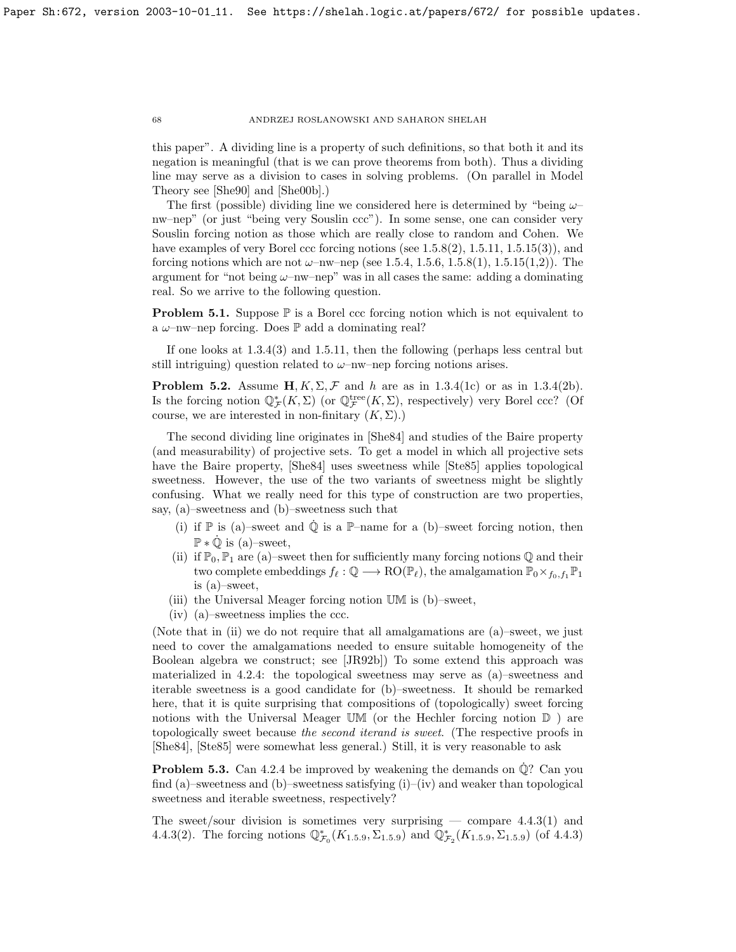this paper". A dividing line is a property of such definitions, so that both it and its negation is meaningful (that is we can prove theorems from both). Thus a dividing line may serve as a division to cases in solving problems. (On parallel in Model Theory see [\[She90\]](#page-70-13) and [\[She00b\]](#page-70-14).)

The first (possible) dividing line we considered here is determined by "being  $\omega$ nw–nep" (or just "being very Souslin ccc"). In some sense, one can consider very Souslin forcing notion as those which are really close to random and Cohen. We have examples of very Borel ccc forcing notions (see [1.5.8\(](#page-7-2)2), [1.5.11,](#page-8-1) [1.5.15\(](#page-29-0)3)), and forcing notions which are not  $\omega$ –nw–nep (see [1.5.4,](#page-7-3) [1.5.6,](#page-17-0) [1.5.8\(](#page-7-2)1), [1.5.15\(](#page-29-0)1,2)). The argument for "not being  $\omega$ -nw-nep" was in all cases the same: adding a dominating real. So we arrive to the following question.

**Problem 5.1.** Suppose  $\mathbb{P}$  is a Borel ccc forcing notion which is not equivalent to a  $\omega$ -nw-nep forcing. Does  $\mathbb P$  add a dominating real?

If one looks at [1.3.4\(](#page-7-3)3) and [1.5.11,](#page-8-1) then the following (perhaps less central but still intriguing) question related to  $\omega$ –nw–nep forcing notions arises.

**Problem 5.2.** Assume  $H, K, \Sigma, \mathcal{F}$  and h are as in [1.3.4\(](#page-7-3)1c) or as in 1.3.4(2b). Is the forcing notion  $\mathbb{Q}_{\mathcal{F}}^*(K,\Sigma)$  (or  $\mathbb{Q}_{\mathcal{F}}^{\text{tree}}(K,\Sigma)$ , respectively) very Borel ccc? (Of course, we are interested in non-finitary  $(K, \Sigma)$ .)

The second dividing line originates in [\[She84\]](#page-70-7) and studies of the Baire property (and measurability) of projective sets. To get a model in which all projective sets have the Baire property, [\[She84\]](#page-70-7) uses sweetness while [\[Ste85\]](#page-70-9) applies topological sweetness. However, the use of the two variants of sweetness might be slightly confusing. What we really need for this type of construction are two properties, say, (a)–sweetness and (b)–sweetness such that

- (i) if  $\mathbb P$  is (a)–sweet and  $\dot{\mathbb Q}$  is a  $\mathbb P$ –name for a (b)–sweet forcing notion, then  $\mathbb{P} * \dot{\mathbb{Q}}$  is (a)-sweet,
- (ii) if  $\mathbb{P}_0$ ,  $\mathbb{P}_1$  are (a)–sweet then for sufficiently many forcing notions  $\mathbb Q$  and their two complete embeddings  $f_\ell : \mathbb{Q} \longrightarrow \text{RO}(\mathbb{P}_\ell)$ , the amalgamation  $\mathbb{P}_0 \times_{f_0,f_1} \mathbb{P}_1$ is (a)–sweet,
- (iii) the Universal Meager forcing notion UM is (b)–sweet,
- (iv) (a)–sweetness implies the ccc.

(Note that in (ii) we do not require that all amalgamations are (a)–sweet, we just need to cover the amalgamations needed to ensure suitable homogeneity of the Boolean algebra we construct; see [\[JR92b\]](#page-70-3)) To some extend this approach was materialized in [4.2.4:](#page-53-0) the topological sweetness may serve as (a)–sweetness and iterable sweetness is a good candidate for (b)–sweetness. It should be remarked here, that it is quite surprising that compositions of (topologically) sweet forcing notions with the Universal Meager UM (or the Hechler forcing notion  $\mathbb D$ ) are topologically sweet because the second iterand is sweet. (The respective proofs in [\[She84\]](#page-70-7), [\[Ste85\]](#page-70-9) were somewhat less general.) Still, it is very reasonable to ask

**Problem 5.3.** Can [4.2.4](#page-53-0) be improved by weakening the demands on  $\dot{\mathbb{Q}}$ ? Can you find (a)–sweetness and (b)–sweetness satisfying  $(i)$ –(iv) and weaker than topological sweetness and iterable sweetness, respectively?

The sweet/sour division is sometimes very surprising — compare  $4.4.3(1)$  and [4.4.3\(](#page-51-0)2). The forcing notions  $\mathbb{Q}_{\mathcal{F}_0}^*(K_{1.5.9}, \Sigma_{1.5.9})$  $\mathbb{Q}_{\mathcal{F}_0}^*(K_{1.5.9}, \Sigma_{1.5.9})$  $\mathbb{Q}_{\mathcal{F}_0}^*(K_{1.5.9}, \Sigma_{1.5.9})$  and  $\mathbb{Q}_{\mathcal{F}_2}^*(K_{1.5.9}, \Sigma_{1.5.9})$  (of [4.4.3\)](#page-51-0)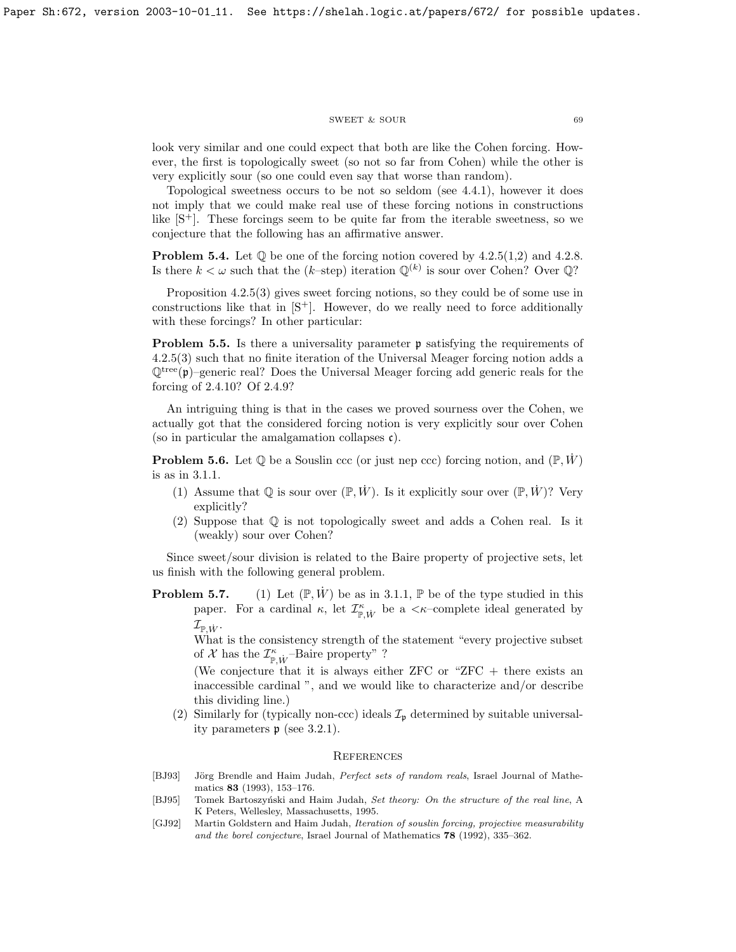#### $\begin{tabular}{lllll} \multicolumn{2}{l}{{\bf SWEET}} & $\&$ {\bf SOUR} & \multicolumn{2}{l}{\bf 69} \\ \multicolumn{2}{l}{\bf 69} & $\&$ {\bf 69} \\ \multicolumn{2}{l}{\bf 69} & $\&$ {\bf 69} \\ \multicolumn{2}{l}{\bf 69} & $\&$ {\bf 69} \\ \multicolumn{2}{l}{\bf 69} & $\&$ {\bf 69} \\ \multicolumn{2}{l}{\bf 69} & $\&$ {\bf 69} \\ \multicolumn{2}{l}{\bf 69} & $\&$ {\bf 69} \\ \multicolumn{2}{l}{\bf$

look very similar and one could expect that both are like the Cohen forcing. However, the first is topologically sweet (so not so far from Cohen) while the other is very explicitly sour (so one could even say that worse than random).

Topological sweetness occurs to be not so seldom (see [4.4.1\)](#page-52-0), however it does not imply that we could make real use of these forcing notions in constructions like [\[S](#page-70-12)+]. These forcings seem to be quite far from the iterable sweetness, so we conjecture that the following has an affirmative answer.

**Problem 5.4.** Let  $\mathbb{Q}$  be one of the forcing notion covered by [4.2.5\(](#page-60-0)1,2) and [4.2.8.](#page-58-1) Is there  $k < \omega$  such that the (k-step) iteration  $\mathbb{Q}^{(k)}$  is sour over Cohen? Over  $\mathbb{Q}$ ?

Proposition [4.2.5\(](#page-60-0)3) gives sweet forcing notions, so they could be of some use in constructions like that in  $[S^+]$ . However, do we really need to force additionally with these forcings? In other particular:

**Problem 5.5.** Is there a universality parameter **p** satisfying the requirements of [4.2.5\(](#page-60-0)3) such that no finite iteration of the Universal Meager forcing notion adds a  $\mathbb{Q}^{\text{tree}}(\mathfrak{p})$ –generic real? Does the Universal Meager forcing add generic reals for the forcing of [2.4.10?](#page-33-2) Of [2.4.9?](#page-33-1)

An intriguing thing is that in the cases we proved sourness over the Cohen, we actually got that the considered forcing notion is very explicitly sour over Cohen (so in particular the amalgamation collapses  $\mathfrak{c}$ ).

**Problem 5.6.** Let  $\mathbb{Q}$  be a Souslin ccc (or just nep ccc) forcing notion, and  $(\mathbb{P}, W)$ is as in [3.1.1.](#page-48-0)

- (1) Assume that  $\mathbb{O}$  is sour over  $(\mathbb{P}, \dot{W})$ . Is it explicitly sour over  $(\mathbb{P}, \dot{W})$ ? Very explicitly?
- (2) Suppose that Q is not topologically sweet and adds a Cohen real. Is it (weakly) sour over Cohen?

Since sweet/sour division is related to the Baire property of projective sets, let us finish with the following general problem.

**Problem 5.7.** (1) Let  $(\mathbb{P}, \dot{W})$  be as in [3.1.1,](#page-48-0)  $\mathbb{P}$  be of the type studied in this paper. For a cardinal  $\kappa$ , let  $\mathcal{I}^{\kappa}_{\mathbb{P},\dot{W}}$  be a  $\lt\kappa$ -complete ideal generated by  $\mathcal{I}_{\mathbb{P}, \dot{W}}.$ 

What is the consistency strength of the statement "every projective subset of  ${\mathcal X}$  has the  ${\mathcal I}^\kappa_{{\mathbb P},\dot{W}}{\operatorname{-Baire}}$  property" ?

(We conjecture that it is always either  $ZFC$  or " $ZFC$  + there exists an inaccessible cardinal ", and we would like to characterize and/or describe this dividing line.)

(2) Similarly for (typically non-ccc) ideals  $\mathcal{I}_{\mathfrak{p}}$  determined by suitable universality parameters p (see [3.2.1\)](#page-48-0).

### **REFERENCES**

- [BJ93] Jörg Brendle and Haim Judah, *Perfect sets of random reals*, Israel Journal of Mathematics 83 (1993), 153–176.
- <span id="page-69-0"></span>[BJ95] Tomek Bartoszyński and Haim Judah, Set theory: On the structure of the real line, A K Peters, Wellesley, Massachusetts, 1995.
- [GJ92] Martin Goldstern and Haim Judah, Iteration of souslin forcing, projective measurability and the borel conjecture, Israel Journal of Mathematics 78 (1992), 335–362.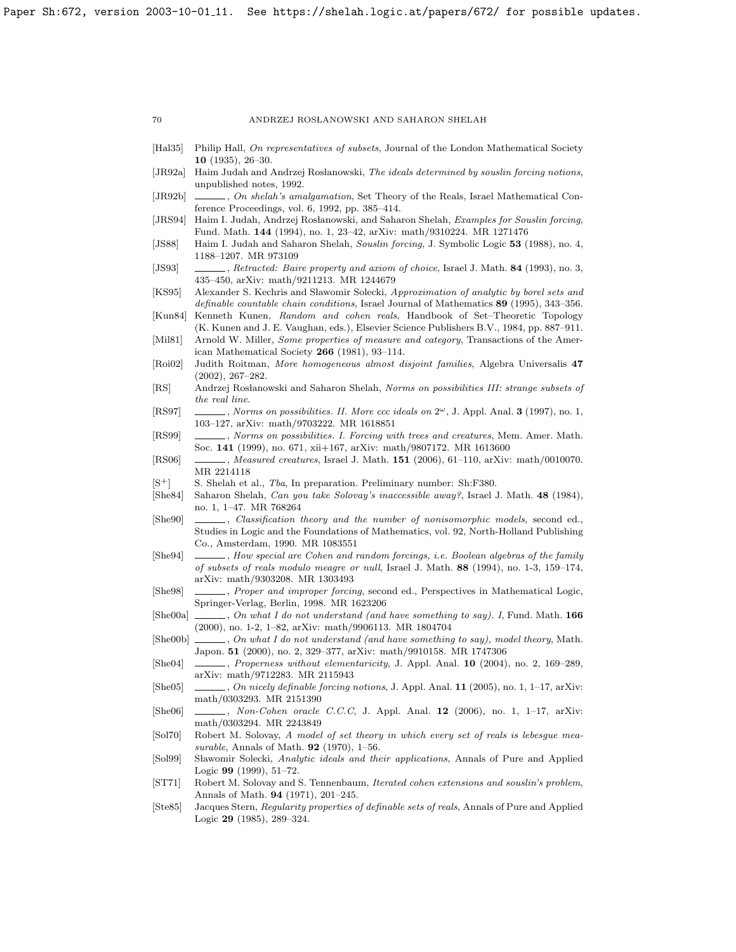- [Hal35] Philip Hall, On representatives of subsets, Journal of the London Mathematical Society 10 (1935), 26–30.
- <span id="page-70-2"></span>[JR92a] Haim Judah and Andrzej Rosłanowski, The ideals determined by souslin forcing notions, unpublished notes, 1992.
- <span id="page-70-3"></span>[JR92b] , On shelah's amalgamation, Set Theory of the Reals, Israel Mathematical Conference Proceedings, vol. 6, 1992, pp. 385–414.
- [JRS94] Haim I. Judah, Andrzej Rosłanowski, and Saharon Shelah, Examples for Souslin forcing, Fund. Math. 144 (1994), no. 1, 23–42, [arXiv: math/9310224.](https://arxiv.org/abs/math/9310224) MR 1271476
- [JS88] Haim I. Judah and Saharon Shelah, Souslin forcing, J. Symbolic Logic 53 (1988), no. 4, 1188–1207. MR 973109
- <span id="page-70-11"></span>[JS93] , Retracted: Baire property and axiom of choice, Israel J. Math. 84 (1993), no. 3, 435–450, [arXiv: math/9211213.](https://arxiv.org/abs/math/9211213) MR 1244679
- [KS95] Alexander S. Kechris and Sławomir Solecki, Approximation of analytic by borel sets and definable countable chain conditions, Israel Journal of Mathematics 89 (1995), 343–356.
- [Kun84] Kenneth Kunen, Random and cohen reals, Handbook of Set–Theoretic Topology (K. Kunen and J. E. Vaughan, eds.), Elsevier Science Publishers B.V., 1984, pp. 887–911.
- [Mil81] Arnold W. Miller, Some properties of measure and category, Transactions of the American Mathematical Society 266 (1981), 93–114.
- <span id="page-70-8"></span>[Roi02] Judith Roitman, More homogeneous almost disjoint families, Algebra Universalis 47 (2002), 267–282.
- [RS] Andrzej Rosłanowski and Saharon Shelah, Norms on possibilities III: strange subsets of the real line.
- [RS97] , Norms on possibilities. II. More ccc ideals on  $2^{\omega}$ , J. Appl. Anal. 3 (1997), no. 1, 103–127, [arXiv: math/9703222.](https://arxiv.org/abs/math/9703222) MR 1618851
- <span id="page-70-0"></span>[RS99] , Norms on possibilities. I. Forcing with trees and creatures, Mem. Amer. Math. Soc. 141 (1999), no. 671, xii+167, [arXiv: math/9807172.](https://arxiv.org/abs/math/9807172) MR 1613600
- [RS06] , Measured creatures, Israel J. Math. 151 (2006), 61–110, [arXiv: math/0010070.](https://arxiv.org/abs/math/0010070) MR 2214118
- <span id="page-70-12"></span>[S<sup>+</sup>] S. Shelah et al., *Tba*, In preparation. Preliminary number: Sh:F380.
- <span id="page-70-7"></span>[She84] Saharon Shelah, Can you take Solovay's inaccessible away?, Israel J. Math. 48 (1984), no. 1, 1–47. MR 768264
- <span id="page-70-13"></span>[She90]  $\_\_\_\_\_\$  Classification theory and the number of nonisomorphic models, second ed., Studies in Logic and the Foundations of Mathematics, vol. 92, North-Holland Publishing Co., Amsterdam, 1990. MR 1083551
- [She94] , How special are Cohen and random forcings, i.e. Boolean algebras of the family of subsets of reals modulo meagre or null, Israel J. Math. 88 (1994), no. 1-3, 159–174, [arXiv: math/9303208.](https://arxiv.org/abs/math/9303208) MR 1303493
- <span id="page-70-1"></span>[She98] , Proper and improper forcing, second ed., Perspectives in Mathematical Logic, Springer-Verlag, Berlin, 1998. MR 1623206
- <span id="page-70-4"></span>[She00a]  $\Box$ , On what I do not understand (and have something to say). I, Fund. Math. 166 (2000), no. 1-2, 1–82, [arXiv: math/9906113.](https://arxiv.org/abs/math/9906113) MR 1804704
- <span id="page-70-14"></span>[She00b] , On what I do not understand (and have something to say), model theory, Math. Japon. 51 (2000), no. 2, 329–377, [arXiv: math/9910158.](https://arxiv.org/abs/math/9910158) MR 1747306
- <span id="page-70-5"></span>[She04] , Properness without elementaricity, J. Appl. Anal. 10 (2004), no. 2, 169–289, [arXiv: math/9712283.](https://arxiv.org/abs/math/9712283) MR 2115943
- [She05]  $\ldots$ , On nicely definable forcing notions, J. Appl. Anal. 11 (2005), no. 1, 1–17, [arXiv:](https://arxiv.org/abs/math/0303293) [math/0303293.](https://arxiv.org/abs/math/0303293) MR 2151390
- [She06]  $\qquad \qquad$ , Non-Cohen oracle C.C.C, J. Appl. Anal. 12 (2006), no. 1, 1–17, [arXiv:](https://arxiv.org/abs/math/0303294) [math/0303294.](https://arxiv.org/abs/math/0303294) MR 2243849
- <span id="page-70-10"></span>[Sol70] Robert M. Solovay, A model of set theory in which every set of reals is lebesgue measurable, Annals of Math. **92** (1970), 1-56.
- [Sol99] Sławomir Solecki, Analytic ideals and their applications, Annals of Pure and Applied Logic 99 (1999), 51–72.
- <span id="page-70-6"></span>[ST71] Robert M. Solovay and S. Tennenbaum, Iterated cohen extensions and souslin's problem, Annals of Math. 94 (1971), 201–245.
- <span id="page-70-9"></span>[Ste85] Jacques Stern, Regularity properties of definable sets of reals, Annals of Pure and Applied Logic 29 (1985), 289–324.